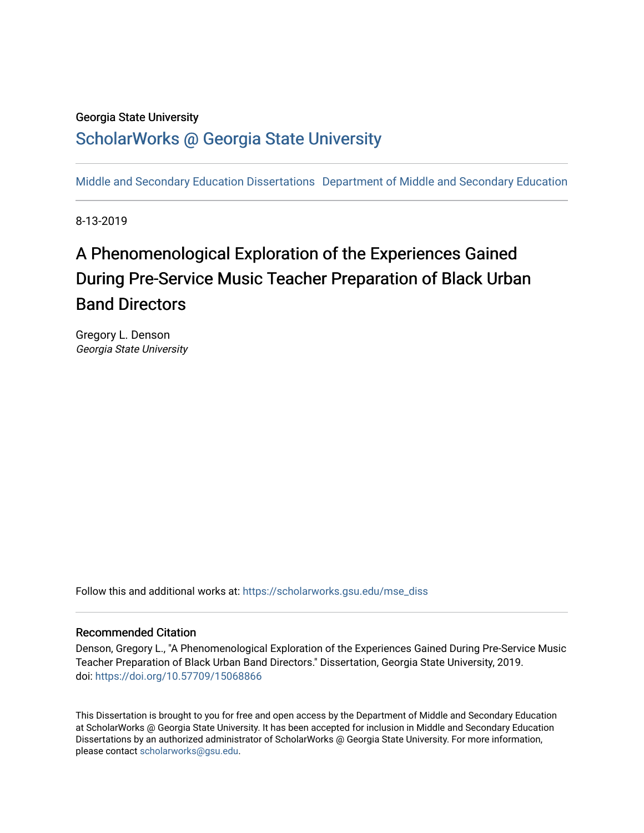# Georgia State University

# [ScholarWorks @ Georgia State University](https://scholarworks.gsu.edu/)

[Middle and Secondary Education Dissertations](https://scholarworks.gsu.edu/mse_diss) [Department of Middle and Secondary Education](https://scholarworks.gsu.edu/mse) 

8-13-2019

# A Phenomenological Exploration of the Experiences Gained During Pre-Service Music Teacher Preparation of Black Urban Band Directors

Gregory L. Denson Georgia State University

Follow this and additional works at: [https://scholarworks.gsu.edu/mse\\_diss](https://scholarworks.gsu.edu/mse_diss?utm_source=scholarworks.gsu.edu%2Fmse_diss%2F87&utm_medium=PDF&utm_campaign=PDFCoverPages)

# Recommended Citation

Denson, Gregory L., "A Phenomenological Exploration of the Experiences Gained During Pre-Service Music Teacher Preparation of Black Urban Band Directors." Dissertation, Georgia State University, 2019. doi: <https://doi.org/10.57709/15068866>

This Dissertation is brought to you for free and open access by the Department of Middle and Secondary Education at ScholarWorks @ Georgia State University. It has been accepted for inclusion in Middle and Secondary Education Dissertations by an authorized administrator of ScholarWorks @ Georgia State University. For more information, please contact [scholarworks@gsu.edu.](mailto:scholarworks@gsu.edu)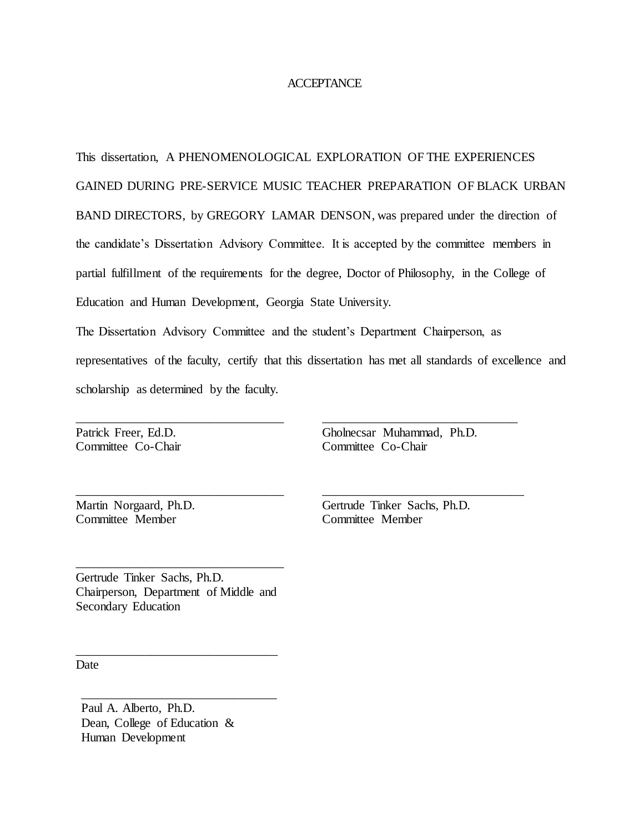### **ACCEPTANCE**

This dissertation, A PHENOMENOLOGICAL EXPLORATION OF THE EXPERIENCES GAINED DURING PRE-SERVICE MUSIC TEACHER PREPARATION OF BLACK URBAN BAND DIRECTORS, by GREGORY LAMAR DENSON, was prepared under the direction of the candidate's Dissertation Advisory Committee. It is accepted by the committee members in partial fulfillment of the requirements for the degree, Doctor of Philosophy, in the College of Education and Human Development, Georgia State University.

The Dissertation Advisory Committee and the student's Department Chairperson, as representatives of the faculty, certify that this dissertation has met all standards of excellence and scholarship as determined by the faculty.

Patrick Freer, Ed.D. Committee Co-Chair Gholnecsar Muhammad, Ph.D. Committee Co-Chair

\_\_\_\_\_\_\_\_\_\_\_\_\_\_\_\_\_\_\_\_\_\_\_\_\_\_\_\_\_\_\_

\_\_\_\_\_\_\_\_\_\_\_\_\_\_\_\_\_\_\_\_\_\_\_\_\_\_\_\_\_\_\_\_

Martin Norgaard, Ph.D. Committee Member

Gertrude Tinker Sachs, Ph.D. Committee Member

Gertrude Tinker Sachs, Ph.D. Chairperson, Department of Middle and Secondary Education

\_\_\_\_\_\_\_\_\_\_\_\_\_\_\_\_\_\_\_\_\_\_\_\_\_\_\_\_\_\_\_\_

\_\_\_\_\_\_\_\_\_\_\_\_\_\_\_\_\_\_\_\_\_\_\_\_\_\_\_\_\_\_\_

\_\_\_\_\_\_\_\_\_\_\_\_\_\_\_\_\_\_\_\_\_\_\_\_\_\_\_\_\_\_\_\_\_

\_\_\_\_\_\_\_\_\_\_\_\_\_\_\_\_\_\_\_\_\_\_\_\_\_\_\_\_\_\_\_\_\_

\_\_\_\_\_\_\_\_\_\_\_\_\_\_\_\_\_\_\_\_\_\_\_\_\_\_\_\_\_\_\_\_\_

**Date** 

Paul A. Alberto, Ph.D. Dean, College of Education & Human Development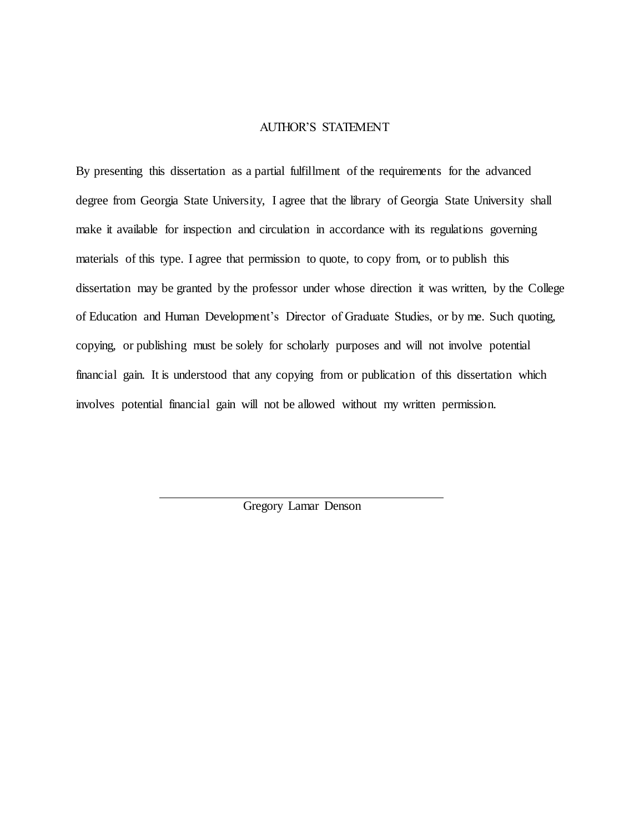# AUTHOR'S STATEMENT

By presenting this dissertation as a partial fulfillment of the requirements for the advanced degree from Georgia State University, I agree that the library of Georgia State University shall make it available for inspection and circulation in accordance with its regulations governing materials of this type. I agree that permission to quote, to copy from, or to publish this dissertation may be granted by the professor under whose direction it was written, by the College of Education and Human Development's Director of Graduate Studies, or by me. Such quoting, copying, or publishing must be solely for scholarly purposes and will not involve potential financial gain. It is understood that any copying from or publication of this dissertation which involves potential financial gain will not be allowed without my written permission.

Gregory Lamar Denson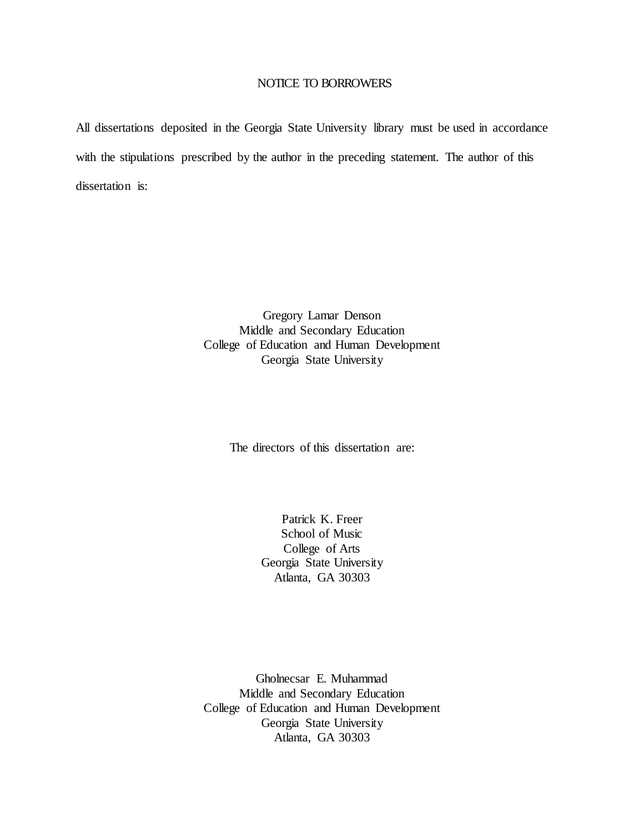### NOTICE TO BORROWERS

All dissertations deposited in the Georgia State University library must be used in accordance with the stipulations prescribed by the author in the preceding statement. The author of this dissertation is:

> Gregory Lamar Denson Middle and Secondary Education College of Education and Human Development Georgia State University

> > The directors of this dissertation are:

Patrick K. Freer School of Music College of Arts Georgia State University Atlanta, GA 30303

Gholnecsar E. Muhammad Middle and Secondary Education College of Education and Human Development Georgia State University Atlanta, GA 30303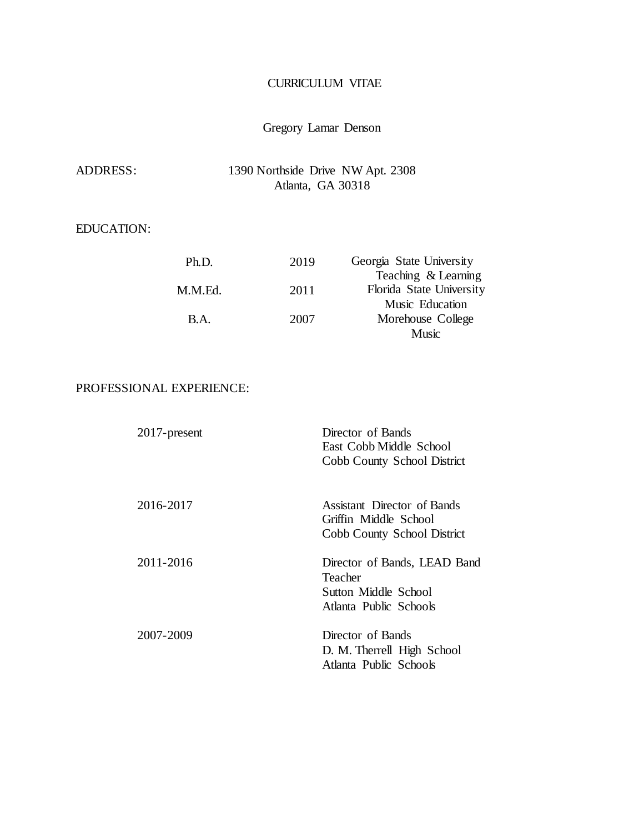# CURRICULUM VITAE

# Gregory Lamar Denson

| ADDRESS: | 1390 Northside Drive NW Apt. 2308 |
|----------|-----------------------------------|
|          | Atlanta, GA 30318                 |

# EDUCATION:

| Ph.D.   | 2019 | Georgia State University |
|---------|------|--------------------------|
|         |      | Teaching & Learning      |
| M.M.Ed. | 2011 | Florida State University |
|         |      | Music Education          |
| B.A.    | 2007 | Morehouse College        |
|         |      | <b>Music</b>             |

# PROFESSIONAL EXPERIENCE:

| $2017$ -present | Director of Bands<br>East Cobb Middle School<br>Cobb County School District               |
|-----------------|-------------------------------------------------------------------------------------------|
| 2016-2017       | Assistant Director of Bands<br>Griffin Middle School<br>Cobb County School District       |
| 2011-2016       | Director of Bands, LEAD Band<br>Teacher<br>Sutton Middle School<br>Atlanta Public Schools |
| 2007-2009       | Director of Bands<br>D. M. Therrell High School<br>Atlanta Public Schools                 |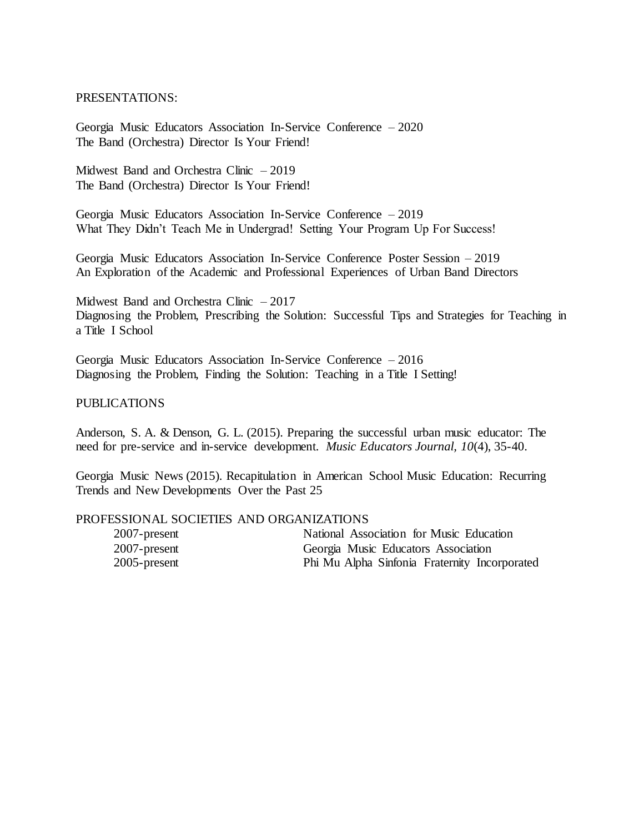# PRESENTATIONS:

Georgia Music Educators Association In-Service Conference – 2020 The Band (Orchestra) Director Is Your Friend!

Midwest Band and Orchestra Clinic – 2019 The Band (Orchestra) Director Is Your Friend!

Georgia Music Educators Association In-Service Conference – 2019 What They Didn't Teach Me in Undergrad! Setting Your Program Up For Success!

Georgia Music Educators Association In-Service Conference Poster Session – 2019 An Exploration of the Academic and Professional Experiences of Urban Band Directors

Midwest Band and Orchestra Clinic – 2017 Diagnosing the Problem, Prescribing the Solution: Successful Tips and Strategies for Teaching in a Title I School

Georgia Music Educators Association In-Service Conference – 2016 Diagnosing the Problem, Finding the Solution: Teaching in a Title I Setting!

#### PUBLICATIONS

Anderson, S. A. & Denson, G. L. (2015). Preparing the successful urban music educator: The need for pre-service and in-service development. *Music Educators Journal, 10*(4), 35-40.

Georgia Music News (2015). Recapitulation in American School Music Education: Recurring Trends and New Developments Over the Past 25

### PROFESSIONAL SOCIETIES AND ORGANIZATIONS

| $2007$ -present | National Association for Music Education      |
|-----------------|-----------------------------------------------|
| $2007$ -present | Georgia Music Educators Association           |
| $2005$ -present | Phi Mu Alpha Sinfonia Fraternity Incorporated |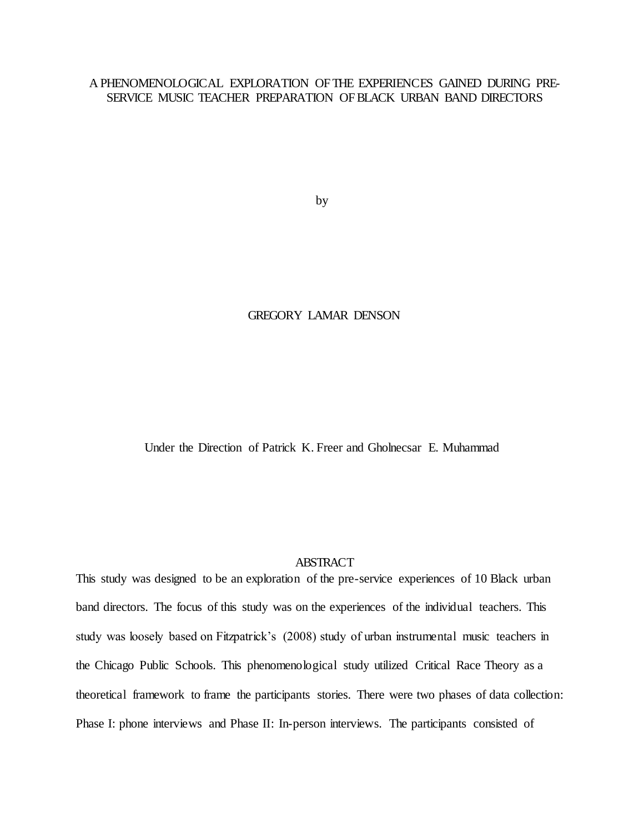# A PHENOMENOLOGICAL EXPLORATION OF THE EXPERIENCES GAINED DURING PRE-SERVICE MUSIC TEACHER PREPARATION OFBLACK URBAN BAND DIRECTORS

by

# GREGORY LAMAR DENSON

Under the Direction of Patrick K. Freer and Gholnecsar E. Muhammad

### ABSTRACT

This study was designed to be an exploration of the pre-service experiences of 10 Black urban band directors. The focus of this study was on the experiences of the individual teachers. This study was loosely based on Fitzpatrick's (2008) study of urban instrumental music teachers in the Chicago Public Schools. This phenomenological study utilized Critical Race Theory as a theoretical framework to frame the participants stories. There were two phases of data collection: Phase I: phone interviews and Phase II: In-person interviews. The participants consisted of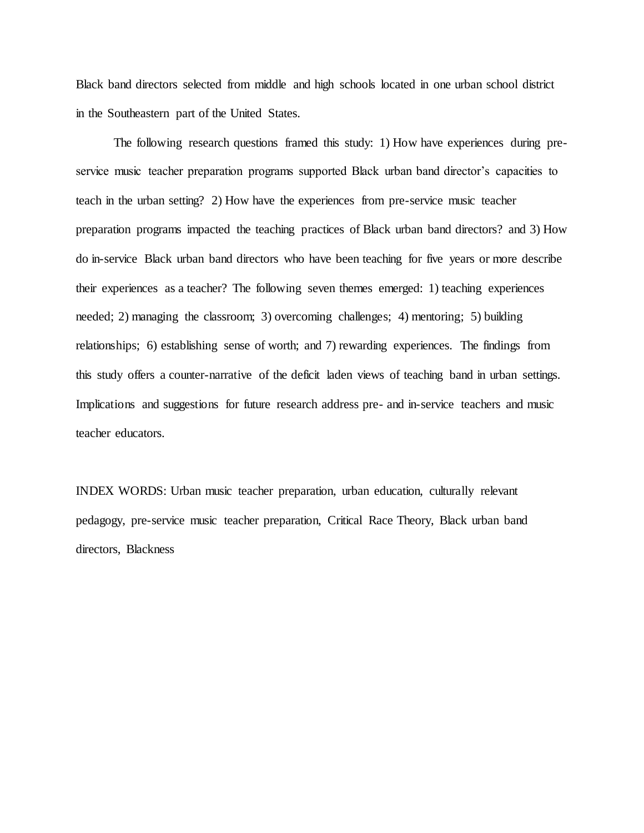Black band directors selected from middle and high schools located in one urban school district in the Southeastern part of the United States.

The following research questions framed this study: 1) How have experiences during preservice music teacher preparation programs supported Black urban band director's capacities to teach in the urban setting? 2) How have the experiences from pre-service music teacher preparation programs impacted the teaching practices of Black urban band directors? and 3) How do in-service Black urban band directors who have been teaching for five years or more describe their experiences as a teacher? The following seven themes emerged: 1) teaching experiences needed; 2) managing the classroom; 3) overcoming challenges; 4) mentoring; 5) building relationships; 6) establishing sense of worth; and 7) rewarding experiences. The findings from this study offers a counter-narrative of the deficit laden views of teaching band in urban settings. Implications and suggestions for future research address pre- and in-service teachers and music teacher educators.

INDEX WORDS: Urban music teacher preparation, urban education, culturally relevant pedagogy, pre-service music teacher preparation, Critical Race Theory, Black urban band directors, Blackness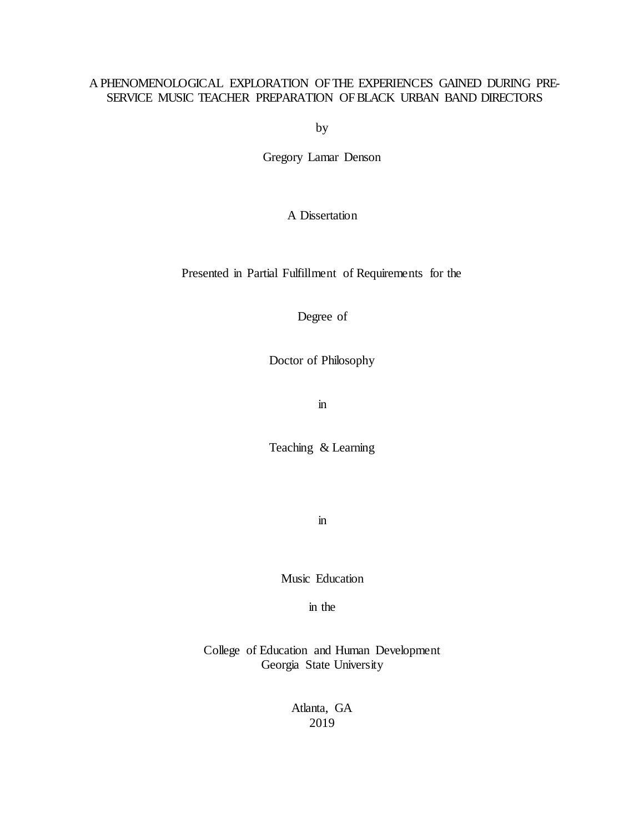# A PHENOMENOLOGICAL EXPLORATION OF THE EXPERIENCES GAINED DURING PRE-SERVICE MUSIC TEACHER PREPARATION OFBLACK URBAN BAND DIRECTORS

by

Gregory Lamar Denson

# A Dissertation

Presented in Partial Fulfillment of Requirements for the

Degree of

Doctor of Philosophy

in

Teaching & Learning

in

Music Education

in the

College of Education and Human Development Georgia State University

> Atlanta, GA 2019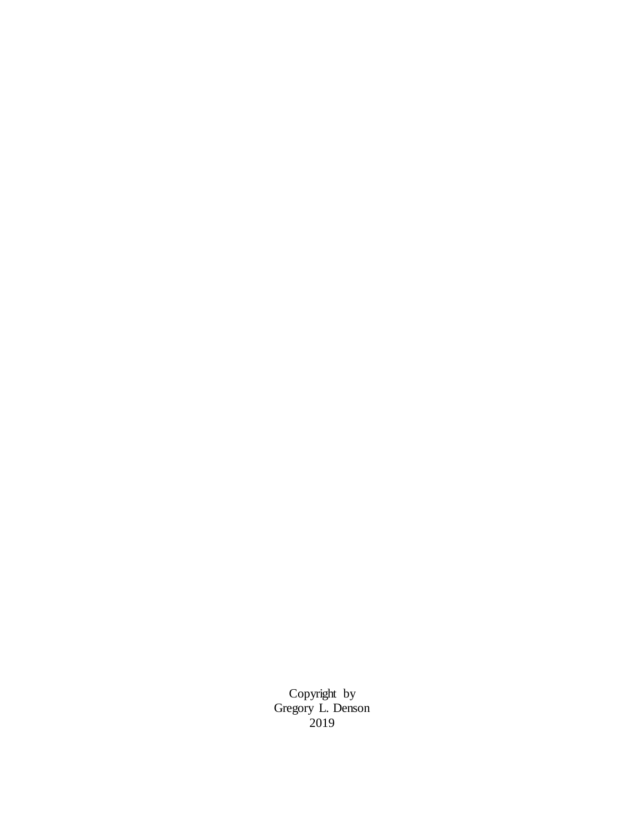Copyright by Gregory L. Denson 2019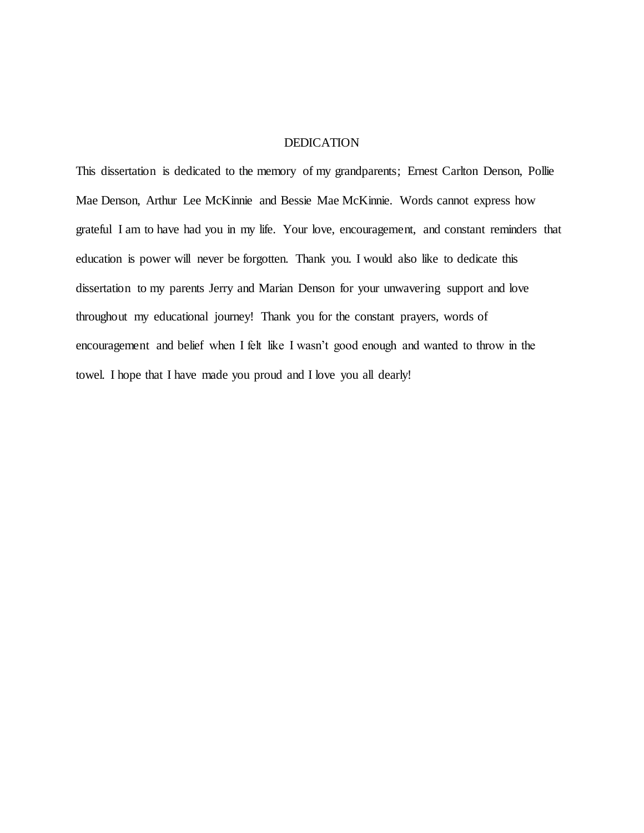#### DEDICATION

This dissertation is dedicated to the memory of my grandparents; Ernest Carlton Denson, Pollie Mae Denson, Arthur Lee McKinnie and Bessie Mae McKinnie. Words cannot express how grateful I am to have had you in my life. Your love, encouragement, and constant reminders that education is power will never be forgotten. Thank you. I would also like to dedicate this dissertation to my parents Jerry and Marian Denson for your unwavering support and love throughout my educational journey! Thank you for the constant prayers, words of encouragement and belief when I felt like I wasn't good enough and wanted to throw in the towel. I hope that I have made you proud and I love you all dearly!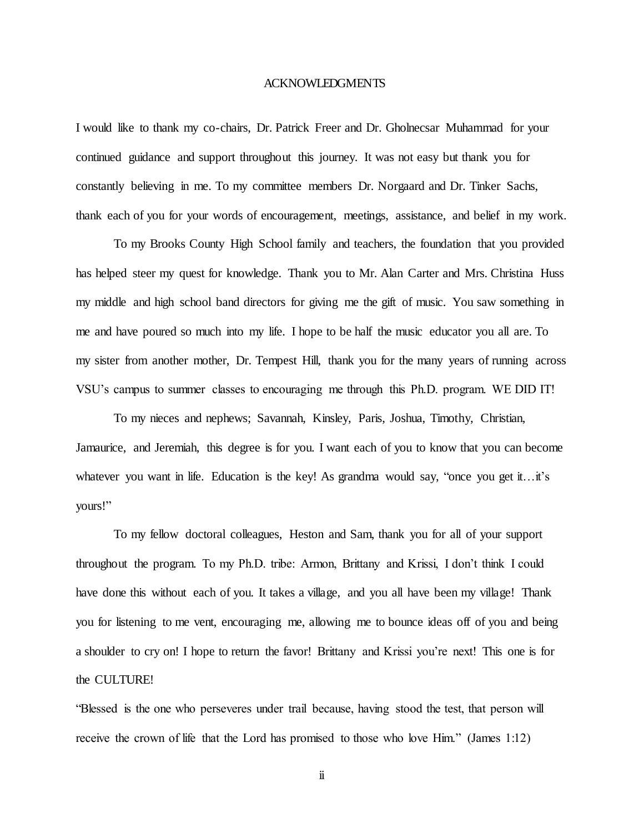#### ACKNOWLEDGMENTS

I would like to thank my co-chairs, Dr. Patrick Freer and Dr. Gholnecsar Muhammad for your continued guidance and support throughout this journey. It was not easy but thank you for constantly believing in me. To my committee members Dr. Norgaard and Dr. Tinker Sachs, thank each of you for your words of encouragement, meetings, assistance, and belief in my work.

To my Brooks County High School family and teachers, the foundation that you provided has helped steer my quest for knowledge. Thank you to Mr. Alan Carter and Mrs. Christina Huss my middle and high school band directors for giving me the gift of music. You saw something in me and have poured so much into my life. I hope to be half the music educator you all are. To my sister from another mother, Dr. Tempest Hill, thank you for the many years of running across VSU's campus to summer classes to encouraging me through this Ph.D. program. WE DID IT!

To my nieces and nephews; Savannah, Kinsley, Paris, Joshua, Timothy, Christian, Jamaurice, and Jeremiah, this degree is for you. I want each of you to know that you can become whatever you want in life. Education is the key! As grandma would say, "once you get it... it's yours!"

To my fellow doctoral colleagues, Heston and Sam, thank you for all of your support throughout the program. To my Ph.D. tribe: Armon, Brittany and Krissi, I don't think I could have done this without each of you. It takes a village, and you all have been my village! Thank you for listening to me vent, encouraging me, allowing me to bounce ideas off of you and being a shoulder to cry on! I hope to return the favor! Brittany and Krissi you're next! This one is for the CULTURE!

"Blessed is the one who perseveres under trail because, having stood the test, that person will receive the crown of life that the Lord has promised to those who love Him." (James 1:12)

ii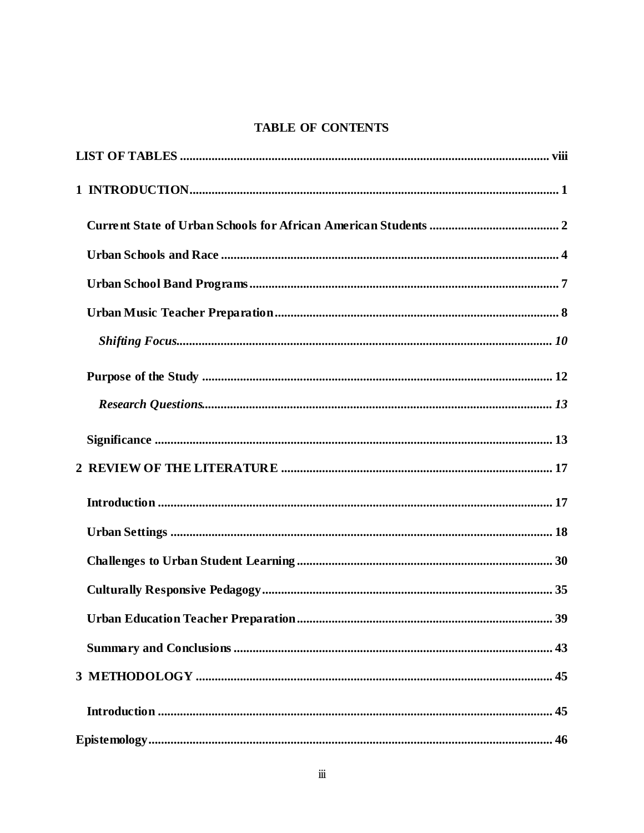# **TABLE OF CONTENTS**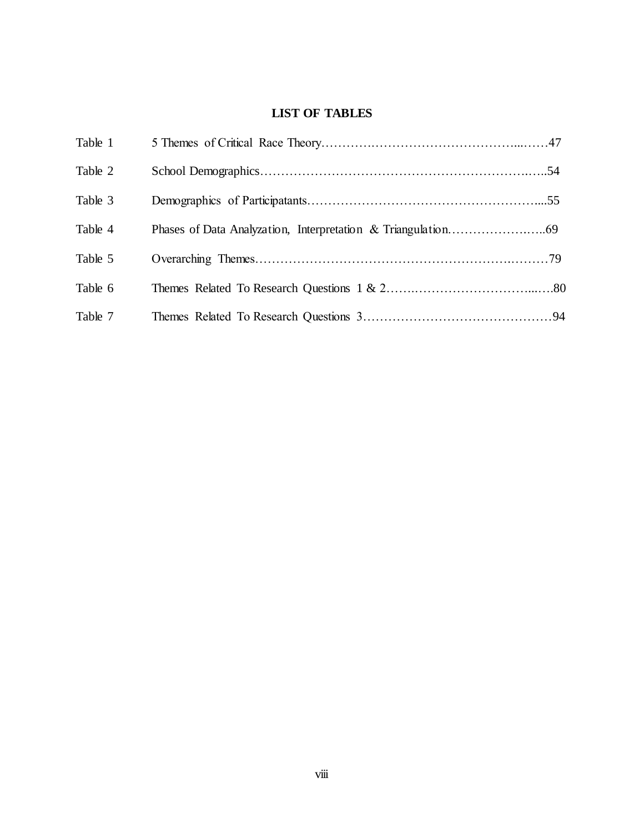# **LIST OF TABLES**

<span id="page-17-0"></span>

| Table 1 |  |
|---------|--|
| Table 2 |  |
| Table 3 |  |
| Table 4 |  |
| Table 5 |  |
| Table 6 |  |
| Table 7 |  |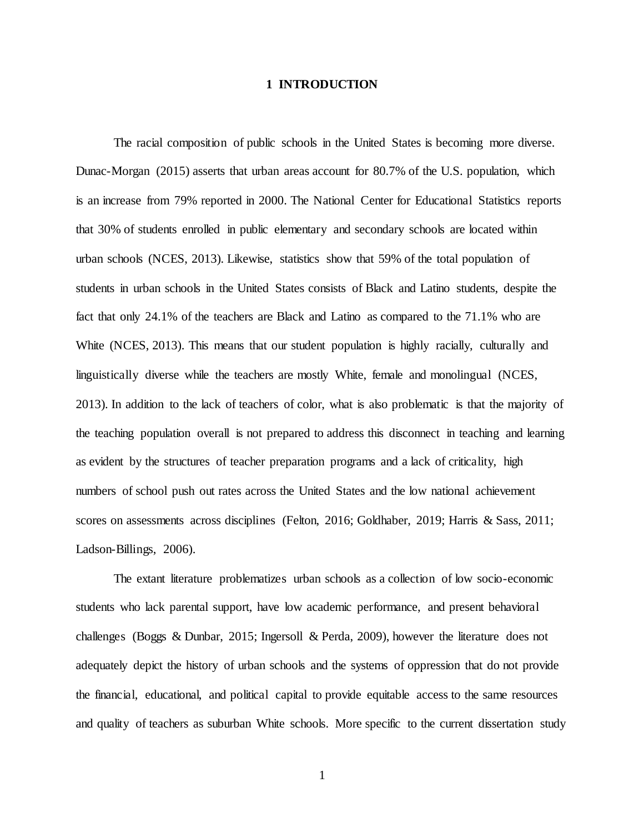### **1 INTRODUCTION**

<span id="page-18-0"></span>The racial composition of public schools in the United States is becoming more diverse. Dunac-Morgan (2015) asserts that urban areas account for 80.7% of the U.S. population, which is an increase from 79% reported in 2000. The National Center for Educational Statistics reports that 30% of students enrolled in public elementary and secondary schools are located within urban schools (NCES, 2013). Likewise, statistics show that 59% of the total population of students in urban schools in the United States consists of Black and Latino students, despite the fact that only 24.1% of the teachers are Black and Latino as compared to the 71.1% who are White (NCES, 2013). This means that our student population is highly racially, culturally and linguistically diverse while the teachers are mostly White, female and monolingual (NCES, 2013). In addition to the lack of teachers of color, what is also problematic is that the majority of the teaching population overall is not prepared to address this disconnect in teaching and learning as evident by the structures of teacher preparation programs and a lack of criticality, high numbers of school push out rates across the United States and the low national achievement scores on assessments across disciplines (Felton, 2016; Goldhaber, 2019; Harris & Sass, 2011; Ladson-Billings, 2006).

The extant literature problematizes urban schools as a collection of low socio-economic students who lack parental support, have low academic performance, and present behavioral challenges (Boggs & Dunbar, 2015; Ingersoll & Perda, 2009), however the literature does not adequately depict the history of urban schools and the systems of oppression that do not provide the financial, educational, and political capital to provide equitable access to the same resources and quality of teachers as suburban White schools. More specific to the current dissertation study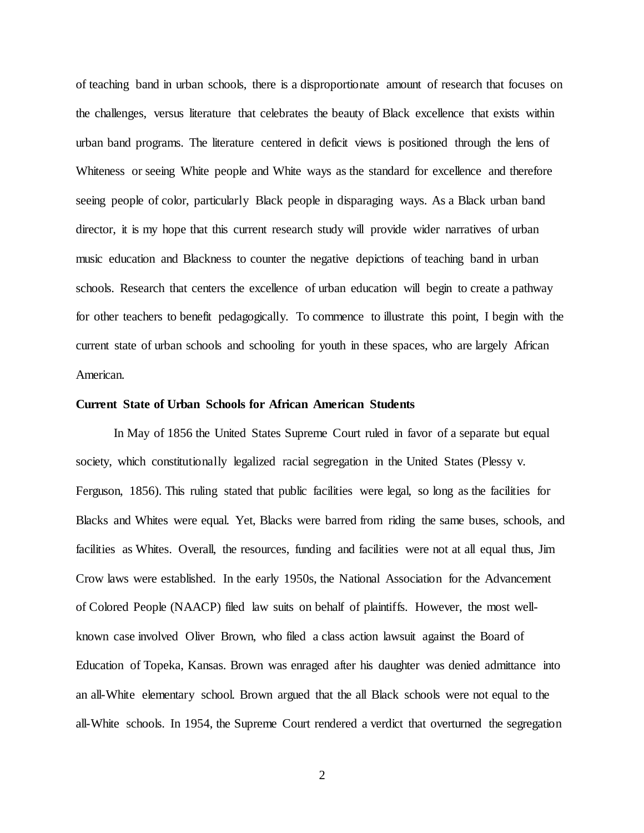of teaching band in urban schools, there is a disproportionate amount of research that focuses on the challenges, versus literature that celebrates the beauty of Black excellence that exists within urban band programs. The literature centered in deficit views is positioned through the lens of Whiteness or seeing White people and White ways as the standard for excellence and therefore seeing people of color, particularly Black people in disparaging ways. As a Black urban band director, it is my hope that this current research study will provide wider narratives of urban music education and Blackness to counter the negative depictions of teaching band in urban schools. Research that centers the excellence of urban education will begin to create a pathway for other teachers to benefit pedagogically. To commence to illustrate this point, I begin with the current state of urban schools and schooling for youth in these spaces, who are largely African American.

#### <span id="page-19-0"></span>**Current State of Urban Schools for African American Students**

In May of 1856 the United States Supreme Court ruled in favor of a separate but equal society, which constitutionally legalized racial segregation in the United States (Plessy v. Ferguson, 1856). This ruling stated that public facilities were legal, so long as the facilities for Blacks and Whites were equal. Yet, Blacks were barred from riding the same buses, schools, and facilities as Whites. Overall, the resources, funding and facilities were not at all equal thus, Jim Crow laws were established. In the early 1950s, the National Association for the Advancement of Colored People (NAACP) filed law suits on behalf of plaintiffs. However, the most wellknown case involved Oliver Brown, who filed a class action lawsuit against the Board of Education of Topeka, Kansas. Brown was enraged after his daughter was denied admittance into an all-White elementary school. Brown argued that the all Black schools were not equal to the all-White schools. In 1954, the Supreme Court rendered a verdict that overturned the segregation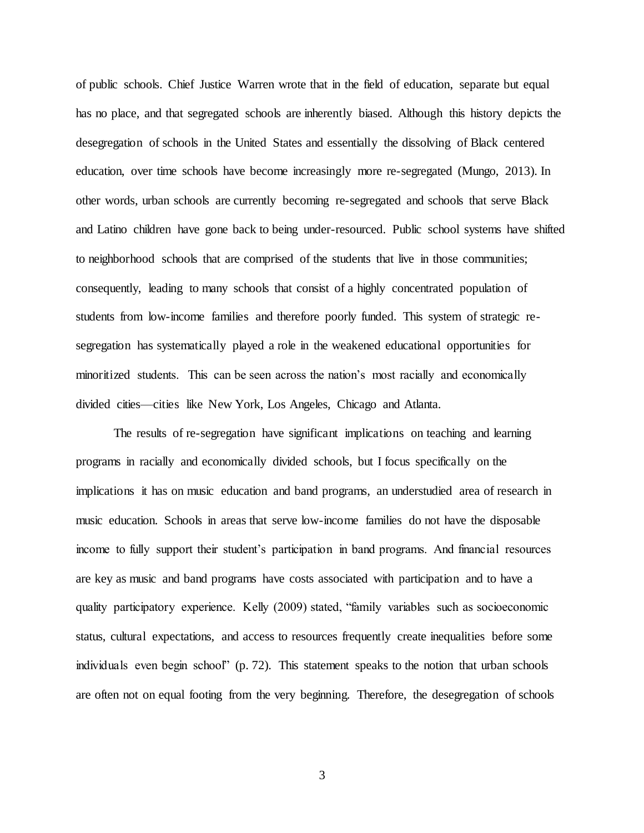of public schools. Chief Justice Warren wrote that in the field of education, separate but equal has no place, and that segregated schools are inherently biased. Although this history depicts the desegregation of schools in the United States and essentially the dissolving of Black centered education, over time schools have become increasingly more re-segregated (Mungo, 2013). In other words, urban schools are currently becoming re-segregated and schools that serve Black and Latino children have gone back to being under-resourced. Public school systems have shifted to neighborhood schools that are comprised of the students that live in those communities; consequently, leading to many schools that consist of a highly concentrated population of students from low-income families and therefore poorly funded. This system of strategic resegregation has systematically played a role in the weakened educational opportunities for minoritized students. This can be seen across the nation's most racially and economically divided cities—cities like New York, Los Angeles, Chicago and Atlanta.

The results of re-segregation have significant implications on teaching and learning programs in racially and economically divided schools, but I focus specifically on the implications it has on music education and band programs, an understudied area of research in music education. Schools in areas that serve low-income families do not have the disposable income to fully support their student's participation in band programs. And financial resources are key as music and band programs have costs associated with participation and to have a quality participatory experience. Kelly (2009) stated, "family variables such as socioeconomic status, cultural expectations, and access to resources frequently create inequalities before some individuals even begin school" (p. 72). This statement speaks to the notion that urban schools are often not on equal footing from the very beginning. Therefore, the desegregation of schools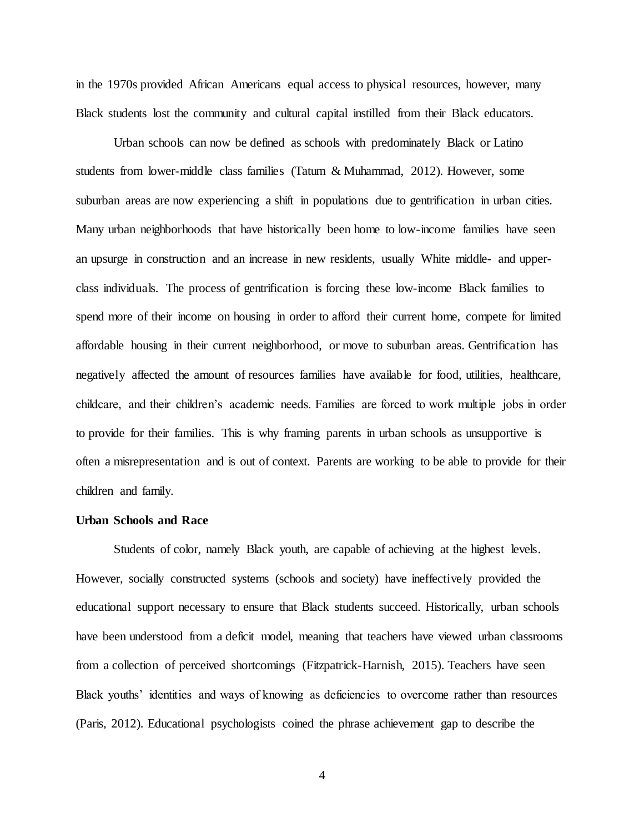in the 1970s provided African Americans equal access to physical resources, however, many Black students lost the community and cultural capital instilled from their Black educators.

Urban schools can now be defined as schools with predominately Black or Latino students from lower-middle class families (Tatum & Muhammad, 2012). However, some suburban areas are now experiencing a shift in populations due to gentrification in urban cities. Many urban neighborhoods that have historically been home to low-income families have seen an upsurge in construction and an increase in new residents, usually White middle- and upperclass individuals. The process of gentrification is forcing these low-income Black families to spend more of their income on housing in order to afford their current home, compete for limited affordable housing in their current neighborhood, or move to suburban areas. Gentrification has negatively affected the amount of resources families have available for food, utilities, healthcare, childcare, and their children's academic needs. Families are forced to work multiple jobs in order to provide for their families. This is why framing parents in urban schools as unsupportive is often a misrepresentation and is out of context. Parents are working to be able to provide for their children and family.

#### <span id="page-21-0"></span>**Urban Schools and Race**

Students of color, namely Black youth, are capable of achieving at the highest levels. However, socially constructed systems (schools and society) have ineffectively provided the educational support necessary to ensure that Black students succeed. Historically, urban schools have been understood from a deficit model, meaning that teachers have viewed urban classrooms from a collection of perceived shortcomings (Fitzpatrick-Harnish, 2015). Teachers have seen Black youths' identities and ways of knowing as deficiencies to overcome rather than resources (Paris, 2012). Educational psychologists coined the phrase achievement gap to describe the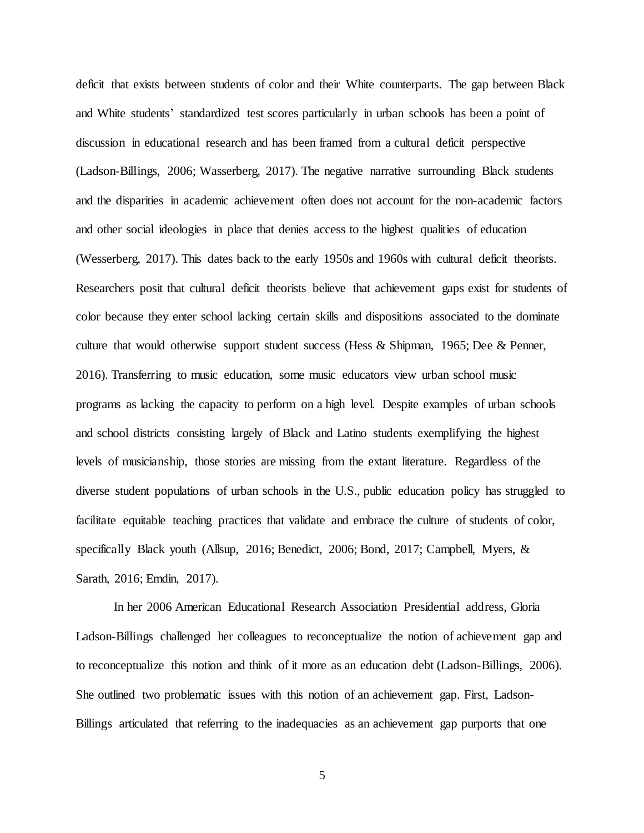deficit that exists between students of color and their White counterparts. The gap between Black and White students' standardized test scores particularly in urban schools has been a point of discussion in educational research and has been framed from a cultural deficit perspective (Ladson-Billings, 2006; Wasserberg, 2017). The negative narrative surrounding Black students and the disparities in academic achievement often does not account for the non-academic factors and other social ideologies in place that denies access to the highest qualities of education (Wesserberg, 2017). This dates back to the early 1950s and 1960s with cultural deficit theorists. Researchers posit that cultural deficit theorists believe that achievement gaps exist for students of color because they enter school lacking certain skills and dispositions associated to the dominate culture that would otherwise support student success (Hess & Shipman, 1965; Dee & Penner, 2016). Transferring to music education, some music educators view urban school music programs as lacking the capacity to perform on a high level. Despite examples of urban schools and school districts consisting largely of Black and Latino students exemplifying the highest levels of musicianship, those stories are missing from the extant literature. Regardless of the diverse student populations of urban schools in the U.S., public education policy has struggled to facilitate equitable teaching practices that validate and embrace the culture of students of color, specifically Black youth (Allsup, 2016; Benedict, 2006; Bond, 2017; Campbell, Myers, & Sarath, 2016; Emdin, 2017).

In her 2006 American Educational Research Association Presidential address, Gloria Ladson-Billings challenged her colleagues to reconceptualize the notion of achievement gap and to reconceptualize this notion and think of it more as an education debt (Ladson-Billings, 2006). She outlined two problematic issues with this notion of an achievement gap. First, Ladson-Billings articulated that referring to the inadequacies as an achievement gap purports that one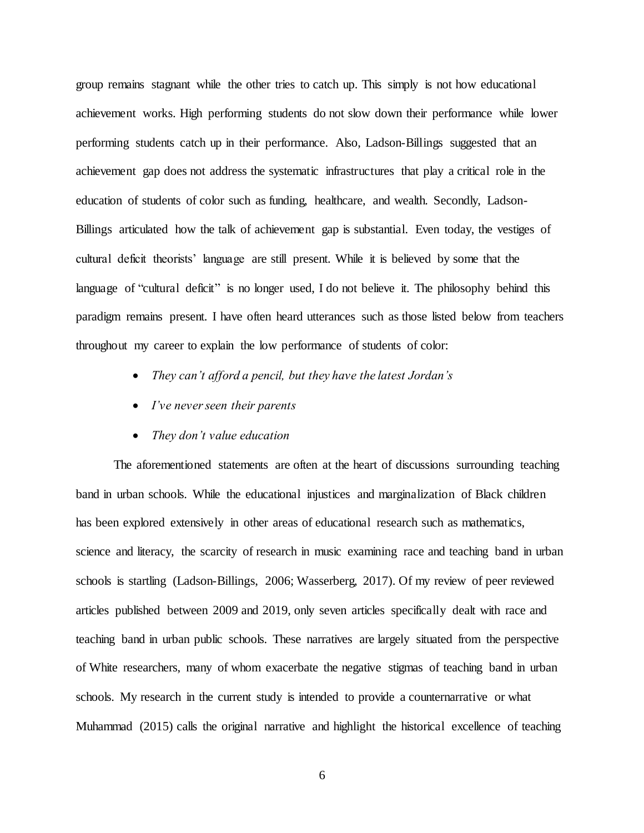group remains stagnant while the other tries to catch up. This simply is not how educational achievement works. High performing students do not slow down their performance while lower performing students catch up in their performance. Also, Ladson-Billings suggested that an achievement gap does not address the systematic infrastructures that play a critical role in the education of students of color such as funding, healthcare, and wealth. Secondly, Ladson-Billings articulated how the talk of achievement gap is substantial. Even today, the vestiges of cultural deficit theorists' language are still present. While it is believed by some that the language of "cultural deficit" is no longer used, I do not believe it. The philosophy behind this paradigm remains present. I have often heard utterances such as those listed below from teachers throughout my career to explain the low performance of students of color:

- *They can't afford a pencil, but they have the latest Jordan's*
- *I've never seen their parents*
- *They don't value education*

The aforementioned statements are often at the heart of discussions surrounding teaching band in urban schools. While the educational injustices and marginalization of Black children has been explored extensively in other areas of educational research such as mathematics, science and literacy, the scarcity of research in music examining race and teaching band in urban schools is startling (Ladson-Billings, 2006; Wasserberg, 2017). Of my review of peer reviewed articles published between 2009 and 2019, only seven articles specifically dealt with race and teaching band in urban public schools. These narratives are largely situated from the perspective of White researchers, many of whom exacerbate the negative stigmas of teaching band in urban schools. My research in the current study is intended to provide a counternarrative or what Muhammad (2015) calls the original narrative and highlight the historical excellence of teaching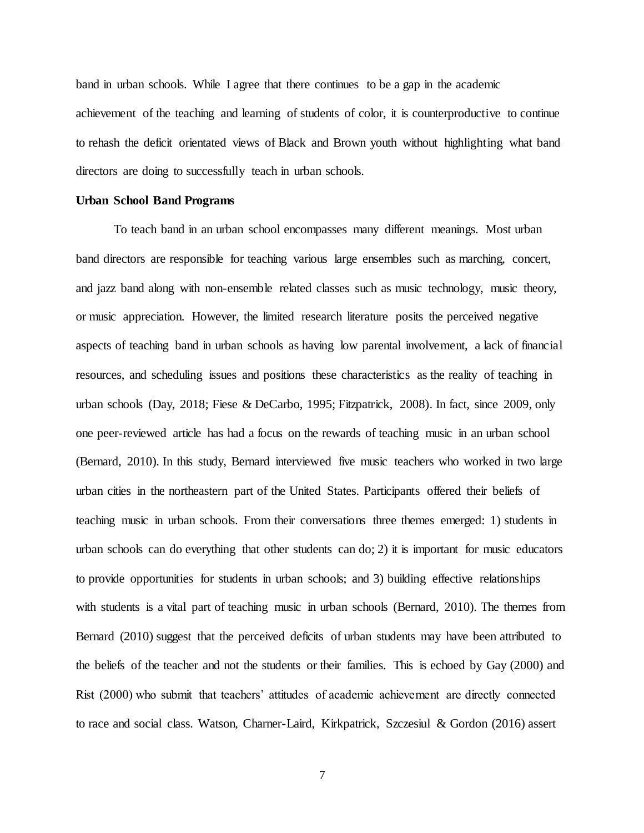band in urban schools. While I agree that there continues to be a gap in the academic achievement of the teaching and learning of students of color, it is counterproductive to continue to rehash the deficit orientated views of Black and Brown youth without highlighting what band directors are doing to successfully teach in urban schools.

#### <span id="page-24-0"></span>**Urban School Band Programs**

To teach band in an urban school encompasses many different meanings. Most urban band directors are responsible for teaching various large ensembles such as marching, concert, and jazz band along with non-ensemble related classes such as music technology, music theory, or music appreciation. However, the limited research literature posits the perceived negative aspects of teaching band in urban schools as having low parental involvement, a lack of financial resources, and scheduling issues and positions these characteristics as the reality of teaching in urban schools (Day, 2018; Fiese & DeCarbo, 1995; Fitzpatrick, 2008). In fact, since 2009, only one peer-reviewed article has had a focus on the rewards of teaching music in an urban school (Bernard, 2010). In this study, Bernard interviewed five music teachers who worked in two large urban cities in the northeastern part of the United States. Participants offered their beliefs of teaching music in urban schools. From their conversations three themes emerged: 1) students in urban schools can do everything that other students can do; 2) it is important for music educators to provide opportunities for students in urban schools; and 3) building effective relationships with students is a vital part of teaching music in urban schools (Bernard, 2010). The themes from Bernard (2010) suggest that the perceived deficits of urban students may have been attributed to the beliefs of the teacher and not the students or their families. This is echoed by Gay (2000) and Rist (2000) who submit that teachers' attitudes of academic achievement are directly connected to race and social class. Watson, Charner-Laird, Kirkpatrick, Szczesiul & Gordon (2016) assert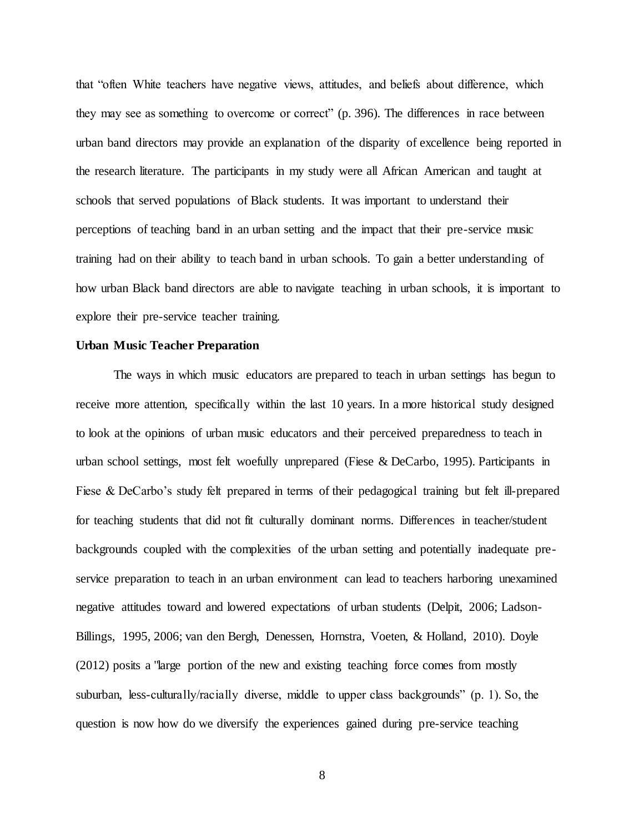that "often White teachers have negative views, attitudes, and beliefs about difference, which they may see as something to overcome or correct" (p. 396). The differences in race between urban band directors may provide an explanation of the disparity of excellence being reported in the research literature. The participants in my study were all African American and taught at schools that served populations of Black students. It was important to understand their perceptions of teaching band in an urban setting and the impact that their pre-service music training had on their ability to teach band in urban schools. To gain a better understanding of how urban Black band directors are able to navigate teaching in urban schools, it is important to explore their pre-service teacher training.

### <span id="page-25-0"></span>**Urban Music Teacher Preparation**

The ways in which music educators are prepared to teach in urban settings has begun to receive more attention, specifically within the last 10 years. In a more historical study designed to look at the opinions of urban music educators and their perceived preparedness to teach in urban school settings, most felt woefully unprepared (Fiese & DeCarbo, 1995). Participants in Fiese & DeCarbo's study felt prepared in terms of their pedagogical training but felt ill-prepared for teaching students that did not fit culturally dominant norms. Differences in teacher/student backgrounds coupled with the complexities of the urban setting and potentially inadequate preservice preparation to teach in an urban environment can lead to teachers harboring unexamined negative attitudes toward and lowered expectations of urban students (Delpit, 2006; Ladson-Billings, 1995, 2006; van den Bergh, Denessen, Hornstra, Voeten, & Holland, 2010). Doyle (2012) posits a "large portion of the new and existing teaching force comes from mostly suburban, less-culturally/racially diverse, middle to upper class backgrounds" (p. 1). So, the question is now how do we diversify the experiences gained during pre-service teaching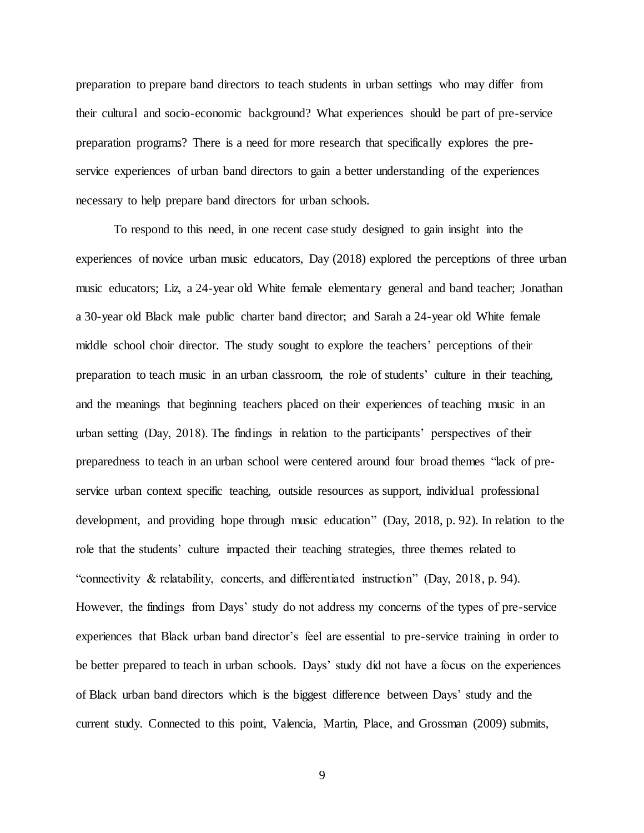preparation to prepare band directors to teach students in urban settings who may differ from their cultural and socio-economic background? What experiences should be part of pre-service preparation programs? There is a need for more research that specifically explores the preservice experiences of urban band directors to gain a better understanding of the experiences necessary to help prepare band directors for urban schools.

To respond to this need, in one recent case study designed to gain insight into the experiences of novice urban music educators, Day (2018) explored the perceptions of three urban music educators; Liz, a 24-year old White female elementary general and band teacher; Jonathan a 30-year old Black male public charter band director; and Sarah a 24-year old White female middle school choir director. The study sought to explore the teachers' perceptions of their preparation to teach music in an urban classroom, the role of students' culture in their teaching, and the meanings that beginning teachers placed on their experiences of teaching music in an urban setting (Day, 2018). The findings in relation to the participants' perspectives of their preparedness to teach in an urban school were centered around four broad themes "lack of preservice urban context specific teaching, outside resources as support, individual professional development, and providing hope through music education" (Day, 2018, p. 92). In relation to the role that the students' culture impacted their teaching strategies, three themes related to "connectivity & relatability, concerts, and differentiated instruction" (Day, 2018, p. 94). However, the findings from Days' study do not address my concerns of the types of pre-service experiences that Black urban band director's feel are essential to pre-service training in order to be better prepared to teach in urban schools. Days' study did not have a focus on the experiences of Black urban band directors which is the biggest difference between Days' study and the current study. Connected to this point, Valencia, Martin, Place, and Grossman (2009) submits,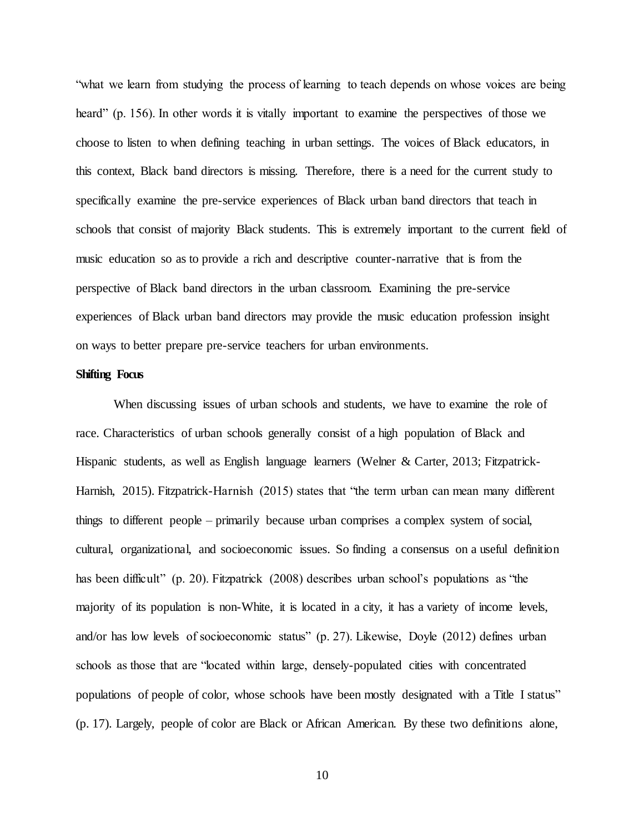"what we learn from studying the process of learning to teach depends on whose voices are being heard" (p. 156). In other words it is vitally important to examine the perspectives of those we choose to listen to when defining teaching in urban settings. The voices of Black educators, in this context, Black band directors is missing. Therefore, there is a need for the current study to specifically examine the pre-service experiences of Black urban band directors that teach in schools that consist of majority Black students. This is extremely important to the current field of music education so as to provide a rich and descriptive counter-narrative that is from the perspective of Black band directors in the urban classroom. Examining the pre-service experiences of Black urban band directors may provide the music education profession insight on ways to better prepare pre-service teachers for urban environments.

#### <span id="page-27-0"></span>**Shifting Focus**

When discussing issues of urban schools and students, we have to examine the role of race. Characteristics of urban schools generally consist of a high population of Black and Hispanic students, as well as English language learners (Welner & Carter, 2013; Fitzpatrick-Harnish, 2015). Fitzpatrick-Harnish (2015) states that "the term urban can mean many different things to different people – primarily because urban comprises a complex system of social, cultural, organizational, and socioeconomic issues. So finding a consensus on a useful definition has been difficult" (p. 20). Fitzpatrick (2008) describes urban school's populations as "the majority of its population is non-White, it is located in a city, it has a variety of income levels, and/or has low levels of socioeconomic status" (p. 27). Likewise, Doyle (2012) defines urban schools as those that are "located within large, densely-populated cities with concentrated populations of people of color, whose schools have been mostly designated with a Title I status" (p. 17). Largely, people of color are Black or African American. By these two definitions alone,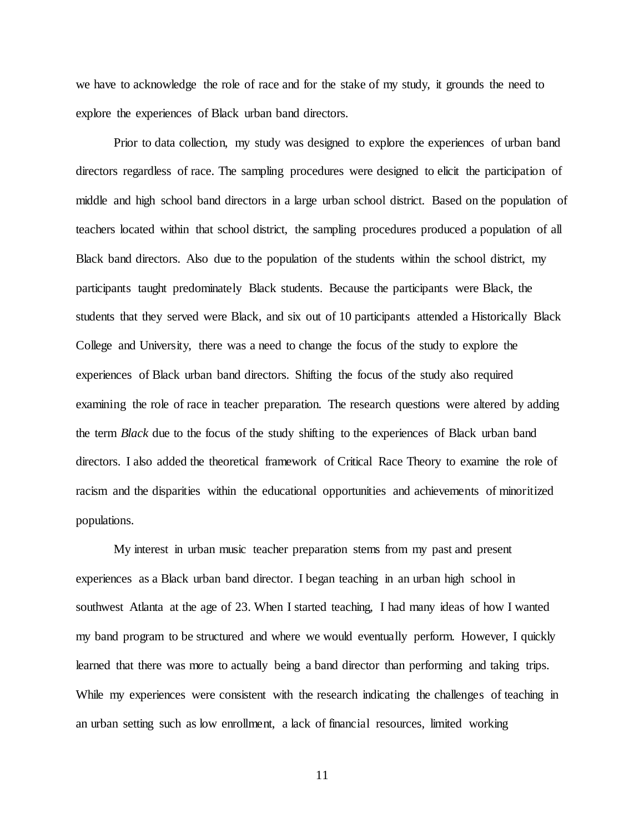we have to acknowledge the role of race and for the stake of my study, it grounds the need to explore the experiences of Black urban band directors.

Prior to data collection, my study was designed to explore the experiences of urban band directors regardless of race. The sampling procedures were designed to elicit the participation of middle and high school band directors in a large urban school district. Based on the population of teachers located within that school district, the sampling procedures produced a population of all Black band directors. Also due to the population of the students within the school district, my participants taught predominately Black students. Because the participants were Black, the students that they served were Black, and six out of 10 participants attended a Historically Black College and University, there was a need to change the focus of the study to explore the experiences of Black urban band directors. Shifting the focus of the study also required examining the role of race in teacher preparation. The research questions were altered by adding the term *Black* due to the focus of the study shifting to the experiences of Black urban band directors. I also added the theoretical framework of Critical Race Theory to examine the role of racism and the disparities within the educational opportunities and achievements of minoritized populations.

My interest in urban music teacher preparation stems from my past and present experiences as a Black urban band director. I began teaching in an urban high school in southwest Atlanta at the age of 23. When I started teaching, I had many ideas of how I wanted my band program to be structured and where we would eventually perform. However, I quickly learned that there was more to actually being a band director than performing and taking trips. While my experiences were consistent with the research indicating the challenges of teaching in an urban setting such as low enrollment, a lack of financial resources, limited working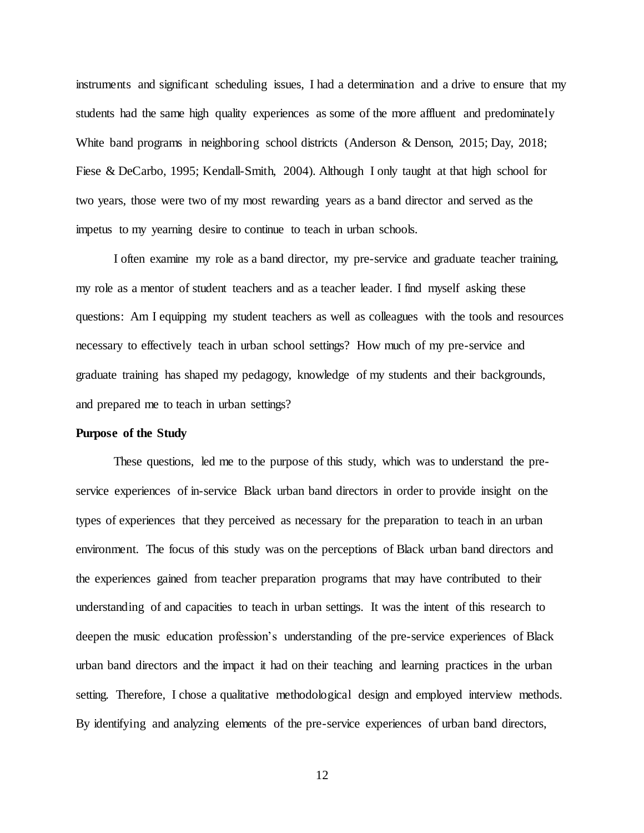instruments and significant scheduling issues, I had a determination and a drive to ensure that my students had the same high quality experiences as some of the more affluent and predominately White band programs in neighboring school districts (Anderson & Denson, 2015; Day, 2018; Fiese & DeCarbo, 1995; Kendall-Smith, 2004). Although I only taught at that high school for two years, those were two of my most rewarding years as a band director and served as the impetus to my yearning desire to continue to teach in urban schools.

I often examine my role as a band director, my pre-service and graduate teacher training, my role as a mentor of student teachers and as a teacher leader. I find myself asking these questions: Am I equipping my student teachers as well as colleagues with the tools and resources necessary to effectively teach in urban school settings? How much of my pre-service and graduate training has shaped my pedagogy, knowledge of my students and their backgrounds, and prepared me to teach in urban settings?

#### <span id="page-29-0"></span>**Purpose of the Study**

These questions, led me to the purpose of this study, which was to understand the preservice experiences of in-service Black urban band directors in order to provide insight on the types of experiences that they perceived as necessary for the preparation to teach in an urban environment. The focus of this study was on the perceptions of Black urban band directors and the experiences gained from teacher preparation programs that may have contributed to their understanding of and capacities to teach in urban settings. It was the intent of this research to deepen the music education profession's understanding of the pre-service experiences of Black urban band directors and the impact it had on their teaching and learning practices in the urban setting. Therefore, I chose a qualitative methodological design and employed interview methods. By identifying and analyzing elements of the pre-service experiences of urban band directors,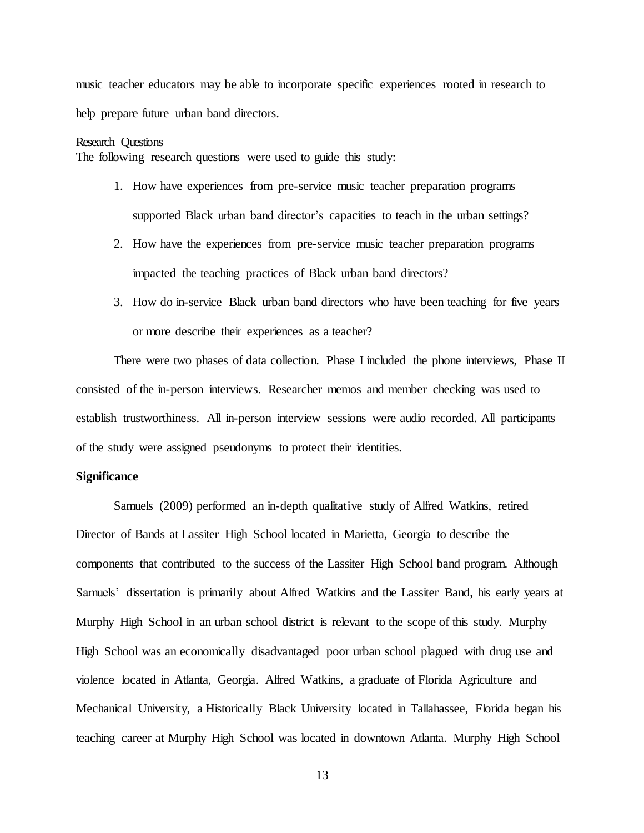music teacher educators may be able to incorporate specific experiences rooted in research to help prepare future urban band directors.

#### <span id="page-30-0"></span>Research Questions

The following research questions were used to guide this study:

- 1. How have experiences from pre-service music teacher preparation programs supported Black urban band director's capacities to teach in the urban settings?
- 2. How have the experiences from pre-service music teacher preparation programs impacted the teaching practices of Black urban band directors?
- 3. How do in-service Black urban band directors who have been teaching for five years or more describe their experiences as a teacher?

There were two phases of data collection. Phase I included the phone interviews, Phase II consisted of the in-person interviews. Researcher memos and member checking was used to establish trustworthiness. All in-person interview sessions were audio recorded. All participants of the study were assigned pseudonyms to protect their identities.

# <span id="page-30-1"></span>**Significance**

Samuels (2009) performed an in-depth qualitative study of Alfred Watkins, retired Director of Bands at Lassiter High School located in Marietta, Georgia to describe the components that contributed to the success of the Lassiter High School band program. Although Samuels' dissertation is primarily about Alfred Watkins and the Lassiter Band, his early years at Murphy High School in an urban school district is relevant to the scope of this study. Murphy High School was an economically disadvantaged poor urban school plagued with drug use and violence located in Atlanta, Georgia. Alfred Watkins, a graduate of Florida Agriculture and Mechanical University, a Historically Black University located in Tallahassee, Florida began his teaching career at Murphy High School was located in downtown Atlanta. Murphy High School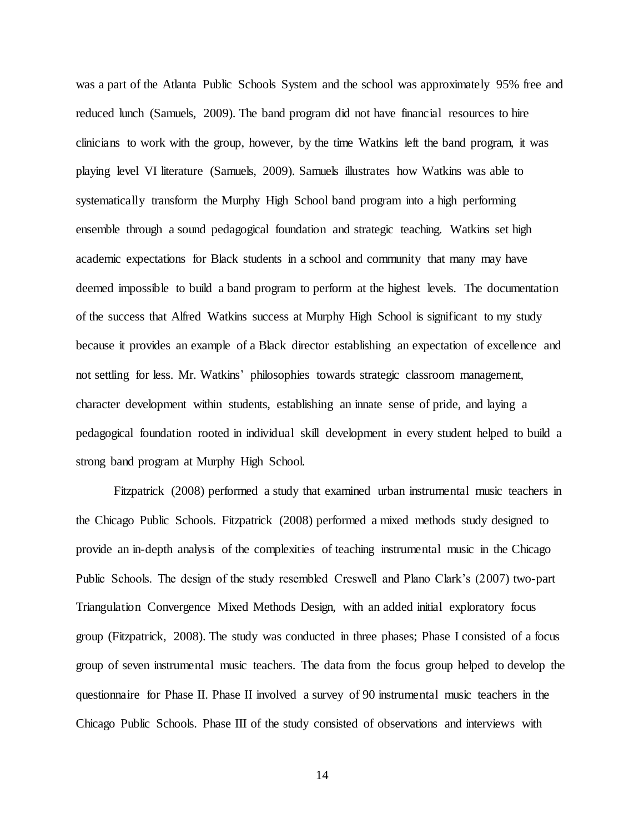was a part of the Atlanta Public Schools System and the school was approximately 95% free and reduced lunch (Samuels, 2009). The band program did not have financial resources to hire clinicians to work with the group, however, by the time Watkins left the band program, it was playing level VI literature (Samuels, 2009). Samuels illustrates how Watkins was able to systematically transform the Murphy High School band program into a high performing ensemble through a sound pedagogical foundation and strategic teaching. Watkins set high academic expectations for Black students in a school and community that many may have deemed impossible to build a band program to perform at the highest levels. The documentation of the success that Alfred Watkins success at Murphy High School is significant to my study because it provides an example of a Black director establishing an expectation of excellence and not settling for less. Mr. Watkins' philosophies towards strategic classroom management, character development within students, establishing an innate sense of pride, and laying a pedagogical foundation rooted in individual skill development in every student helped to build a strong band program at Murphy High School.

Fitzpatrick (2008) performed a study that examined urban instrumental music teachers in the Chicago Public Schools. Fitzpatrick (2008) performed a mixed methods study designed to provide an in-depth analysis of the complexities of teaching instrumental music in the Chicago Public Schools. The design of the study resembled Creswell and Plano Clark's (2007) two-part Triangulation Convergence Mixed Methods Design, with an added initial exploratory focus group (Fitzpatrick, 2008). The study was conducted in three phases; Phase I consisted of a focus group of seven instrumental music teachers. The data from the focus group helped to develop the questionnaire for Phase II. Phase II involved a survey of 90 instrumental music teachers in the Chicago Public Schools. Phase III of the study consisted of observations and interviews with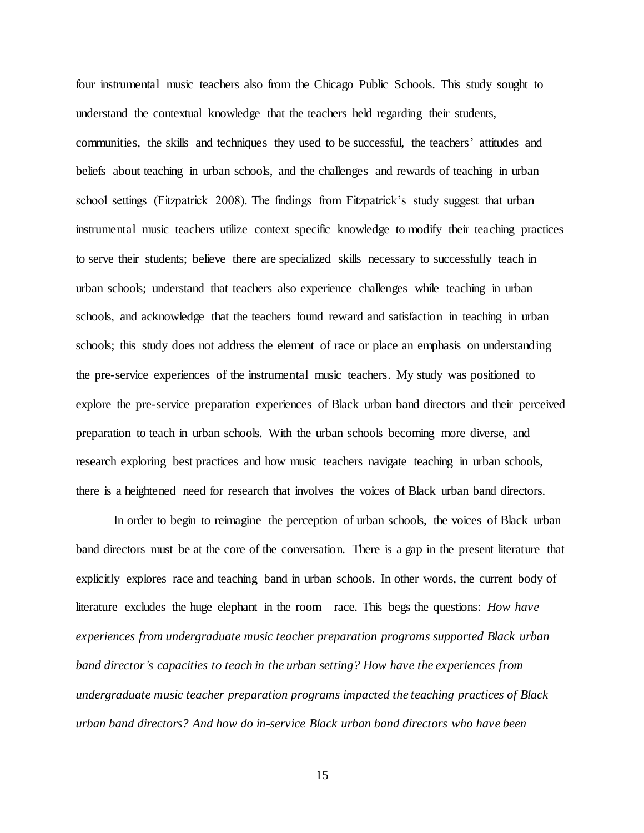four instrumental music teachers also from the Chicago Public Schools. This study sought to understand the contextual knowledge that the teachers held regarding their students, communities, the skills and techniques they used to be successful, the teachers' attitudes and beliefs about teaching in urban schools, and the challenges and rewards of teaching in urban school settings (Fitzpatrick 2008). The findings from Fitzpatrick's study suggest that urban instrumental music teachers utilize context specific knowledge to modify their teaching practices to serve their students; believe there are specialized skills necessary to successfully teach in urban schools; understand that teachers also experience challenges while teaching in urban schools, and acknowledge that the teachers found reward and satisfaction in teaching in urban schools; this study does not address the element of race or place an emphasis on understanding the pre-service experiences of the instrumental music teachers. My study was positioned to explore the pre-service preparation experiences of Black urban band directors and their perceived preparation to teach in urban schools. With the urban schools becoming more diverse, and research exploring best practices and how music teachers navigate teaching in urban schools, there is a heightened need for research that involves the voices of Black urban band directors.

In order to begin to reimagine the perception of urban schools, the voices of Black urban band directors must be at the core of the conversation. There is a gap in the present literature that explicitly explores race and teaching band in urban schools. In other words, the current body of literature excludes the huge elephant in the room—race. This begs the questions: *How have experiences from undergraduate music teacher preparation programs supported Black urban band director's capacities to teach in the urban setting? How have the experiences from undergraduate music teacher preparation programs impacted the teaching practices of Black urban band directors? And how do in-service Black urban band directors who have been*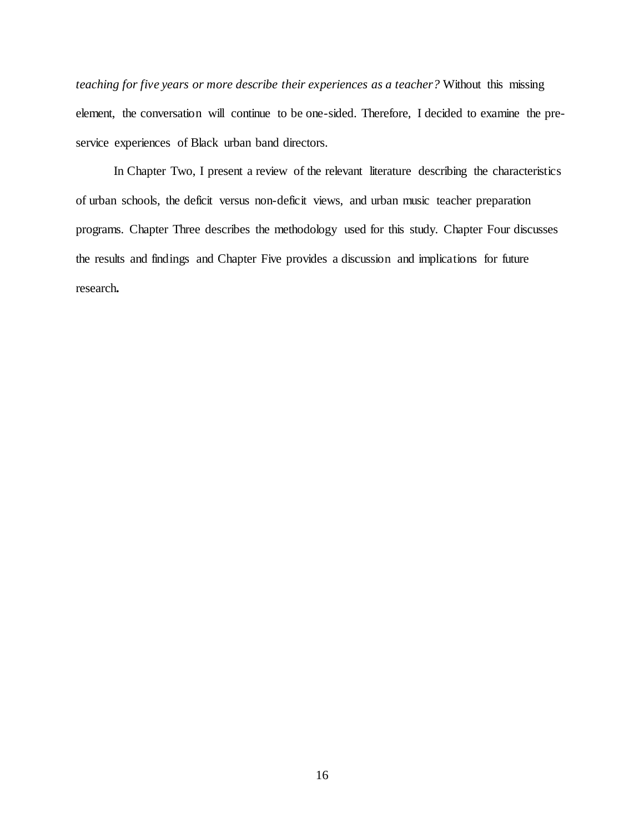*teaching for five years or more describe their experiences as a teacher?* Without this missing element, the conversation will continue to be one-sided. Therefore, I decided to examine the preservice experiences of Black urban band directors.

In Chapter Two, I present a review of the relevant literature describing the characteristics of urban schools, the deficit versus non-deficit views, and urban music teacher preparation programs. Chapter Three describes the methodology used for this study. Chapter Four discusses the results and findings and Chapter Five provides a discussion and implications for future research**.**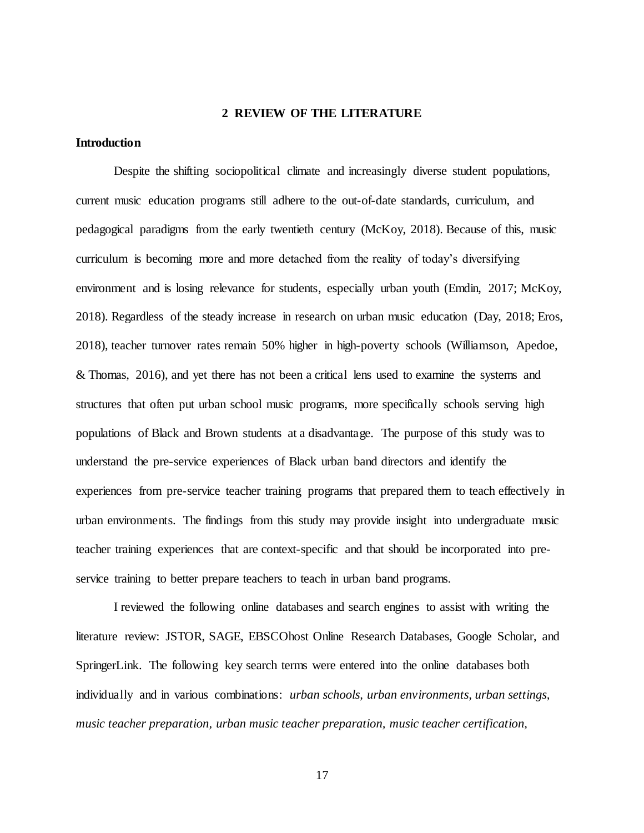#### **2 REVIEW OF THE LITERATURE**

#### <span id="page-34-1"></span><span id="page-34-0"></span>**Introduction**

Despite the shifting sociopolitical climate and increasingly diverse student populations, current music education programs still adhere to the out-of-date standards, curriculum, and pedagogical paradigms from the early twentieth century (McKoy, 2018). Because of this, music curriculum is becoming more and more detached from the reality of today's diversifying environment and is losing relevance for students, especially urban youth (Emdin, 2017; McKoy, 2018). Regardless of the steady increase in research on urban music education (Day, 2018; Eros, 2018), teacher turnover rates remain 50% higher in high-poverty schools (Williamson, Apedoe, & Thomas, 2016), and yet there has not been a critical lens used to examine the systems and structures that often put urban school music programs, more specifically schools serving high populations of Black and Brown students at a disadvantage. The purpose of this study was to understand the pre-service experiences of Black urban band directors and identify the experiences from pre-service teacher training programs that prepared them to teach effectively in urban environments. The findings from this study may provide insight into undergraduate music teacher training experiences that are context-specific and that should be incorporated into preservice training to better prepare teachers to teach in urban band programs.

I reviewed the following online databases and search engines to assist with writing the literature review: JSTOR, SAGE, EBSCOhost Online Research Databases, Google Scholar, and SpringerLink. The following key search terms were entered into the online databases both individually and in various combinations: *urban schools, urban environments, urban settings, music teacher preparation, urban music teacher preparation, music teacher certification,*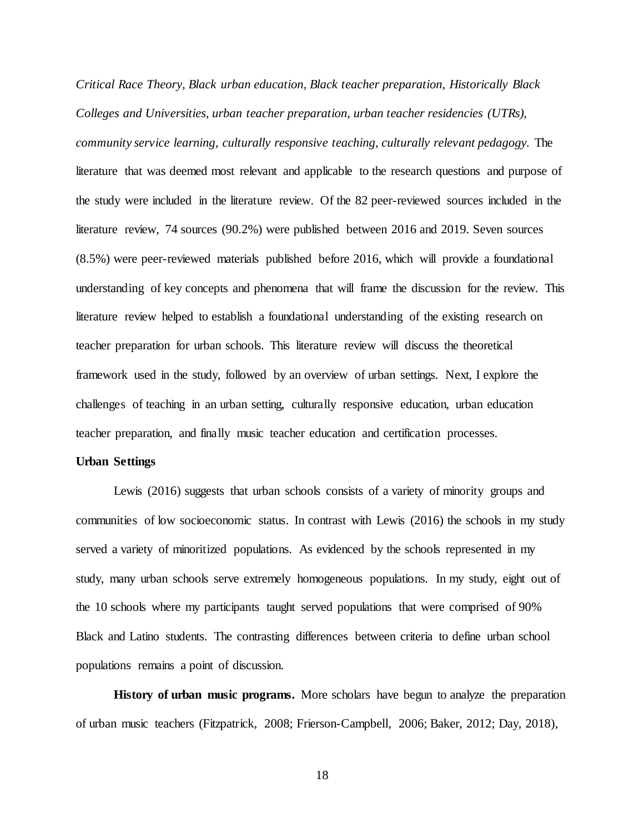*Critical Race Theory, Black urban education, Black teacher preparation, Historically Black Colleges and Universities, urban teacher preparation, urban teacher residencies (UTRs), community service learning, culturally responsive teaching, culturally relevant pedagogy.* The literature that was deemed most relevant and applicable to the research questions and purpose of the study were included in the literature review. Of the 82 peer-reviewed sources included in the literature review, 74 sources (90.2%) were published between 2016 and 2019. Seven sources (8.5%) were peer-reviewed materials published before 2016, which will provide a foundational understanding of key concepts and phenomena that will frame the discussion for the review. This literature review helped to establish a foundational understanding of the existing research on teacher preparation for urban schools. This literature review will discuss the theoretical framework used in the study, followed by an overview of urban settings. Next, I explore the challenges of teaching in an urban setting, culturally responsive education, urban education teacher preparation, and finally music teacher education and certification processes.

### <span id="page-35-0"></span>**Urban Settings**

Lewis (2016) suggests that urban schools consists of a variety of minority groups and communities of low socioeconomic status. In contrast with Lewis (2016) the schools in my study served a variety of minoritized populations. As evidenced by the schools represented in my study, many urban schools serve extremely homogeneous populations. In my study, eight out of the 10 schools where my participants taught served populations that were comprised of 90% Black and Latino students. The contrasting differences between criteria to define urban school populations remains a point of discussion.

**History of urban music programs.** More scholars have begun to analyze the preparation of urban music teachers (Fitzpatrick, 2008; Frierson-Campbell, 2006; Baker, 2012; Day, 2018),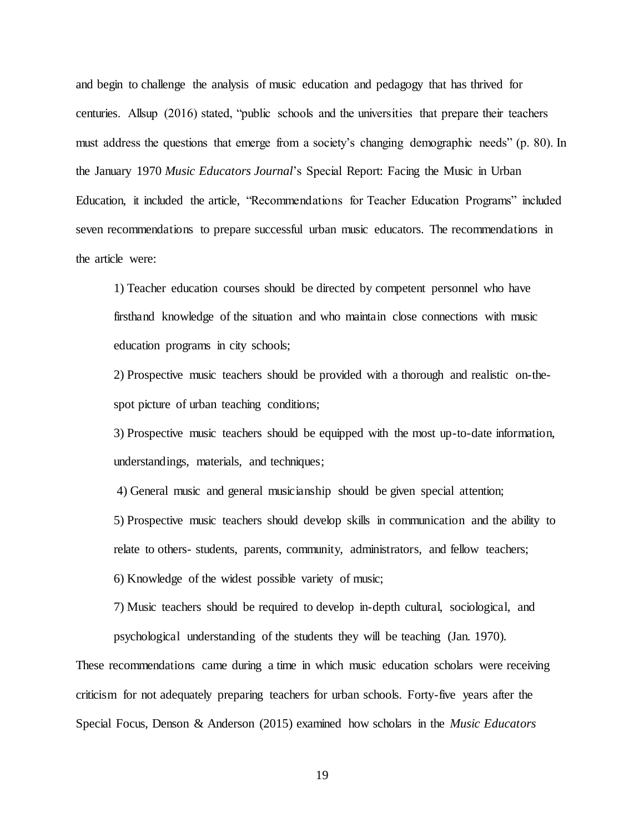and begin to challenge the analysis of music education and pedagogy that has thrived for centuries. Allsup (2016) stated, "public schools and the universities that prepare their teachers must address the questions that emerge from a society's changing demographic needs" (p. 80). In the January 1970 *Music Educators Journal*'s Special Report: Facing the Music in Urban Education, it included the article, "Recommendations for Teacher Education Programs" included seven recommendations to prepare successful urban music educators. The recommendations in the article were:

1) Teacher education courses should be directed by competent personnel who have firsthand knowledge of the situation and who maintain close connections with music education programs in city schools;

2) Prospective music teachers should be provided with a thorough and realistic on-thespot picture of urban teaching conditions;

3) Prospective music teachers should be equipped with the most up-to-date information, understandings, materials, and techniques;

4) General music and general musicianship should be given special attention;

5) Prospective music teachers should develop skills in communication and the ability to

relate to others- students, parents, community, administrators, and fellow teachers;

6) Knowledge of the widest possible variety of music;

7) Music teachers should be required to develop in-depth cultural, sociological, and psychological understanding of the students they will be teaching (Jan. 1970)*.*

These recommendations came during a time in which music education scholars were receiving criticism for not adequately preparing teachers for urban schools. Forty-five years after the Special Focus, Denson & Anderson (2015) examined how scholars in the *Music Educators*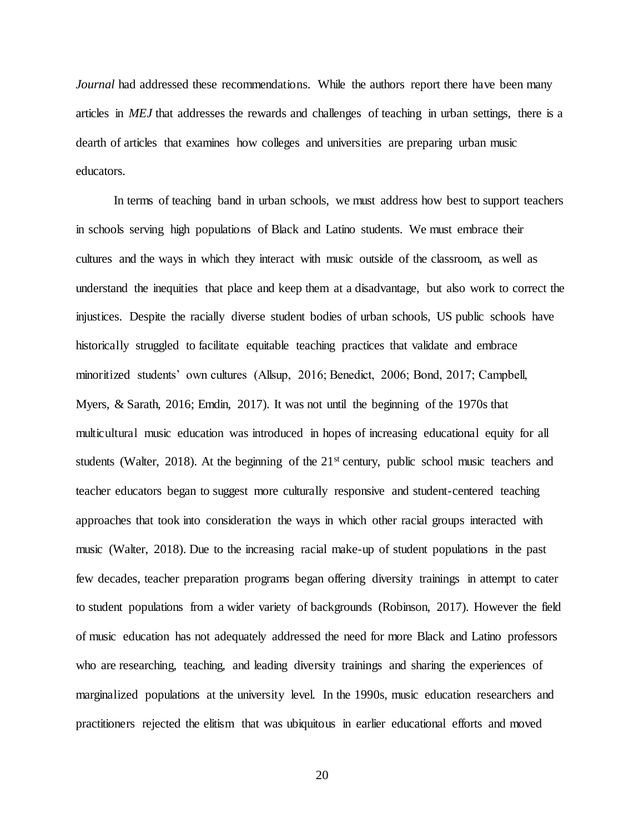*Journal* had addressed these recommendations. While the authors report there have been many articles in *MEJ* that addresses the rewards and challenges of teaching in urban settings, there is a dearth of articles that examines how colleges and universities are preparing urban music educators.

In terms of teaching band in urban schools, we must address how best to support teachers in schools serving high populations of Black and Latino students. We must embrace their cultures and the ways in which they interact with music outside of the classroom, as well as understand the inequities that place and keep them at a disadvantage, but also work to correct the injustices. Despite the racially diverse student bodies of urban schools, US public schools have historically struggled to facilitate equitable teaching practices that validate and embrace minoritized students' own cultures (Allsup, 2016; Benedict, 2006; Bond, 2017; Campbell, Myers, & Sarath, 2016; Emdin, 2017). It was not until the beginning of the 1970s that multicultural music education was introduced in hopes of increasing educational equity for all students (Walter, 2018). At the beginning of the 21<sup>st</sup> century, public school music teachers and teacher educators began to suggest more culturally responsive and student-centered teaching approaches that took into consideration the ways in which other racial groups interacted with music (Walter, 2018). Due to the increasing racial make-up of student populations in the past few decades, teacher preparation programs began offering diversity trainings in attempt to cater to student populations from a wider variety of backgrounds (Robinson, 2017). However the field of music education has not adequately addressed the need for more Black and Latino professors who are researching, teaching, and leading diversity trainings and sharing the experiences of marginalized populations at the university level. In the 1990s, music education researchers and practitioners rejected the elitism that was ubiquitous in earlier educational efforts and moved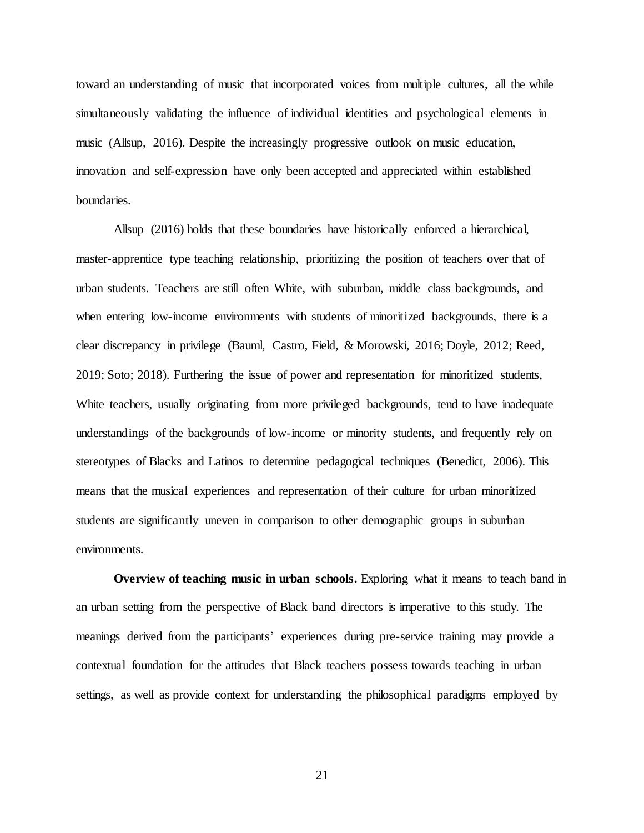toward an understanding of music that incorporated voices from multiple cultures, all the while simultaneously validating the influence of individual identities and psychological elements in music (Allsup, 2016). Despite the increasingly progressive outlook on music education, innovation and self-expression have only been accepted and appreciated within established boundaries.

Allsup (2016) holds that these boundaries have historically enforced a hierarchical, master-apprentice type teaching relationship, prioritizing the position of teachers over that of urban students. Teachers are still often White, with suburban, middle class backgrounds, and when entering low-income environments with students of minoritized backgrounds, there is a clear discrepancy in privilege (Bauml, Castro, Field, & Morowski, 2016; Doyle, 2012; Reed, 2019; Soto; 2018). Furthering the issue of power and representation for minoritized students, White teachers, usually originating from more privileged backgrounds, tend to have inadequate understandings of the backgrounds of low-income or minority students, and frequently rely on stereotypes of Blacks and Latinos to determine pedagogical techniques (Benedict, 2006). This means that the musical experiences and representation of their culture for urban minoritized students are significantly uneven in comparison to other demographic groups in suburban environments.

**Overview of teaching music in urban schools.** Exploring what it means to teach band in an urban setting from the perspective of Black band directors is imperative to this study. The meanings derived from the participants' experiences during pre-service training may provide a contextual foundation for the attitudes that Black teachers possess towards teaching in urban settings, as well as provide context for understanding the philosophical paradigms employed by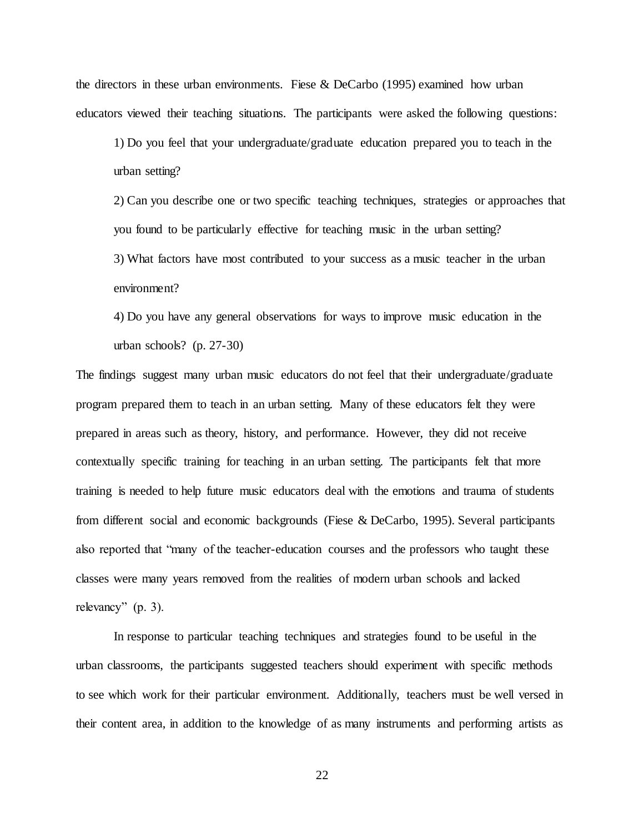the directors in these urban environments. Fiese & DeCarbo (1995) examined how urban educators viewed their teaching situations. The participants were asked the following questions:

1) Do you feel that your undergraduate/graduate education prepared you to teach in the urban setting?

2) Can you describe one or two specific teaching techniques, strategies or approaches that you found to be particularly effective for teaching music in the urban setting? 3) What factors have most contributed to your success as a music teacher in the urban environment?

4) Do you have any general observations for ways to improve music education in the urban schools? (p. 27-30)

The findings suggest many urban music educators do not feel that their undergraduate/graduate program prepared them to teach in an urban setting. Many of these educators felt they were prepared in areas such as theory, history, and performance. However, they did not receive contextually specific training for teaching in an urban setting. The participants felt that more training is needed to help future music educators deal with the emotions and trauma of students from different social and economic backgrounds (Fiese & DeCarbo, 1995). Several participants also reported that "many of the teacher-education courses and the professors who taught these classes were many years removed from the realities of modern urban schools and lacked relevancy" (p. 3).

In response to particular teaching techniques and strategies found to be useful in the urban classrooms, the participants suggested teachers should experiment with specific methods to see which work for their particular environment. Additionally, teachers must be well versed in their content area, in addition to the knowledge of as many instruments and performing artists as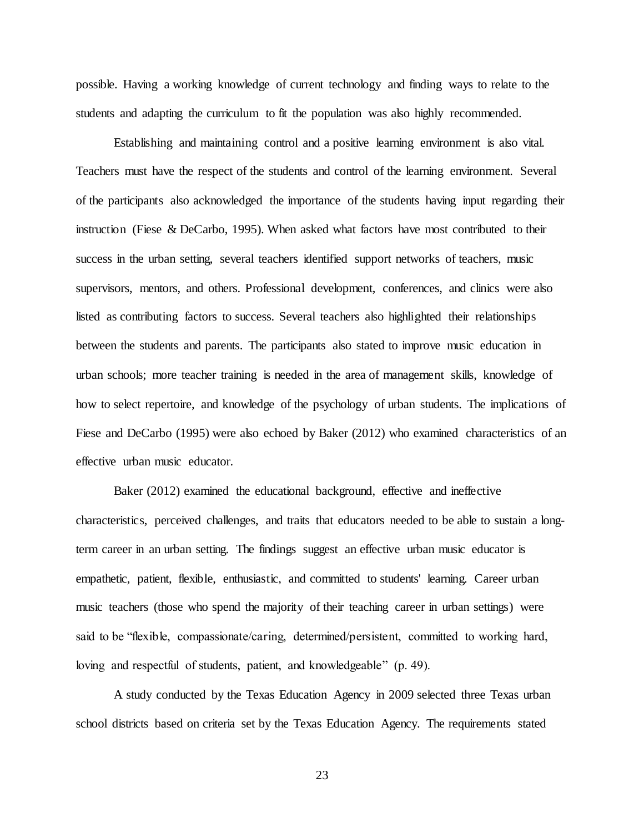possible. Having a working knowledge of current technology and finding ways to relate to the students and adapting the curriculum to fit the population was also highly recommended.

Establishing and maintaining control and a positive learning environment is also vital. Teachers must have the respect of the students and control of the learning environment. Several of the participants also acknowledged the importance of the students having input regarding their instruction (Fiese & DeCarbo, 1995). When asked what factors have most contributed to their success in the urban setting, several teachers identified support networks of teachers, music supervisors, mentors, and others. Professional development, conferences, and clinics were also listed as contributing factors to success. Several teachers also highlighted their relationships between the students and parents. The participants also stated to improve music education in urban schools; more teacher training is needed in the area of management skills, knowledge of how to select repertoire, and knowledge of the psychology of urban students. The implications of Fiese and DeCarbo (1995) were also echoed by Baker (2012) who examined characteristics of an effective urban music educator.

Baker (2012) examined the educational background, effective and ineffective characteristics, perceived challenges, and traits that educators needed to be able to sustain a longterm career in an urban setting. The findings suggest an effective urban music educator is empathetic, patient, flexible, enthusiastic, and committed to students' learning. Career urban music teachers (those who spend the majority of their teaching career in urban settings) were said to be "flexible, compassionate/caring, determined/persistent, committed to working hard, loving and respectful of students, patient, and knowledgeable" (p. 49).

A study conducted by the Texas Education Agency in 2009 selected three Texas urban school districts based on criteria set by the Texas Education Agency. The requirements stated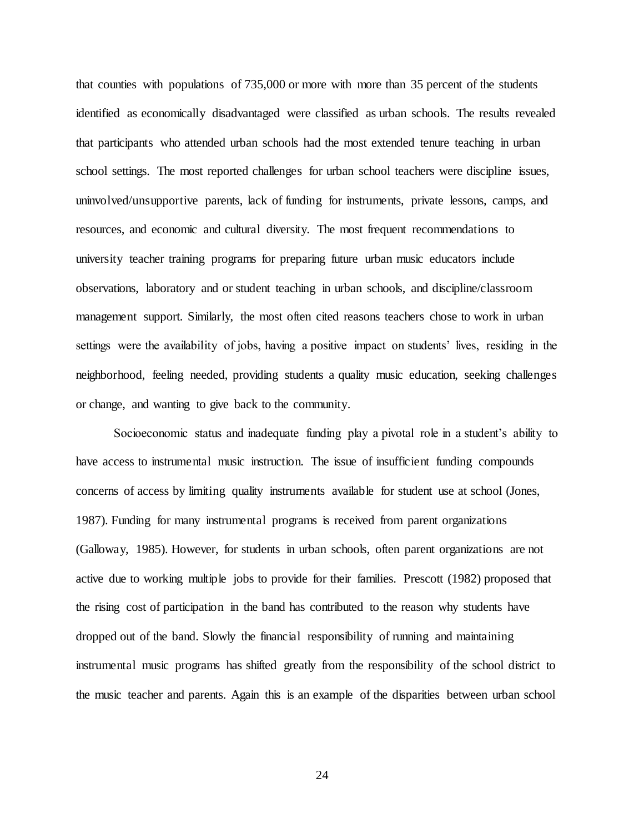that counties with populations of 735,000 or more with more than 35 percent of the students identified as economically disadvantaged were classified as urban schools. The results revealed that participants who attended urban schools had the most extended tenure teaching in urban school settings. The most reported challenges for urban school teachers were discipline issues, uninvolved/unsupportive parents, lack of funding for instruments, private lessons, camps, and resources, and economic and cultural diversity. The most frequent recommendations to university teacher training programs for preparing future urban music educators include observations, laboratory and or student teaching in urban schools, and discipline/classroom management support. Similarly, the most often cited reasons teachers chose to work in urban settings were the availability of jobs, having a positive impact on students' lives, residing in the neighborhood, feeling needed, providing students a quality music education, seeking challenges or change, and wanting to give back to the community.

Socioeconomic status and inadequate funding play a pivotal role in a student's ability to have access to instrumental music instruction. The issue of insufficient funding compounds concerns of access by limiting quality instruments available for student use at school (Jones, 1987). Funding for many instrumental programs is received from parent organizations (Galloway, 1985). However, for students in urban schools, often parent organizations are not active due to working multiple jobs to provide for their families. Prescott (1982) proposed that the rising cost of participation in the band has contributed to the reason why students have dropped out of the band. Slowly the financial responsibility of running and maintaining instrumental music programs has shifted greatly from the responsibility of the school district to the music teacher and parents. Again this is an example of the disparities between urban school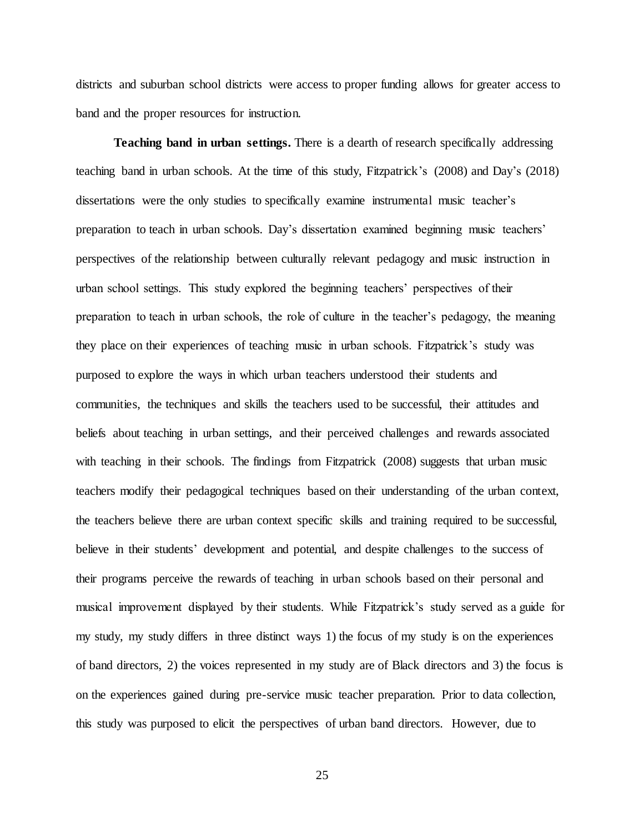districts and suburban school districts were access to proper funding allows for greater access to band and the proper resources for instruction.

**Teaching band in urban settings.** There is a dearth of research specifically addressing teaching band in urban schools. At the time of this study, Fitzpatrick's (2008) and Day's (2018) dissertations were the only studies to specifically examine instrumental music teacher's preparation to teach in urban schools. Day's dissertation examined beginning music teachers' perspectives of the relationship between culturally relevant pedagogy and music instruction in urban school settings. This study explored the beginning teachers' perspectives of their preparation to teach in urban schools, the role of culture in the teacher's pedagogy, the meaning they place on their experiences of teaching music in urban schools. Fitzpatrick's study was purposed to explore the ways in which urban teachers understood their students and communities, the techniques and skills the teachers used to be successful, their attitudes and beliefs about teaching in urban settings, and their perceived challenges and rewards associated with teaching in their schools. The findings from Fitzpatrick (2008) suggests that urban music teachers modify their pedagogical techniques based on their understanding of the urban context, the teachers believe there are urban context specific skills and training required to be successful, believe in their students' development and potential, and despite challenges to the success of their programs perceive the rewards of teaching in urban schools based on their personal and musical improvement displayed by their students. While Fitzpatrick's study served as a guide for my study, my study differs in three distinct ways 1) the focus of my study is on the experiences of band directors, 2) the voices represented in my study are of Black directors and 3) the focus is on the experiences gained during pre-service music teacher preparation. Prior to data collection, this study was purposed to elicit the perspectives of urban band directors. However, due to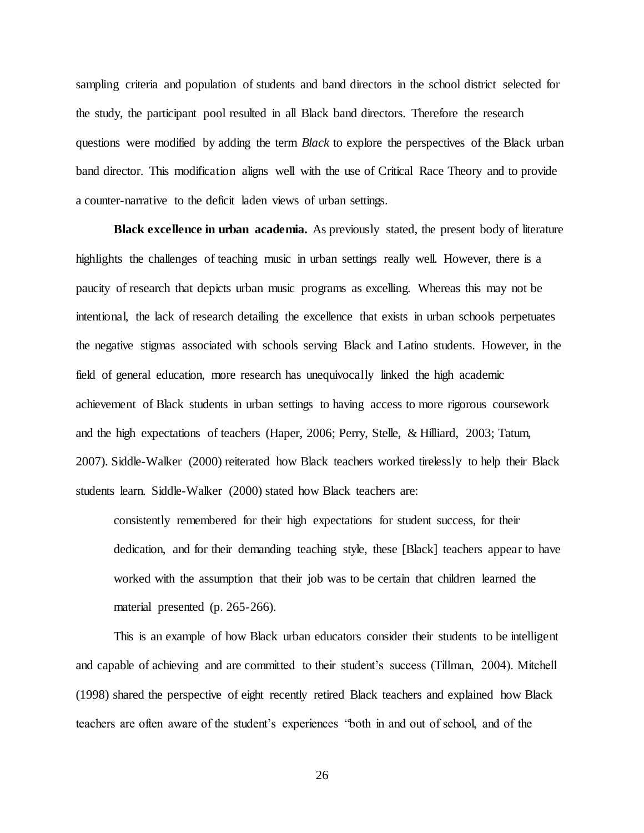sampling criteria and population of students and band directors in the school district selected for the study, the participant pool resulted in all Black band directors. Therefore the research questions were modified by adding the term *Black* to explore the perspectives of the Black urban band director. This modification aligns well with the use of Critical Race Theory and to provide a counter-narrative to the deficit laden views of urban settings.

**Black excellence in urban academia.** As previously stated, the present body of literature highlights the challenges of teaching music in urban settings really well. However, there is a paucity of research that depicts urban music programs as excelling. Whereas this may not be intentional, the lack of research detailing the excellence that exists in urban schools perpetuates the negative stigmas associated with schools serving Black and Latino students. However, in the field of general education, more research has unequivocally linked the high academic achievement of Black students in urban settings to having access to more rigorous coursework and the high expectations of teachers (Haper, 2006; Perry, Stelle, & Hilliard, 2003; Tatum, 2007). Siddle-Walker (2000) reiterated how Black teachers worked tirelessly to help their Black students learn. Siddle-Walker (2000) stated how Black teachers are:

consistently remembered for their high expectations for student success, for their dedication, and for their demanding teaching style, these [Black] teachers appear to have worked with the assumption that their job was to be certain that children learned the material presented (p. 265-266).

This is an example of how Black urban educators consider their students to be intelligent and capable of achieving and are committed to their student's success (Tillman, 2004). Mitchell (1998) shared the perspective of eight recently retired Black teachers and explained how Black teachers are often aware of the student's experiences "both in and out of school, and of the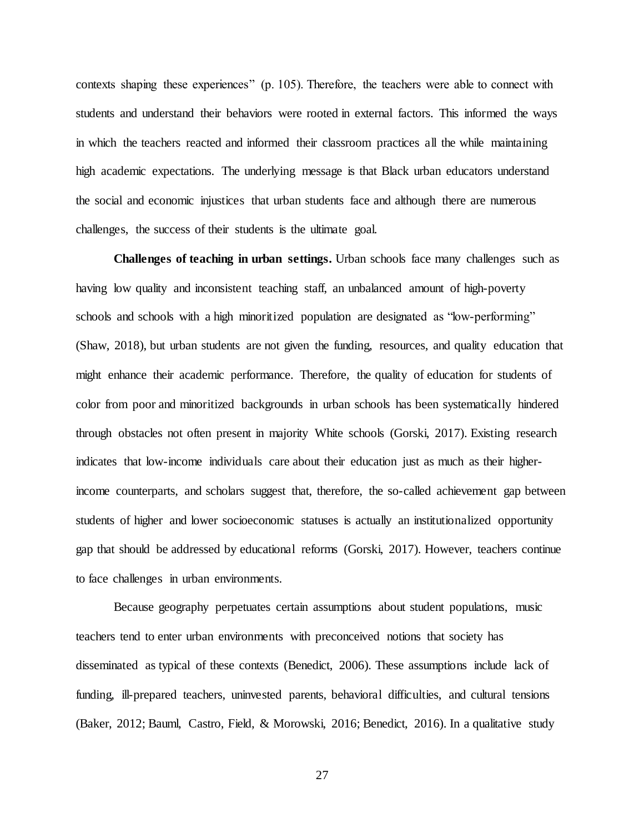contexts shaping these experiences" (p. 105). Therefore, the teachers were able to connect with students and understand their behaviors were rooted in external factors. This informed the ways in which the teachers reacted and informed their classroom practices all the while maintaining high academic expectations. The underlying message is that Black urban educators understand the social and economic injustices that urban students face and although there are numerous challenges, the success of their students is the ultimate goal.

**Challenges of teaching in urban settings.** Urban schools face many challenges such as having low quality and inconsistent teaching staff, an unbalanced amount of high-poverty schools and schools with a high minoritized population are designated as "low-performing" (Shaw, 2018), but urban students are not given the funding, resources, and quality education that might enhance their academic performance. Therefore, the quality of education for students of color from poor and minoritized backgrounds in urban schools has been systematically hindered through obstacles not often present in majority White schools (Gorski, 2017). Existing research indicates that low-income individuals care about their education just as much as their higherincome counterparts, and scholars suggest that, therefore, the so-called achievement gap between students of higher and lower socioeconomic statuses is actually an institutionalized opportunity gap that should be addressed by educational reforms (Gorski, 2017). However, teachers continue to face challenges in urban environments.

Because geography perpetuates certain assumptions about student populations, music teachers tend to enter urban environments with preconceived notions that society has disseminated as typical of these contexts (Benedict, 2006). These assumptions include lack of funding, ill-prepared teachers, uninvested parents, behavioral difficulties, and cultural tensions (Baker, 2012; Bauml, Castro, Field, & Morowski, 2016; Benedict, 2016). In a qualitative study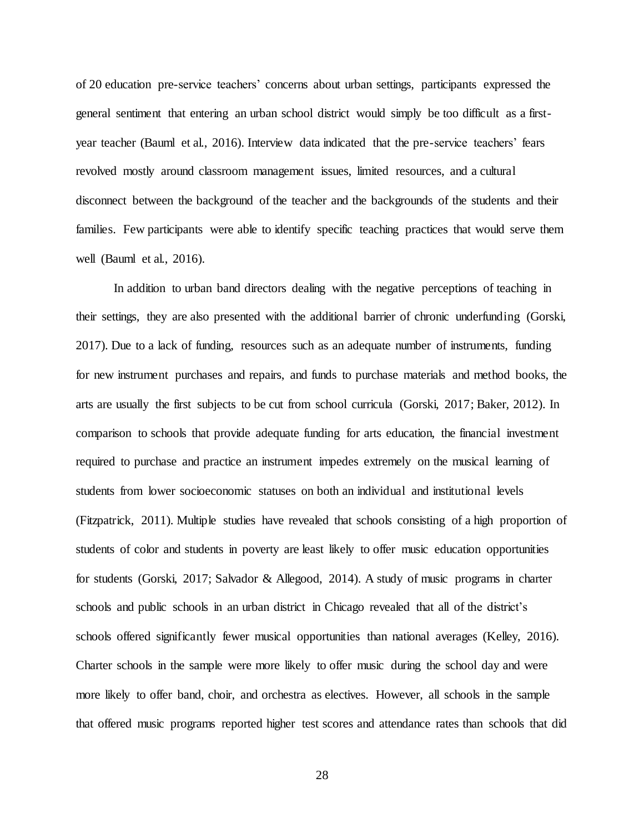of 20 education pre-service teachers' concerns about urban settings, participants expressed the general sentiment that entering an urban school district would simply be too difficult as a firstyear teacher (Bauml et al., 2016). Interview data indicated that the pre-service teachers' fears revolved mostly around classroom management issues, limited resources, and a cultural disconnect between the background of the teacher and the backgrounds of the students and their families. Few participants were able to identify specific teaching practices that would serve them well (Bauml et al., 2016).

In addition to urban band directors dealing with the negative perceptions of teaching in their settings, they are also presented with the additional barrier of chronic underfunding (Gorski, 2017). Due to a lack of funding, resources such as an adequate number of instruments, funding for new instrument purchases and repairs, and funds to purchase materials and method books, the arts are usually the first subjects to be cut from school curricula (Gorski, 2017; Baker, 2012). In comparison to schools that provide adequate funding for arts education, the financial investment required to purchase and practice an instrument impedes extremely on the musical learning of students from lower socioeconomic statuses on both an individual and institutional levels (Fitzpatrick, 2011). Multiple studies have revealed that schools consisting of a high proportion of students of color and students in poverty are least likely to offer music education opportunities for students (Gorski, 2017; Salvador & Allegood, 2014). A study of music programs in charter schools and public schools in an urban district in Chicago revealed that all of the district's schools offered significantly fewer musical opportunities than national averages (Kelley, 2016). Charter schools in the sample were more likely to offer music during the school day and were more likely to offer band, choir, and orchestra as electives. However, all schools in the sample that offered music programs reported higher test scores and attendance rates than schools that did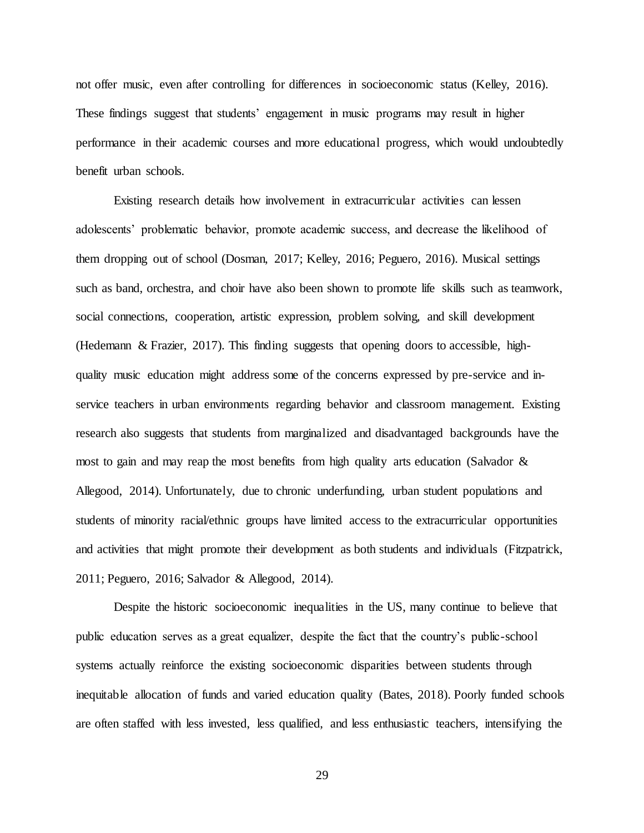not offer music, even after controlling for differences in socioeconomic status (Kelley, 2016). These findings suggest that students' engagement in music programs may result in higher performance in their academic courses and more educational progress, which would undoubtedly benefit urban schools.

Existing research details how involvement in extracurricular activities can lessen adolescents' problematic behavior, promote academic success, and decrease the likelihood of them dropping out of school (Dosman, 2017; Kelley, 2016; Peguero, 2016). Musical settings such as band, orchestra, and choir have also been shown to promote life skills such as teamwork, social connections, cooperation, artistic expression, problem solving, and skill development (Hedemann & Frazier, 2017). This finding suggests that opening doors to accessible, highquality music education might address some of the concerns expressed by pre-service and inservice teachers in urban environments regarding behavior and classroom management. Existing research also suggests that students from marginalized and disadvantaged backgrounds have the most to gain and may reap the most benefits from high quality arts education (Salvador & Allegood, 2014). Unfortunately, due to chronic underfunding, urban student populations and students of minority racial/ethnic groups have limited access to the extracurricular opportunities and activities that might promote their development as both students and individuals (Fitzpatrick, 2011; Peguero, 2016; Salvador & Allegood, 2014).

Despite the historic socioeconomic inequalities in the US, many continue to believe that public education serves as a great equalizer, despite the fact that the country's public-school systems actually reinforce the existing socioeconomic disparities between students through inequitable allocation of funds and varied education quality (Bates, 2018). Poorly funded schools are often staffed with less invested, less qualified, and less enthusiastic teachers, intensifying the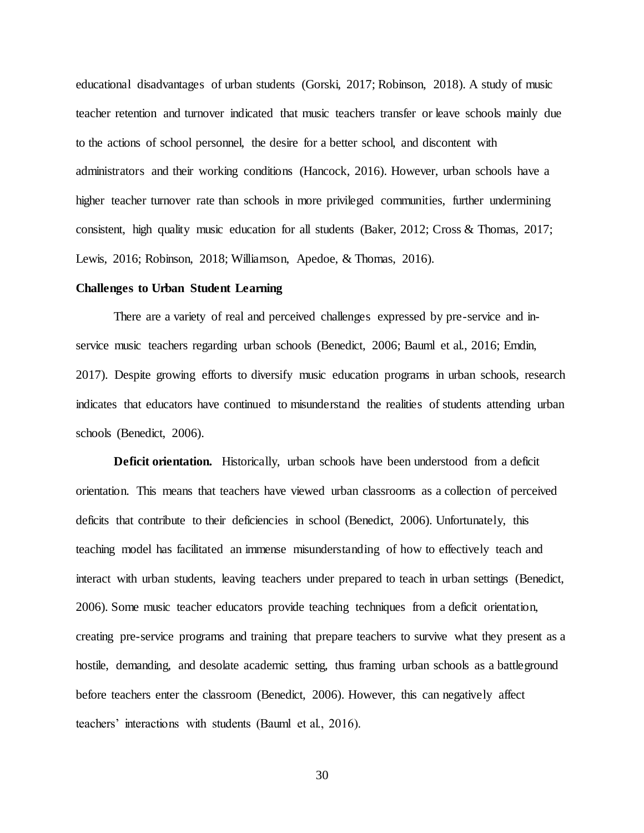educational disadvantages of urban students (Gorski, 2017; Robinson, 2018). A study of music teacher retention and turnover indicated that music teachers transfer or leave schools mainly due to the actions of school personnel, the desire for a better school, and discontent with administrators and their working conditions (Hancock, 2016). However, urban schools have a higher teacher turnover rate than schools in more privileged communities, further undermining consistent, high quality music education for all students (Baker, 2012; Cross & Thomas, 2017; Lewis, 2016; Robinson, 2018; Williamson, Apedoe, & Thomas, 2016).

### **Challenges to Urban Student Learning**

There are a variety of real and perceived challenges expressed by pre-service and inservice music teachers regarding urban schools (Benedict, 2006; Bauml et al., 2016; Emdin, 2017). Despite growing efforts to diversify music education programs in urban schools, research indicates that educators have continued to misunderstand the realities of students attending urban schools (Benedict, 2006).

**Deficit orientation.** Historically, urban schools have been understood from a deficit orientation. This means that teachers have viewed urban classrooms as a collection of perceived deficits that contribute to their deficiencies in school (Benedict, 2006). Unfortunately, this teaching model has facilitated an immense misunderstanding of how to effectively teach and interact with urban students, leaving teachers under prepared to teach in urban settings (Benedict, 2006). Some music teacher educators provide teaching techniques from a deficit orientation, creating pre-service programs and training that prepare teachers to survive what they present as a hostile, demanding, and desolate academic setting, thus framing urban schools as a battleground before teachers enter the classroom (Benedict, 2006). However, this can negatively affect teachers' interactions with students (Bauml et al., 2016).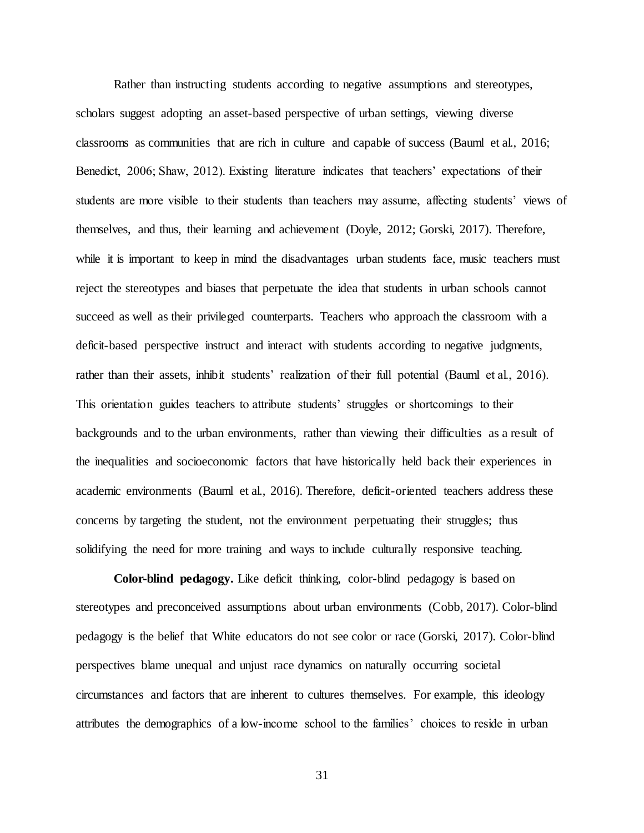Rather than instructing students according to negative assumptions and stereotypes, scholars suggest adopting an asset-based perspective of urban settings, viewing diverse classrooms as communities that are rich in culture and capable of success (Bauml et al., 2016; Benedict, 2006; Shaw, 2012). Existing literature indicates that teachers' expectations of their students are more visible to their students than teachers may assume, affecting students' views of themselves, and thus, their learning and achievement (Doyle, 2012; Gorski, 2017). Therefore, while it is important to keep in mind the disadvantages urban students face, music teachers must reject the stereotypes and biases that perpetuate the idea that students in urban schools cannot succeed as well as their privileged counterparts. Teachers who approach the classroom with a deficit-based perspective instruct and interact with students according to negative judgments, rather than their assets, inhibit students' realization of their full potential (Bauml et al., 2016). This orientation guides teachers to attribute students' struggles or shortcomings to their backgrounds and to the urban environments, rather than viewing their difficulties as a result of the inequalities and socioeconomic factors that have historically held back their experiences in academic environments (Bauml et al., 2016). Therefore, deficit-oriented teachers address these concerns by targeting the student, not the environment perpetuating their struggles; thus solidifying the need for more training and ways to include culturally responsive teaching.

**Color-blind pedagogy.** Like deficit thinking, color-blind pedagogy is based on stereotypes and preconceived assumptions about urban environments (Cobb, 2017). Color-blind pedagogy is the belief that White educators do not see color or race (Gorski, 2017). Color-blind perspectives blame unequal and unjust race dynamics on naturally occurring societal circumstances and factors that are inherent to cultures themselves. For example, this ideology attributes the demographics of a low-income school to the families' choices to reside in urban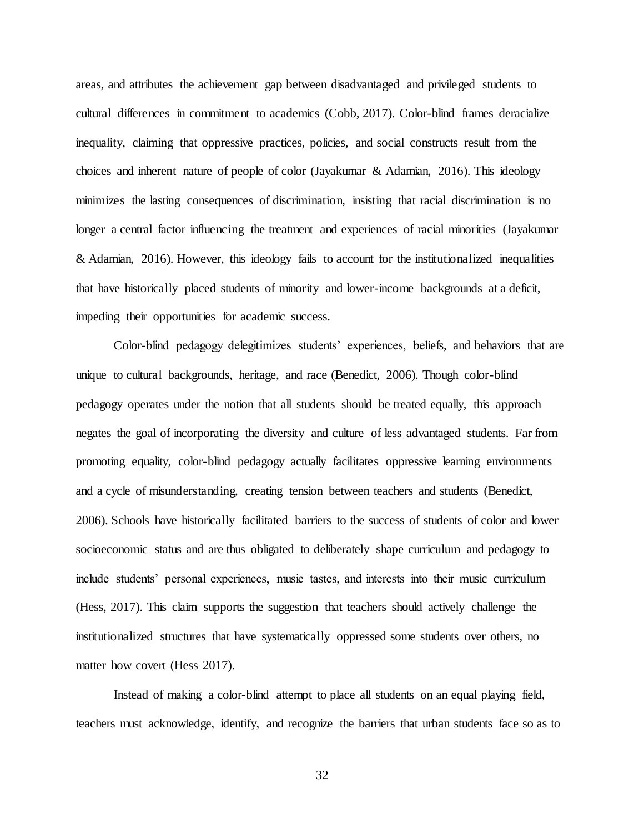areas, and attributes the achievement gap between disadvantaged and privileged students to cultural differences in commitment to academics (Cobb, 2017). Color-blind frames deracialize inequality, claiming that oppressive practices, policies, and social constructs result from the choices and inherent nature of people of color (Jayakumar & Adamian, 2016). This ideology minimizes the lasting consequences of discrimination, insisting that racial discrimination is no longer a central factor influencing the treatment and experiences of racial minorities (Jayakumar & Adamian, 2016). However, this ideology fails to account for the institutionalized inequalities that have historically placed students of minority and lower-income backgrounds at a deficit, impeding their opportunities for academic success.

Color-blind pedagogy delegitimizes students' experiences, beliefs, and behaviors that are unique to cultural backgrounds, heritage, and race (Benedict, 2006). Though color-blind pedagogy operates under the notion that all students should be treated equally, this approach negates the goal of incorporating the diversity and culture of less advantaged students. Far from promoting equality, color-blind pedagogy actually facilitates oppressive learning environments and a cycle of misunderstanding, creating tension between teachers and students (Benedict, 2006). Schools have historically facilitated barriers to the success of students of color and lower socioeconomic status and are thus obligated to deliberately shape curriculum and pedagogy to include students' personal experiences, music tastes, and interests into their music curriculum (Hess, 2017). This claim supports the suggestion that teachers should actively challenge the institutionalized structures that have systematically oppressed some students over others, no matter how covert (Hess 2017).

Instead of making a color-blind attempt to place all students on an equal playing field, teachers must acknowledge, identify, and recognize the barriers that urban students face so as to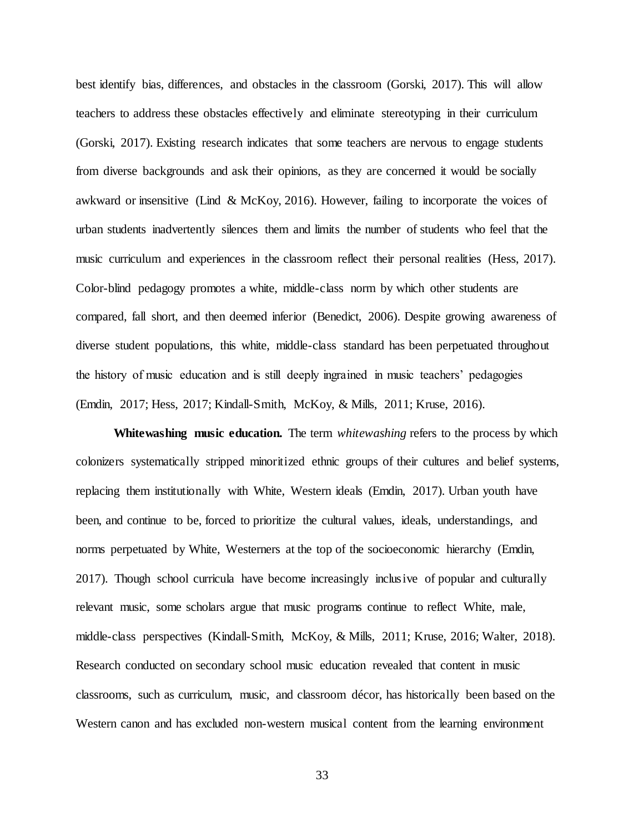best identify bias, differences, and obstacles in the classroom (Gorski, 2017). This will allow teachers to address these obstacles effectively and eliminate stereotyping in their curriculum (Gorski, 2017). Existing research indicates that some teachers are nervous to engage students from diverse backgrounds and ask their opinions, as they are concerned it would be socially awkward or insensitive (Lind & McKoy, 2016). However, failing to incorporate the voices of urban students inadvertently silences them and limits the number of students who feel that the music curriculum and experiences in the classroom reflect their personal realities (Hess, 2017). Color-blind pedagogy promotes a white, middle-class norm by which other students are compared, fall short, and then deemed inferior (Benedict, 2006). Despite growing awareness of diverse student populations, this white, middle-class standard has been perpetuated throughout the history of music education and is still deeply ingrained in music teachers' pedagogies (Emdin, 2017; Hess, 2017; Kindall-Smith, McKoy, & Mills, 2011; Kruse, 2016).

**Whitewashing music education.** The term *whitewashing* refers to the process by which colonizers systematically stripped minoritized ethnic groups of their cultures and belief systems, replacing them institutionally with White, Western ideals (Emdin, 2017). Urban youth have been, and continue to be, forced to prioritize the cultural values, ideals, understandings, and norms perpetuated by White, Westerners at the top of the socioeconomic hierarchy (Emdin, 2017). Though school curricula have become increasingly inclusive of popular and culturally relevant music, some scholars argue that music programs continue to reflect White, male, middle-class perspectives (Kindall-Smith, McKoy, & Mills, 2011; Kruse, 2016; Walter, 2018). Research conducted on secondary school music education revealed that content in music classrooms, such as curriculum, music, and classroom décor, has historically been based on the Western canon and has excluded non-western musical content from the learning environment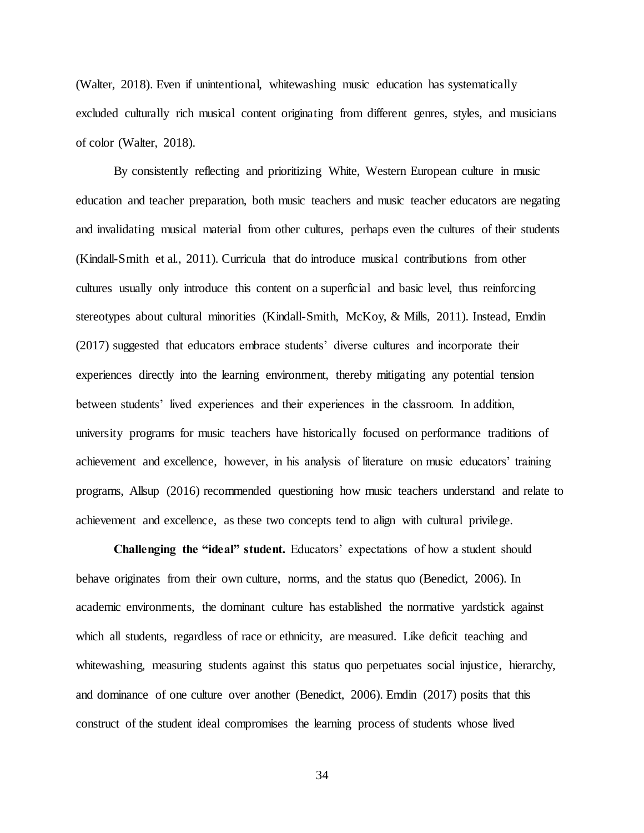(Walter, 2018). Even if unintentional, whitewashing music education has systematically excluded culturally rich musical content originating from different genres, styles, and musicians of color (Walter, 2018).

By consistently reflecting and prioritizing White, Western European culture in music education and teacher preparation, both music teachers and music teacher educators are negating and invalidating musical material from other cultures, perhaps even the cultures of their students (Kindall-Smith et al., 2011). Curricula that do introduce musical contributions from other cultures usually only introduce this content on a superficial and basic level, thus reinforcing stereotypes about cultural minorities (Kindall-Smith, McKoy, & Mills, 2011). Instead, Emdin (2017) suggested that educators embrace students' diverse cultures and incorporate their experiences directly into the learning environment, thereby mitigating any potential tension between students' lived experiences and their experiences in the classroom. In addition, university programs for music teachers have historically focused on performance traditions of achievement and excellence, however, in his analysis of literature on music educators' training programs, Allsup (2016) recommended questioning how music teachers understand and relate to achievement and excellence, as these two concepts tend to align with cultural privilege.

**Challenging the "ideal" student.** Educators' expectations of how a student should behave originates from their own culture, norms, and the status quo (Benedict, 2006). In academic environments, the dominant culture has established the normative yardstick against which all students, regardless of race or ethnicity, are measured. Like deficit teaching and whitewashing, measuring students against this status quo perpetuates social injustice, hierarchy, and dominance of one culture over another (Benedict, 2006). Emdin (2017) posits that this construct of the student ideal compromises the learning process of students whose lived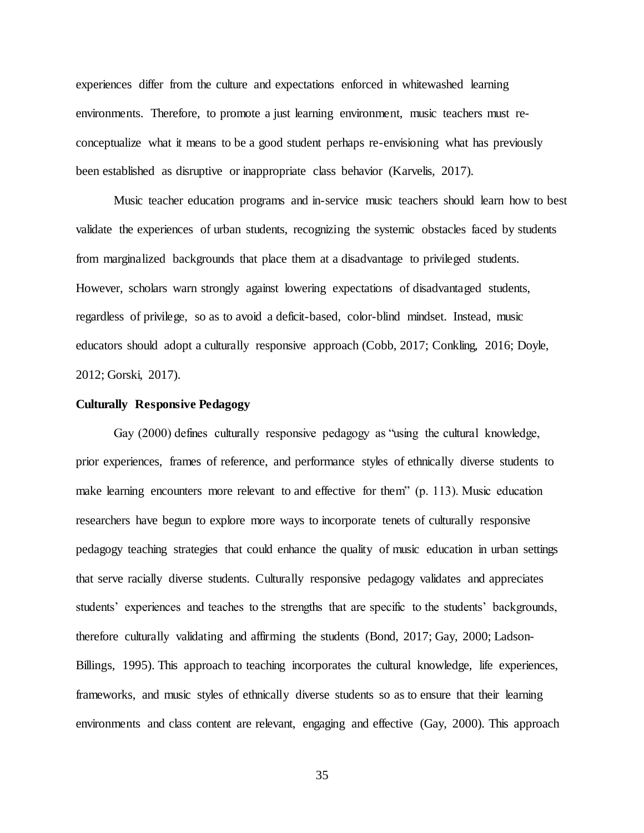experiences differ from the culture and expectations enforced in whitewashed learning environments. Therefore, to promote a just learning environment, music teachers must reconceptualize what it means to be a good student perhaps re-envisioning what has previously been established as disruptive or inappropriate class behavior (Karvelis, 2017).

Music teacher education programs and in-service music teachers should learn how to best validate the experiences of urban students, recognizing the systemic obstacles faced by students from marginalized backgrounds that place them at a disadvantage to privileged students. However, scholars warn strongly against lowering expectations of disadvantaged students, regardless of privilege, so as to avoid a deficit-based, color-blind mindset. Instead, music educators should adopt a culturally responsive approach (Cobb, 2017; Conkling, 2016; Doyle, 2012; Gorski, 2017).

### **Culturally Responsive Pedagogy**

Gay (2000) defines culturally responsive pedagogy as "using the cultural knowledge, prior experiences, frames of reference, and performance styles of ethnically diverse students to make learning encounters more relevant to and effective for them" (p. 113). Music education researchers have begun to explore more ways to incorporate tenets of culturally responsive pedagogy teaching strategies that could enhance the quality of music education in urban settings that serve racially diverse students. Culturally responsive pedagogy validates and appreciates students' experiences and teaches to the strengths that are specific to the students' backgrounds, therefore culturally validating and affirming the students (Bond, 2017; Gay, 2000; Ladson-Billings, 1995). This approach to teaching incorporates the cultural knowledge, life experiences, frameworks, and music styles of ethnically diverse students so as to ensure that their learning environments and class content are relevant, engaging and effective (Gay, 2000). This approach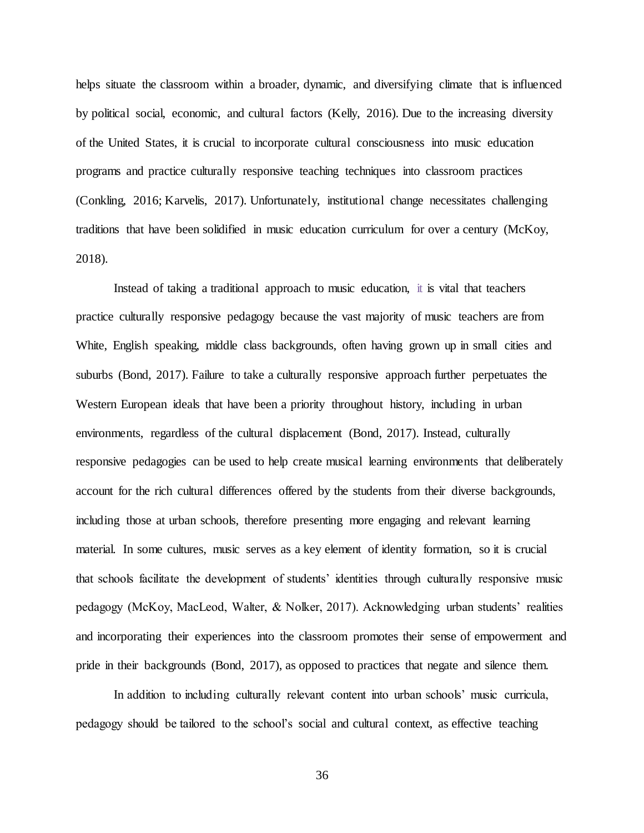helps situate the classroom within a broader, dynamic, and diversifying climate that is influenced by political social, economic, and cultural factors (Kelly, 2016). Due to the increasing diversity of the United States, it is crucial to incorporate cultural consciousness into music education programs and practice culturally responsive teaching techniques into classroom practices (Conkling, 2016; Karvelis, 2017). Unfortunately, institutional change necessitates challenging traditions that have been solidified in music education curriculum for over a century (McKoy, 2018).

Instead of taking a traditional approach to music education, it is vital that teachers practice culturally responsive pedagogy because the vast majority of music teachers are from White, English speaking, middle class backgrounds, often having grown up in small cities and suburbs (Bond, 2017). Failure to take a culturally responsive approach further perpetuates the Western European ideals that have been a priority throughout history, including in urban environments, regardless of the cultural displacement (Bond, 2017). Instead, culturally responsive pedagogies can be used to help create musical learning environments that deliberately account for the rich cultural differences offered by the students from their diverse backgrounds, including those at urban schools, therefore presenting more engaging and relevant learning material. In some cultures, music serves as a key element of identity formation, so it is crucial that schools facilitate the development of students' identities through culturally responsive music pedagogy (McKoy, MacLeod, Walter, & Nolker, 2017). Acknowledging urban students' realities and incorporating their experiences into the classroom promotes their sense of empowerment and pride in their backgrounds (Bond, 2017), as opposed to practices that negate and silence them.

In addition to including culturally relevant content into urban schools' music curricula, pedagogy should be tailored to the school's social and cultural context, as effective teaching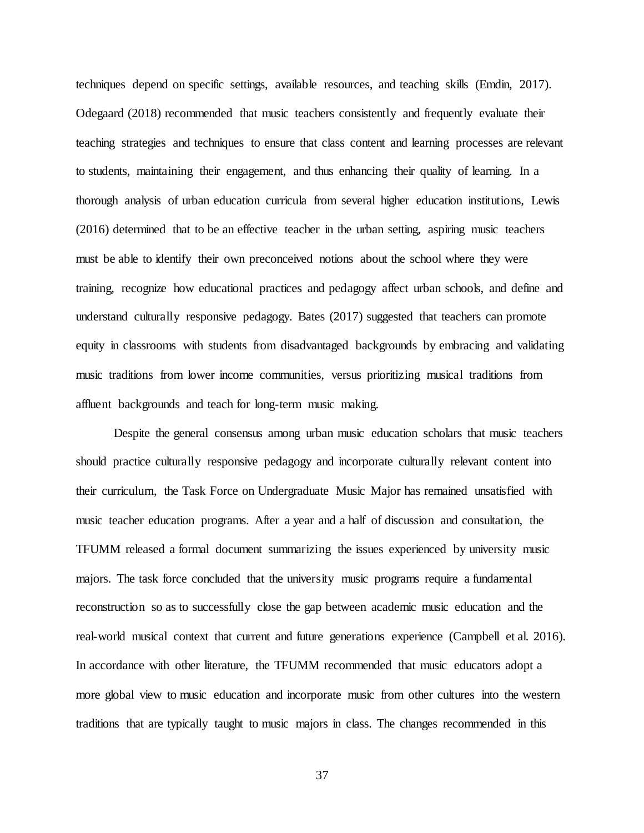techniques depend on specific settings, available resources, and teaching skills (Emdin, 2017). Odegaard (2018) recommended that music teachers consistently and frequently evaluate their teaching strategies and techniques to ensure that class content and learning processes are relevant to students, maintaining their engagement, and thus enhancing their quality of learning. In a thorough analysis of urban education curricula from several higher education institutions, Lewis (2016) determined that to be an effective teacher in the urban setting, aspiring music teachers must be able to identify their own preconceived notions about the school where they were training, recognize how educational practices and pedagogy affect urban schools, and define and understand culturally responsive pedagogy. Bates (2017) suggested that teachers can promote equity in classrooms with students from disadvantaged backgrounds by embracing and validating music traditions from lower income communities, versus prioritizing musical traditions from affluent backgrounds and teach for long-term music making.

Despite the general consensus among urban music education scholars that music teachers should practice culturally responsive pedagogy and incorporate culturally relevant content into their curriculum, the Task Force on Undergraduate Music Major has remained unsatisfied with music teacher education programs. After a year and a half of discussion and consultation, the TFUMM released a formal document summarizing the issues experienced by university music majors. The task force concluded that the university music programs require a fundamental reconstruction so as to successfully close the gap between academic music education and the real-world musical context that current and future generations experience (Campbell et al. 2016). In accordance with other literature, the TFUMM recommended that music educators adopt a more global view to music education and incorporate music from other cultures into the western traditions that are typically taught to music majors in class. The changes recommended in this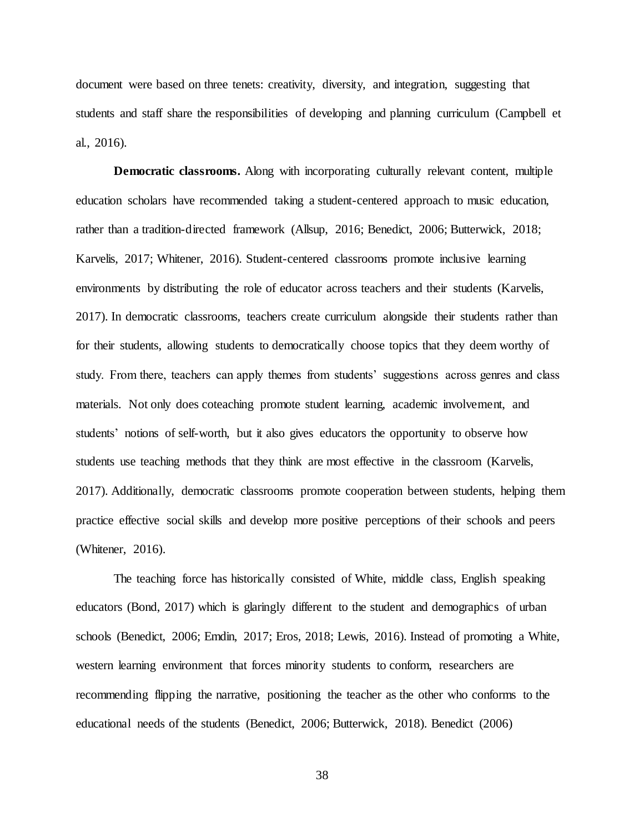document were based on three tenets: creativity, diversity, and integration, suggesting that students and staff share the responsibilities of developing and planning curriculum (Campbell et al., 2016).

**Democratic classrooms.** Along with incorporating culturally relevant content, multiple education scholars have recommended taking a student-centered approach to music education, rather than a tradition-directed framework (Allsup, 2016; Benedict, 2006; Butterwick, 2018; Karvelis, 2017; Whitener, 2016). Student-centered classrooms promote inclusive learning environments by distributing the role of educator across teachers and their students (Karvelis, 2017). In democratic classrooms, teachers create curriculum alongside their students rather than for their students, allowing students to democratically choose topics that they deem worthy of study. From there, teachers can apply themes from students' suggestions across genres and class materials. Not only does coteaching promote student learning, academic involvement, and students' notions of self-worth, but it also gives educators the opportunity to observe how students use teaching methods that they think are most effective in the classroom (Karvelis, 2017). Additionally, democratic classrooms promote cooperation between students, helping them practice effective social skills and develop more positive perceptions of their schools and peers (Whitener, 2016).

The teaching force has historically consisted of White, middle class, English speaking educators (Bond, 2017) which is glaringly different to the student and demographics of urban schools (Benedict, 2006; Emdin, 2017; Eros, 2018; Lewis, 2016). Instead of promoting a White, western learning environment that forces minority students to conform, researchers are recommending flipping the narrative, positioning the teacher as the other who conforms to the educational needs of the students (Benedict, 2006; Butterwick, 2018). Benedict (2006)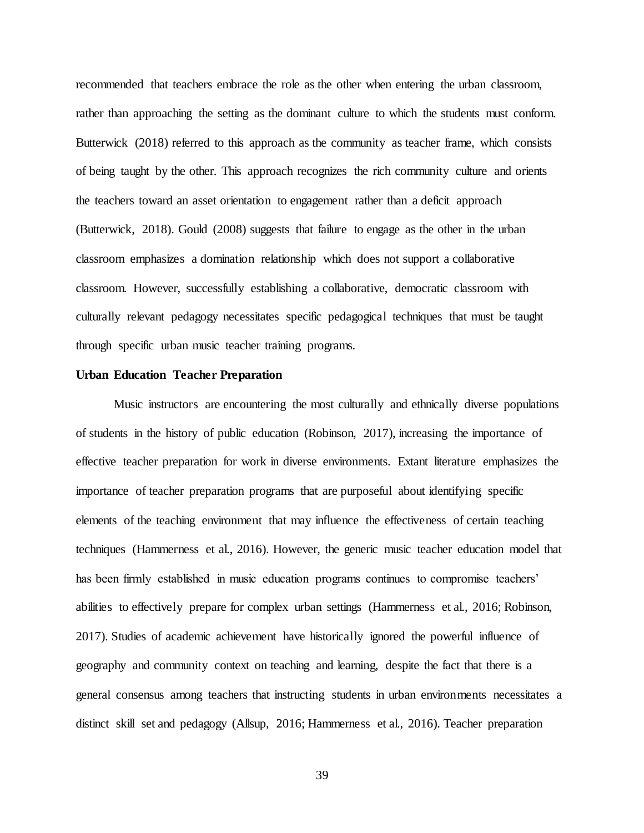recommended that teachers embrace the role as the other when entering the urban classroom, rather than approaching the setting as the dominant culture to which the students must conform. Butterwick (2018) referred to this approach as the community as teacher frame, which consists of being taught by the other. This approach recognizes the rich community culture and orients the teachers toward an asset orientation to engagement rather than a deficit approach (Butterwick, 2018). Gould (2008) suggests that failure to engage as the other in the urban classroom emphasizes a domination relationship which does not support a collaborative classroom. However, successfully establishing a collaborative, democratic classroom with culturally relevant pedagogy necessitates specific pedagogical techniques that must be taught through specific urban music teacher training programs.

#### **Urban Education Teacher Preparation**

Music instructors are encountering the most culturally and ethnically diverse populations of students in the history of public education (Robinson, 2017), increasing the importance of effective teacher preparation for work in diverse environments. Extant literature emphasizes the importance of teacher preparation programs that are purposeful about identifying specific elements of the teaching environment that may influence the effectiveness of certain teaching techniques (Hammerness et al., 2016). However, the generic music teacher education model that has been firmly established in music education programs continues to compromise teachers' abilities to effectively prepare for complex urban settings (Hammerness et al., 2016; Robinson, 2017). Studies of academic achievement have historically ignored the powerful influence of geography and community context on teaching and learning, despite the fact that there is a general consensus among teachers that instructing students in urban environments necessitates a distinct skill set and pedagogy (Allsup, 2016; Hammerness et al., 2016). Teacher preparation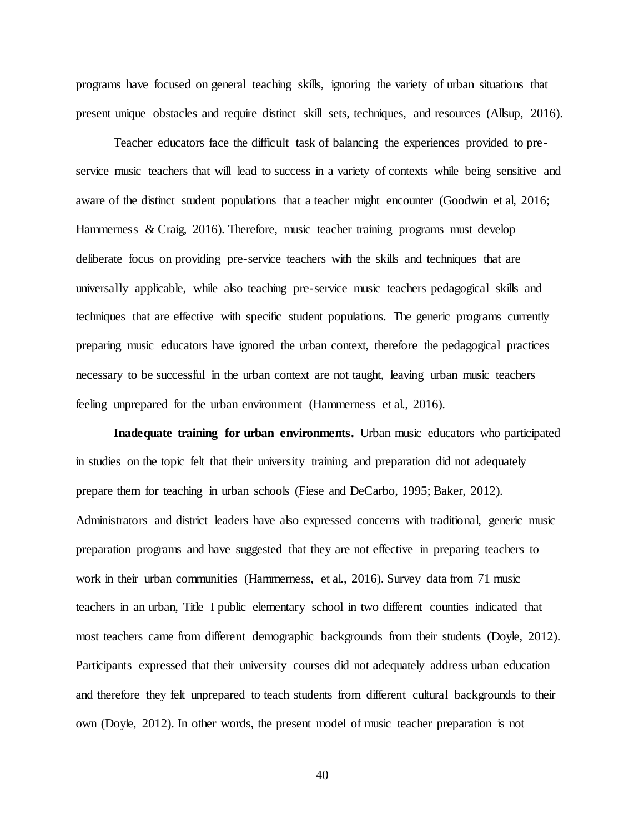programs have focused on general teaching skills, ignoring the variety of urban situations that present unique obstacles and require distinct skill sets, techniques, and resources (Allsup, 2016).

Teacher educators face the difficult task of balancing the experiences provided to preservice music teachers that will lead to success in a variety of contexts while being sensitive and aware of the distinct student populations that a teacher might encounter (Goodwin et al, 2016; Hammerness & Craig, 2016). Therefore, music teacher training programs must develop deliberate focus on providing pre-service teachers with the skills and techniques that are universally applicable, while also teaching pre-service music teachers pedagogical skills and techniques that are effective with specific student populations. The generic programs currently preparing music educators have ignored the urban context, therefore the pedagogical practices necessary to be successful in the urban context are not taught, leaving urban music teachers feeling unprepared for the urban environment (Hammerness et al., 2016).

**Inadequate training for urban environments.** Urban music educators who participated in studies on the topic felt that their university training and preparation did not adequately prepare them for teaching in urban schools (Fiese and DeCarbo, 1995; Baker, 2012). Administrators and district leaders have also expressed concerns with traditional, generic music preparation programs and have suggested that they are not effective in preparing teachers to work in their urban communities (Hammerness, et al., 2016). Survey data from 71 music teachers in an urban, Title I public elementary school in two different counties indicated that most teachers came from different demographic backgrounds from their students (Doyle, 2012). Participants expressed that their university courses did not adequately address urban education and therefore they felt unprepared to teach students from different cultural backgrounds to their own (Doyle, 2012). In other words, the present model of music teacher preparation is not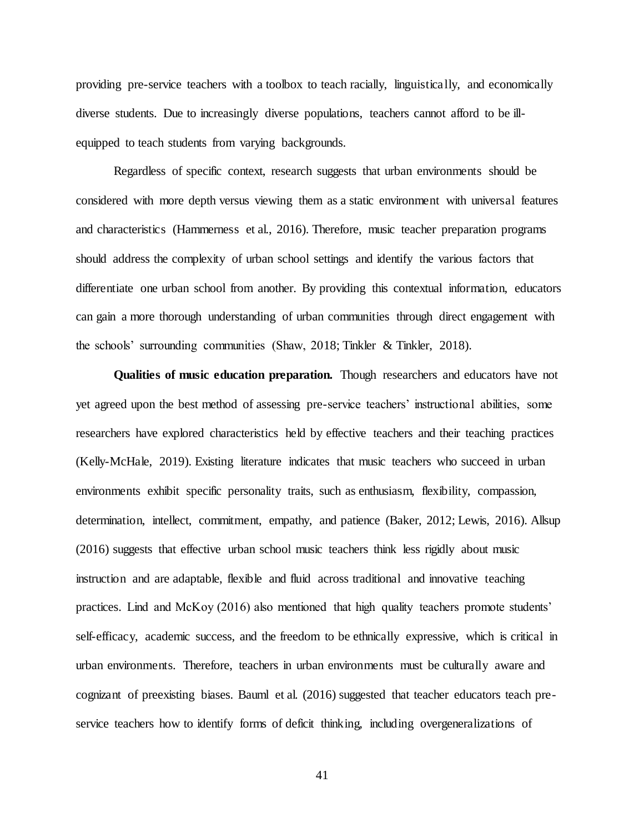providing pre-service teachers with a toolbox to teach racially, linguistically, and economically diverse students. Due to increasingly diverse populations, teachers cannot afford to be illequipped to teach students from varying backgrounds.

Regardless of specific context, research suggests that urban environments should be considered with more depth versus viewing them as a static environment with universal features and characteristics (Hammerness et al., 2016). Therefore, music teacher preparation programs should address the complexity of urban school settings and identify the various factors that differentiate one urban school from another. By providing this contextual information, educators can gain a more thorough understanding of urban communities through direct engagement with the schools' surrounding communities (Shaw, 2018; Tinkler & Tinkler, 2018).

**Qualities of music education preparation.** Though researchers and educators have not yet agreed upon the best method of assessing pre-service teachers' instructional abilities, some researchers have explored characteristics held by effective teachers and their teaching practices (Kelly-McHale, 2019). Existing literature indicates that music teachers who succeed in urban environments exhibit specific personality traits, such as enthusiasm, flexibility, compassion, determination, intellect, commitment, empathy, and patience (Baker, 2012; Lewis, 2016). Allsup (2016) suggests that effective urban school music teachers think less rigidly about music instruction and are adaptable, flexible and fluid across traditional and innovative teaching practices. Lind and McKoy (2016) also mentioned that high quality teachers promote students' self-efficacy, academic success, and the freedom to be ethnically expressive, which is critical in urban environments. Therefore, teachers in urban environments must be culturally aware and cognizant of preexisting biases. Bauml et al. (2016) suggested that teacher educators teach preservice teachers how to identify forms of deficit thinking, including overgeneralizations of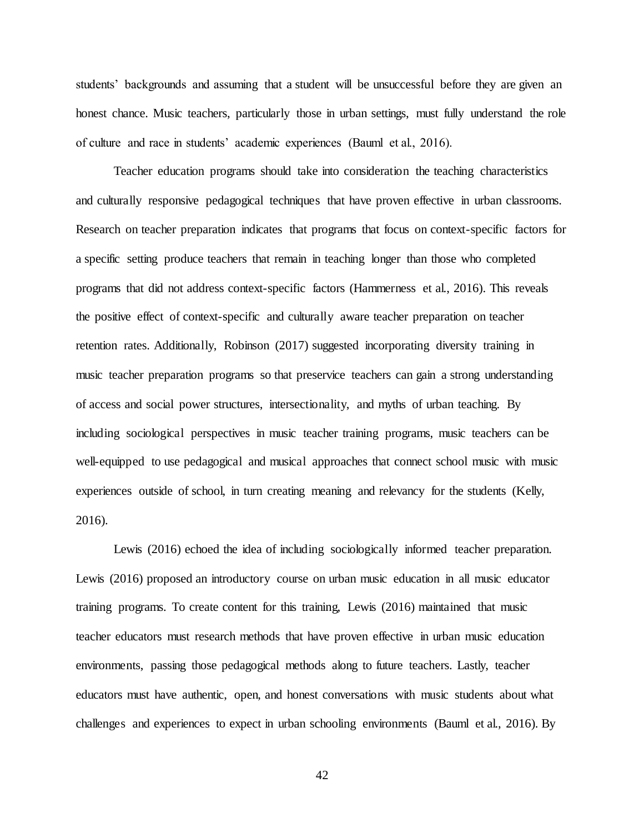students' backgrounds and assuming that a student will be unsuccessful before they are given an honest chance. Music teachers, particularly those in urban settings, must fully understand the role of culture and race in students' academic experiences (Bauml et al., 2016).

Teacher education programs should take into consideration the teaching characteristics and culturally responsive pedagogical techniques that have proven effective in urban classrooms. Research on teacher preparation indicates that programs that focus on context-specific factors for a specific setting produce teachers that remain in teaching longer than those who completed programs that did not address context-specific factors (Hammerness et al., 2016). This reveals the positive effect of context-specific and culturally aware teacher preparation on teacher retention rates. Additionally, Robinson (2017) suggested incorporating diversity training in music teacher preparation programs so that preservice teachers can gain a strong understanding of access and social power structures, intersectionality, and myths of urban teaching. By including sociological perspectives in music teacher training programs, music teachers can be well-equipped to use pedagogical and musical approaches that connect school music with music experiences outside of school, in turn creating meaning and relevancy for the students (Kelly, 2016).

Lewis (2016) echoed the idea of including sociologically informed teacher preparation. Lewis (2016) proposed an introductory course on urban music education in all music educator training programs. To create content for this training, Lewis (2016) maintained that music teacher educators must research methods that have proven effective in urban music education environments, passing those pedagogical methods along to future teachers. Lastly, teacher educators must have authentic, open, and honest conversations with music students about what challenges and experiences to expect in urban schooling environments (Bauml et al., 2016). By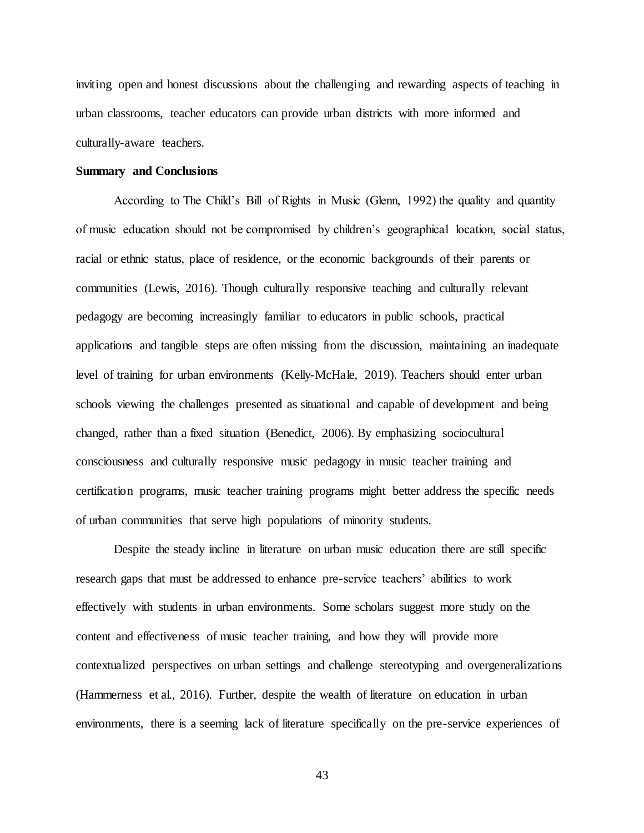inviting open and honest discussions about the challenging and rewarding aspects of teaching in urban classrooms, teacher educators can provide urban districts with more informed and culturally-aware teachers.

## **Summary and Conclusions**

According to The Child's Bill of Rights in Music (Glenn, 1992) the quality and quantity of music education should not be compromised by children's geographical location, social status, racial or ethnic status, place of residence, or the economic backgrounds of their parents or communities (Lewis, 2016). Though culturally responsive teaching and culturally relevant pedagogy are becoming increasingly familiar to educators in public schools, practical applications and tangible steps are often missing from the discussion, maintaining an inadequate level of training for urban environments (Kelly-McHale, 2019). Teachers should enter urban schools viewing the challenges presented as situational and capable of development and being changed, rather than a fixed situation (Benedict, 2006). By emphasizing sociocultural consciousness and culturally responsive music pedagogy in music teacher training and certification programs, music teacher training programs might better address the specific needs of urban communities that serve high populations of minority students.

Despite the steady incline in literature on urban music education there are still specific research gaps that must be addressed to enhance pre-service teachers' abilities to work effectively with students in urban environments. Some scholars suggest more study on the content and effectiveness of music teacher training, and how they will provide more contextualized perspectives on urban settings and challenge stereotyping and overgeneralizations (Hammerness et al., 2016). Further, despite the wealth of literature on education in urban environments, there is a seeming lack of literature specifically on the pre-service experiences of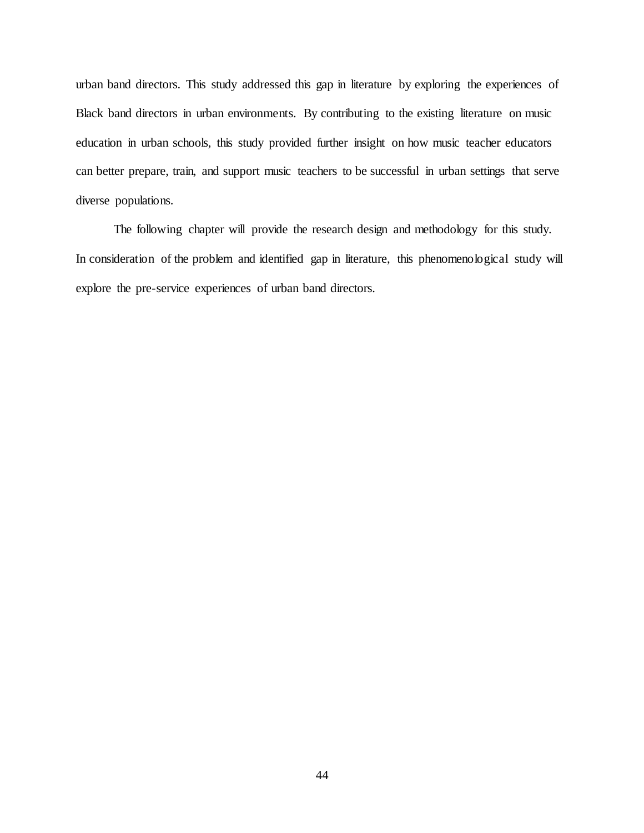urban band directors. This study addressed this gap in literature by exploring the experiences of Black band directors in urban environments. By contributing to the existing literature on music education in urban schools, this study provided further insight on how music teacher educators can better prepare, train, and support music teachers to be successful in urban settings that serve diverse populations.

The following chapter will provide the research design and methodology for this study. In consideration of the problem and identified gap in literature, this phenomenological study will explore the pre-service experiences of urban band directors.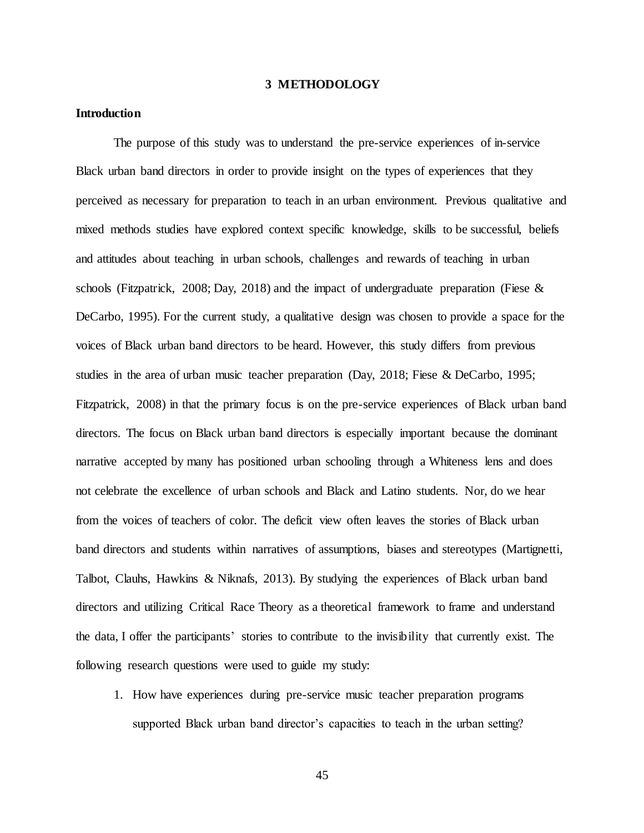### **3 METHODOLOGY**

## **Introduction**

The purpose of this study was to understand the pre-service experiences of in-service Black urban band directors in order to provide insight on the types of experiences that they perceived as necessary for preparation to teach in an urban environment. Previous qualitative and mixed methods studies have explored context specific knowledge, skills to be successful, beliefs and attitudes about teaching in urban schools, challenges and rewards of teaching in urban schools (Fitzpatrick, 2008; Day, 2018) and the impact of undergraduate preparation (Fiese  $\&$ DeCarbo, 1995). For the current study, a qualitative design was chosen to provide a space for the voices of Black urban band directors to be heard. However, this study differs from previous studies in the area of urban music teacher preparation (Day, 2018; Fiese & DeCarbo, 1995; Fitzpatrick, 2008) in that the primary focus is on the pre-service experiences of Black urban band directors. The focus on Black urban band directors is especially important because the dominant narrative accepted by many has positioned urban schooling through a Whiteness lens and does not celebrate the excellence of urban schools and Black and Latino students. Nor, do we hear from the voices of teachers of color. The deficit view often leaves the stories of Black urban band directors and students within narratives of assumptions, biases and stereotypes (Martignetti, Talbot, Clauhs, Hawkins & Niknafs, 2013). By studying the experiences of Black urban band directors and utilizing Critical Race Theory as a theoretical framework to frame and understand the data, I offer the participants' stories to contribute to the invisibility that currently exist. The following research questions were used to guide my study:

1. How have experiences during pre-service music teacher preparation programs supported Black urban band director's capacities to teach in the urban setting?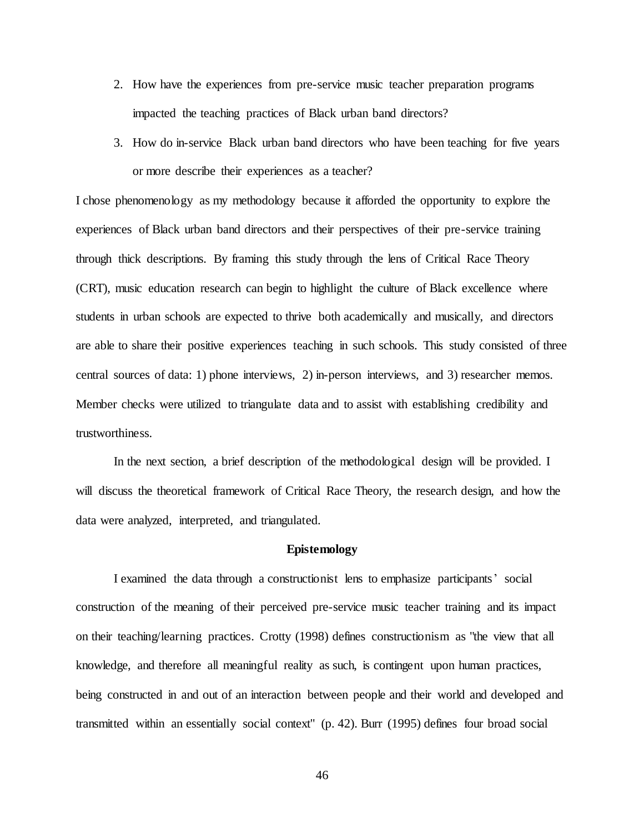- 2. How have the experiences from pre-service music teacher preparation programs impacted the teaching practices of Black urban band directors?
- 3. How do in-service Black urban band directors who have been teaching for five years or more describe their experiences as a teacher?

I chose phenomenology as my methodology because it afforded the opportunity to explore the experiences of Black urban band directors and their perspectives of their pre-service training through thick descriptions. By framing this study through the lens of Critical Race Theory (CRT), music education research can begin to highlight the culture of Black excellence where students in urban schools are expected to thrive both academically and musically, and directors are able to share their positive experiences teaching in such schools. This study consisted of three central sources of data: 1) phone interviews, 2) in-person interviews, and 3) researcher memos. Member checks were utilized to triangulate data and to assist with establishing credibility and trustworthiness.

In the next section, a brief description of the methodological design will be provided. I will discuss the theoretical framework of Critical Race Theory, the research design, and how the data were analyzed, interpreted, and triangulated.

# **Epistemology**

I examined the data through a constructionist lens to emphasize participants' social construction of the meaning of their perceived pre-service music teacher training and its impact on their teaching/learning practices. Crotty (1998) defines constructionism as "the view that all knowledge, and therefore all meaningful reality as such, is contingent upon human practices, being constructed in and out of an interaction between people and their world and developed and transmitted within an essentially social context" (p. 42). Burr (1995) defines four broad social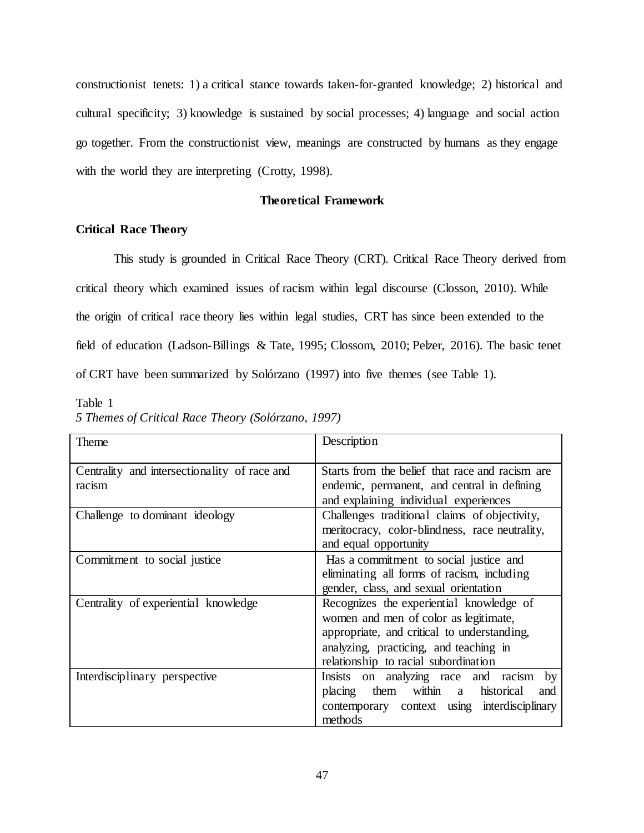constructionist tenets: 1) a critical stance towards taken-for-granted knowledge; 2) historical and cultural specificity; 3) knowledge is sustained by social processes; 4) language and social action go together. From the constructionist view, meanings are constructed by humans as they engage with the world they are interpreting (Crotty, 1998).

# **Theoretical Framework**

# **Critical Race Theory**

This study is grounded in Critical Race Theory (CRT). Critical Race Theory derived from critical theory which examined issues of racism within legal discourse (Closson, 2010). While the origin of critical race theory lies within legal studies, CRT has since been extended to the field of education (Ladson-Billings & Tate, 1995; Clossom, 2010; Pelzer, 2016). The basic tenet of CRT have been summarized by Solórzano (1997) into five themes (see Table 1).

Table 1

|  |  |  | 5 Themes of Critical Race Theory (Solórzano, 1997) |  |
|--|--|--|----------------------------------------------------|--|
|--|--|--|----------------------------------------------------|--|

| Theme                                                  | Description                                                                                                                                                                                                        |  |  |
|--------------------------------------------------------|--------------------------------------------------------------------------------------------------------------------------------------------------------------------------------------------------------------------|--|--|
| Centrality and intersectionality of race and<br>racism | Starts from the belief that race and racism are<br>endemic, permanent, and central in defining                                                                                                                     |  |  |
|                                                        | and explaining individual experiences                                                                                                                                                                              |  |  |
| Challenge to dominant ideology                         | Challenges traditional claims of objectivity,<br>meritocracy, color-blindness, race neutrality,<br>and equal opportunity                                                                                           |  |  |
| Commitment to social justice                           | Has a commitment to social justice and<br>eliminating all forms of racism, including<br>gender, class, and sexual orientation                                                                                      |  |  |
| Centrality of experiential knowledge                   | Recognizes the experiential knowledge of<br>women and men of color as legitimate,<br>appropriate, and critical to understanding,<br>analyzing, practicing, and teaching in<br>relationship to racial subordination |  |  |
| Interdisciplinary perspective                          | Insists on analyzing race and racism<br>by<br>within a historical<br>placing them<br>and<br>contemporary context using interdisciplinary<br>methods                                                                |  |  |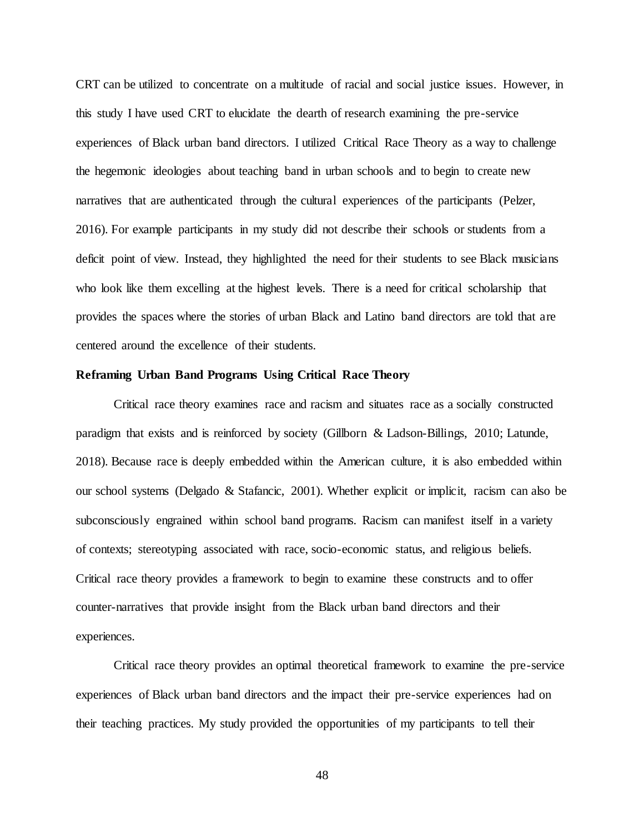CRT can be utilized to concentrate on a multitude of racial and social justice issues. However, in this study I have used CRT to elucidate the dearth of research examining the pre-service experiences of Black urban band directors. I utilized Critical Race Theory as a way to challenge the hegemonic ideologies about teaching band in urban schools and to begin to create new narratives that are authenticated through the cultural experiences of the participants (Pelzer, 2016). For example participants in my study did not describe their schools or students from a deficit point of view. Instead, they highlighted the need for their students to see Black musicians who look like them excelling at the highest levels. There is a need for critical scholarship that provides the spaces where the stories of urban Black and Latino band directors are told that are centered around the excellence of their students.

### **Reframing Urban Band Programs Using Critical Race Theory**

Critical race theory examines race and racism and situates race as a socially constructed paradigm that exists and is reinforced by society (Gillborn & Ladson-Billings, 2010; Latunde, 2018). Because race is deeply embedded within the American culture, it is also embedded within our school systems (Delgado & Stafancic, 2001). Whether explicit or implicit, racism can also be subconsciously engrained within school band programs. Racism can manifest itself in a variety of contexts; stereotyping associated with race, socio-economic status, and religious beliefs. Critical race theory provides a framework to begin to examine these constructs and to offer counter-narratives that provide insight from the Black urban band directors and their experiences.

Critical race theory provides an optimal theoretical framework to examine the pre-service experiences of Black urban band directors and the impact their pre-service experiences had on their teaching practices. My study provided the opportunities of my participants to tell their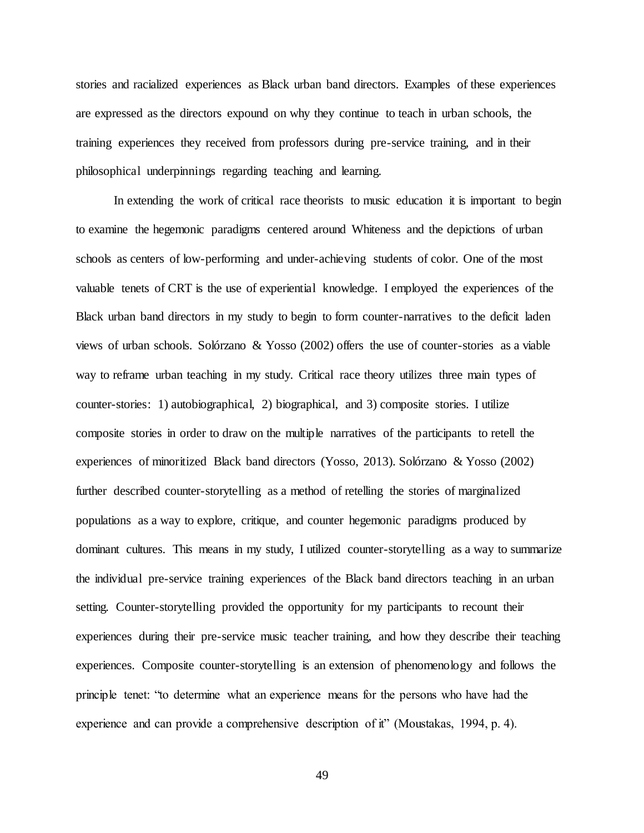stories and racialized experiences as Black urban band directors. Examples of these experiences are expressed as the directors expound on why they continue to teach in urban schools, the training experiences they received from professors during pre-service training, and in their philosophical underpinnings regarding teaching and learning.

In extending the work of critical race theorists to music education it is important to begin to examine the hegemonic paradigms centered around Whiteness and the depictions of urban schools as centers of low-performing and under-achieving students of color. One of the most valuable tenets of CRT is the use of experiential knowledge. I employed the experiences of the Black urban band directors in my study to begin to form counter-narratives to the deficit laden views of urban schools. Solórzano & Yosso (2002) offers the use of counter-stories as a viable way to reframe urban teaching in my study. Critical race theory utilizes three main types of counter-stories: 1) autobiographical, 2) biographical, and 3) composite stories. I utilize composite stories in order to draw on the multiple narratives of the participants to retell the experiences of minoritized Black band directors (Yosso, 2013). Solórzano & Yosso (2002) further described counter-storytelling as a method of retelling the stories of marginalized populations as a way to explore, critique, and counter hegemonic paradigms produced by dominant cultures. This means in my study, I utilized counter-storytelling as a way to summarize the individual pre-service training experiences of the Black band directors teaching in an urban setting. Counter-storytelling provided the opportunity for my participants to recount their experiences during their pre-service music teacher training, and how they describe their teaching experiences. Composite counter-storytelling is an extension of phenomenology and follows the principle tenet: "to determine what an experience means for the persons who have had the experience and can provide a comprehensive description of it" (Moustakas, 1994, p. 4).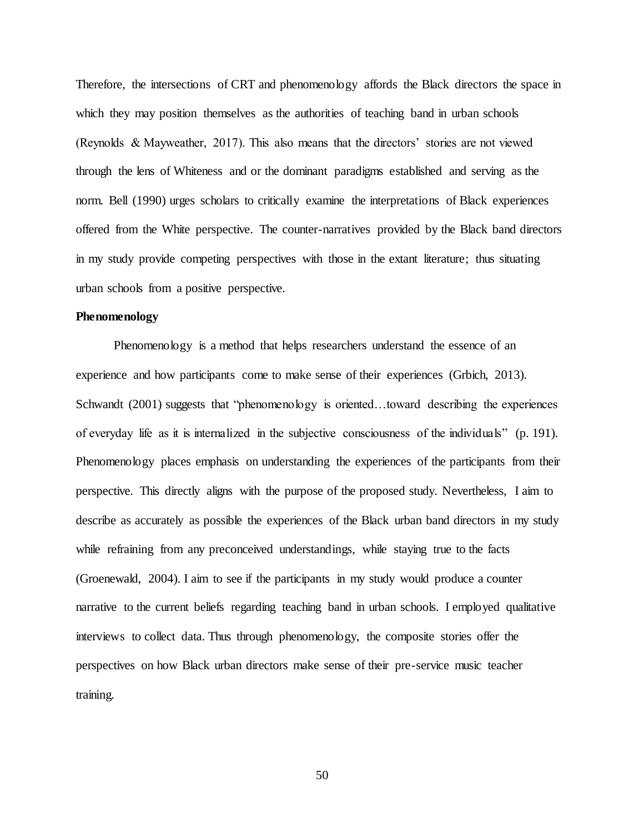Therefore, the intersections of CRT and phenomenology affords the Black directors the space in which they may position themselves as the authorities of teaching band in urban schools (Reynolds & Mayweather, 2017). This also means that the directors' stories are not viewed through the lens of Whiteness and or the dominant paradigms established and serving as the norm. Bell (1990) urges scholars to critically examine the interpretations of Black experiences offered from the White perspective. The counter-narratives provided by the Black band directors in my study provide competing perspectives with those in the extant literature; thus situating urban schools from a positive perspective.

### **Phenomenology**

Phenomenology is a method that helps researchers understand the essence of an experience and how participants come to make sense of their experiences (Grbich, 2013). Schwandt (2001) suggests that "phenomenology is oriented...toward describing the experiences of everyday life as it is internalized in the subjective consciousness of the individuals" (p. 191). Phenomenology places emphasis on understanding the experiences of the participants from their perspective. This directly aligns with the purpose of the proposed study. Nevertheless, I aim to describe as accurately as possible the experiences of the Black urban band directors in my study while refraining from any preconceived understandings, while staying true to the facts (Groenewald, 2004). I aim to see if the participants in my study would produce a counter narrative to the current beliefs regarding teaching band in urban schools. I employed qualitative interviews to collect data. Thus through phenomenology, the composite stories offer the perspectives on how Black urban directors make sense of their pre-service music teacher training.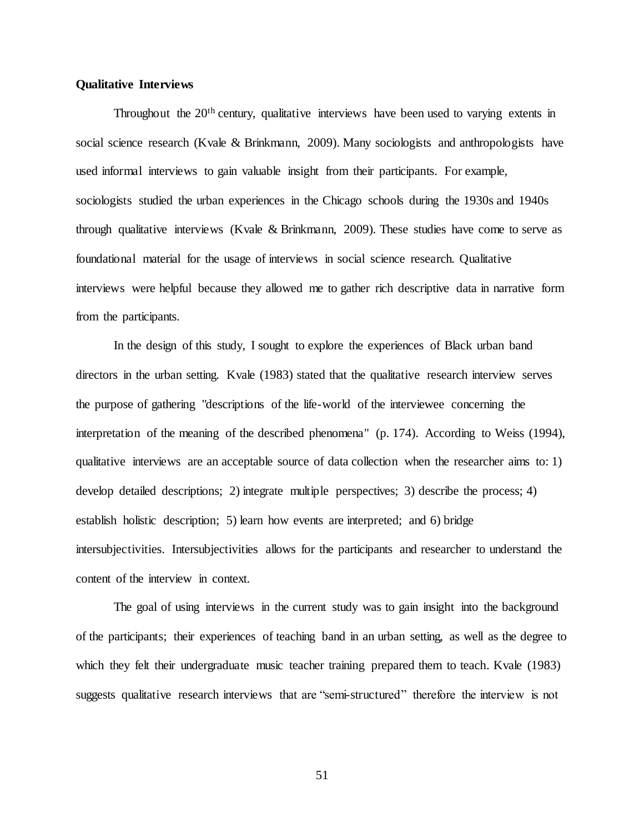## **Qualitative Interviews**

Throughout the 20<sup>th</sup> century, qualitative interviews have been used to varying extents in social science research (Kvale & Brinkmann, 2009). Many sociologists and anthropologists have used informal interviews to gain valuable insight from their participants. For example, sociologists studied the urban experiences in the Chicago schools during the 1930s and 1940s through qualitative interviews (Kvale & Brinkmann, 2009). These studies have come to serve as foundational material for the usage of interviews in social science research. Qualitative interviews were helpful because they allowed me to gather rich descriptive data in narrative form from the participants.

In the design of this study, I sought to explore the experiences of Black urban band directors in the urban setting. Kvale (1983) stated that the qualitative research interview serves the purpose of gathering "descriptions of the life-world of the interviewee concerning the interpretation of the meaning of the described phenomena" (p. 174). According to Weiss (1994), qualitative interviews are an acceptable source of data collection when the researcher aims to: 1) develop detailed descriptions; 2) integrate multiple perspectives; 3) describe the process; 4) establish holistic description; 5) learn how events are interpreted; and 6) bridge intersubjectivities. Intersubjectivities allows for the participants and researcher to understand the content of the interview in context.

The goal of using interviews in the current study was to gain insight into the background of the participants; their experiences of teaching band in an urban setting, as well as the degree to which they felt their undergraduate music teacher training prepared them to teach. Kvale (1983) suggests qualitative research interviews that are "semi-structured" therefore the interview is not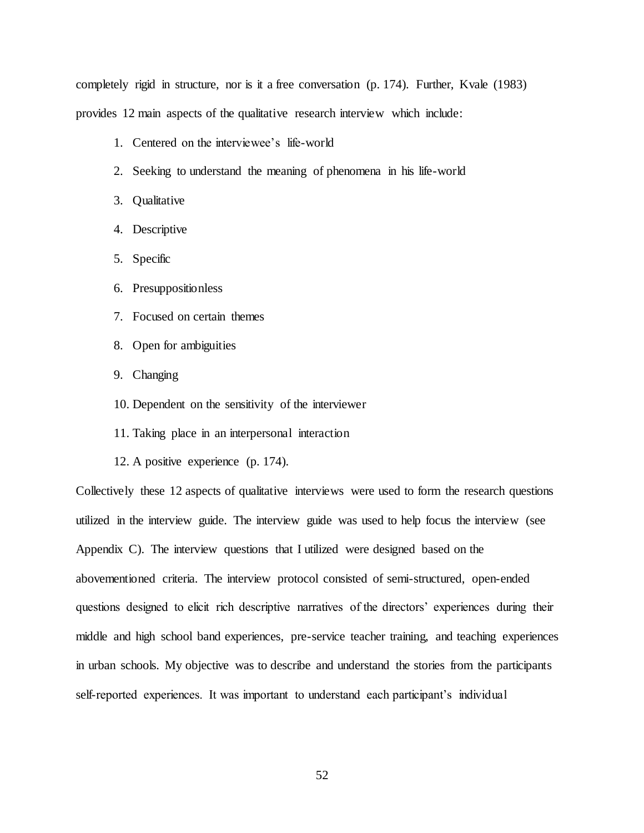completely rigid in structure, nor is it a free conversation (p. 174). Further, Kvale (1983) provides 12 main aspects of the qualitative research interview which include:

- 1. Centered on the interviewee's life-world
- 2. Seeking to understand the meaning of phenomena in his life-world
- 3. Qualitative
- 4. Descriptive
- 5. Specific
- 6. Presuppositionless
- 7. Focused on certain themes
- 8. Open for ambiguities
- 9. Changing
- 10. Dependent on the sensitivity of the interviewer
- 11. Taking place in an interpersonal interaction
- 12. A positive experience (p. 174).

Collectively these 12 aspects of qualitative interviews were used to form the research questions utilized in the interview guide. The interview guide was used to help focus the interview (see Appendix C). The interview questions that I utilized were designed based on the abovementioned criteria. The interview protocol consisted of semi-structured, open-ended questions designed to elicit rich descriptive narratives of the directors' experiences during their middle and high school band experiences, pre-service teacher training, and teaching experiences in urban schools. My objective was to describe and understand the stories from the participants self-reported experiences. It was important to understand each participant's individual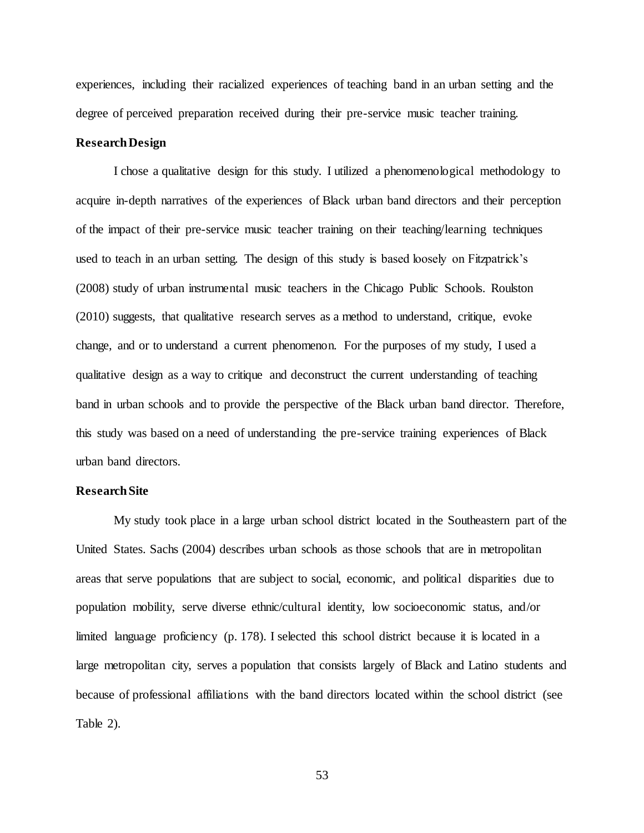experiences, including their racialized experiences of teaching band in an urban setting and the degree of perceived preparation received during their pre-service music teacher training.

# **Research Design**

I chose a qualitative design for this study. I utilized a phenomenological methodology to acquire in-depth narratives of the experiences of Black urban band directors and their perception of the impact of their pre-service music teacher training on their teaching/learning techniques used to teach in an urban setting. The design of this study is based loosely on Fitzpatrick's (2008) study of urban instrumental music teachers in the Chicago Public Schools. Roulston (2010) suggests, that qualitative research serves as a method to understand, critique, evoke change, and or to understand a current phenomenon. For the purposes of my study, I used a qualitative design as a way to critique and deconstruct the current understanding of teaching band in urban schools and to provide the perspective of the Black urban band director. Therefore, this study was based on a need of understanding the pre-service training experiences of Black urban band directors.

### **Research Site**

My study took place in a large urban school district located in the Southeastern part of the United States. Sachs (2004) describes urban schools as those schools that are in metropolitan areas that serve populations that are subject to social, economic, and political disparities due to population mobility, serve diverse ethnic/cultural identity, low socioeconomic status, and/or limited language proficiency (p. 178). I selected this school district because it is located in a large metropolitan city, serves a population that consists largely of Black and Latino students and because of professional affiliations with the band directors located within the school district (see Table 2).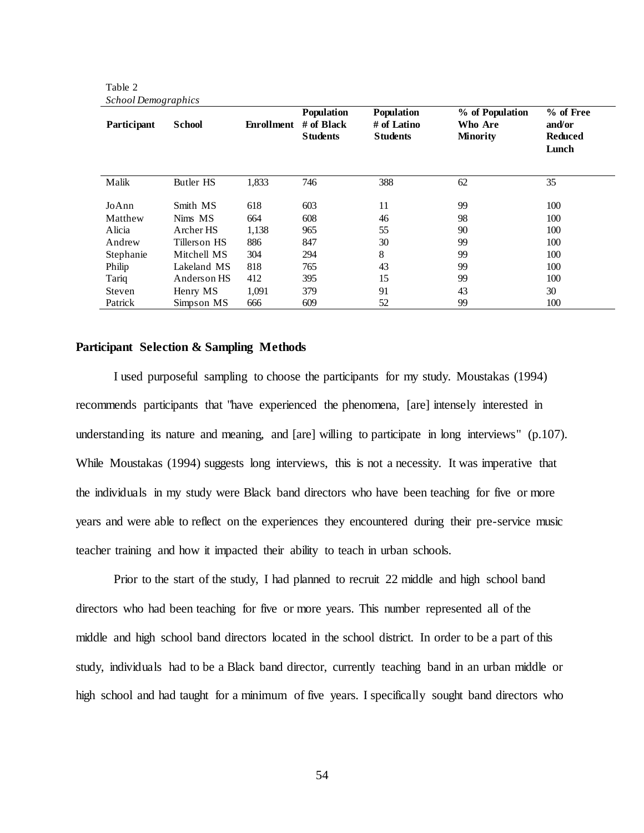| 5.0000<br>Participant | <b>School</b>    | Enrollment | <b>Population</b><br>$#$ of Black<br><b>Students</b> | <b>Population</b><br># of Latino<br><b>Students</b> | % of Population<br>Who Are<br><b>Minority</b> | % of Free<br>and/or<br><b>Reduced</b><br>Lunch |
|-----------------------|------------------|------------|------------------------------------------------------|-----------------------------------------------------|-----------------------------------------------|------------------------------------------------|
| Malik                 | <b>Butler HS</b> | 1,833      | 746                                                  | 388                                                 | 62                                            | 35                                             |
| JoAnn                 | Smith MS         | 618        | 603                                                  | 11                                                  | 99                                            | 100                                            |
| Matthew               | Nims MS          | 664        | 608                                                  | 46                                                  | 98                                            | 100                                            |
| Alicia                | Archer HS        | 1,138      | 965                                                  | 55                                                  | 90                                            | 100                                            |
| Andrew                | Tillers on HS    | 886        | 847                                                  | 30                                                  | 99                                            | 100                                            |
| Stephanie             | Mitchell MS      | 304        | 294                                                  | 8                                                   | 99                                            | 100                                            |
| Philip                | Lakeland MS      | 818        | 765                                                  | 43                                                  | 99                                            | 100                                            |
| Tariq                 | Anders on HS     | 412        | 395                                                  | 15                                                  | 99                                            | 100                                            |
| Steven                | Henry MS         | 1,091      | 379                                                  | 91                                                  | 43                                            | 30                                             |
| Patrick               | Simpson MS       | 666        | 609                                                  | 52                                                  | 99                                            | 100                                            |

Table 2 *School Demographics*

# **Participant Selection & Sampling Methods**

I used purposeful sampling to choose the participants for my study. Moustakas (1994) recommends participants that "have experienced the phenomena, [are] intensely interested in understanding its nature and meaning, and [are] willing to participate in long interviews" (p.107). While Moustakas (1994) suggests long interviews, this is not a necessity. It was imperative that the individuals in my study were Black band directors who have been teaching for five or more years and were able to reflect on the experiences they encountered during their pre-service music teacher training and how it impacted their ability to teach in urban schools.

Prior to the start of the study, I had planned to recruit 22 middle and high school band directors who had been teaching for five or more years. This number represented all of the middle and high school band directors located in the school district. In order to be a part of this study, individuals had to be a Black band director, currently teaching band in an urban middle or high school and had taught for a minimum of five years. I specifically sought band directors who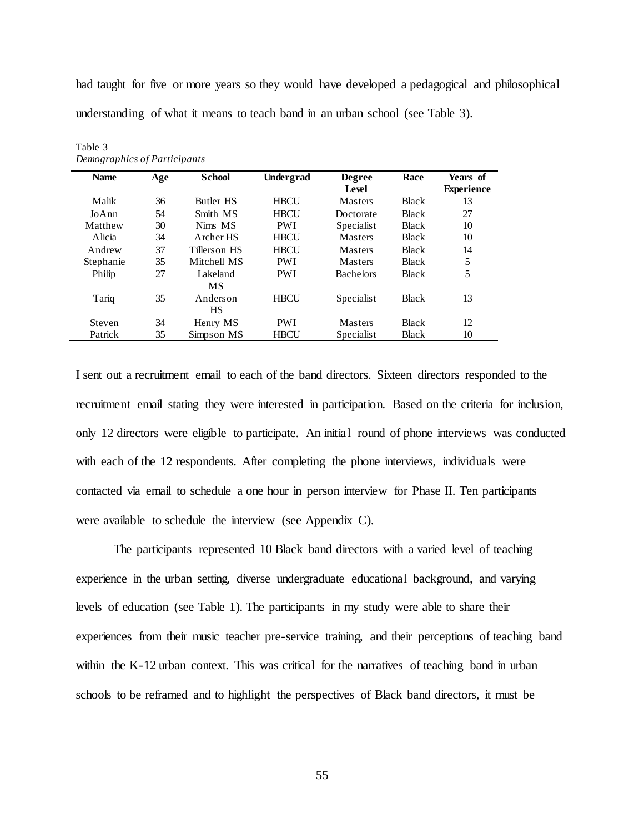had taught for five or more years so they would have developed a pedagogical and philosophical understanding of what it means to teach band in an urban school (see Table 3).

| <b>Name</b> | Age | <b>School</b>                      | Undergrad   | <b>Degree</b><br>Level | Race         | Years of<br><b>Experience</b> |
|-------------|-----|------------------------------------|-------------|------------------------|--------------|-------------------------------|
| Malik       | 36  | <b>Butler HS</b>                   | <b>HBCU</b> | <b>Masters</b>         | <b>Black</b> | 13                            |
| JoAnn       | 54  | Smith MS                           | <b>HBCU</b> | Doctorate              | <b>Black</b> | 27                            |
| Matthew     | 30  | Nims MS                            | <b>PWI</b>  | Specialist             | <b>Black</b> | 10                            |
| A licia     | 34  | Archer HS                          | <b>HBCU</b> | <b>Masters</b>         | <b>Black</b> | 10                            |
| Andrew      | 37  | Tillerson HS                       | <b>HBCU</b> | Masters                | <b>Black</b> | 14                            |
| Stephanie   | 35  | Mitchell MS                        | <b>PWI</b>  | <b>Masters</b>         | <b>Black</b> | 5                             |
| Philip      | 27  | Lakeland                           | <b>PWI</b>  | <b>Bachelors</b>       | <b>Black</b> | 5                             |
| Tariq       | 35  | <b>MS</b><br>Anderson<br><b>HS</b> | <b>HBCU</b> | Specialist             | <b>Black</b> | 13                            |
| Steven      | 34  | Henry MS                           | <b>PWI</b>  | <b>Masters</b>         | <b>Black</b> | 12                            |
| Patrick     | 35  | Simpson MS                         | <b>HBCU</b> | Specialist             | <b>Black</b> | 10                            |

Table 3 *Demographics of Participants* 

I sent out a recruitment email to each of the band directors. Sixteen directors responded to the recruitment email stating they were interested in participation. Based on the criteria for inclusion, only 12 directors were eligible to participate. An initial round of phone interviews was conducted with each of the 12 respondents. After completing the phone interviews, individuals were contacted via email to schedule a one hour in person interview for Phase II. Ten participants were available to schedule the interview (see Appendix C).

The participants represented 10 Black band directors with a varied level of teaching experience in the urban setting, diverse undergraduate educational background, and varying levels of education (see Table 1). The participants in my study were able to share their experiences from their music teacher pre-service training, and their perceptions of teaching band within the K-12 urban context. This was critical for the narratives of teaching band in urban schools to be reframed and to highlight the perspectives of Black band directors, it must be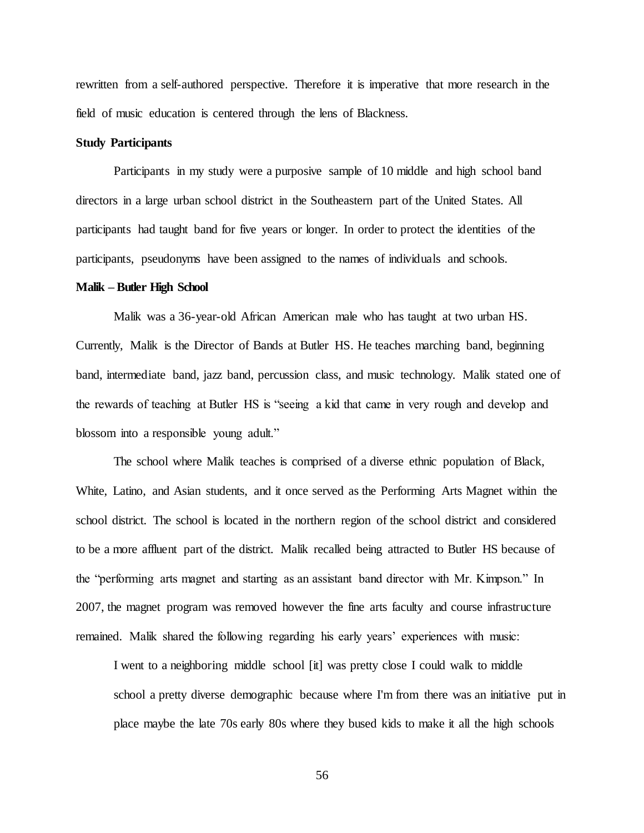rewritten from a self-authored perspective. Therefore it is imperative that more research in the field of music education is centered through the lens of Blackness.

# **Study Participants**

Participants in my study were a purposive sample of 10 middle and high school band directors in a large urban school district in the Southeastern part of the United States. All participants had taught band for five years or longer. In order to protect the identities of the participants, pseudonyms have been assigned to the names of individuals and schools.

#### **Malik – Butler High School**

Malik was a 36-year-old African American male who has taught at two urban HS. Currently, Malik is the Director of Bands at Butler HS. He teaches marching band, beginning band, intermediate band, jazz band, percussion class, and music technology. Malik stated one of the rewards of teaching at Butler HS is "seeing a kid that came in very rough and develop and blossom into a responsible young adult."

The school where Malik teaches is comprised of a diverse ethnic population of Black, White, Latino, and Asian students, and it once served as the Performing Arts Magnet within the school district. The school is located in the northern region of the school district and considered to be a more affluent part of the district. Malik recalled being attracted to Butler HS because of the "performing arts magnet and starting as an assistant band director with Mr. Kimpson." In 2007, the magnet program was removed however the fine arts faculty and course infrastructure remained. Malik shared the following regarding his early years' experiences with music:

I went to a neighboring middle school [it] was pretty close I could walk to middle school a pretty diverse demographic because where I'm from there was an initiative put in place maybe the late 70s early 80s where they bused kids to make it all the high schools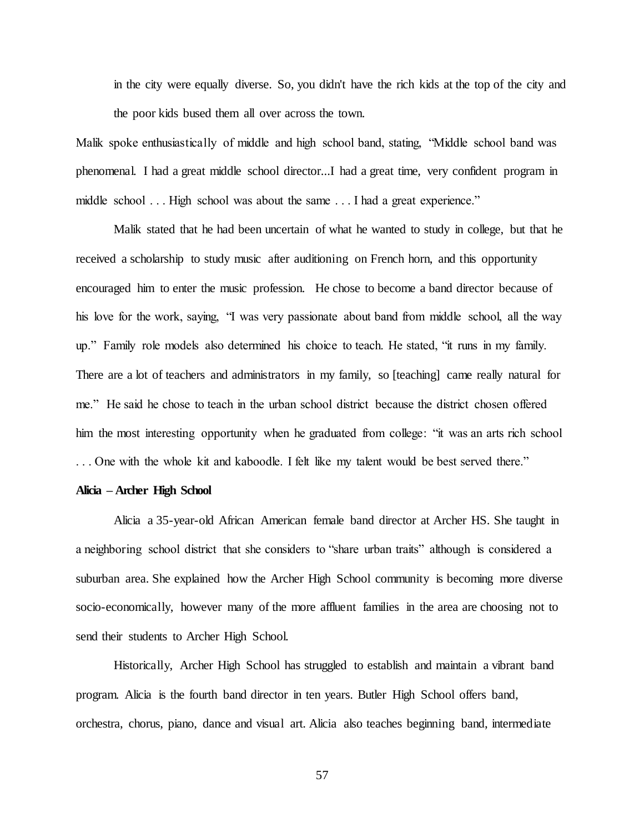in the city were equally diverse. So, you didn't have the rich kids at the top of the city and the poor kids bused them all over across the town.

Malik spoke enthusiastically of middle and high school band, stating, "Middle school band was phenomenal. I had a great middle school director...I had a great time, very confident program in middle school . . . High school was about the same . . . I had a great experience."

Malik stated that he had been uncertain of what he wanted to study in college, but that he received a scholarship to study music after auditioning on French horn, and this opportunity encouraged him to enter the music profession. He chose to become a band director because of his love for the work, saying, "I was very passionate about band from middle school, all the way up." Family role models also determined his choice to teach. He stated, "it runs in my family. There are a lot of teachers and administrators in my family, so [teaching] came really natural for me." He said he chose to teach in the urban school district because the district chosen offered him the most interesting opportunity when he graduated from college: "it was an arts rich school . . . One with the whole kit and kaboodle. I felt like my talent would be best served there."

#### **Alicia – Archer High School**

Alicia a 35-year-old African American female band director at Archer HS. She taught in a neighboring school district that she considers to "share urban traits" although is considered a suburban area. She explained how the Archer High School community is becoming more diverse socio-economically, however many of the more affluent families in the area are choosing not to send their students to Archer High School.

Historically, Archer High School has struggled to establish and maintain a vibrant band program. Alicia is the fourth band director in ten years. Butler High School offers band, orchestra, chorus, piano, dance and visual art. Alicia also teaches beginning band, intermediate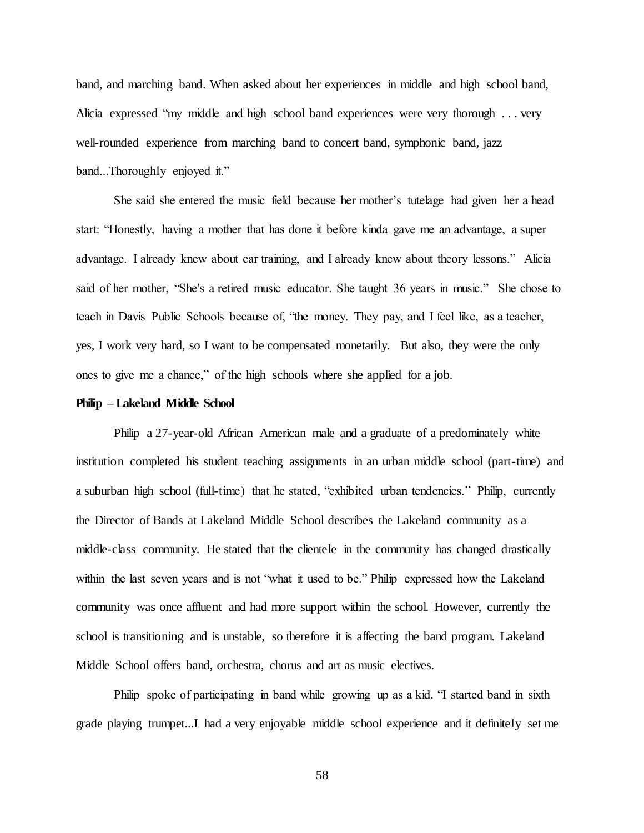band, and marching band. When asked about her experiences in middle and high school band, Alicia expressed "my middle and high school band experiences were very thorough . . . very well-rounded experience from marching band to concert band, symphonic band, jazz band...Thoroughly enjoyed it."

She said she entered the music field because her mother's tutelage had given her a head start: "Honestly, having a mother that has done it before kinda gave me an advantage, a super advantage. I already knew about ear training, and I already knew about theory lessons." Alicia said of her mother, "She's a retired music educator. She taught 36 years in music." She chose to teach in Davis Public Schools because of, "the money. They pay, and I feel like, as a teacher, yes, I work very hard, so I want to be compensated monetarily. But also, they were the only ones to give me a chance," of the high schools where she applied for a job.

#### **Philip – Lakeland Middle School**

Philip a 27-year-old African American male and a graduate of a predominately white institution completed his student teaching assignments in an urban middle school (part-time) and a suburban high school (full-time) that he stated, "exhibited urban tendencies." Philip, currently the Director of Bands at Lakeland Middle School describes the Lakeland community as a middle-class community. He stated that the clientele in the community has changed drastically within the last seven years and is not "what it used to be." Philip expressed how the Lakeland community was once affluent and had more support within the school. However, currently the school is transitioning and is unstable, so therefore it is affecting the band program. Lakeland Middle School offers band, orchestra, chorus and art as music electives.

Philip spoke of participating in band while growing up as a kid. "I started band in sixth grade playing trumpet...I had a very enjoyable middle school experience and it definitely set me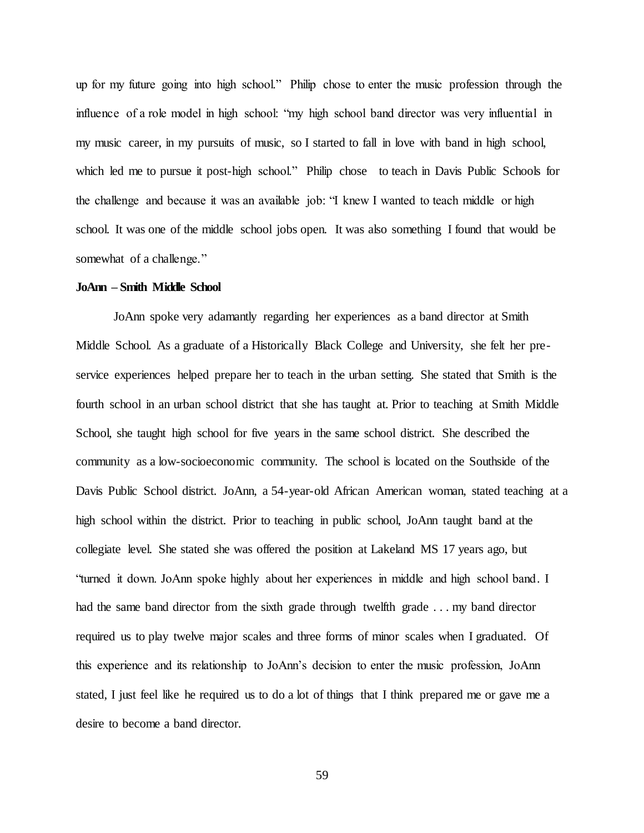up for my future going into high school." Philip chose to enter the music profession through the influence of a role model in high school: "my high school band director was very influential in my music career, in my pursuits of music, so I started to fall in love with band in high school, which led me to pursue it post-high school." Philip chose to teach in Davis Public Schools for the challenge and because it was an available job: "I knew I wanted to teach middle or high school. It was one of the middle school jobs open. It was also something I found that would be somewhat of a challenge."

### **JoAnn – Smith Middle School**

JoAnn spoke very adamantly regarding her experiences as a band director at Smith Middle School. As a graduate of a Historically Black College and University, she felt her preservice experiences helped prepare her to teach in the urban setting. She stated that Smith is the fourth school in an urban school district that she has taught at. Prior to teaching at Smith Middle School, she taught high school for five years in the same school district. She described the community as a low-socioeconomic community. The school is located on the Southside of the Davis Public School district. JoAnn, a 54-year-old African American woman, stated teaching at a high school within the district. Prior to teaching in public school, JoAnn taught band at the collegiate level. She stated she was offered the position at Lakeland MS 17 years ago, but "turned it down. JoAnn spoke highly about her experiences in middle and high school band. I had the same band director from the sixth grade through twelfth grade . . . my band director required us to play twelve major scales and three forms of minor scales when I graduated. Of this experience and its relationship to JoAnn's decision to enter the music profession, JoAnn stated, I just feel like he required us to do a lot of things that I think prepared me or gave me a desire to become a band director.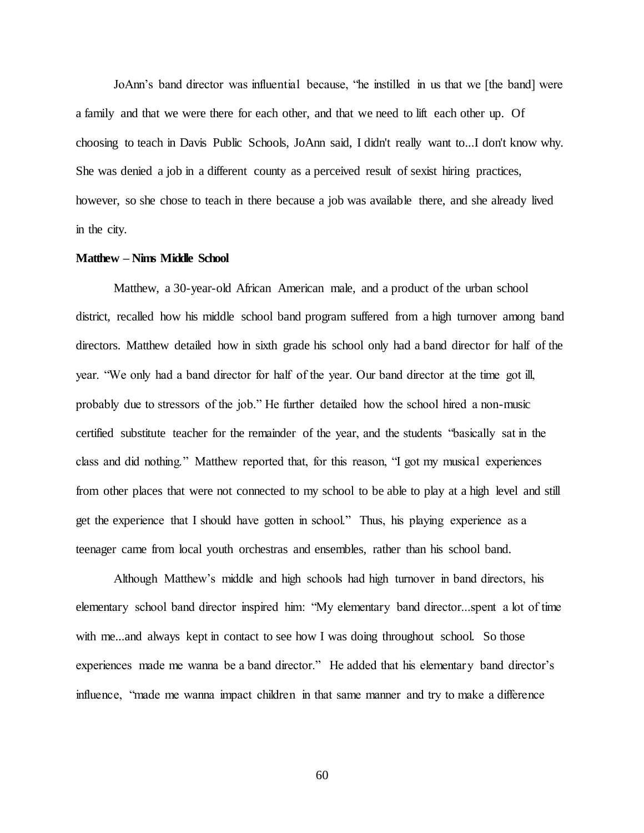JoAnn's band director was influential because, "he instilled in us that we [the band] were a family and that we were there for each other, and that we need to lift each other up. Of choosing to teach in Davis Public Schools, JoAnn said, I didn't really want to...I don't know why. She was denied a job in a different county as a perceived result of sexist hiring practices, however, so she chose to teach in there because a job was available there, and she already lived in the city.

#### **Matthew – Nims Middle School**

Matthew, a 30-year-old African American male, and a product of the urban school district, recalled how his middle school band program suffered from a high turnover among band directors. Matthew detailed how in sixth grade his school only had a band director for half of the year. "We only had a band director for half of the year. Our band director at the time got ill, probably due to stressors of the job." He further detailed how the school hired a non-music certified substitute teacher for the remainder of the year, and the students "basically sat in the class and did nothing." Matthew reported that, for this reason, "I got my musical experiences from other places that were not connected to my school to be able to play at a high level and still get the experience that I should have gotten in school." Thus, his playing experience as a teenager came from local youth orchestras and ensembles, rather than his school band.

Although Matthew's middle and high schools had high turnover in band directors, his elementary school band director inspired him: "My elementary band director...spent a lot of time with me...and always kept in contact to see how I was doing throughout school. So those experiences made me wanna be a band director." He added that his elementary band director's influence, "made me wanna impact children in that same manner and try to make a difference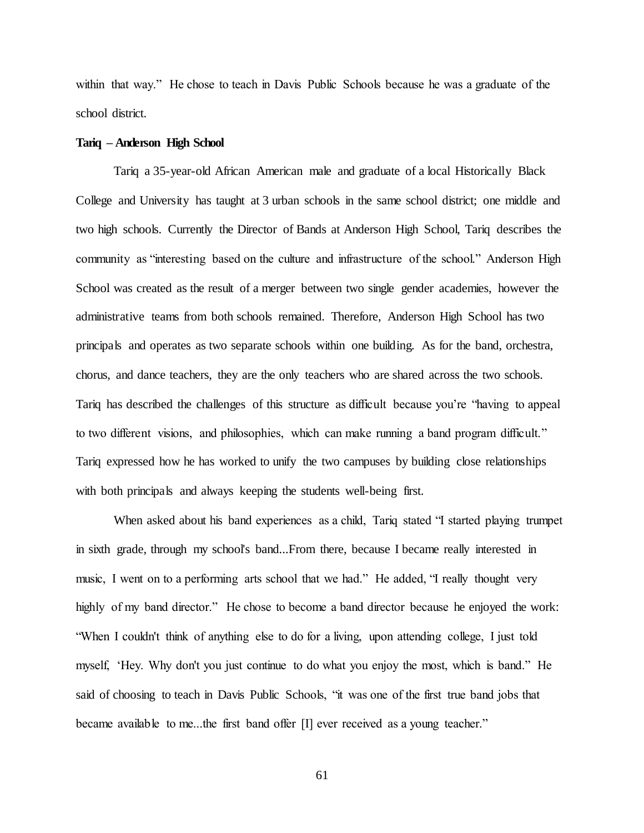within that way." He chose to teach in Davis Public Schools because he was a graduate of the school district.

### **Tariq – Anderson High School**

Tariq a 35-year-old African American male and graduate of a local Historically Black College and University has taught at 3 urban schools in the same school district; one middle and two high schools. Currently the Director of Bands at Anderson High School, Tariq describes the community as "interesting based on the culture and infrastructure of the school." Anderson High School was created as the result of a merger between two single gender academies, however the administrative teams from both schools remained. Therefore, Anderson High School has two principals and operates as two separate schools within one building. As for the band, orchestra, chorus, and dance teachers, they are the only teachers who are shared across the two schools. Tariq has described the challenges of this structure as difficult because you're "having to appeal to two different visions, and philosophies, which can make running a band program difficult." Tariq expressed how he has worked to unify the two campuses by building close relationships with both principals and always keeping the students well-being first.

When asked about his band experiences as a child, Tariq stated "I started playing trumpet in sixth grade, through my school's band...From there, because I became really interested in music, I went on to a performing arts school that we had." He added, "I really thought very highly of my band director." He chose to become a band director because he enjoyed the work: "When I couldn't think of anything else to do for a living, upon attending college, I just told myself, 'Hey. Why don't you just continue to do what you enjoy the most, which is band." He said of choosing to teach in Davis Public Schools, "it was one of the first true band jobs that became available to me...the first band offer [I] ever received as a young teacher."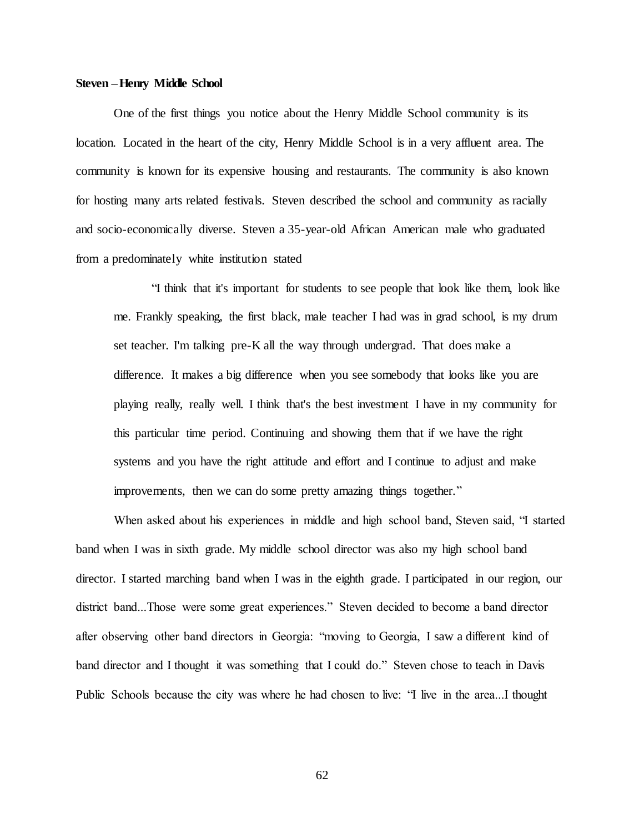### **Steven –Henry Middle School**

One of the first things you notice about the Henry Middle School community is its location. Located in the heart of the city, Henry Middle School is in a very affluent area. The community is known for its expensive housing and restaurants. The community is also known for hosting many arts related festivals. Steven described the school and community as racially and socio-economically diverse. Steven a 35-year-old African American male who graduated from a predominately white institution stated

"I think that it's important for students to see people that look like them, look like me. Frankly speaking, the first black, male teacher I had was in grad school, is my drum set teacher. I'm talking pre-K all the way through undergrad. That does make a difference. It makes a big difference when you see somebody that looks like you are playing really, really well. I think that's the best investment I have in my community for this particular time period. Continuing and showing them that if we have the right systems and you have the right attitude and effort and I continue to adjust and make improvements, then we can do some pretty amazing things together."

When asked about his experiences in middle and high school band, Steven said, "I started band when I was in sixth grade. My middle school director was also my high school band director. I started marching band when I was in the eighth grade. I participated in our region, our district band...Those were some great experiences." Steven decided to become a band director after observing other band directors in Georgia: "moving to Georgia, I saw a different kind of band director and I thought it was something that I could do." Steven chose to teach in Davis Public Schools because the city was where he had chosen to live: "I live in the area...I thought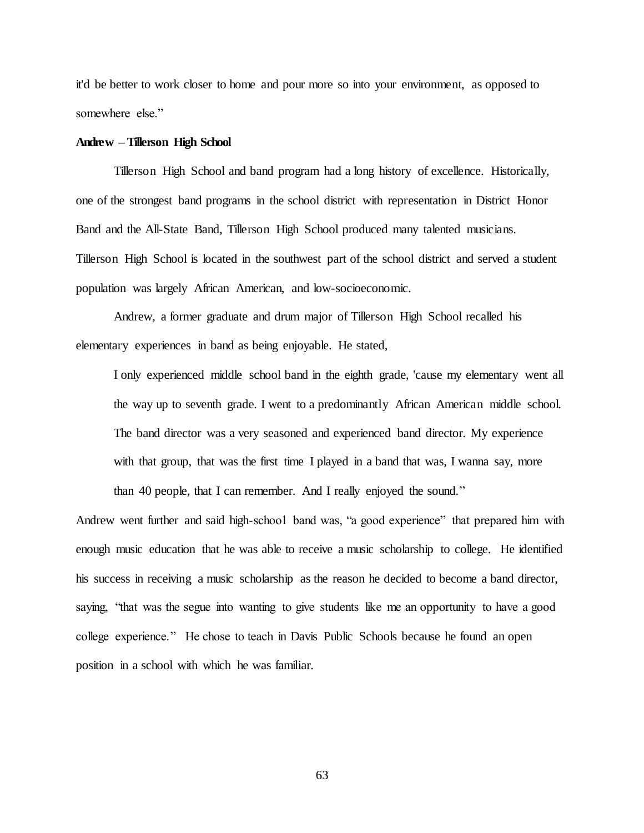it'd be better to work closer to home and pour more so into your environment, as opposed to somewhere else."

#### **Andrew – Tillerson High School**

Tillerson High School and band program had a long history of excellence. Historically, one of the strongest band programs in the school district with representation in District Honor Band and the All-State Band, Tillerson High School produced many talented musicians. Tillerson High School is located in the southwest part of the school district and served a student population was largely African American, and low-socioeconomic.

Andrew, a former graduate and drum major of Tillerson High School recalled his elementary experiences in band as being enjoyable. He stated,

I only experienced middle school band in the eighth grade, 'cause my elementary went all the way up to seventh grade. I went to a predominantly African American middle school. The band director was a very seasoned and experienced band director. My experience with that group, that was the first time I played in a band that was, I wanna say, more

than 40 people, that I can remember. And I really enjoyed the sound."

Andrew went further and said high-school band was, "a good experience" that prepared him with enough music education that he was able to receive a music scholarship to college. He identified his success in receiving a music scholarship as the reason he decided to become a band director, saying, "that was the segue into wanting to give students like me an opportunity to have a good college experience." He chose to teach in Davis Public Schools because he found an open position in a school with which he was familiar.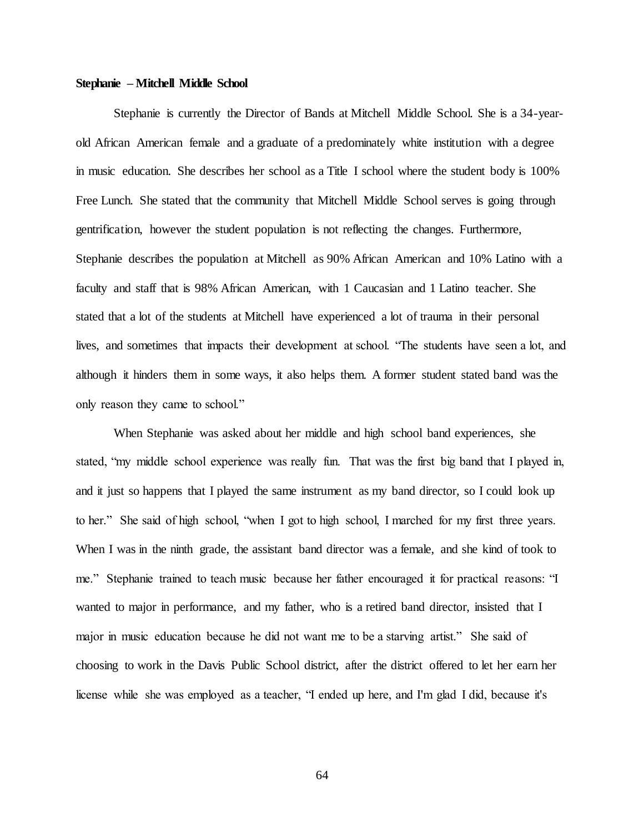### **Stephanie – Mitchell Middle School**

Stephanie is currently the Director of Bands at Mitchell Middle School. She is a 34-yearold African American female and a graduate of a predominately white institution with a degree in music education. She describes her school as a Title I school where the student body is 100% Free Lunch. She stated that the community that Mitchell Middle School serves is going through gentrification, however the student population is not reflecting the changes. Furthermore, Stephanie describes the population at Mitchell as 90% African American and 10% Latino with a faculty and staff that is 98% African American, with 1 Caucasian and 1 Latino teacher. She stated that a lot of the students at Mitchell have experienced a lot of trauma in their personal lives, and sometimes that impacts their development at school. "The students have seen a lot, and although it hinders them in some ways, it also helps them. A former student stated band was the only reason they came to school."

When Stephanie was asked about her middle and high school band experiences, she stated, "my middle school experience was really fun. That was the first big band that I played in, and it just so happens that I played the same instrument as my band director, so I could look up to her." She said of high school, "when I got to high school, I marched for my first three years. When I was in the ninth grade, the assistant band director was a female, and she kind of took to me." Stephanie trained to teach music because her father encouraged it for practical reasons: "I wanted to major in performance, and my father, who is a retired band director, insisted that I major in music education because he did not want me to be a starving artist." She said of choosing to work in the Davis Public School district, after the district offered to let her earn her license while she was employed as a teacher, "I ended up here, and I'm glad I did, because it's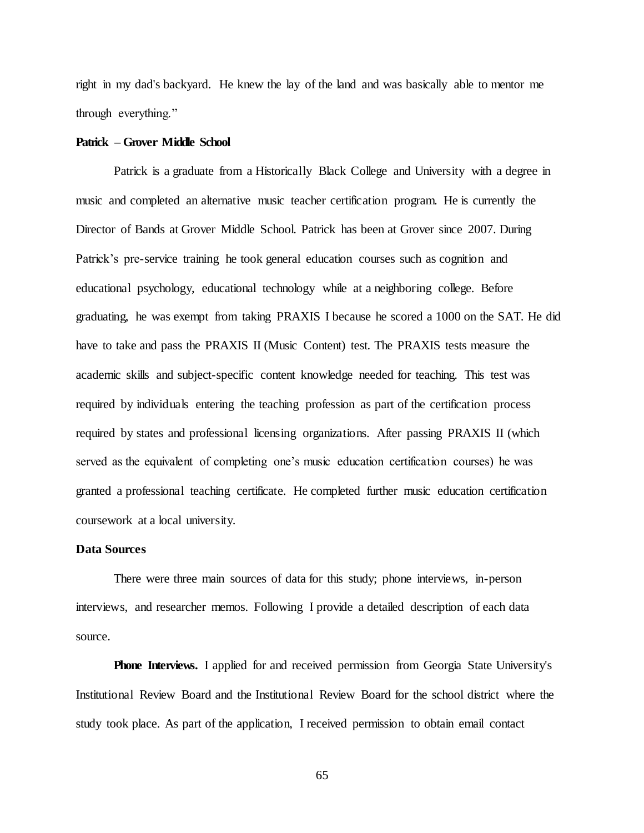right in my dad's backyard. He knew the lay of the land and was basically able to mentor me through everything."

#### **Patrick – Grover Middle School**

Patrick is a graduate from a Historically Black College and University with a degree in music and completed an alternative music teacher certification program. He is currently the Director of Bands at Grover Middle School. Patrick has been at Grover since 2007. During Patrick's pre-service training he took general education courses such as cognition and educational psychology, educational technology while at a neighboring college. Before graduating, he was exempt from taking PRAXIS I because he scored a 1000 on the SAT. He did have to take and pass the PRAXIS II (Music Content) test. The PRAXIS tests measure the academic skills and subject-specific content knowledge needed for teaching. This test was required by individuals entering the teaching profession as part of the certification process required by states and professional licensing organizations. After passing PRAXIS II (which served as the equivalent of completing one's music education certification courses) he was granted a professional teaching certificate. He completed further music education certification coursework at a local university.

# **Data Sources**

There were three main sources of data for this study; phone interviews, in-person interviews, and researcher memos. Following I provide a detailed description of each data source.

**Phone Interviews.** I applied for and received permission from Georgia State University's Institutional Review Board and the Institutional Review Board for the school district where the study took place. As part of the application, I received permission to obtain email contact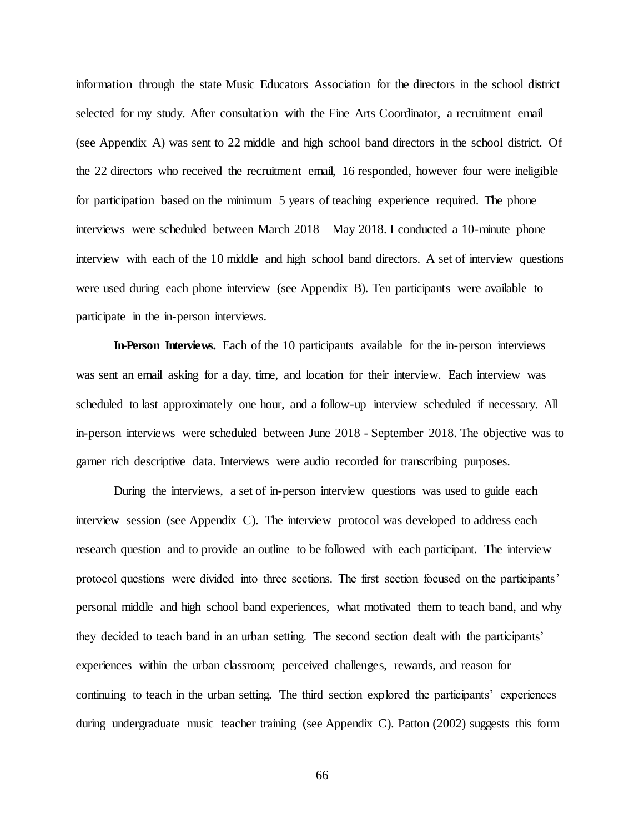information through the state Music Educators Association for the directors in the school district selected for my study. After consultation with the Fine Arts Coordinator, a recruitment email (see Appendix A) was sent to 22 middle and high school band directors in the school district. Of the 22 directors who received the recruitment email, 16 responded, however four were ineligible for participation based on the minimum 5 years of teaching experience required. The phone interviews were scheduled between March 2018 – May 2018. I conducted a 10-minute phone interview with each of the 10 middle and high school band directors. A set of interview questions were used during each phone interview (see Appendix B). Ten participants were available to participate in the in-person interviews.

**In-Person Interviews.** Each of the 10 participants available for the in-person interviews was sent an email asking for a day, time, and location for their interview. Each interview was scheduled to last approximately one hour, and a follow-up interview scheduled if necessary. All in-person interviews were scheduled between June 2018 - September 2018. The objective was to garner rich descriptive data. Interviews were audio recorded for transcribing purposes.

During the interviews, a set of in-person interview questions was used to guide each interview session (see Appendix C). The interview protocol was developed to address each research question and to provide an outline to be followed with each participant. The interview protocol questions were divided into three sections. The first section focused on the participants' personal middle and high school band experiences, what motivated them to teach band, and why they decided to teach band in an urban setting. The second section dealt with the participants' experiences within the urban classroom; perceived challenges, rewards, and reason for continuing to teach in the urban setting. The third section explored the participants' experiences during undergraduate music teacher training (see Appendix C). Patton (2002) suggests this form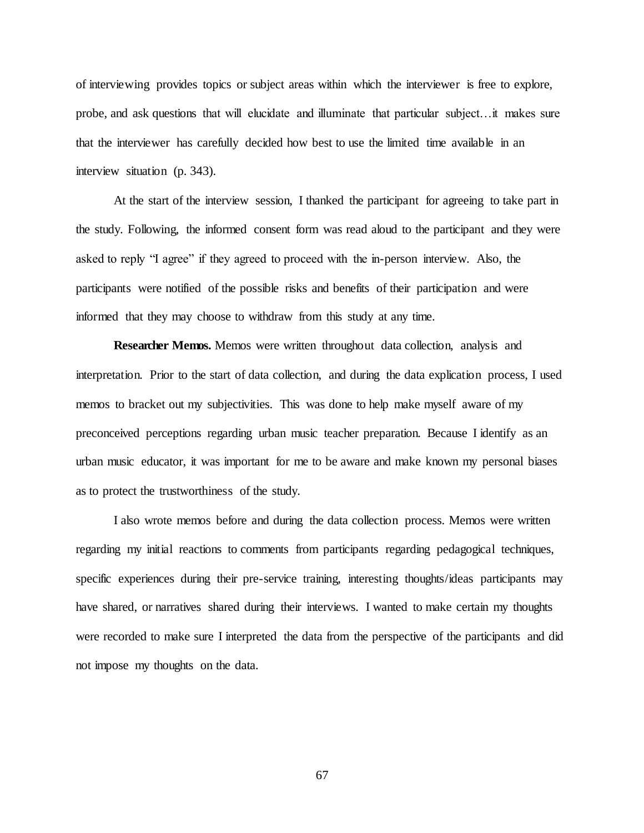of interviewing provides topics or subject areas within which the interviewer is free to explore, probe, and ask questions that will elucidate and illuminate that particular subject…it makes sure that the interviewer has carefully decided how best to use the limited time available in an interview situation (p. 343).

At the start of the interview session, I thanked the participant for agreeing to take part in the study. Following, the informed consent form was read aloud to the participant and they were asked to reply "I agree" if they agreed to proceed with the in-person interview. Also, the participants were notified of the possible risks and benefits of their participation and were informed that they may choose to withdraw from this study at any time.

**Researcher Memos.** Memos were written throughout data collection, analysis and interpretation. Prior to the start of data collection, and during the data explication process, I used memos to bracket out my subjectivities. This was done to help make myself aware of my preconceived perceptions regarding urban music teacher preparation. Because I identify as an urban music educator, it was important for me to be aware and make known my personal biases as to protect the trustworthiness of the study.

I also wrote memos before and during the data collection process. Memos were written regarding my initial reactions to comments from participants regarding pedagogical techniques, specific experiences during their pre-service training, interesting thoughts/ideas participants may have shared, or narratives shared during their interviews. I wanted to make certain my thoughts were recorded to make sure I interpreted the data from the perspective of the participants and did not impose my thoughts on the data.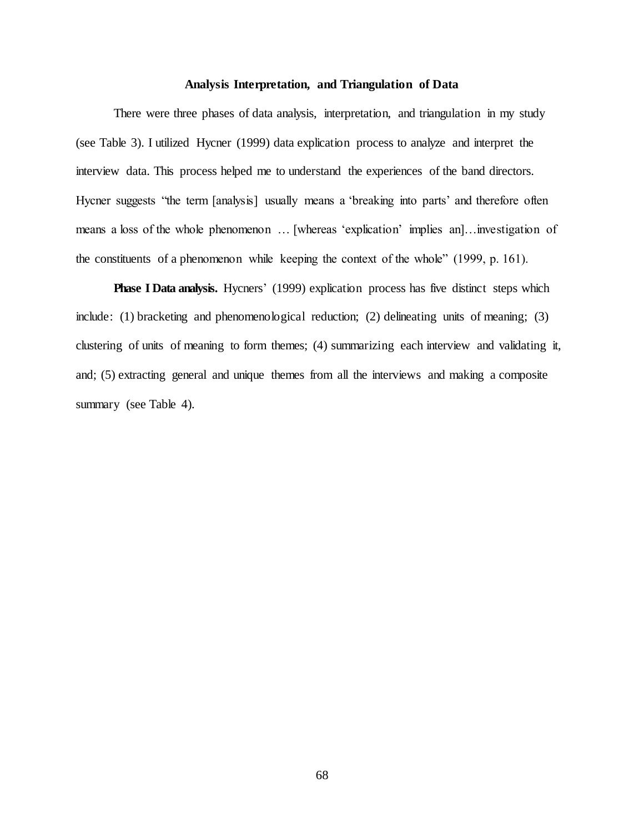### **Analysis Interpretation, and Triangulation of Data**

There were three phases of data analysis, interpretation, and triangulation in my study (see Table 3). I utilized Hycner (1999) data explication process to analyze and interpret the interview data. This process helped me to understand the experiences of the band directors. Hycner suggests "the term [analysis] usually means a 'breaking into parts' and therefore often means a loss of the whole phenomenon … [whereas 'explication' implies an]…investigation of the constituents of a phenomenon while keeping the context of the whole" (1999, p. 161).

**Phase I Data analysis.** Hycners' (1999) explication process has five distinct steps which include: (1) bracketing and phenomenological reduction; (2) delineating units of meaning; (3) clustering of units of meaning to form themes; (4) summarizing each interview and validating it, and; (5) extracting general and unique themes from all the interviews and making a composite summary (see Table 4).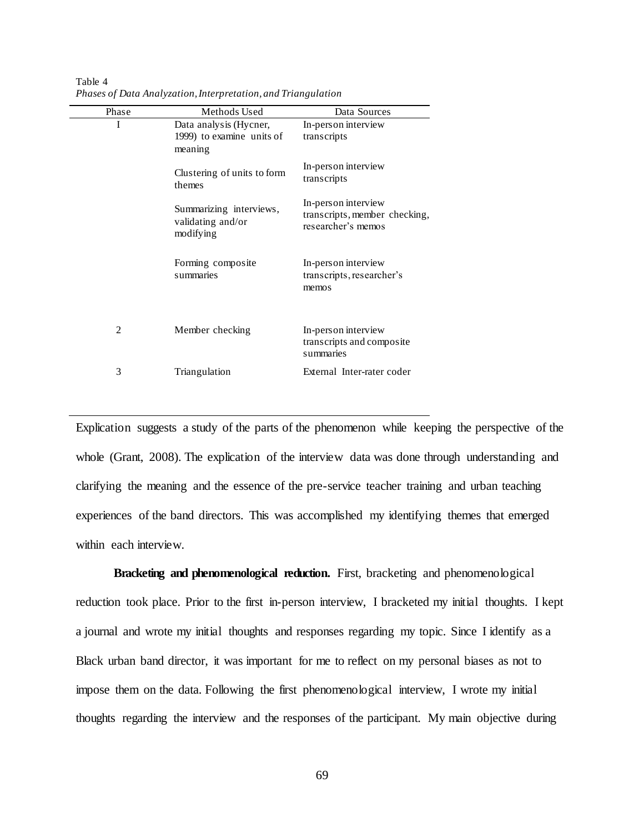| Phase | Methods Used                                                   | Data Sources                                                               |  |
|-------|----------------------------------------------------------------|----------------------------------------------------------------------------|--|
| Ι     | Data analysis (Hycner,<br>1999) to examine units of<br>meaning | In-person interview<br>transcripts                                         |  |
|       | Clustering of units to form<br>themes                          | In-person interview<br>transcripts                                         |  |
|       | Summarizing interviews,<br>validating and/or<br>modifying      | In-person interview<br>transcripts, member checking,<br>researcher's memos |  |
|       | Forming composite<br>summaries                                 | In-person interview<br>transcripts, researcher's<br>memos                  |  |
| 2     | Member checking                                                | In-person interview<br>transcripts and composite<br>summaries              |  |
| 3     | Triangulation                                                  | External Inter-rater coder                                                 |  |

Table 4 *Phases of Data Analyzation, Interpretation, and Triangulation*

Explication suggests a study of the parts of the phenomenon while keeping the perspective of the whole (Grant, 2008). The explication of the interview data was done through understanding and clarifying the meaning and the essence of the pre-service teacher training and urban teaching experiences of the band directors. This was accomplished my identifying themes that emerged within each interview.

**Bracketing and phenomenological reduction.** First, bracketing and phenomenological reduction took place. Prior to the first in-person interview, I bracketed my initial thoughts. I kept a journal and wrote my initial thoughts and responses regarding my topic. Since I identify as a Black urban band director, it was important for me to reflect on my personal biases as not to impose them on the data. Following the first phenomenological interview, I wrote my initial thoughts regarding the interview and the responses of the participant. My main objective during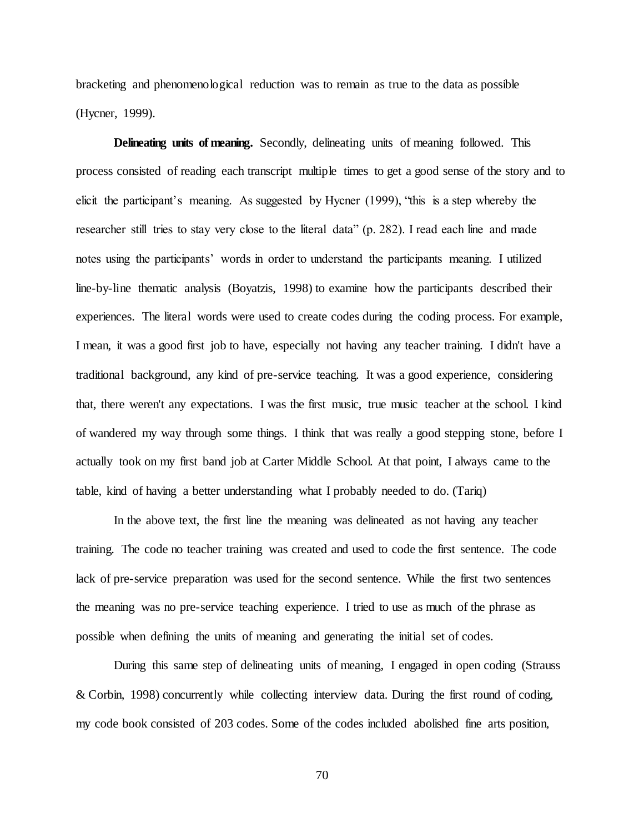bracketing and phenomenological reduction was to remain as true to the data as possible (Hycner, 1999).

**Delineating units of meaning.** Secondly, delineating units of meaning followed. This process consisted of reading each transcript multiple times to get a good sense of the story and to elicit the participant's meaning. As suggested by Hycner (1999), "this is a step whereby the researcher still tries to stay very close to the literal data" (p. 282). I read each line and made notes using the participants' words in order to understand the participants meaning. I utilized line-by-line thematic analysis (Boyatzis, 1998) to examine how the participants described their experiences. The literal words were used to create codes during the coding process. For example, I mean, it was a good first job to have, especially not having any teacher training. I didn't have a traditional background, any kind of pre-service teaching. It was a good experience, considering that, there weren't any expectations. I was the first music, true music teacher at the school. I kind of wandered my way through some things. I think that was really a good stepping stone, before I actually took on my first band job at Carter Middle School. At that point, I always came to the table, kind of having a better understanding what I probably needed to do. (Tariq)

In the above text, the first line the meaning was delineated as not having any teacher training. The code no teacher training was created and used to code the first sentence. The code lack of pre-service preparation was used for the second sentence. While the first two sentences the meaning was no pre-service teaching experience. I tried to use as much of the phrase as possible when defining the units of meaning and generating the initial set of codes.

During this same step of delineating units of meaning, I engaged in open coding (Strauss & Corbin, 1998) concurrently while collecting interview data. During the first round of coding, my code book consisted of 203 codes. Some of the codes included abolished fine arts position,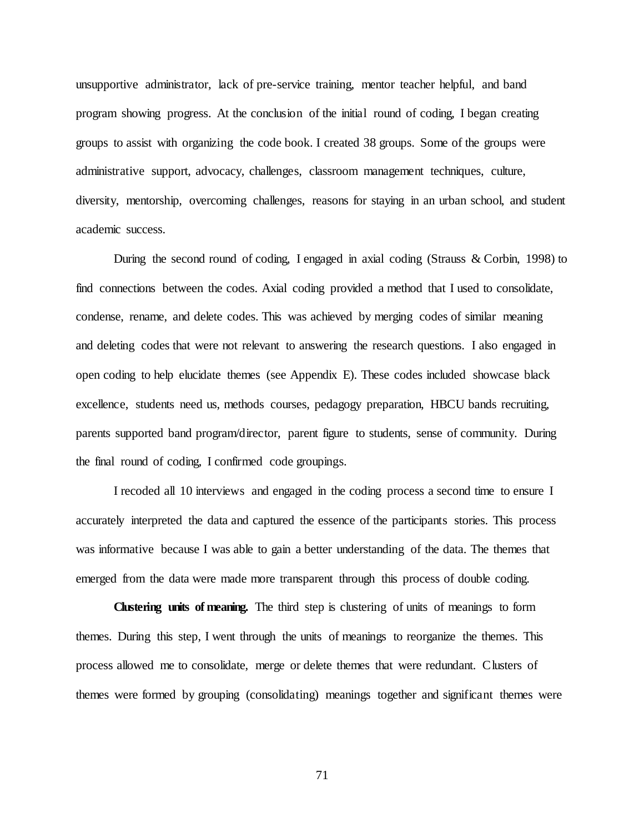unsupportive administrator, lack of pre-service training, mentor teacher helpful, and band program showing progress. At the conclusion of the initial round of coding, I began creating groups to assist with organizing the code book. I created 38 groups. Some of the groups were administrative support, advocacy, challenges, classroom management techniques, culture, diversity, mentorship, overcoming challenges, reasons for staying in an urban school, and student academic success.

During the second round of coding, I engaged in axial coding (Strauss & Corbin, 1998) to find connections between the codes. Axial coding provided a method that I used to consolidate, condense, rename, and delete codes. This was achieved by merging codes of similar meaning and deleting codes that were not relevant to answering the research questions. I also engaged in open coding to help elucidate themes (see Appendix E). These codes included showcase black excellence, students need us, methods courses, pedagogy preparation, HBCU bands recruiting, parents supported band program/director, parent figure to students, sense of community. During the final round of coding, I confirmed code groupings.

I recoded all 10 interviews and engaged in the coding process a second time to ensure I accurately interpreted the data and captured the essence of the participants stories. This process was informative because I was able to gain a better understanding of the data. The themes that emerged from the data were made more transparent through this process of double coding.

**Clustering units of meaning.** The third step is clustering of units of meanings to form themes. During this step, I went through the units of meanings to reorganize the themes. This process allowed me to consolidate, merge or delete themes that were redundant. Clusters of themes were formed by grouping (consolidating) meanings together and significant themes were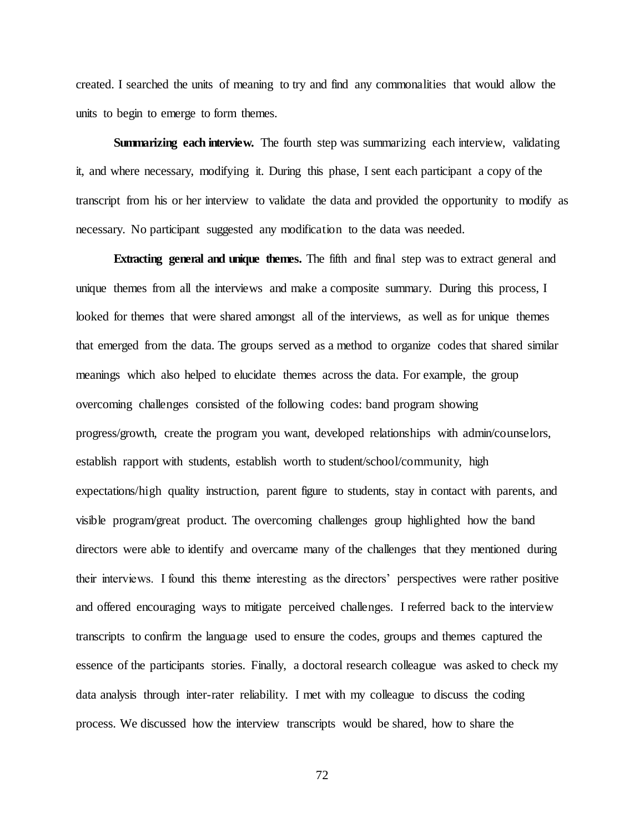created. I searched the units of meaning to try and find any commonalities that would allow the units to begin to emerge to form themes.

**Summarizing each interview.** The fourth step was summarizing each interview, validating it, and where necessary, modifying it. During this phase, I sent each participant a copy of the transcript from his or her interview to validate the data and provided the opportunity to modify as necessary. No participant suggested any modification to the data was needed.

**Extracting general and unique themes.** The fifth and final step was to extract general and unique themes from all the interviews and make a composite summary. During this process, I looked for themes that were shared amongst all of the interviews, as well as for unique themes that emerged from the data. The groups served as a method to organize codes that shared similar meanings which also helped to elucidate themes across the data. For example, the group overcoming challenges consisted of the following codes: band program showing progress/growth, create the program you want, developed relationships with admin/counselors, establish rapport with students, establish worth to student/school/community, high expectations/high quality instruction, parent figure to students, stay in contact with parents, and visible program/great product. The overcoming challenges group highlighted how the band directors were able to identify and overcame many of the challenges that they mentioned during their interviews. I found this theme interesting as the directors' perspectives were rather positive and offered encouraging ways to mitigate perceived challenges. I referred back to the interview transcripts to confirm the language used to ensure the codes, groups and themes captured the essence of the participants stories. Finally, a doctoral research colleague was asked to check my data analysis through inter-rater reliability. I met with my colleague to discuss the coding process. We discussed how the interview transcripts would be shared, how to share the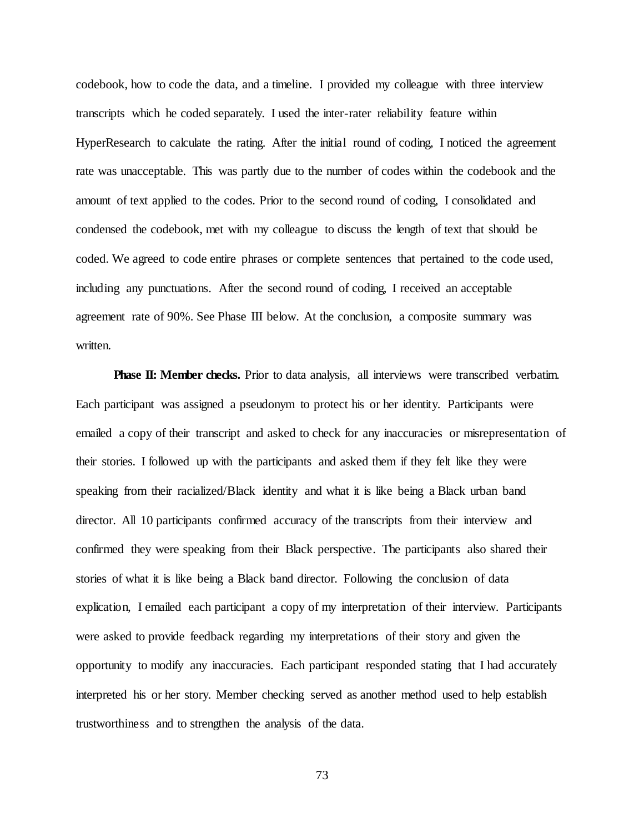codebook, how to code the data, and a timeline. I provided my colleague with three interview transcripts which he coded separately. I used the inter-rater reliability feature within HyperResearch to calculate the rating. After the initial round of coding, I noticed the agreement rate was unacceptable. This was partly due to the number of codes within the codebook and the amount of text applied to the codes. Prior to the second round of coding, I consolidated and condensed the codebook, met with my colleague to discuss the length of text that should be coded. We agreed to code entire phrases or complete sentences that pertained to the code used, including any punctuations. After the second round of coding, I received an acceptable agreement rate of 90%. See Phase III below. At the conclusion, a composite summary was written.

**Phase II: Member checks.** Prior to data analysis, all interviews were transcribed verbatim. Each participant was assigned a pseudonym to protect his or her identity. Participants were emailed a copy of their transcript and asked to check for any inaccuracies or misrepresentation of their stories. I followed up with the participants and asked them if they felt like they were speaking from their racialized/Black identity and what it is like being a Black urban band director. All 10 participants confirmed accuracy of the transcripts from their interview and confirmed they were speaking from their Black perspective. The participants also shared their stories of what it is like being a Black band director. Following the conclusion of data explication, I emailed each participant a copy of my interpretation of their interview. Participants were asked to provide feedback regarding my interpretations of their story and given the opportunity to modify any inaccuracies. Each participant responded stating that I had accurately interpreted his or her story. Member checking served as another method used to help establish trustworthiness and to strengthen the analysis of the data.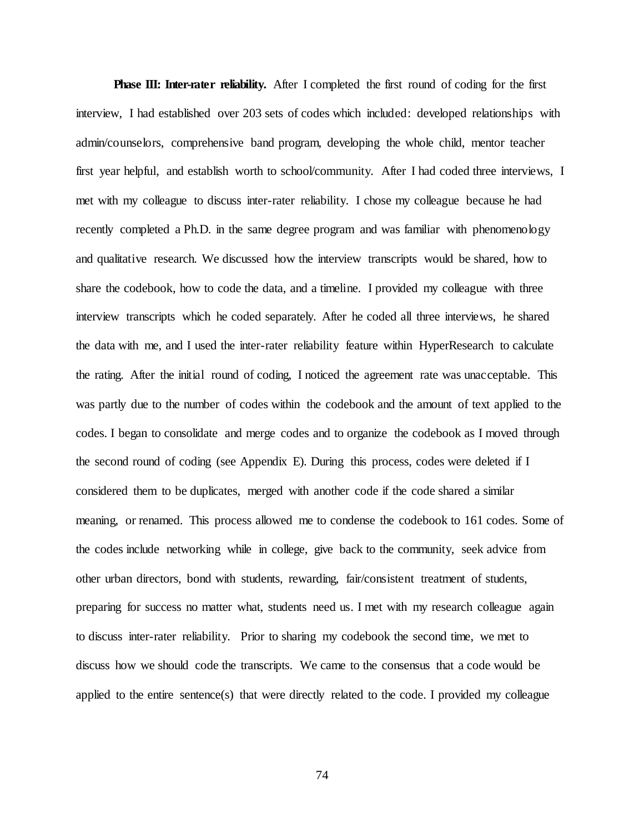**Phase III: Inter-rater reliability.** After I completed the first round of coding for the first interview, I had established over 203 sets of codes which included: developed relationships with admin/counselors, comprehensive band program, developing the whole child, mentor teacher first year helpful, and establish worth to school/community. After I had coded three interviews, I met with my colleague to discuss inter-rater reliability. I chose my colleague because he had recently completed a Ph.D. in the same degree program and was familiar with phenomenology and qualitative research. We discussed how the interview transcripts would be shared, how to share the codebook, how to code the data, and a timeline. I provided my colleague with three interview transcripts which he coded separately. After he coded all three interviews, he shared the data with me, and I used the inter-rater reliability feature within HyperResearch to calculate the rating. After the initial round of coding, I noticed the agreement rate was unacceptable. This was partly due to the number of codes within the codebook and the amount of text applied to the codes. I began to consolidate and merge codes and to organize the codebook as I moved through the second round of coding (see Appendix E). During this process, codes were deleted if I considered them to be duplicates, merged with another code if the code shared a similar meaning, or renamed. This process allowed me to condense the codebook to 161 codes. Some of the codes include networking while in college, give back to the community, seek advice from other urban directors, bond with students, rewarding, fair/consistent treatment of students, preparing for success no matter what, students need us. I met with my research colleague again to discuss inter-rater reliability. Prior to sharing my codebook the second time, we met to discuss how we should code the transcripts. We came to the consensus that a code would be applied to the entire sentence(s) that were directly related to the code. I provided my colleague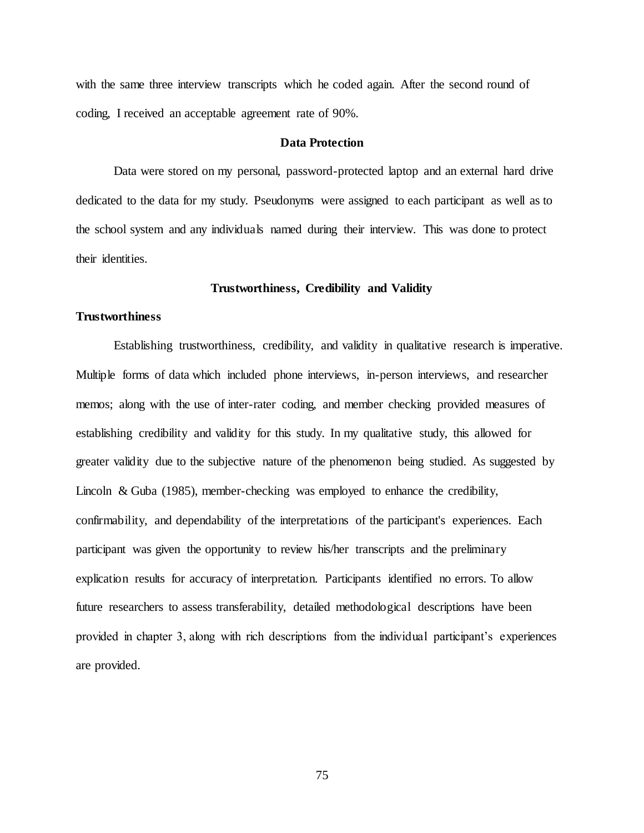with the same three interview transcripts which he coded again. After the second round of coding, I received an acceptable agreement rate of 90%.

### **Data Protection**

Data were stored on my personal, password-protected laptop and an external hard drive dedicated to the data for my study. Pseudonyms were assigned to each participant as well as to the school system and any individuals named during their interview. This was done to protect their identities.

### **Trustworthiness, Credibility and Validity**

### **Trustworthiness**

Establishing trustworthiness, credibility, and validity in qualitative research is imperative. Multiple forms of data which included phone interviews, in-person interviews, and researcher memos; along with the use of inter-rater coding, and member checking provided measures of establishing credibility and validity for this study. In my qualitative study, this allowed for greater validity due to the subjective nature of the phenomenon being studied. As suggested by Lincoln & Guba (1985), member-checking was employed to enhance the credibility, confirmability, and dependability of the interpretations of the participant's experiences. Each participant was given the opportunity to review his/her transcripts and the preliminary explication results for accuracy of interpretation. Participants identified no errors. To allow future researchers to assess transferability, detailed methodological descriptions have been provided in chapter 3, along with rich descriptions from the individual participant's experiences are provided.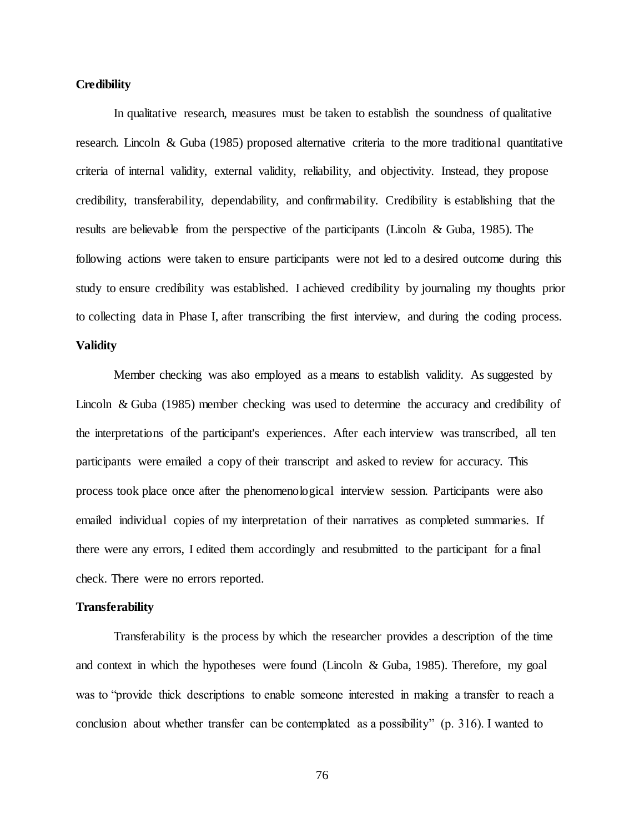# **Credibility**

In qualitative research, measures must be taken to establish the soundness of qualitative research. Lincoln & Guba (1985) proposed alternative criteria to the more traditional quantitative criteria of internal validity, external validity, reliability, and objectivity. Instead, they propose credibility, transferability, dependability, and confirmability. Credibility is establishing that the results are believable from the perspective of the participants (Lincoln & Guba, 1985). The following actions were taken to ensure participants were not led to a desired outcome during this study to ensure credibility was established. I achieved credibility by journaling my thoughts prior to collecting data in Phase I, after transcribing the first interview, and during the coding process.

# **Validity**

Member checking was also employed as a means to establish validity. As suggested by Lincoln & Guba (1985) member checking was used to determine the accuracy and credibility of the interpretations of the participant's experiences. After each interview was transcribed, all ten participants were emailed a copy of their transcript and asked to review for accuracy. This process took place once after the phenomenological interview session. Participants were also emailed individual copies of my interpretation of their narratives as completed summaries. If there were any errors, I edited them accordingly and resubmitted to the participant for a final check. There were no errors reported.

# **Transferability**

Transferability is the process by which the researcher provides a description of the time and context in which the hypotheses were found (Lincoln & Guba, 1985). Therefore, my goal was to "provide thick descriptions to enable someone interested in making a transfer to reach a conclusion about whether transfer can be contemplated as a possibility" (p. 316). I wanted to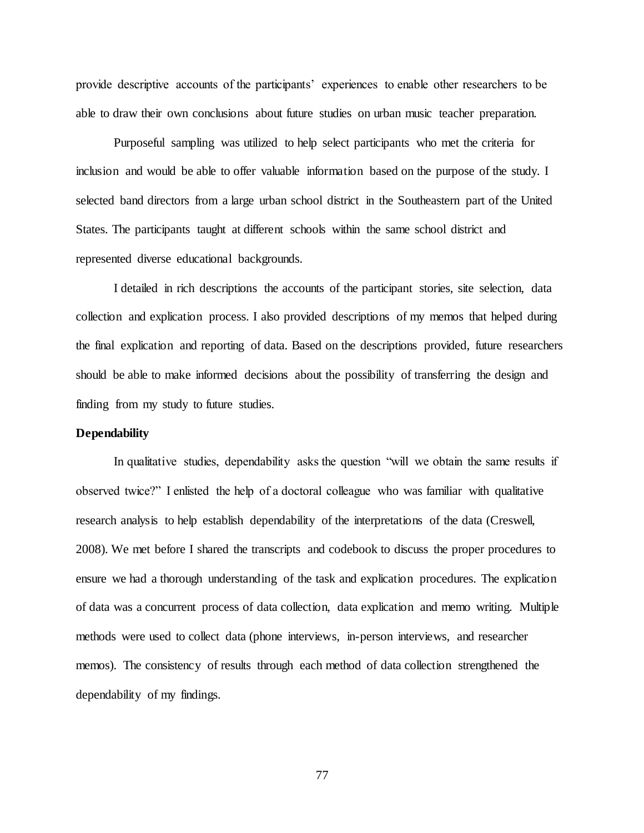provide descriptive accounts of the participants' experiences to enable other researchers to be able to draw their own conclusions about future studies on urban music teacher preparation.

Purposeful sampling was utilized to help select participants who met the criteria for inclusion and would be able to offer valuable information based on the purpose of the study. I selected band directors from a large urban school district in the Southeastern part of the United States. The participants taught at different schools within the same school district and represented diverse educational backgrounds.

I detailed in rich descriptions the accounts of the participant stories, site selection, data collection and explication process. I also provided descriptions of my memos that helped during the final explication and reporting of data. Based on the descriptions provided, future researchers should be able to make informed decisions about the possibility of transferring the design and finding from my study to future studies.

# **Dependability**

In qualitative studies, dependability asks the question "will we obtain the same results if observed twice?" I enlisted the help of a doctoral colleague who was familiar with qualitative research analysis to help establish dependability of the interpretations of the data (Creswell, 2008). We met before I shared the transcripts and codebook to discuss the proper procedures to ensure we had a thorough understanding of the task and explication procedures. The explication of data was a concurrent process of data collection, data explication and memo writing. Multiple methods were used to collect data (phone interviews, in-person interviews, and researcher memos). The consistency of results through each method of data collection strengthened the dependability of my findings.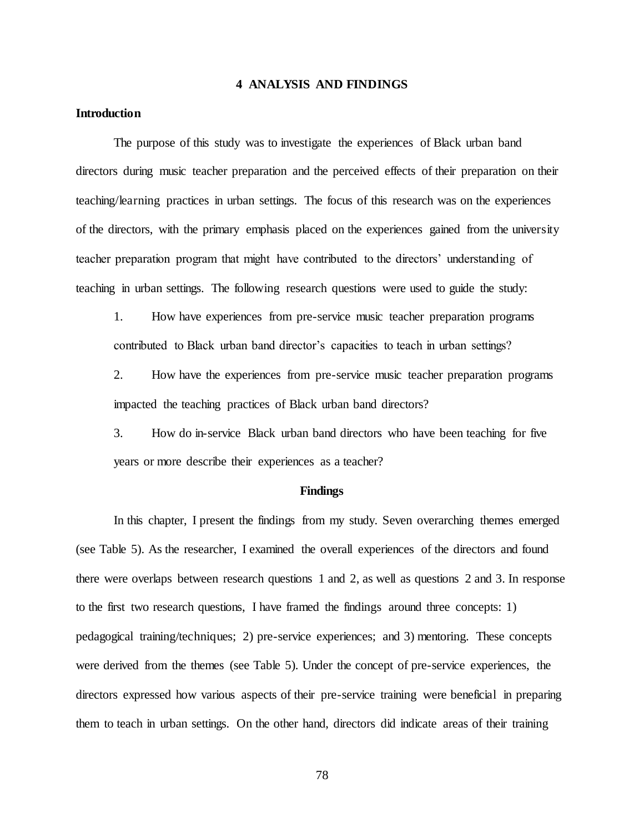## **4 ANALYSIS AND FINDINGS**

# **Introduction**

The purpose of this study was to investigate the experiences of Black urban band directors during music teacher preparation and the perceived effects of their preparation on their teaching/learning practices in urban settings. The focus of this research was on the experiences of the directors, with the primary emphasis placed on the experiences gained from the university teacher preparation program that might have contributed to the directors' understanding of teaching in urban settings. The following research questions were used to guide the study:

1. How have experiences from pre-service music teacher preparation programs contributed to Black urban band director's capacities to teach in urban settings?

2. How have the experiences from pre-service music teacher preparation programs impacted the teaching practices of Black urban band directors?

3. How do in-service Black urban band directors who have been teaching for five years or more describe their experiences as a teacher?

# **Findings**

In this chapter, I present the findings from my study. Seven overarching themes emerged (see Table 5). As the researcher, I examined the overall experiences of the directors and found there were overlaps between research questions 1 and 2, as well as questions 2 and 3. In response to the first two research questions, I have framed the findings around three concepts: 1) pedagogical training/techniques; 2) pre-service experiences; and 3) mentoring. These concepts were derived from the themes (see Table 5). Under the concept of pre-service experiences, the directors expressed how various aspects of their pre-service training were beneficial in preparing them to teach in urban settings. On the other hand, directors did indicate areas of their training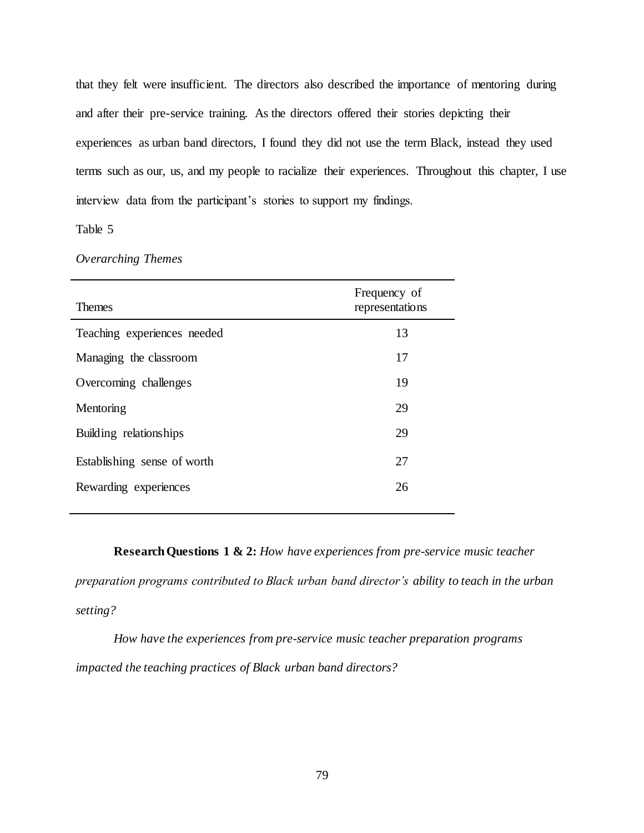that they felt were insufficient. The directors also described the importance of mentoring during and after their pre-service training. As the directors offered their stories depicting their experiences as urban band directors, I found they did not use the term Black, instead they used terms such as our, us, and my people to racialize their experiences. Throughout this chapter, I use interview data from the participant's stories to support my findings.

# Table 5

# *Overarching Themes*

| <b>Themes</b>               | Frequency of<br>representations |
|-----------------------------|---------------------------------|
| Teaching experiences needed | 13                              |
| Managing the classroom      | 17                              |
| Overcoming challenges       | 19                              |
| Mentoring                   | 29                              |
| Building relationships      | 29                              |
| Establishing sense of worth | 27                              |
| Rewarding experiences       | 26                              |
|                             |                                 |

**Research Questions 1 & 2:** *How have experiences from pre-service music teacher preparation programs contributed to Black urban band director's ability to teach in the urban setting?*

*How have the experiences from pre-service music teacher preparation programs impacted the teaching practices of Black urban band directors?*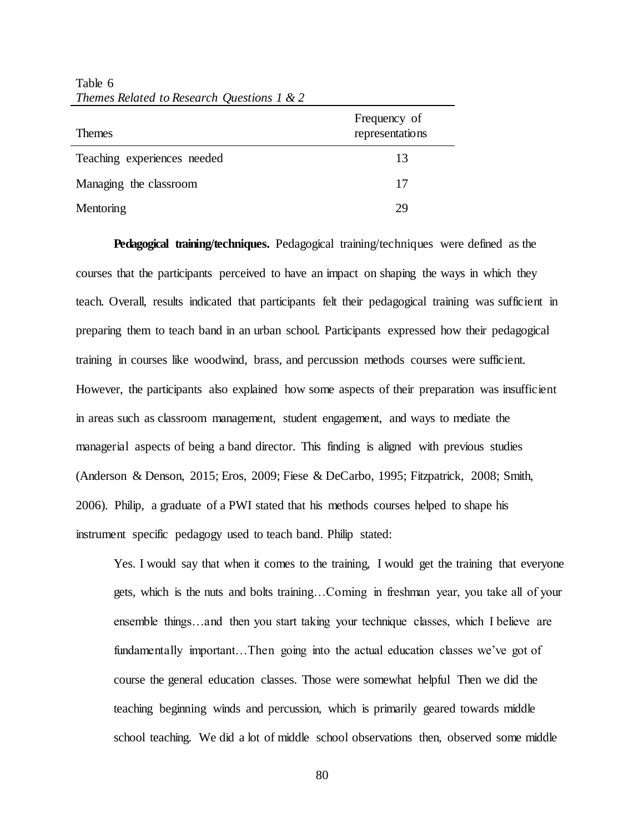| <b>Themes</b>               | Frequency of<br>representations |
|-----------------------------|---------------------------------|
| Teaching experiences needed | 13                              |
| Managing the classroom      | 17                              |
| Mentoring                   | 29                              |

Table 6 *Themes Related to Research Questions 1 & 2* 

**Pedagogical training/techniques.** Pedagogical training/techniques were defined as the courses that the participants perceived to have an impact on shaping the ways in which they teach. Overall, results indicated that participants felt their pedagogical training was sufficient in preparing them to teach band in an urban school. Participants expressed how their pedagogical training in courses like woodwind, brass, and percussion methods courses were sufficient. However, the participants also explained how some aspects of their preparation was insufficient in areas such as classroom management, student engagement, and ways to mediate the managerial aspects of being a band director. This finding is aligned with previous studies (Anderson & Denson, 2015; Eros, 2009; Fiese & DeCarbo, 1995; Fitzpatrick, 2008; Smith, 2006). Philip, a graduate of a PWI stated that his methods courses helped to shape his instrument specific pedagogy used to teach band. Philip stated:

Yes. I would say that when it comes to the training, I would get the training that everyone gets, which is the nuts and bolts training…Coming in freshman year, you take all of your ensemble things…and then you start taking your technique classes, which I believe are fundamentally important...Then going into the actual education classes we've got of course the general education classes. Those were somewhat helpful Then we did the teaching beginning winds and percussion, which is primarily geared towards middle school teaching. We did a lot of middle school observations then, observed some middle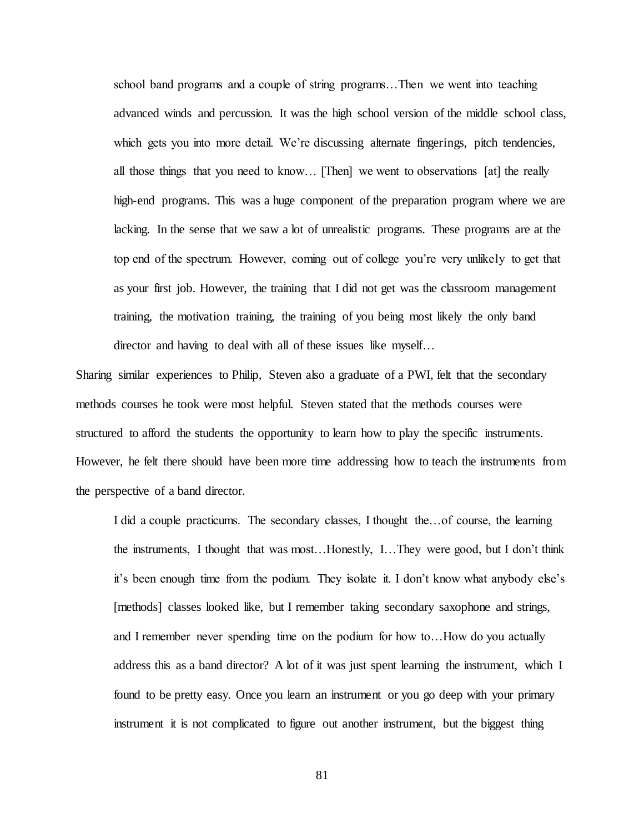school band programs and a couple of string programs…Then we went into teaching advanced winds and percussion. It was the high school version of the middle school class, which gets you into more detail. We're discussing alternate fingerings, pitch tendencies, all those things that you need to know… [Then] we went to observations [at] the really high-end programs. This was a huge component of the preparation program where we are lacking. In the sense that we saw a lot of unrealistic programs. These programs are at the top end of the spectrum. However, coming out of college you're very unlikely to get that as your first job. However, the training that I did not get was the classroom management training, the motivation training, the training of you being most likely the only band director and having to deal with all of these issues like myself...

Sharing similar experiences to Philip, Steven also a graduate of a PWI, felt that the secondary methods courses he took were most helpful. Steven stated that the methods courses were structured to afford the students the opportunity to learn how to play the specific instruments. However, he felt there should have been more time addressing how to teach the instruments from the perspective of a band director.

I did a couple practicums. The secondary classes, I thought the…of course, the learning the instruments, I thought that was most…Honestly, I…They were good, but I don't think it's been enough time from the podium. They isolate it. I don't know what anybody else's [methods] classes looked like, but I remember taking secondary saxophone and strings, and I remember never spending time on the podium for how to…How do you actually address this as a band director? A lot of it was just spent learning the instrument, which I found to be pretty easy. Once you learn an instrument or you go deep with your primary instrument it is not complicated to figure out another instrument, but the biggest thing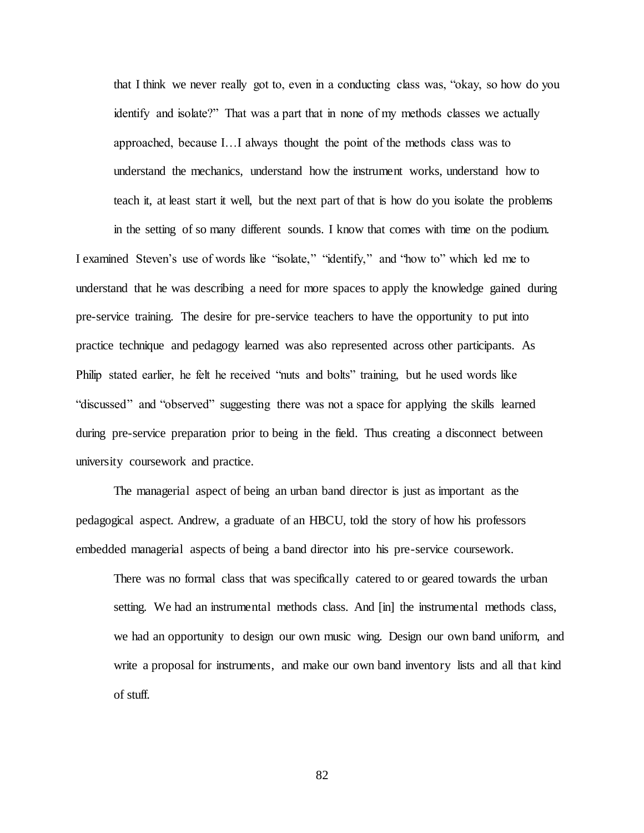that I think we never really got to, even in a conducting class was, "okay, so how do you identify and isolate?" That was a part that in none of my methods classes we actually approached, because I…I always thought the point of the methods class was to understand the mechanics, understand how the instrument works, understand how to teach it, at least start it well, but the next part of that is how do you isolate the problems

in the setting of so many different sounds. I know that comes with time on the podium. I examined Steven's use of words like "isolate," "identify," and "how to" which led me to understand that he was describing a need for more spaces to apply the knowledge gained during pre-service training. The desire for pre-service teachers to have the opportunity to put into practice technique and pedagogy learned was also represented across other participants. As Philip stated earlier, he felt he received "nuts and bolts" training, but he used words like "discussed" and "observed" suggesting there was not a space for applying the skills learned during pre-service preparation prior to being in the field. Thus creating a disconnect between university coursework and practice.

The managerial aspect of being an urban band director is just as important as the pedagogical aspect. Andrew, a graduate of an HBCU, told the story of how his professors embedded managerial aspects of being a band director into his pre-service coursework.

There was no formal class that was specifically catered to or geared towards the urban setting. We had an instrumental methods class. And [in] the instrumental methods class, we had an opportunity to design our own music wing. Design our own band uniform, and write a proposal for instruments, and make our own band inventory lists and all that kind of stuff.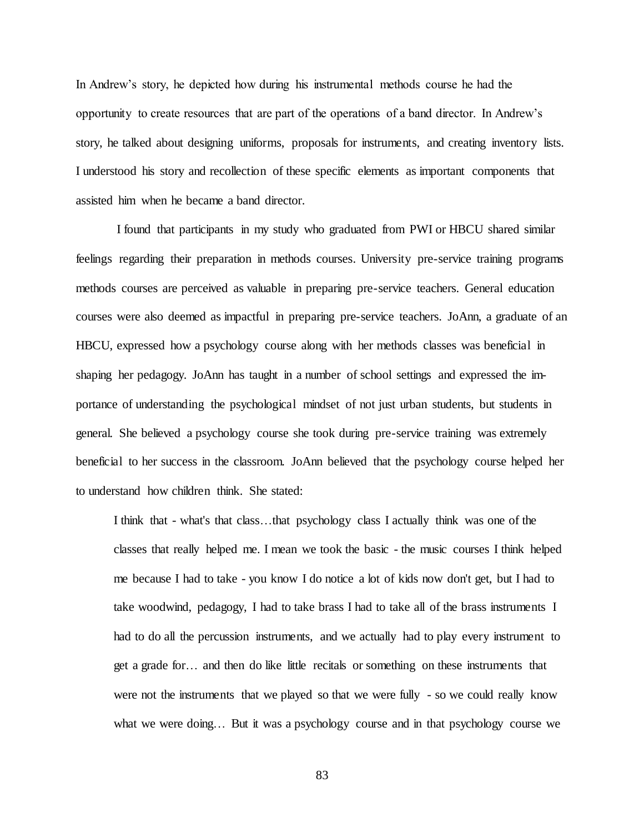In Andrew's story, he depicted how during his instrumental methods course he had the opportunity to create resources that are part of the operations of a band director. In Andrew's story, he talked about designing uniforms, proposals for instruments, and creating inventory lists. I understood his story and recollection of these specific elements as important components that assisted him when he became a band director.

I found that participants in my study who graduated from PWI or HBCU shared similar feelings regarding their preparation in methods courses. University pre-service training programs methods courses are perceived as valuable in preparing pre-service teachers. General education courses were also deemed as impactful in preparing pre-service teachers. JoAnn, a graduate of an HBCU, expressed how a psychology course along with her methods classes was beneficial in shaping her pedagogy. JoAnn has taught in a number of school settings and expressed the importance of understanding the psychological mindset of not just urban students, but students in general. She believed a psychology course she took during pre-service training was extremely beneficial to her success in the classroom. JoAnn believed that the psychology course helped her to understand how children think. She stated:

I think that - what's that class…that psychology class I actually think was one of the classes that really helped me. I mean we took the basic - the music courses I think helped me because I had to take - you know I do notice a lot of kids now don't get, but I had to take woodwind, pedagogy, I had to take brass I had to take all of the brass instruments I had to do all the percussion instruments, and we actually had to play every instrument to get a grade for… and then do like little recitals or something on these instruments that were not the instruments that we played so that we were fully - so we could really know what we were doing... But it was a psychology course and in that psychology course we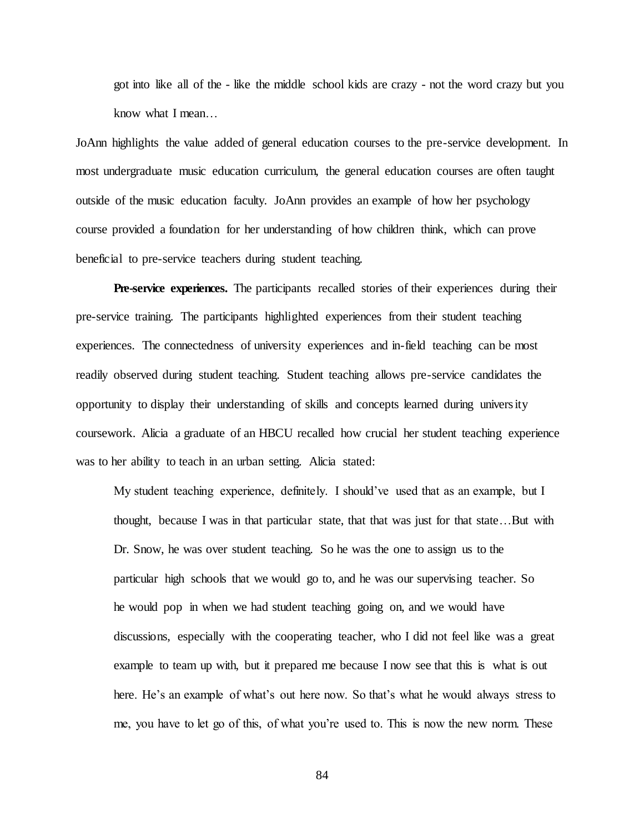got into like all of the - like the middle school kids are crazy - not the word crazy but you know what I mean…

JoAnn highlights the value added of general education courses to the pre-service development. In most undergraduate music education curriculum, the general education courses are often taught outside of the music education faculty. JoAnn provides an example of how her psychology course provided a foundation for her understanding of how children think, which can prove beneficial to pre-service teachers during student teaching.

**Pre-service experiences.** The participants recalled stories of their experiences during their pre-service training. The participants highlighted experiences from their student teaching experiences. The connectedness of university experiences and in-field teaching can be most readily observed during student teaching. Student teaching allows pre-service candidates the opportunity to display their understanding of skills and concepts learned during university coursework. Alicia a graduate of an HBCU recalled how crucial her student teaching experience was to her ability to teach in an urban setting. Alicia stated:

My student teaching experience, definitely. I should've used that as an example, but I thought, because I was in that particular state, that that was just for that state…But with Dr. Snow, he was over student teaching. So he was the one to assign us to the particular high schools that we would go to, and he was our supervising teacher. So he would pop in when we had student teaching going on, and we would have discussions, especially with the cooperating teacher, who I did not feel like was a great example to team up with, but it prepared me because I now see that this is what is out here. He's an example of what's out here now. So that's what he would always stress to me, you have to let go of this, of what you're used to. This is now the new norm. These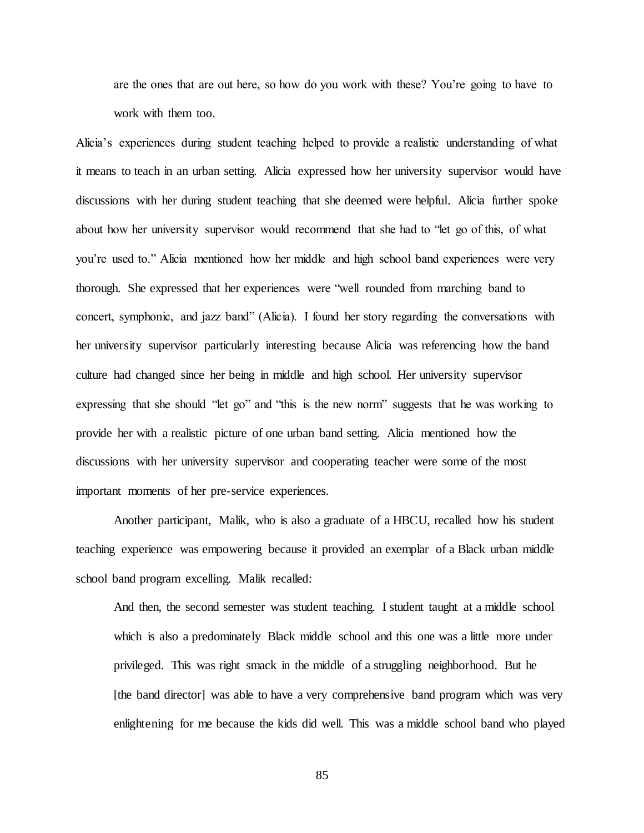are the ones that are out here, so how do you work with these? You're going to have to work with them too.

Alicia's experiences during student teaching helped to provide a realistic understanding of what it means to teach in an urban setting. Alicia expressed how her university supervisor would have discussions with her during student teaching that she deemed were helpful. Alicia further spoke about how her university supervisor would recommend that she had to "let go of this, of what you're used to." Alicia mentioned how her middle and high school band experiences were very thorough. She expressed that her experiences were "well rounded from marching band to concert, symphonic, and jazz band" (Alicia). I found her story regarding the conversations with her university supervisor particularly interesting because Alicia was referencing how the band culture had changed since her being in middle and high school. Her university supervisor expressing that she should "let go" and "this is the new norm" suggests that he was working to provide her with a realistic picture of one urban band setting. Alicia mentioned how the discussions with her university supervisor and cooperating teacher were some of the most important moments of her pre-service experiences.

Another participant, Malik, who is also a graduate of a HBCU, recalled how his student teaching experience was empowering because it provided an exemplar of a Black urban middle school band program excelling. Malik recalled:

And then, the second semester was student teaching. I student taught at a middle school which is also a predominately Black middle school and this one was a little more under privileged. This was right smack in the middle of a struggling neighborhood. But he [the band director] was able to have a very comprehensive band program which was very enlightening for me because the kids did well. This was a middle school band who played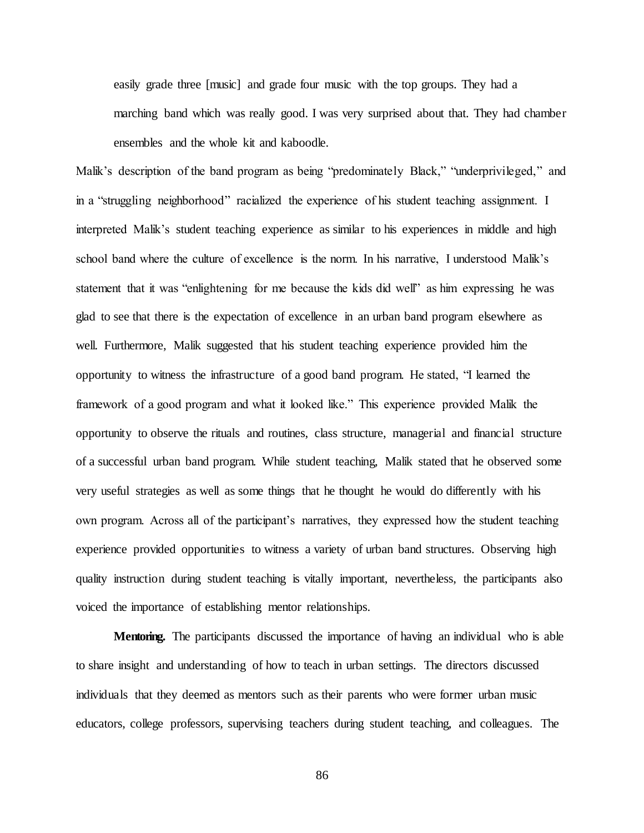easily grade three [music] and grade four music with the top groups. They had a marching band which was really good. I was very surprised about that. They had chamber ensembles and the whole kit and kaboodle.

Malik's description of the band program as being "predominately Black," "underprivileged," and in a "struggling neighborhood" racialized the experience of his student teaching assignment. I interpreted Malik's student teaching experience as similar to his experiences in middle and high school band where the culture of excellence is the norm. In his narrative, I understood Malik's statement that it was "enlightening for me because the kids did well" as him expressing he was glad to see that there is the expectation of excellence in an urban band program elsewhere as well. Furthermore, Malik suggested that his student teaching experience provided him the opportunity to witness the infrastructure of a good band program. He stated, "I learned the framework of a good program and what it looked like." This experience provided Malik the opportunity to observe the rituals and routines, class structure, managerial and financial structure of a successful urban band program. While student teaching, Malik stated that he observed some very useful strategies as well as some things that he thought he would do differently with his own program. Across all of the participant's narratives, they expressed how the student teaching experience provided opportunities to witness a variety of urban band structures. Observing high quality instruction during student teaching is vitally important, nevertheless, the participants also voiced the importance of establishing mentor relationships.

**Mentoring.** The participants discussed the importance of having an individual who is able to share insight and understanding of how to teach in urban settings. The directors discussed individuals that they deemed as mentors such as their parents who were former urban music educators, college professors, supervising teachers during student teaching, and colleagues. The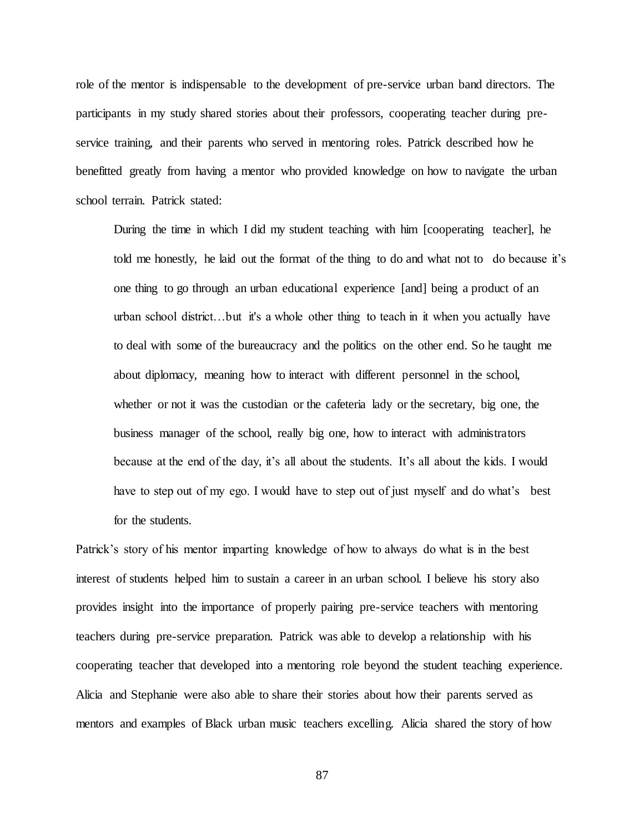role of the mentor is indispensable to the development of pre-service urban band directors. The participants in my study shared stories about their professors, cooperating teacher during preservice training, and their parents who served in mentoring roles. Patrick described how he benefitted greatly from having a mentor who provided knowledge on how to navigate the urban school terrain. Patrick stated:

During the time in which I did my student teaching with him [cooperating teacher], he told me honestly, he laid out the format of the thing to do and what not to do because it's one thing to go through an urban educational experience [and] being a product of an urban school district…but it's a whole other thing to teach in it when you actually have to deal with some of the bureaucracy and the politics on the other end. So he taught me about diplomacy, meaning how to interact with different personnel in the school, whether or not it was the custodian or the cafeteria lady or the secretary, big one, the business manager of the school, really big one, how to interact with administrators because at the end of the day, it's all about the students. It's all about the kids. I would have to step out of my ego. I would have to step out of just myself and do what's best for the students.

Patrick's story of his mentor imparting knowledge of how to always do what is in the best interest of students helped him to sustain a career in an urban school. I believe his story also provides insight into the importance of properly pairing pre-service teachers with mentoring teachers during pre-service preparation. Patrick was able to develop a relationship with his cooperating teacher that developed into a mentoring role beyond the student teaching experience. Alicia and Stephanie were also able to share their stories about how their parents served as mentors and examples of Black urban music teachers excelling. Alicia shared the story of how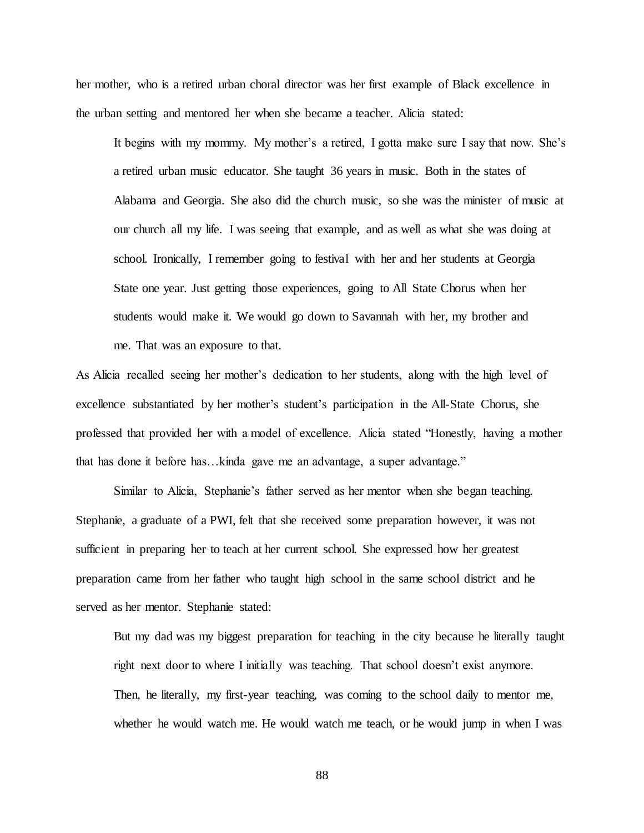her mother, who is a retired urban choral director was her first example of Black excellence in the urban setting and mentored her when she became a teacher. Alicia stated:

It begins with my mommy. My mother's a retired, I gotta make sure I say that now. She's a retired urban music educator. She taught 36 years in music. Both in the states of Alabama and Georgia. She also did the church music, so she was the minister of music at our church all my life. I was seeing that example, and as well as what she was doing at school. Ironically, I remember going to festival with her and her students at Georgia State one year. Just getting those experiences, going to All State Chorus when her students would make it. We would go down to Savannah with her, my brother and me. That was an exposure to that.

As Alicia recalled seeing her mother's dedication to her students, along with the high level of excellence substantiated by her mother's student's participation in the All-State Chorus, she professed that provided her with a model of excellence. Alicia stated "Honestly, having a mother that has done it before has…kinda gave me an advantage, a super advantage."

Similar to Alicia, Stephanie's father served as her mentor when she began teaching. Stephanie, a graduate of a PWI, felt that she received some preparation however, it was not sufficient in preparing her to teach at her current school. She expressed how her greatest preparation came from her father who taught high school in the same school district and he served as her mentor. Stephanie stated:

But my dad was my biggest preparation for teaching in the city because he literally taught right next door to where I initially was teaching. That school doesn't exist anymore. Then, he literally, my first-year teaching, was coming to the school daily to mentor me, whether he would watch me. He would watch me teach, or he would jump in when I was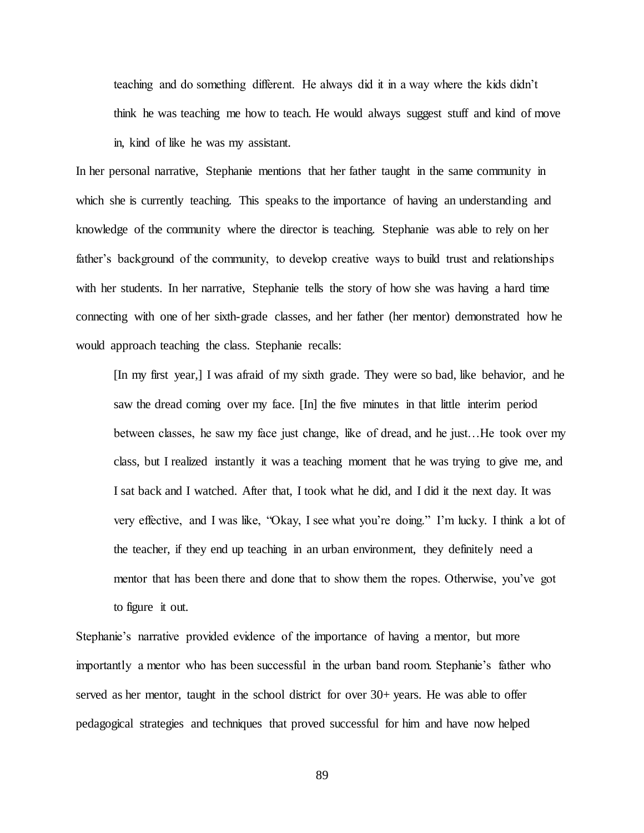teaching and do something different. He always did it in a way where the kids didn't think he was teaching me how to teach. He would always suggest stuff and kind of move in, kind of like he was my assistant.

In her personal narrative, Stephanie mentions that her father taught in the same community in which she is currently teaching. This speaks to the importance of having an understanding and knowledge of the community where the director is teaching. Stephanie was able to rely on her father's background of the community, to develop creative ways to build trust and relationships with her students. In her narrative, Stephanie tells the story of how she was having a hard time connecting with one of her sixth-grade classes, and her father (her mentor) demonstrated how he would approach teaching the class. Stephanie recalls:

[In my first year,] I was afraid of my sixth grade. They were so bad, like behavior, and he saw the dread coming over my face. [In] the five minutes in that little interim period between classes, he saw my face just change, like of dread, and he just…He took over my class, but I realized instantly it was a teaching moment that he was trying to give me, and I sat back and I watched. After that, I took what he did, and I did it the next day. It was very effective, and I was like, "Okay, I see what you're doing." I'm lucky. I think a lot of the teacher, if they end up teaching in an urban environment, they definitely need a mentor that has been there and done that to show them the ropes. Otherwise, you've got to figure it out.

Stephanie's narrative provided evidence of the importance of having a mentor, but more importantly a mentor who has been successful in the urban band room. Stephanie's father who served as her mentor, taught in the school district for over 30+ years. He was able to offer pedagogical strategies and techniques that proved successful for him and have now helped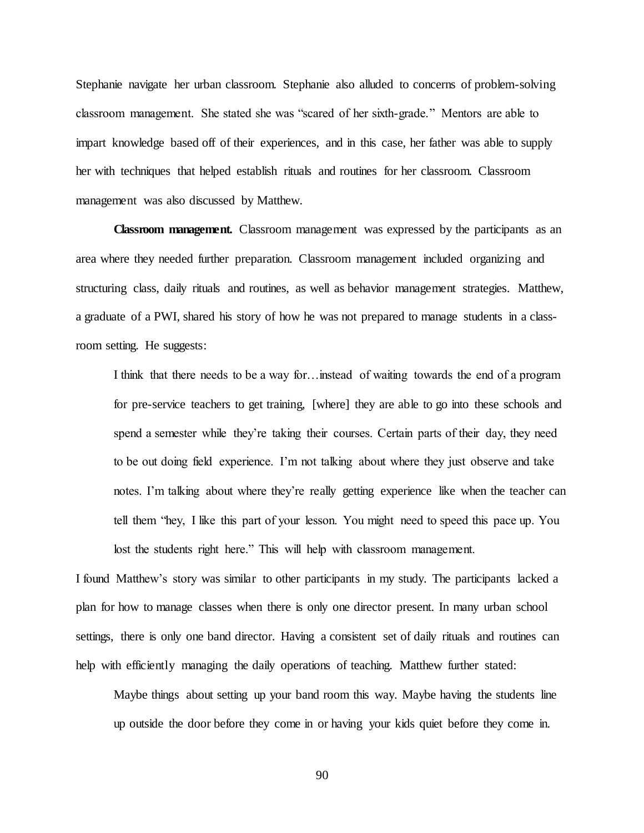Stephanie navigate her urban classroom. Stephanie also alluded to concerns of problem-solving classroom management. She stated she was "scared of her sixth-grade." Mentors are able to impart knowledge based off of their experiences, and in this case, her father was able to supply her with techniques that helped establish rituals and routines for her classroom. Classroom management was also discussed by Matthew.

**Classroom management.** Classroom management was expressed by the participants as an area where they needed further preparation. Classroom management included organizing and structuring class, daily rituals and routines, as well as behavior management strategies. Matthew, a graduate of a PWI, shared his story of how he was not prepared to manage students in a classroom setting. He suggests:

I think that there needs to be a way for…instead of waiting towards the end of a program for pre-service teachers to get training, [where] they are able to go into these schools and spend a semester while they're taking their courses. Certain parts of their day, they need to be out doing field experience. I'm not talking about where they just observe and take notes. I'm talking about where they're really getting experience like when the teacher can tell them "hey, I like this part of your lesson. You might need to speed this pace up. You lost the students right here." This will help with classroom management.

I found Matthew's story was similar to other participants in my study. The participants lacked a plan for how to manage classes when there is only one director present. In many urban school settings, there is only one band director. Having a consistent set of daily rituals and routines can help with efficiently managing the daily operations of teaching. Matthew further stated:

Maybe things about setting up your band room this way. Maybe having the students line up outside the door before they come in or having your kids quiet before they come in.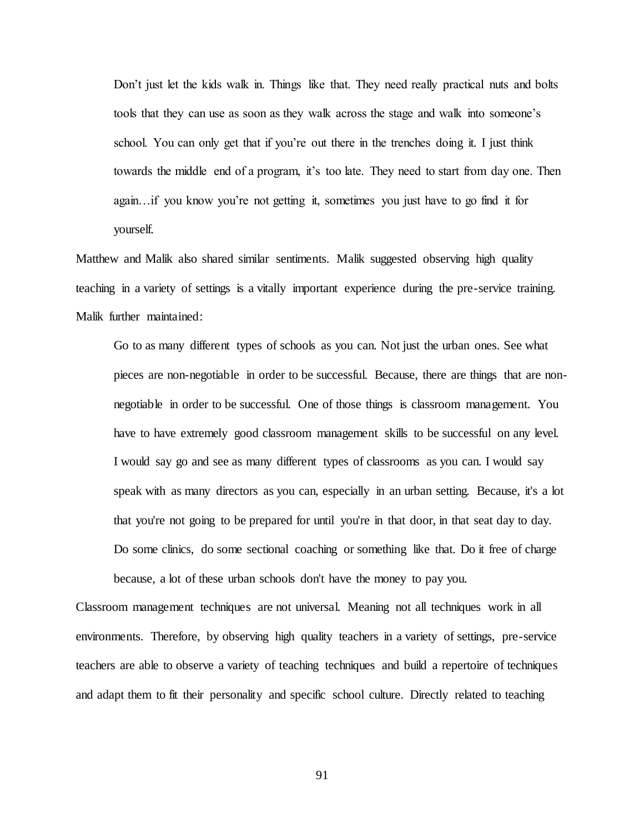Don't just let the kids walk in. Things like that. They need really practical nuts and bolts tools that they can use as soon as they walk across the stage and walk into someone's school. You can only get that if you're out there in the trenches doing it. I just think towards the middle end of a program, it's too late. They need to start from day one. Then again…if you know you're not getting it, sometimes you just have to go find it for yourself.

Matthew and Malik also shared similar sentiments. Malik suggested observing high quality teaching in a variety of settings is a vitally important experience during the pre-service training. Malik further maintained:

Go to as many different types of schools as you can. Not just the urban ones. See what pieces are non-negotiable in order to be successful. Because, there are things that are nonnegotiable in order to be successful. One of those things is classroom management. You have to have extremely good classroom management skills to be successful on any level. I would say go and see as many different types of classrooms as you can. I would say speak with as many directors as you can, especially in an urban setting. Because, it's a lot that you're not going to be prepared for until you're in that door, in that seat day to day. Do some clinics, do some sectional coaching or something like that. Do it free of charge because, a lot of these urban schools don't have the money to pay you.

Classroom management techniques are not universal. Meaning not all techniques work in all environments. Therefore, by observing high quality teachers in a variety of settings, pre-service teachers are able to observe a variety of teaching techniques and build a repertoire of techniques and adapt them to fit their personality and specific school culture. Directly related to teaching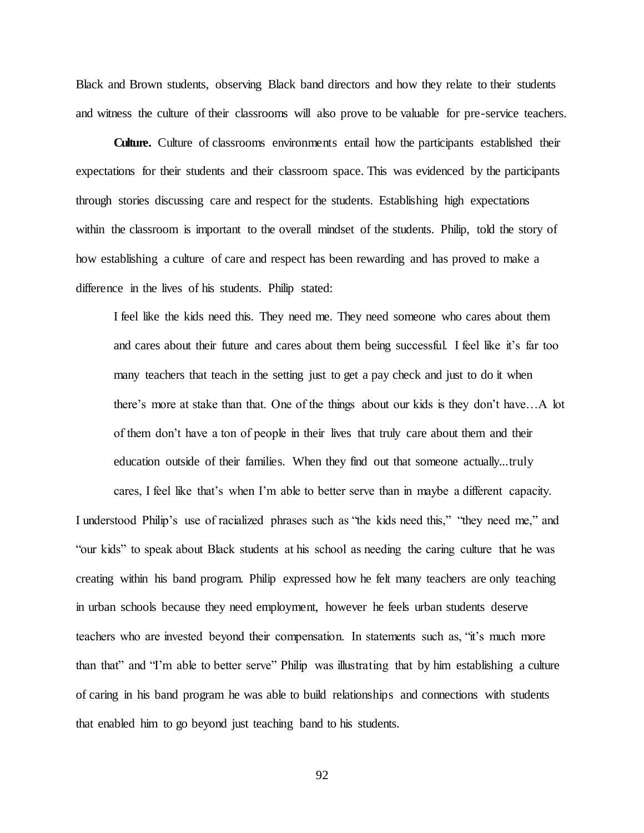Black and Brown students, observing Black band directors and how they relate to their students and witness the culture of their classrooms will also prove to be valuable for pre-service teachers.

**Culture.** Culture of classrooms environments entail how the participants established their expectations for their students and their classroom space. This was evidenced by the participants through stories discussing care and respect for the students. Establishing high expectations within the classroom is important to the overall mindset of the students. Philip, told the story of how establishing a culture of care and respect has been rewarding and has proved to make a difference in the lives of his students. Philip stated:

I feel like the kids need this. They need me. They need someone who cares about them and cares about their future and cares about them being successful. I feel like it's far too many teachers that teach in the setting just to get a pay check and just to do it when there's more at stake than that. One of the things about our kids is they don't have…A lot of them don't have a ton of people in their lives that truly care about them and their education outside of their families. When they find out that someone actually...truly

cares, I feel like that's when I'm able to better serve than in maybe a different capacity. I understood Philip's use of racialized phrases such as "the kids need this," "they need me," and "our kids" to speak about Black students at his school as needing the caring culture that he was creating within his band program. Philip expressed how he felt many teachers are only teaching in urban schools because they need employment, however he feels urban students deserve teachers who are invested beyond their compensation. In statements such as, "it's much more than that" and "I'm able to better serve" Philip was illustrating that by him establishing a culture of caring in his band program he was able to build relationships and connections with students that enabled him to go beyond just teaching band to his students.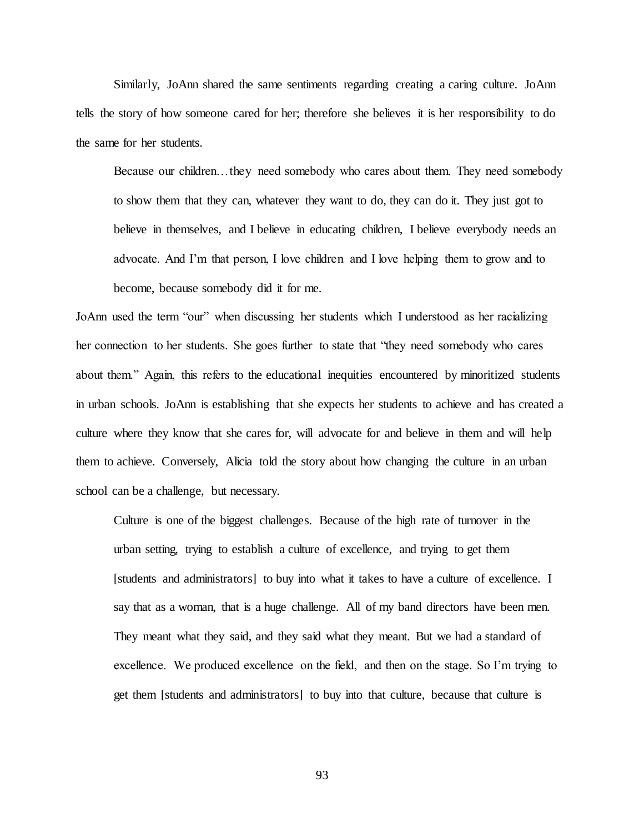Similarly, JoAnn shared the same sentiments regarding creating a caring culture. JoAnn tells the story of how someone cared for her; therefore she believes it is her responsibility to do the same for her students.

Because our children…they need somebody who cares about them. They need somebody to show them that they can, whatever they want to do, they can do it. They just got to believe in themselves, and I believe in educating children, I believe everybody needs an advocate. And I'm that person, I love children and I love helping them to grow and to become, because somebody did it for me.

JoAnn used the term "our" when discussing her students which I understood as her racializing her connection to her students. She goes further to state that "they need somebody who cares about them." Again, this refers to the educational inequities encountered by minoritized students in urban schools. JoAnn is establishing that she expects her students to achieve and has created a culture where they know that she cares for, will advocate for and believe in them and will help them to achieve. Conversely, Alicia told the story about how changing the culture in an urban school can be a challenge, but necessary.

Culture is one of the biggest challenges. Because of the high rate of turnover in the urban setting, trying to establish a culture of excellence, and trying to get them [students and administrators] to buy into what it takes to have a culture of excellence. I say that as a woman, that is a huge challenge. All of my band directors have been men. They meant what they said, and they said what they meant. But we had a standard of excellence. We produced excellence on the field, and then on the stage. So I'm trying to get them [students and administrators] to buy into that culture, because that culture is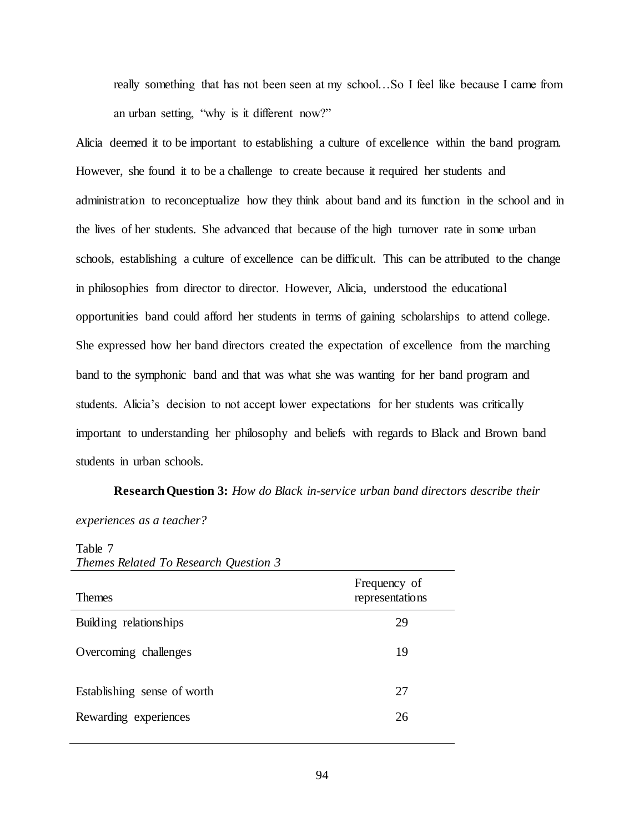really something that has not been seen at my school…So I feel like because I came from an urban setting, "why is it different now?"

Alicia deemed it to be important to establishing a culture of excellence within the band program. However, she found it to be a challenge to create because it required her students and administration to reconceptualize how they think about band and its function in the school and in the lives of her students. She advanced that because of the high turnover rate in some urban schools, establishing a culture of excellence can be difficult. This can be attributed to the change in philosophies from director to director. However, Alicia, understood the educational opportunities band could afford her students in terms of gaining scholarships to attend college. She expressed how her band directors created the expectation of excellence from the marching band to the symphonic band and that was what she was wanting for her band program and students. Alicia's decision to not accept lower expectations for her students was critically important to understanding her philosophy and beliefs with regards to Black and Brown band students in urban schools.

**Research Question 3:** *How do Black in-service urban band directors describe their experiences as a teacher?*

 $T<sub>11</sub>$ 

| <b>Themes</b>               | Frequency of<br>representations |
|-----------------------------|---------------------------------|
| Building relationships      | 29                              |
| Overcoming challenges       | 19                              |
| Establishing sense of worth | 27                              |
| Rewarding experiences       | 26                              |

| Table /                               |  |
|---------------------------------------|--|
| Themes Related To Research Question 3 |  |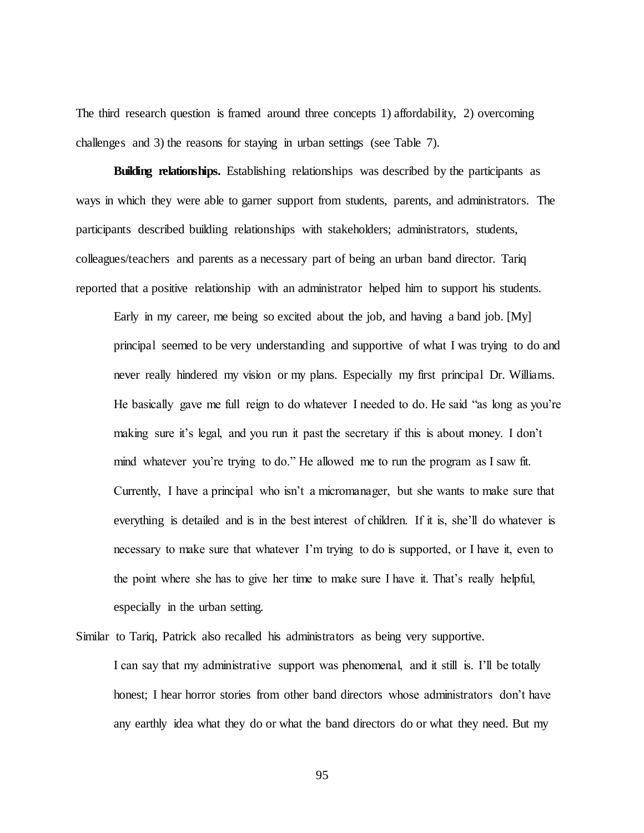The third research question is framed around three concepts 1) affordability, 2) overcoming challenges and 3) the reasons for staying in urban settings (see Table 7).

**Building relationships.** Establishing relationships was described by the participants as ways in which they were able to garner support from students, parents, and administrators. The participants described building relationships with stakeholders; administrators, students, colleagues/teachers and parents as a necessary part of being an urban band director. Tariq reported that a positive relationship with an administrator helped him to support his students.

Early in my career, me being so excited about the job, and having a band job. [My] principal seemed to be very understanding and supportive of what I was trying to do and never really hindered my vision or my plans. Especially my first principal Dr. Williams. He basically gave me full reign to do whatever I needed to do. He said "as long as you're making sure it's legal, and you run it past the secretary if this is about money. I don't mind whatever you're trying to do." He allowed me to run the program as I saw fit. Currently, I have a principal who isn't a micromanager, but she wants to make sure that everything is detailed and is in the best interest of children. If it is, she'll do whatever is necessary to make sure that whatever I'm trying to do is supported, or I have it, even to the point where she has to give her time to make sure I have it. That's really helpful, especially in the urban setting.

Similar to Tariq, Patrick also recalled his administrators as being very supportive. I can say that my administrative support was phenomenal, and it still is. I'll be totally honest; I hear horror stories from other band directors whose administrators don't have any earthly idea what they do or what the band directors do or what they need. But my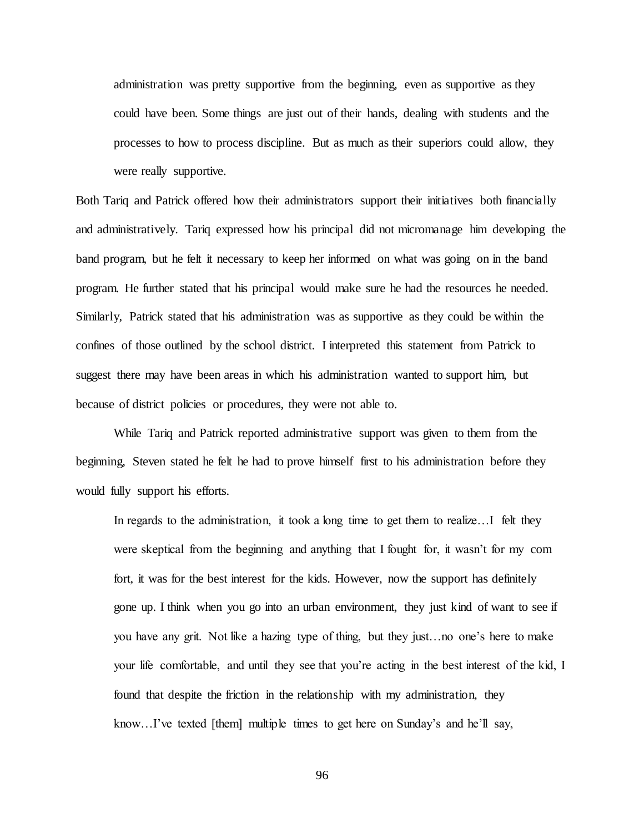administration was pretty supportive from the beginning, even as supportive as they could have been. Some things are just out of their hands, dealing with students and the processes to how to process discipline. But as much as their superiors could allow, they were really supportive.

Both Tariq and Patrick offered how their administrators support their initiatives both financially and administratively. Tariq expressed how his principal did not micromanage him developing the band program, but he felt it necessary to keep her informed on what was going on in the band program. He further stated that his principal would make sure he had the resources he needed. Similarly, Patrick stated that his administration was as supportive as they could be within the confines of those outlined by the school district. I interpreted this statement from Patrick to suggest there may have been areas in which his administration wanted to support him, but because of district policies or procedures, they were not able to.

While Tariq and Patrick reported administrative support was given to them from the beginning, Steven stated he felt he had to prove himself first to his administration before they would fully support his efforts.

In regards to the administration, it took a long time to get them to realize...I felt they were skeptical from the beginning and anything that I fought for, it wasn't for my com fort, it was for the best interest for the kids. However, now the support has definitely gone up. I think when you go into an urban environment, they just kind of want to see if you have any grit. Not like a hazing type of thing, but they just…no one's here to make your life comfortable, and until they see that you're acting in the best interest of the kid, I found that despite the friction in the relationship with my administration, they know…I've texted [them] multiple times to get here on Sunday's and he'll say,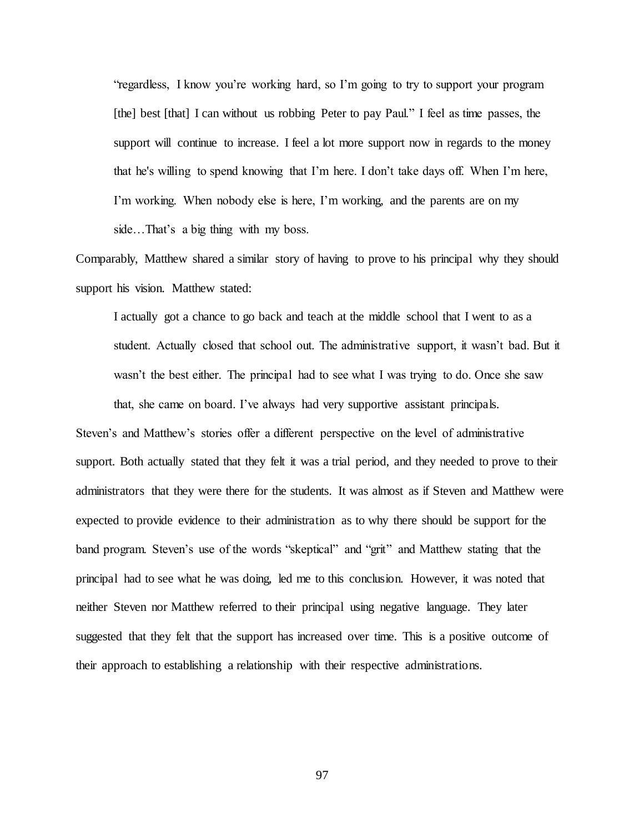"regardless, I know you're working hard, so I'm going to try to support your program [the] best [that] I can without us robbing Peter to pay Paul." I feel as time passes, the support will continue to increase. I feel a lot more support now in regards to the money that he's willing to spend knowing that I'm here. I don't take days off. When I'm here, I'm working. When nobody else is here, I'm working, and the parents are on my side…That's a big thing with my boss.

Comparably, Matthew shared a similar story of having to prove to his principal why they should support his vision. Matthew stated:

I actually got a chance to go back and teach at the middle school that I went to as a student. Actually closed that school out. The administrative support, it wasn't bad. But it wasn't the best either. The principal had to see what I was trying to do. Once she saw that, she came on board. I've always had very supportive assistant principals.

Steven's and Matthew's stories offer a different perspective on the level of administrative support. Both actually stated that they felt it was a trial period, and they needed to prove to their administrators that they were there for the students. It was almost as if Steven and Matthew were expected to provide evidence to their administration as to why there should be support for the band program. Steven's use of the words "skeptical" and "grit" and Matthew stating that the principal had to see what he was doing, led me to this conclusion. However, it was noted that neither Steven nor Matthew referred to their principal using negative language. They later suggested that they felt that the support has increased over time. This is a positive outcome of their approach to establishing a relationship with their respective administrations.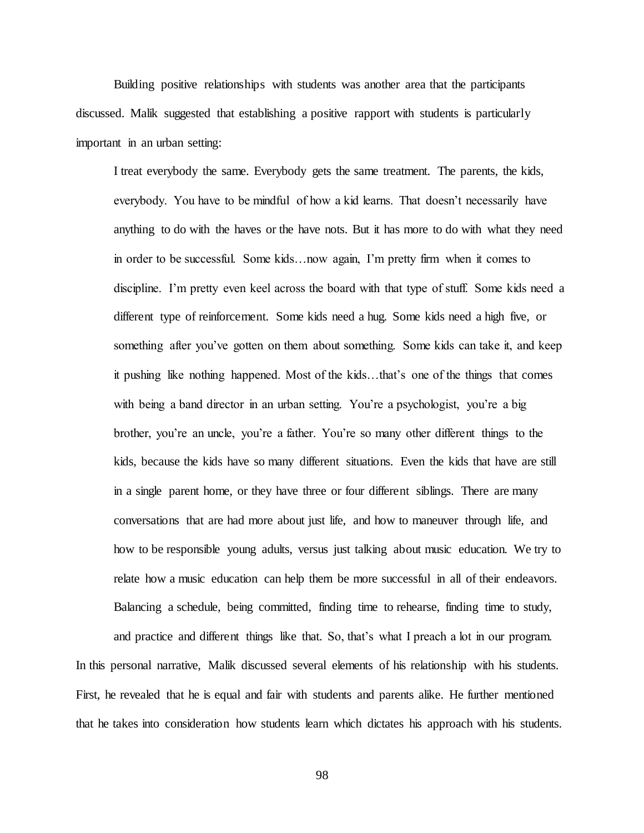Building positive relationships with students was another area that the participants discussed. Malik suggested that establishing a positive rapport with students is particularly important in an urban setting:

I treat everybody the same. Everybody gets the same treatment. The parents, the kids, everybody. You have to be mindful of how a kid learns. That doesn't necessarily have anything to do with the haves or the have nots. But it has more to do with what they need in order to be successful. Some kids…now again, I'm pretty firm when it comes to discipline. I'm pretty even keel across the board with that type of stuff. Some kids need a different type of reinforcement. Some kids need a hug. Some kids need a high five, or something after you've gotten on them about something. Some kids can take it, and keep it pushing like nothing happened. Most of the kids…that's one of the things that comes with being a band director in an urban setting. You're a psychologist, you're a big brother, you're an uncle, you're a father. You're so many other different things to the kids, because the kids have so many different situations. Even the kids that have are still in a single parent home, or they have three or four different siblings. There are many conversations that are had more about just life, and how to maneuver through life, and how to be responsible young adults, versus just talking about music education. We try to relate how a music education can help them be more successful in all of their endeavors. Balancing a schedule, being committed, finding time to rehearse, finding time to study,

and practice and different things like that. So, that's what I preach a lot in our program. In this personal narrative, Malik discussed several elements of his relationship with his students. First, he revealed that he is equal and fair with students and parents alike. He further mentioned that he takes into consideration how students learn which dictates his approach with his students.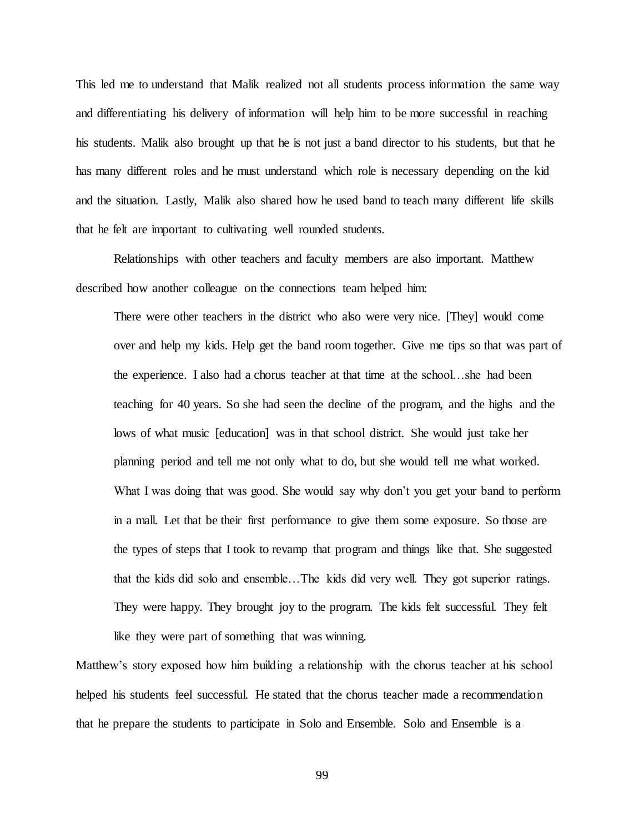This led me to understand that Malik realized not all students process information the same way and differentiating his delivery of information will help him to be more successful in reaching his students. Malik also brought up that he is not just a band director to his students, but that he has many different roles and he must understand which role is necessary depending on the kid and the situation. Lastly, Malik also shared how he used band to teach many different life skills that he felt are important to cultivating well rounded students.

Relationships with other teachers and faculty members are also important. Matthew described how another colleague on the connections team helped him:

There were other teachers in the district who also were very nice. [They] would come over and help my kids. Help get the band room together. Give me tips so that was part of the experience. I also had a chorus teacher at that time at the school…she had been teaching for 40 years. So she had seen the decline of the program, and the highs and the lows of what music [education] was in that school district. She would just take her planning period and tell me not only what to do, but she would tell me what worked. What I was doing that was good. She would say why don't you get your band to perform in a mall. Let that be their first performance to give them some exposure. So those are the types of steps that I took to revamp that program and things like that. She suggested that the kids did solo and ensemble…The kids did very well. They got superior ratings. They were happy. They brought joy to the program. The kids felt successful. They felt like they were part of something that was winning.

Matthew's story exposed how him building a relationship with the chorus teacher at his school helped his students feel successful. He stated that the chorus teacher made a recommendation that he prepare the students to participate in Solo and Ensemble. Solo and Ensemble is a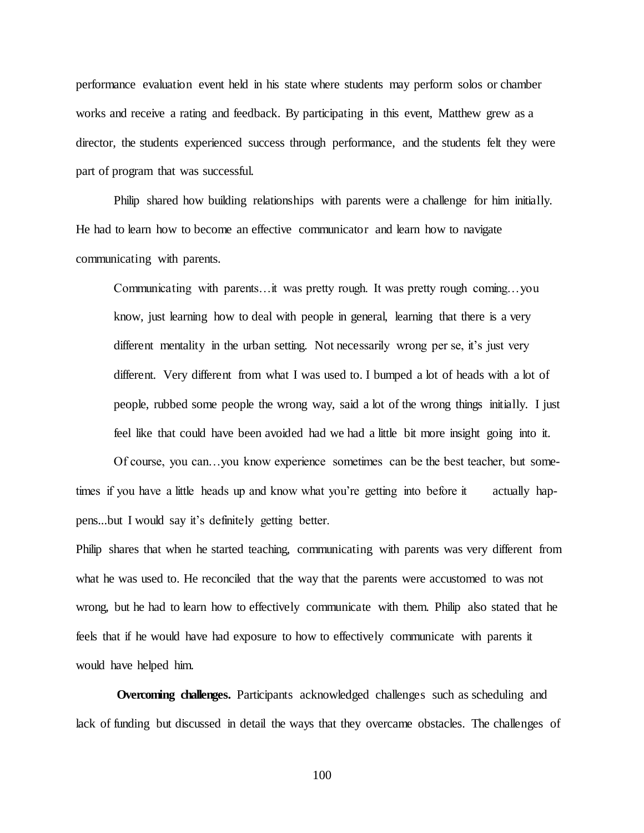performance evaluation event held in his state where students may perform solos or chamber works and receive a rating and feedback. By participating in this event, Matthew grew as a director, the students experienced success through performance, and the students felt they were part of program that was successful.

Philip shared how building relationships with parents were a challenge for him initially. He had to learn how to become an effective communicator and learn how to navigate communicating with parents.

Communicating with parents…it was pretty rough. It was pretty rough coming…you know, just learning how to deal with people in general, learning that there is a very different mentality in the urban setting. Not necessarily wrong per se, it's just very different. Very different from what I was used to. I bumped a lot of heads with a lot of people, rubbed some people the wrong way, said a lot of the wrong things initially. I just feel like that could have been avoided had we had a little bit more insight going into it.

Of course, you can…you know experience sometimes can be the best teacher, but sometimes if you have a little heads up and know what you're getting into before it actually happens...but I would say it's definitely getting better.

Philip shares that when he started teaching, communicating with parents was very different from what he was used to. He reconciled that the way that the parents were accustomed to was not wrong, but he had to learn how to effectively communicate with them. Philip also stated that he feels that if he would have had exposure to how to effectively communicate with parents it would have helped him.

**Overcoming challenges.** Participants acknowledged challenges such as scheduling and lack of funding but discussed in detail the ways that they overcame obstacles. The challenges of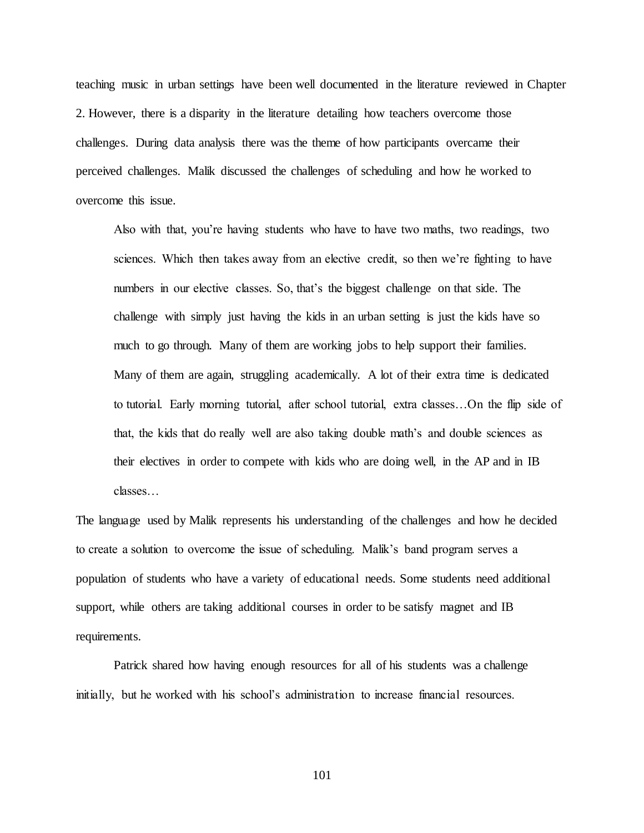teaching music in urban settings have been well documented in the literature reviewed in Chapter 2. However, there is a disparity in the literature detailing how teachers overcome those challenges. During data analysis there was the theme of how participants overcame their perceived challenges. Malik discussed the challenges of scheduling and how he worked to overcome this issue.

Also with that, you're having students who have to have two maths, two readings, two sciences. Which then takes away from an elective credit, so then we're fighting to have numbers in our elective classes. So, that's the biggest challenge on that side. The challenge with simply just having the kids in an urban setting is just the kids have so much to go through. Many of them are working jobs to help support their families. Many of them are again, struggling academically. A lot of their extra time is dedicated to tutorial. Early morning tutorial, after school tutorial, extra classes…On the flip side of that, the kids that do really well are also taking double math's and double sciences as their electives in order to compete with kids who are doing well, in the AP and in IB classes…

The language used by Malik represents his understanding of the challenges and how he decided to create a solution to overcome the issue of scheduling. Malik's band program serves a population of students who have a variety of educational needs. Some students need additional support, while others are taking additional courses in order to be satisfy magnet and IB requirements.

Patrick shared how having enough resources for all of his students was a challenge initially, but he worked with his school's administration to increase financial resources.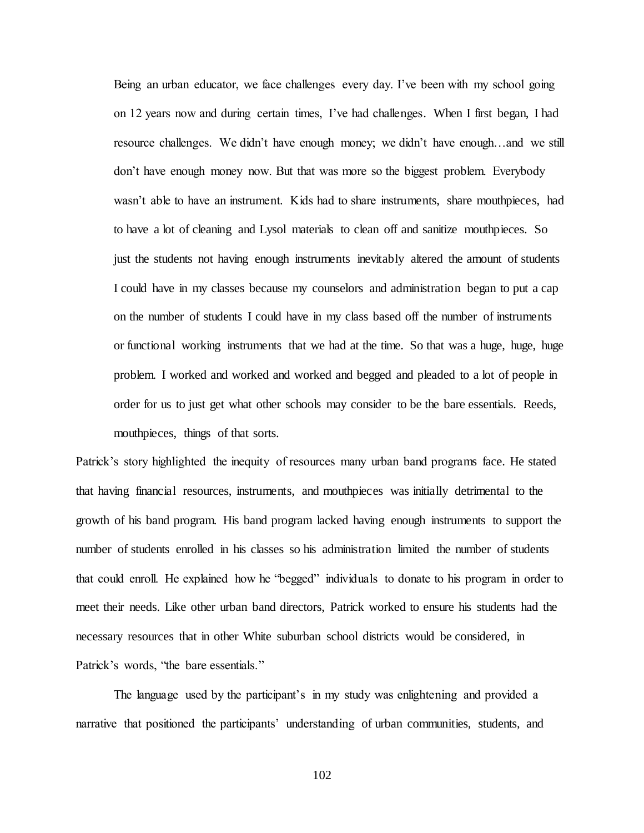Being an urban educator, we face challenges every day. I've been with my school going on 12 years now and during certain times, I've had challenges. When I first began, I had resource challenges. We didn't have enough money; we didn't have enough…and we still don't have enough money now. But that was more so the biggest problem. Everybody wasn't able to have an instrument. Kids had to share instruments, share mouthpieces, had to have a lot of cleaning and Lysol materials to clean off and sanitize mouthpieces. So just the students not having enough instruments inevitably altered the amount of students I could have in my classes because my counselors and administration began to put a cap on the number of students I could have in my class based off the number of instruments or functional working instruments that we had at the time. So that was a huge, huge, huge problem. I worked and worked and worked and begged and pleaded to a lot of people in order for us to just get what other schools may consider to be the bare essentials. Reeds, mouthpieces, things of that sorts.

Patrick's story highlighted the inequity of resources many urban band programs face. He stated that having financial resources, instruments, and mouthpieces was initially detrimental to the growth of his band program. His band program lacked having enough instruments to support the number of students enrolled in his classes so his administration limited the number of students that could enroll. He explained how he "begged" individuals to donate to his program in order to meet their needs. Like other urban band directors, Patrick worked to ensure his students had the necessary resources that in other White suburban school districts would be considered, in Patrick's words, "the bare essentials."

The language used by the participant's in my study was enlightening and provided a narrative that positioned the participants' understanding of urban communities, students, and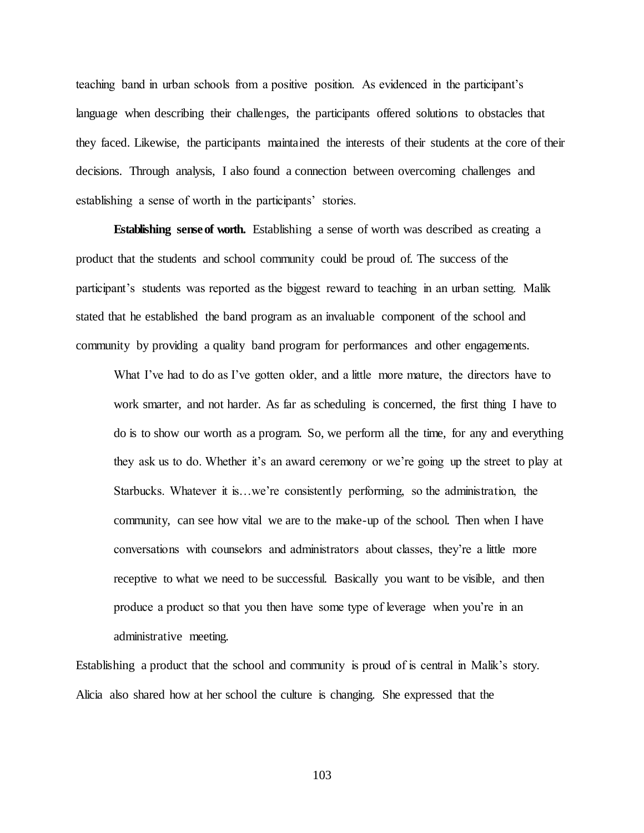teaching band in urban schools from a positive position. As evidenced in the participant's language when describing their challenges, the participants offered solutions to obstacles that they faced. Likewise, the participants maintained the interests of their students at the core of their decisions. Through analysis, I also found a connection between overcoming challenges and establishing a sense of worth in the participants' stories.

**Establishing sense of worth.** Establishing a sense of worth was described as creating a product that the students and school community could be proud of. The success of the participant's students was reported as the biggest reward to teaching in an urban setting. Malik stated that he established the band program as an invaluable component of the school and community by providing a quality band program for performances and other engagements.

What I've had to do as I've gotten older, and a little more mature, the directors have to work smarter, and not harder. As far as scheduling is concerned, the first thing I have to do is to show our worth as a program. So, we perform all the time, for any and everything they ask us to do. Whether it's an award ceremony or we're going up the street to play at Starbucks. Whatever it is…we're consistently performing, so the administration, the community, can see how vital we are to the make-up of the school. Then when I have conversations with counselors and administrators about classes, they're a little more receptive to what we need to be successful. Basically you want to be visible, and then produce a product so that you then have some type of leverage when you're in an administrative meeting.

Establishing a product that the school and community is proud of is central in Malik's story. Alicia also shared how at her school the culture is changing. She expressed that the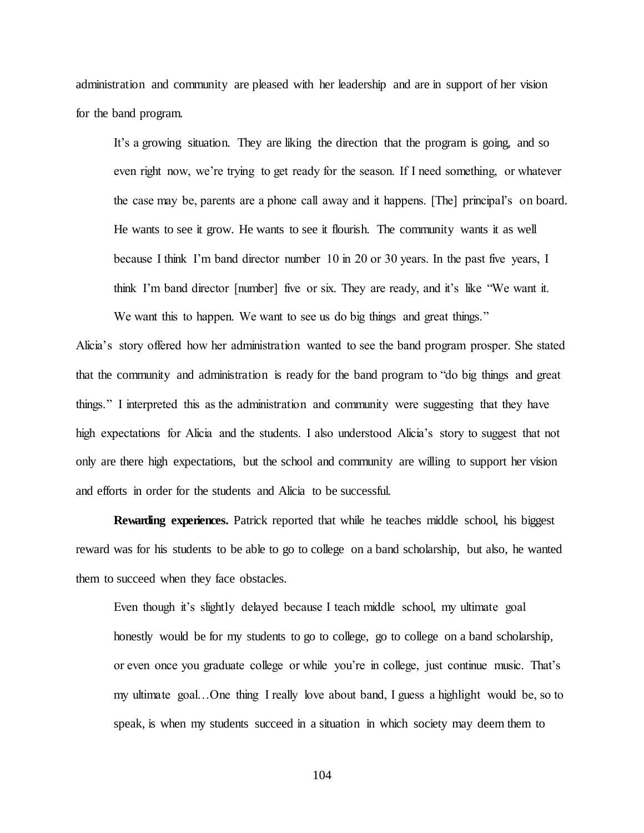administration and community are pleased with her leadership and are in support of her vision for the band program.

It's a growing situation. They are liking the direction that the program is going, and so even right now, we're trying to get ready for the season. If I need something, or whatever the case may be, parents are a phone call away and it happens. [The] principal's on board. He wants to see it grow. He wants to see it flourish. The community wants it as well because I think I'm band director number 10 in 20 or 30 years. In the past five years, I think I'm band director [number] five or six. They are ready, and it's like "We want it. We want this to happen. We want to see us do big things and great things."

Alicia's story offered how her administration wanted to see the band program prosper. She stated that the community and administration is ready for the band program to "do big things and great things." I interpreted this as the administration and community were suggesting that they have high expectations for Alicia and the students. I also understood Alicia's story to suggest that not only are there high expectations, but the school and community are willing to support her vision and efforts in order for the students and Alicia to be successful.

**Rewarding experiences.** Patrick reported that while he teaches middle school, his biggest reward was for his students to be able to go to college on a band scholarship, but also, he wanted them to succeed when they face obstacles.

Even though it's slightly delayed because I teach middle school, my ultimate goal honestly would be for my students to go to college, go to college on a band scholarship, or even once you graduate college or while you're in college, just continue music. That's my ultimate goal…One thing I really love about band, I guess a highlight would be, so to speak, is when my students succeed in a situation in which society may deem them to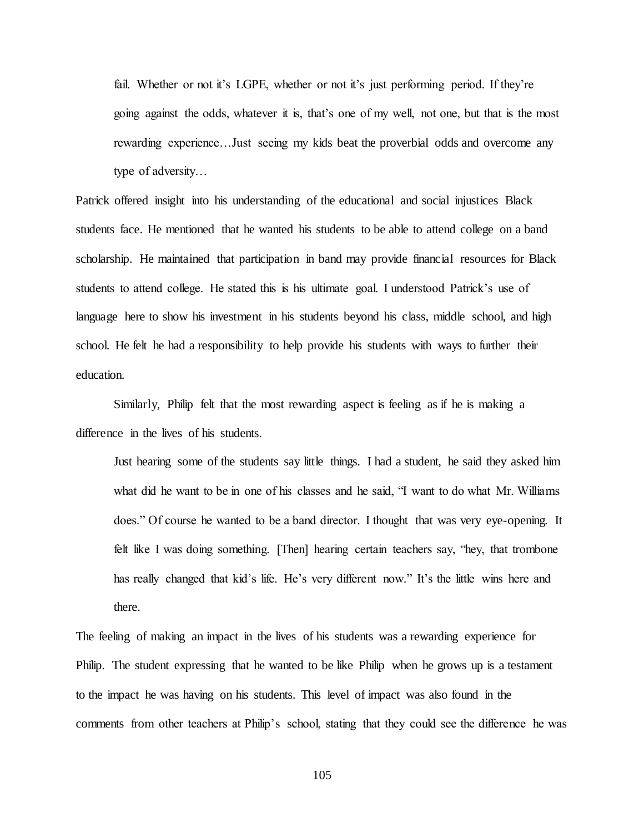fail. Whether or not it's LGPE, whether or not it's just performing period. If they're going against the odds, whatever it is, that's one of my well, not one, but that is the most rewarding experience…Just seeing my kids beat the proverbial odds and overcome any type of adversity…

Patrick offered insight into his understanding of the educational and social injustices Black students face. He mentioned that he wanted his students to be able to attend college on a band scholarship. He maintained that participation in band may provide financial resources for Black students to attend college. He stated this is his ultimate goal. I understood Patrick's use of language here to show his investment in his students beyond his class, middle school, and high school. He felt he had a responsibility to help provide his students with ways to further their education.

Similarly, Philip felt that the most rewarding aspect is feeling as if he is making a difference in the lives of his students.

Just hearing some of the students say little things. I had a student, he said they asked him what did he want to be in one of his classes and he said, "I want to do what Mr. Williams does." Of course he wanted to be a band director. I thought that was very eye-opening. It felt like I was doing something. [Then] hearing certain teachers say, "hey, that trombone has really changed that kid's life. He's very different now." It's the little wins here and there.

The feeling of making an impact in the lives of his students was a rewarding experience for Philip. The student expressing that he wanted to be like Philip when he grows up is a testament to the impact he was having on his students. This level of impact was also found in the comments from other teachers at Philip's school, stating that they could see the difference he was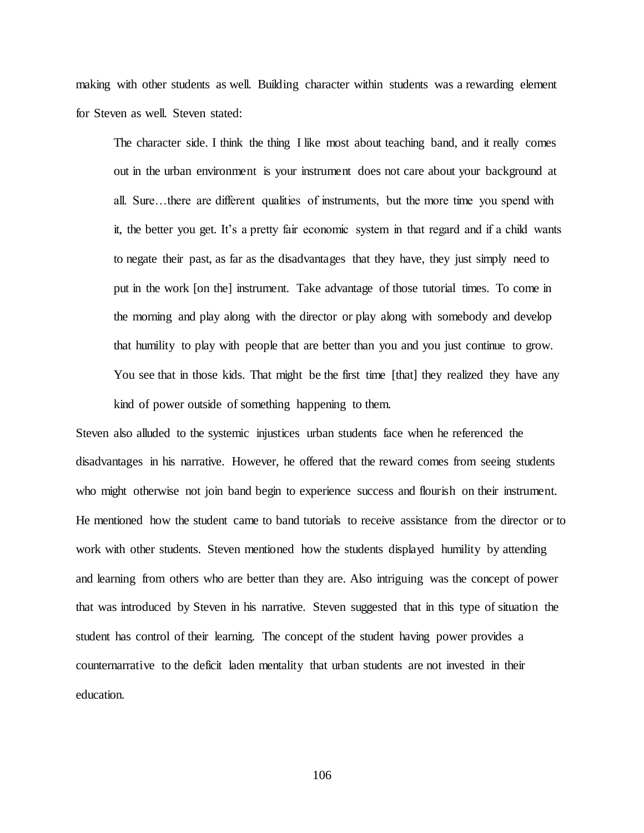making with other students as well. Building character within students was a rewarding element for Steven as well. Steven stated:

The character side. I think the thing I like most about teaching band, and it really comes out in the urban environment is your instrument does not care about your background at all. Sure…there are different qualities of instruments, but the more time you spend with it, the better you get. It's a pretty fair economic system in that regard and if a child wants to negate their past, as far as the disadvantages that they have, they just simply need to put in the work [on the] instrument. Take advantage of those tutorial times. To come in the morning and play along with the director or play along with somebody and develop that humility to play with people that are better than you and you just continue to grow. You see that in those kids. That might be the first time [that] they realized they have any kind of power outside of something happening to them.

Steven also alluded to the systemic injustices urban students face when he referenced the disadvantages in his narrative. However, he offered that the reward comes from seeing students who might otherwise not join band begin to experience success and flourish on their instrument. He mentioned how the student came to band tutorials to receive assistance from the director or to work with other students. Steven mentioned how the students displayed humility by attending and learning from others who are better than they are. Also intriguing was the concept of power that was introduced by Steven in his narrative. Steven suggested that in this type of situation the student has control of their learning. The concept of the student having power provides a counternarrative to the deficit laden mentality that urban students are not invested in their education.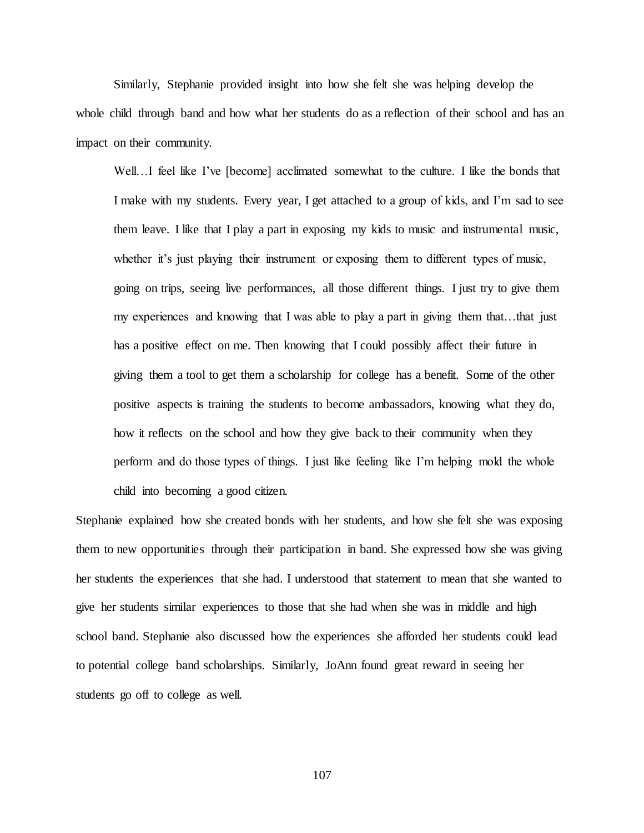Similarly, Stephanie provided insight into how she felt she was helping develop the whole child through band and how what her students do as a reflection of their school and has an impact on their community.

Well...I feel like I've [become] acclimated somewhat to the culture. I like the bonds that I make with my students. Every year, I get attached to a group of kids, and I'm sad to see them leave. I like that I play a part in exposing my kids to music and instrumental music, whether it's just playing their instrument or exposing them to different types of music, going on trips, seeing live performances, all those different things. I just try to give them my experiences and knowing that I was able to play a part in giving them that…that just has a positive effect on me. Then knowing that I could possibly affect their future in giving them a tool to get them a scholarship for college has a benefit. Some of the other positive aspects is training the students to become ambassadors, knowing what they do, how it reflects on the school and how they give back to their community when they perform and do those types of things. I just like feeling like I'm helping mold the whole child into becoming a good citizen.

Stephanie explained how she created bonds with her students, and how she felt she was exposing them to new opportunities through their participation in band. She expressed how she was giving her students the experiences that she had. I understood that statement to mean that she wanted to give her students similar experiences to those that she had when she was in middle and high school band. Stephanie also discussed how the experiences she afforded her students could lead to potential college band scholarships. Similarly, JoAnn found great reward in seeing her students go off to college as well.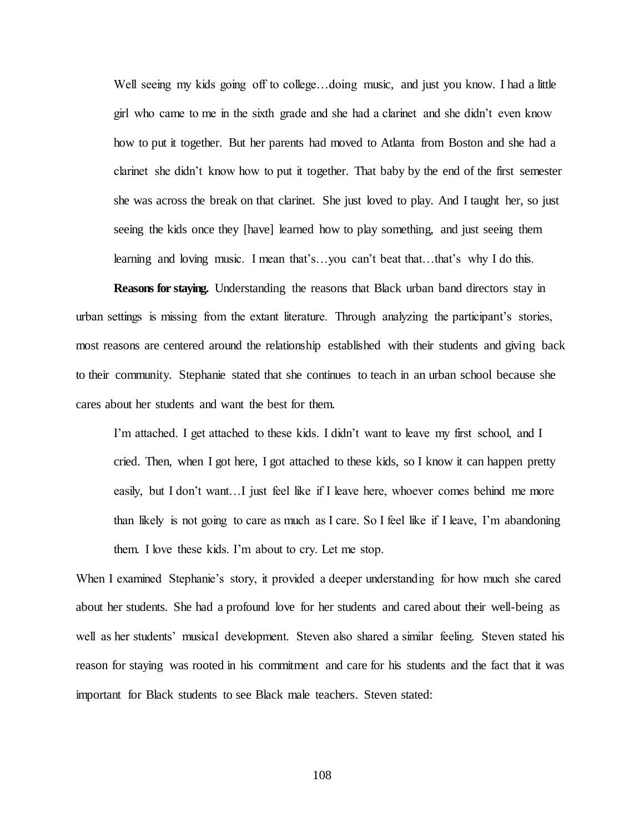Well seeing my kids going off to college...doing music, and just you know. I had a little girl who came to me in the sixth grade and she had a clarinet and she didn't even know how to put it together. But her parents had moved to Atlanta from Boston and she had a clarinet she didn't know how to put it together. That baby by the end of the first semester she was across the break on that clarinet. She just loved to play. And I taught her, so just seeing the kids once they [have] learned how to play something, and just seeing them learning and loving music. I mean that's…you can't beat that…that's why I do this.

**Reasons for staying.** Understanding the reasons that Black urban band directors stay in urban settings is missing from the extant literature. Through analyzing the participant's stories, most reasons are centered around the relationship established with their students and giving back to their community. Stephanie stated that she continues to teach in an urban school because she cares about her students and want the best for them.

I'm attached. I get attached to these kids. I didn't want to leave my first school, and I cried. Then, when I got here, I got attached to these kids, so I know it can happen pretty easily, but I don't want…I just feel like if I leave here, whoever comes behind me more than likely is not going to care as much as I care. So I feel like if I leave, I'm abandoning them. I love these kids. I'm about to cry. Let me stop.

When I examined Stephanie's story, it provided a deeper understanding for how much she cared about her students. She had a profound love for her students and cared about their well-being as well as her students' musical development. Steven also shared a similar feeling. Steven stated his reason for staying was rooted in his commitment and care for his students and the fact that it was important for Black students to see Black male teachers. Steven stated: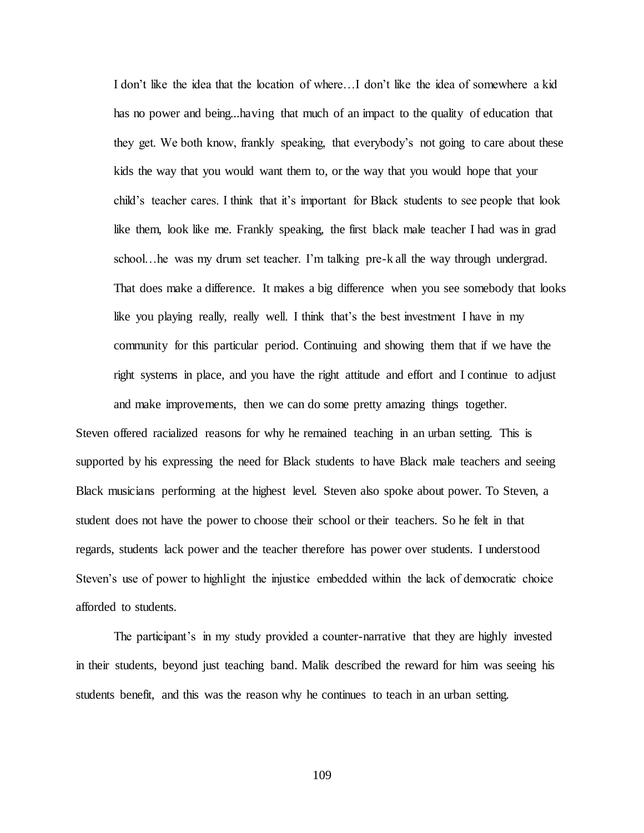I don't like the idea that the location of where…I don't like the idea of somewhere a kid has no power and being...having that much of an impact to the quality of education that they get. We both know, frankly speaking, that everybody's not going to care about these kids the way that you would want them to, or the way that you would hope that your child's teacher cares. I think that it's important for Black students to see people that look like them, look like me. Frankly speaking, the first black male teacher I had was in grad school…he was my drum set teacher. I'm talking pre-k all the way through undergrad. That does make a difference. It makes a big difference when you see somebody that looks like you playing really, really well. I think that's the best investment I have in my community for this particular period. Continuing and showing them that if we have the right systems in place, and you have the right attitude and effort and I continue to adjust and make improvements, then we can do some pretty amazing things together.

Steven offered racialized reasons for why he remained teaching in an urban setting. This is supported by his expressing the need for Black students to have Black male teachers and seeing Black musicians performing at the highest level. Steven also spoke about power. To Steven, a student does not have the power to choose their school or their teachers. So he felt in that regards, students lack power and the teacher therefore has power over students. I understood Steven's use of power to highlight the injustice embedded within the lack of democratic choice afforded to students.

The participant's in my study provided a counter-narrative that they are highly invested in their students, beyond just teaching band. Malik described the reward for him was seeing his students benefit, and this was the reason why he continues to teach in an urban setting.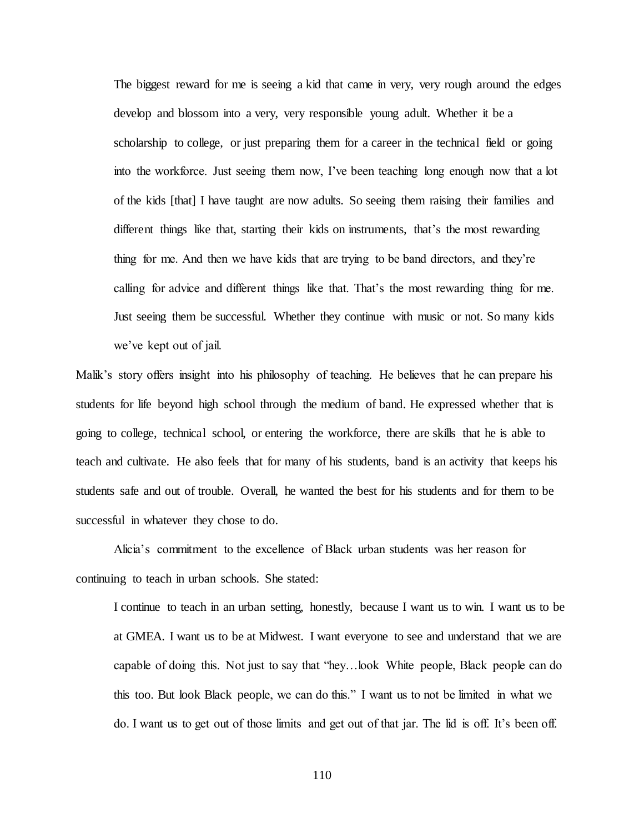The biggest reward for me is seeing a kid that came in very, very rough around the edges develop and blossom into a very, very responsible young adult. Whether it be a scholarship to college, or just preparing them for a career in the technical field or going into the workforce. Just seeing them now, I've been teaching long enough now that a lot of the kids [that] I have taught are now adults. So seeing them raising their families and different things like that, starting their kids on instruments, that's the most rewarding thing for me. And then we have kids that are trying to be band directors, and they're calling for advice and different things like that. That's the most rewarding thing for me. Just seeing them be successful. Whether they continue with music or not. So many kids we've kept out of jail.

Malik's story offers insight into his philosophy of teaching. He believes that he can prepare his students for life beyond high school through the medium of band. He expressed whether that is going to college, technical school, or entering the workforce, there are skills that he is able to teach and cultivate. He also feels that for many of his students, band is an activity that keeps his students safe and out of trouble. Overall, he wanted the best for his students and for them to be successful in whatever they chose to do.

Alicia's commitment to the excellence of Black urban students was her reason for continuing to teach in urban schools. She stated:

I continue to teach in an urban setting, honestly, because I want us to win. I want us to be at GMEA. I want us to be at Midwest. I want everyone to see and understand that we are capable of doing this. Not just to say that "hey…look White people, Black people can do this too. But look Black people, we can do this." I want us to not be limited in what we do. I want us to get out of those limits and get out of that jar. The lid is off. It's been off.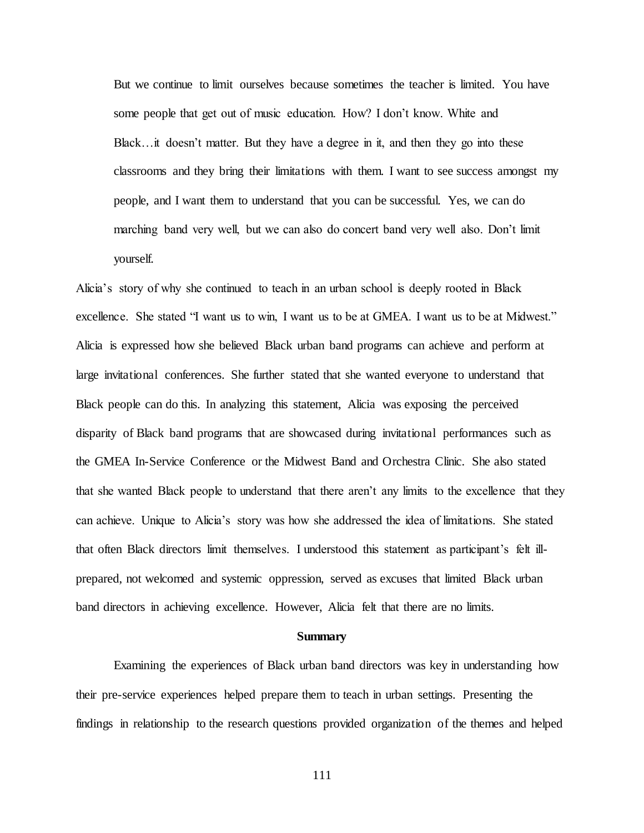But we continue to limit ourselves because sometimes the teacher is limited. You have some people that get out of music education. How? I don't know. White and Black…it doesn't matter. But they have a degree in it, and then they go into these classrooms and they bring their limitations with them. I want to see success amongst my people, and I want them to understand that you can be successful. Yes, we can do marching band very well, but we can also do concert band very well also. Don't limit yourself.

Alicia's story of why she continued to teach in an urban school is deeply rooted in Black excellence. She stated "I want us to win, I want us to be at GMEA. I want us to be at Midwest." Alicia is expressed how she believed Black urban band programs can achieve and perform at large invitational conferences. She further stated that she wanted everyone to understand that Black people can do this. In analyzing this statement, Alicia was exposing the perceived disparity of Black band programs that are showcased during invitational performances such as the GMEA In-Service Conference or the Midwest Band and Orchestra Clinic. She also stated that she wanted Black people to understand that there aren't any limits to the excellence that they can achieve. Unique to Alicia's story was how she addressed the idea of limitations. She stated that often Black directors limit themselves. I understood this statement as participant's felt illprepared, not welcomed and systemic oppression, served as excuses that limited Black urban band directors in achieving excellence. However, Alicia felt that there are no limits.

#### **Summary**

Examining the experiences of Black urban band directors was key in understanding how their pre-service experiences helped prepare them to teach in urban settings. Presenting the findings in relationship to the research questions provided organization of the themes and helped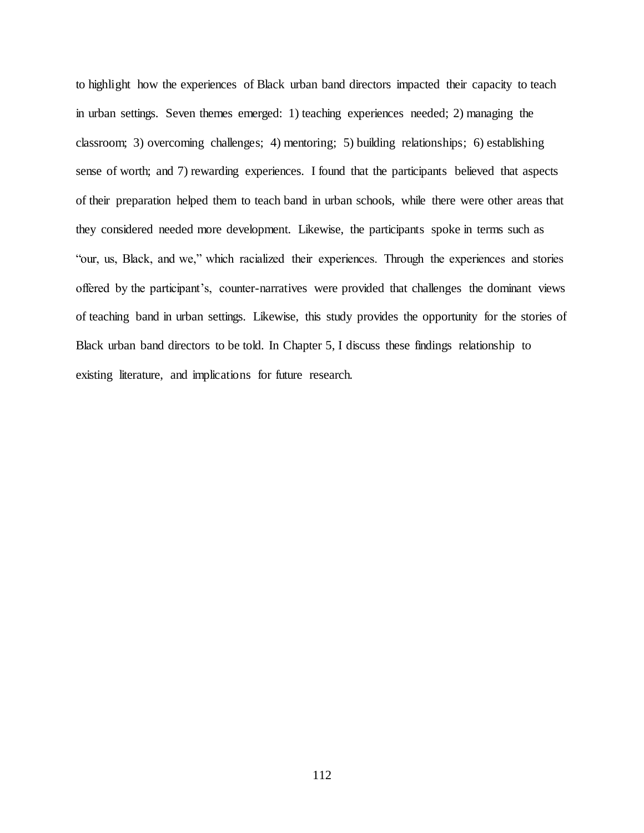to highlight how the experiences of Black urban band directors impacted their capacity to teach in urban settings. Seven themes emerged: 1) teaching experiences needed; 2) managing the classroom; 3) overcoming challenges; 4) mentoring; 5) building relationships; 6) establishing sense of worth; and 7) rewarding experiences. I found that the participants believed that aspects of their preparation helped them to teach band in urban schools, while there were other areas that they considered needed more development. Likewise, the participants spoke in terms such as "our, us, Black, and we," which racialized their experiences. Through the experiences and stories offered by the participant's, counter-narratives were provided that challenges the dominant views of teaching band in urban settings. Likewise, this study provides the opportunity for the stories of Black urban band directors to be told. In Chapter 5, I discuss these findings relationship to existing literature, and implications for future research.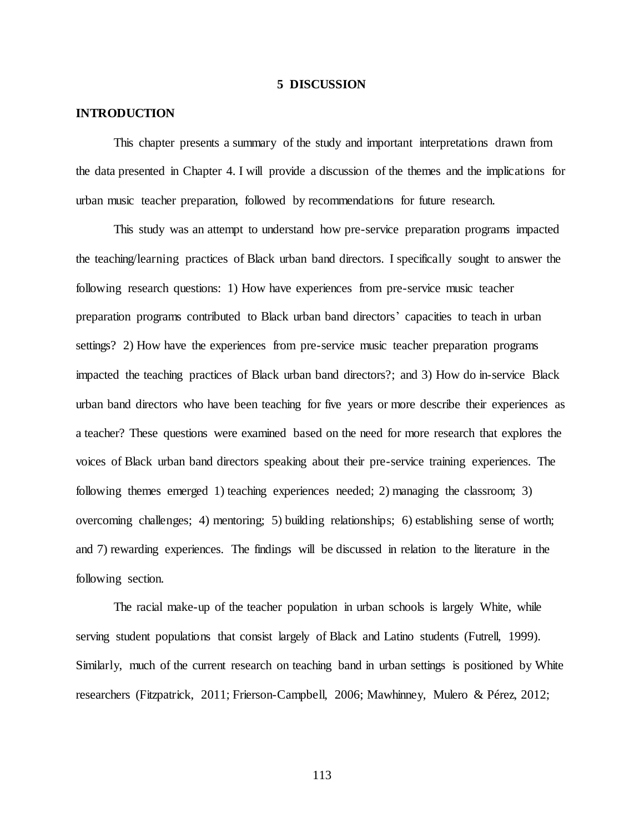#### **5 DISCUSSION**

# **INTRODUCTION**

This chapter presents a summary of the study and important interpretations drawn from the data presented in Chapter 4. I will provide a discussion of the themes and the implications for urban music teacher preparation, followed by recommendations for future research.

This study was an attempt to understand how pre-service preparation programs impacted the teaching/learning practices of Black urban band directors. I specifically sought to answer the following research questions: 1) How have experiences from pre-service music teacher preparation programs contributed to Black urban band directors' capacities to teach in urban settings? 2) How have the experiences from pre-service music teacher preparation programs impacted the teaching practices of Black urban band directors?; and 3) How do in-service Black urban band directors who have been teaching for five years or more describe their experiences as a teacher? These questions were examined based on the need for more research that explores the voices of Black urban band directors speaking about their pre-service training experiences. The following themes emerged 1) teaching experiences needed; 2) managing the classroom; 3) overcoming challenges; 4) mentoring; 5) building relationships; 6) establishing sense of worth; and 7) rewarding experiences*.* The findings will be discussed in relation to the literature in the following section.

The racial make-up of the teacher population in urban schools is largely White, while serving student populations that consist largely of Black and Latino students (Futrell, 1999). Similarly, much of the current research on teaching band in urban settings is positioned by White researchers (Fitzpatrick, 2011; Frierson-Campbell, 2006; Mawhinney, Mulero & Pérez, 2012;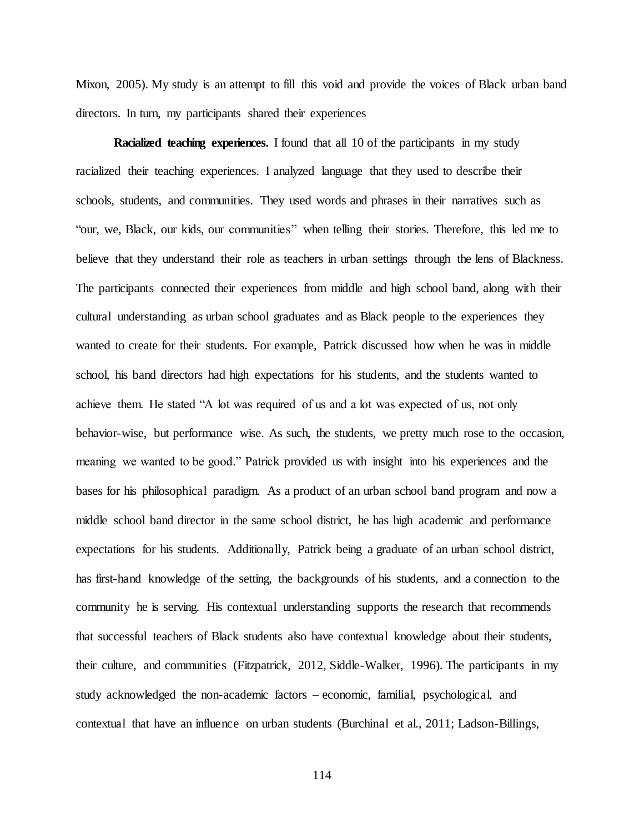Mixon, 2005). My study is an attempt to fill this void and provide the voices of Black urban band directors. In turn, my participants shared their experiences

**Racialized teaching experiences.** I found that all 10 of the participants in my study racialized their teaching experiences. I analyzed language that they used to describe their schools, students, and communities. They used words and phrases in their narratives such as "our, we, Black, our kids, our communities" when telling their stories. Therefore, this led me to believe that they understand their role as teachers in urban settings through the lens of Blackness. The participants connected their experiences from middle and high school band, along with their cultural understanding as urban school graduates and as Black people to the experiences they wanted to create for their students. For example, Patrick discussed how when he was in middle school, his band directors had high expectations for his students, and the students wanted to achieve them. He stated "A lot was required of us and a lot was expected of us, not only behavior-wise, but performance wise. As such, the students, we pretty much rose to the occasion, meaning we wanted to be good." Patrick provided us with insight into his experiences and the bases for his philosophical paradigm. As a product of an urban school band program and now a middle school band director in the same school district, he has high academic and performance expectations for his students. Additionally, Patrick being a graduate of an urban school district, has first-hand knowledge of the setting, the backgrounds of his students, and a connection to the community he is serving. His contextual understanding supports the research that recommends that successful teachers of Black students also have contextual knowledge about their students, their culture, and communities (Fitzpatrick, 2012, Siddle-Walker, 1996). The participants in my study acknowledged the non-academic factors – economic, familial, psychological, and contextual that have an influence on urban students (Burchinal et al., 2011; Ladson-Billings,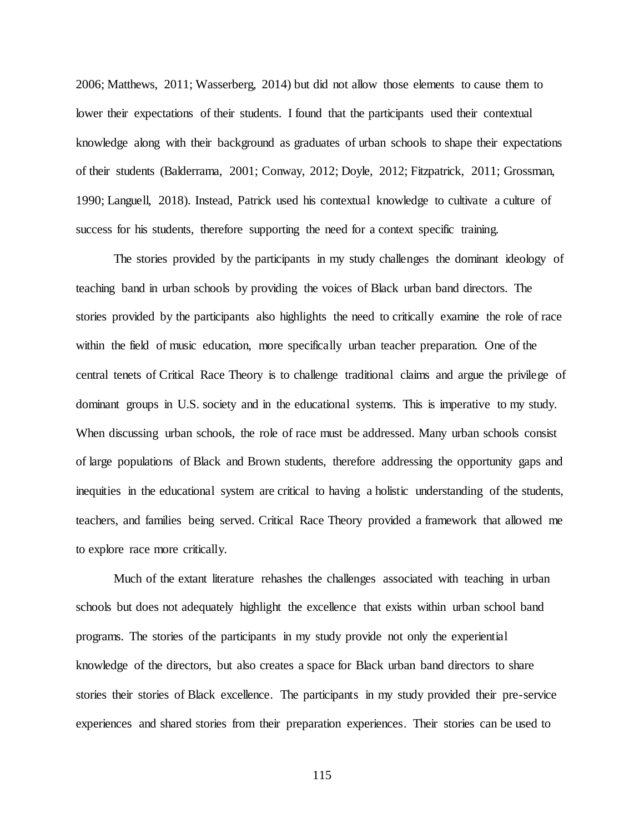2006; Matthews, 2011; Wasserberg, 2014) but did not allow those elements to cause them to lower their expectations of their students. I found that the participants used their contextual knowledge along with their background as graduates of urban schools to shape their expectations of their students (Balderrama, 2001; Conway, 2012; Doyle, 2012; Fitzpatrick, 2011; Grossman, 1990; Languell, 2018). Instead, Patrick used his contextual knowledge to cultivate a culture of success for his students, therefore supporting the need for a context specific training.

The stories provided by the participants in my study challenges the dominant ideology of teaching band in urban schools by providing the voices of Black urban band directors. The stories provided by the participants also highlights the need to critically examine the role of race within the field of music education, more specifically urban teacher preparation. One of the central tenets of Critical Race Theory is to challenge traditional claims and argue the privilege of dominant groups in U.S. society and in the educational systems. This is imperative to my study. When discussing urban schools, the role of race must be addressed. Many urban schools consist of large populations of Black and Brown students, therefore addressing the opportunity gaps and inequities in the educational system are critical to having a holistic understanding of the students, teachers, and families being served. Critical Race Theory provided a framework that allowed me to explore race more critically.

Much of the extant literature rehashes the challenges associated with teaching in urban schools but does not adequately highlight the excellence that exists within urban school band programs. The stories of the participants in my study provide not only the experiential knowledge of the directors, but also creates a space for Black urban band directors to share stories their stories of Black excellence. The participants in my study provided their pre-service experiences and shared stories from their preparation experiences. Their stories can be used to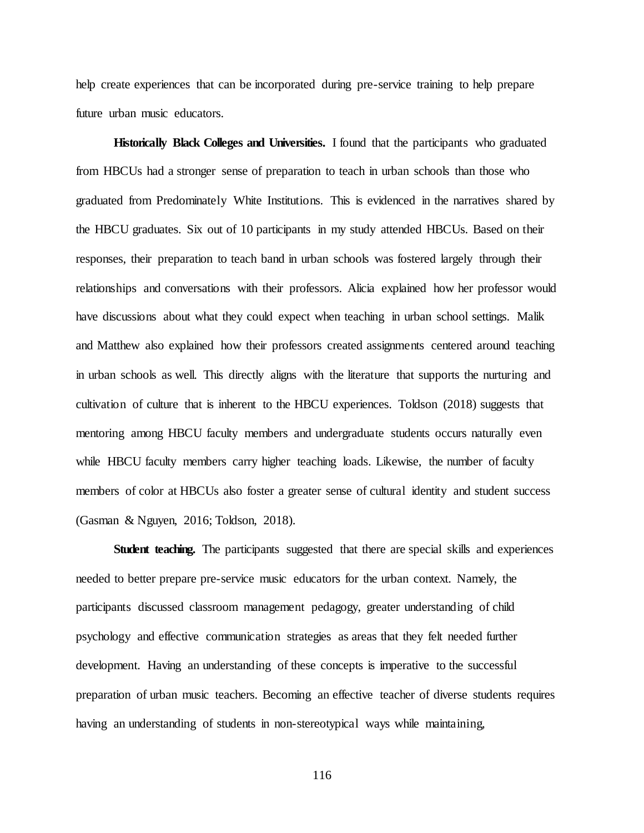help create experiences that can be incorporated during pre-service training to help prepare future urban music educators.

**Historically Black Colleges and Universities.** I found that the participants who graduated from HBCUs had a stronger sense of preparation to teach in urban schools than those who graduated from Predominately White Institutions. This is evidenced in the narratives shared by the HBCU graduates. Six out of 10 participants in my study attended HBCUs. Based on their responses, their preparation to teach band in urban schools was fostered largely through their relationships and conversations with their professors. Alicia explained how her professor would have discussions about what they could expect when teaching in urban school settings. Malik and Matthew also explained how their professors created assignments centered around teaching in urban schools as well. This directly aligns with the literature that supports the nurturing and cultivation of culture that is inherent to the HBCU experiences. Toldson (2018) suggests that mentoring among HBCU faculty members and undergraduate students occurs naturally even while HBCU faculty members carry higher teaching loads. Likewise, the number of faculty members of color at HBCUs also foster a greater sense of cultural identity and student success (Gasman & Nguyen, 2016; Toldson, 2018).

**Student teaching.** The participants suggested that there are special skills and experiences needed to better prepare pre-service music educators for the urban context. Namely, the participants discussed classroom management pedagogy, greater understanding of child psychology and effective communication strategies as areas that they felt needed further development. Having an understanding of these concepts is imperative to the successful preparation of urban music teachers. Becoming an effective teacher of diverse students requires having an understanding of students in non-stereotypical ways while maintaining,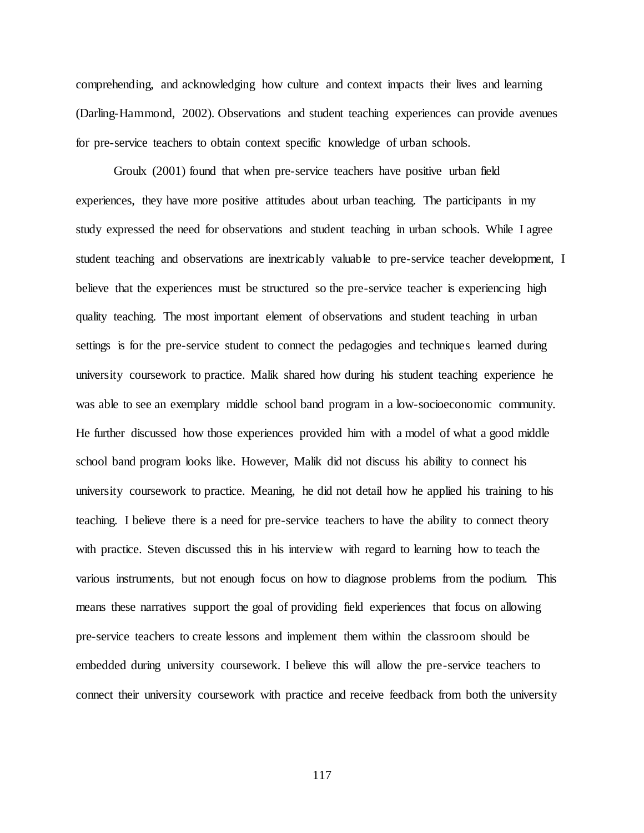comprehending, and acknowledging how culture and context impacts their lives and learning (Darling-Hammond, 2002). Observations and student teaching experiences can provide avenues for pre-service teachers to obtain context specific knowledge of urban schools.

Groulx (2001) found that when pre-service teachers have positive urban field experiences, they have more positive attitudes about urban teaching. The participants in my study expressed the need for observations and student teaching in urban schools. While I agree student teaching and observations are inextricably valuable to pre-service teacher development, I believe that the experiences must be structured so the pre-service teacher is experiencing high quality teaching. The most important element of observations and student teaching in urban settings is for the pre-service student to connect the pedagogies and techniques learned during university coursework to practice. Malik shared how during his student teaching experience he was able to see an exemplary middle school band program in a low-socioeconomic community. He further discussed how those experiences provided him with a model of what a good middle school band program looks like. However, Malik did not discuss his ability to connect his university coursework to practice. Meaning, he did not detail how he applied his training to his teaching. I believe there is a need for pre-service teachers to have the ability to connect theory with practice. Steven discussed this in his interview with regard to learning how to teach the various instruments, but not enough focus on how to diagnose problems from the podium. This means these narratives support the goal of providing field experiences that focus on allowing pre-service teachers to create lessons and implement them within the classroom should be embedded during university coursework. I believe this will allow the pre-service teachers to connect their university coursework with practice and receive feedback from both the university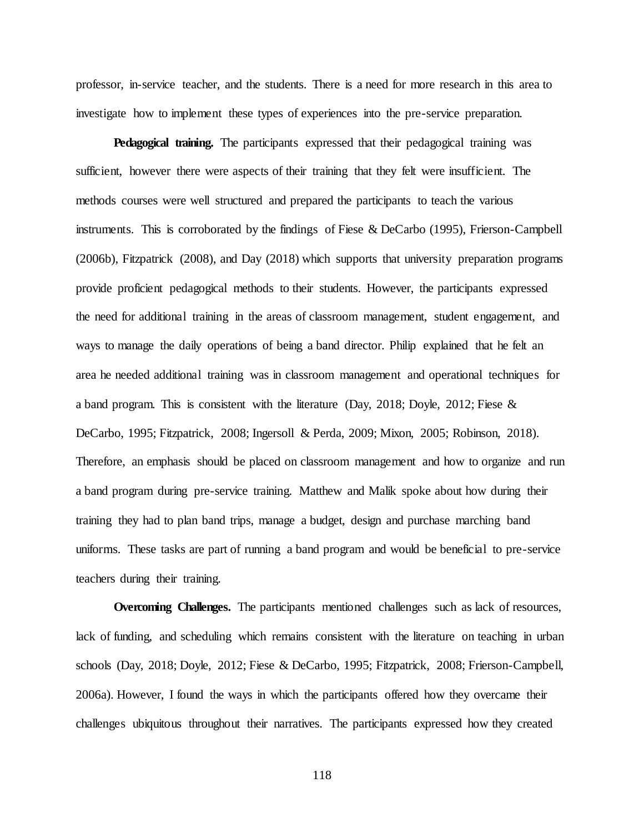professor, in-service teacher, and the students. There is a need for more research in this area to investigate how to implement these types of experiences into the pre-service preparation.

**Pedagogical training.** The participants expressed that their pedagogical training was sufficient, however there were aspects of their training that they felt were insufficient. The methods courses were well structured and prepared the participants to teach the various instruments. This is corroborated by the findings of Fiese & DeCarbo (1995), Frierson-Campbell (2006b), Fitzpatrick (2008), and Day (2018) which supports that university preparation programs provide proficient pedagogical methods to their students. However, the participants expressed the need for additional training in the areas of classroom management, student engagement, and ways to manage the daily operations of being a band director. Philip explained that he felt an area he needed additional training was in classroom management and operational techniques for a band program. This is consistent with the literature (Day, 2018; Doyle, 2012; Fiese  $\&$ DeCarbo, 1995; Fitzpatrick, 2008; Ingersoll & Perda, 2009; Mixon, 2005; Robinson, 2018). Therefore, an emphasis should be placed on classroom management and how to organize and run a band program during pre-service training. Matthew and Malik spoke about how during their training they had to plan band trips, manage a budget, design and purchase marching band uniforms. These tasks are part of running a band program and would be beneficial to pre-service teachers during their training.

**Overcoming Challenges.** The participants mentioned challenges such as lack of resources, lack of funding, and scheduling which remains consistent with the literature on teaching in urban schools (Day, 2018; Doyle, 2012; Fiese & DeCarbo, 1995; Fitzpatrick, 2008; Frierson-Campbell, 2006a). However, I found the ways in which the participants offered how they overcame their challenges ubiquitous throughout their narratives. The participants expressed how they created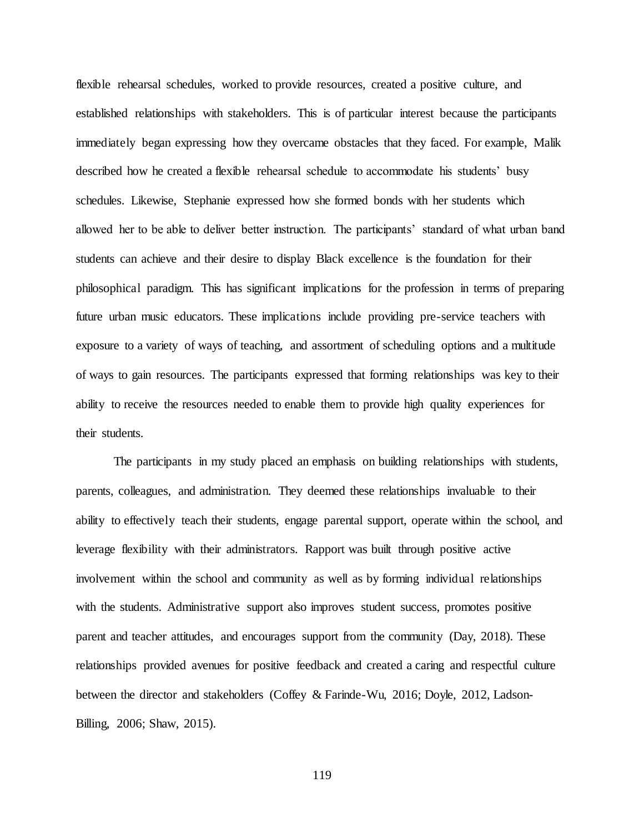flexible rehearsal schedules, worked to provide resources, created a positive culture, and established relationships with stakeholders. This is of particular interest because the participants immediately began expressing how they overcame obstacles that they faced. For example, Malik described how he created a flexible rehearsal schedule to accommodate his students' busy schedules. Likewise, Stephanie expressed how she formed bonds with her students which allowed her to be able to deliver better instruction. The participants' standard of what urban band students can achieve and their desire to display Black excellence is the foundation for their philosophical paradigm. This has significant implications for the profession in terms of preparing future urban music educators. These implications include providing pre-service teachers with exposure to a variety of ways of teaching, and assortment of scheduling options and a multitude of ways to gain resources. The participants expressed that forming relationships was key to their ability to receive the resources needed to enable them to provide high quality experiences for their students.

The participants in my study placed an emphasis on building relationships with students, parents, colleagues, and administration. They deemed these relationships invaluable to their ability to effectively teach their students, engage parental support, operate within the school, and leverage flexibility with their administrators. Rapport was built through positive active involvement within the school and community as well as by forming individual relationships with the students. Administrative support also improves student success, promotes positive parent and teacher attitudes, and encourages support from the community (Day, 2018). These relationships provided avenues for positive feedback and created a caring and respectful culture between the director and stakeholders (Coffey & Farinde-Wu, 2016; Doyle, 2012, Ladson-Billing, 2006; Shaw, 2015).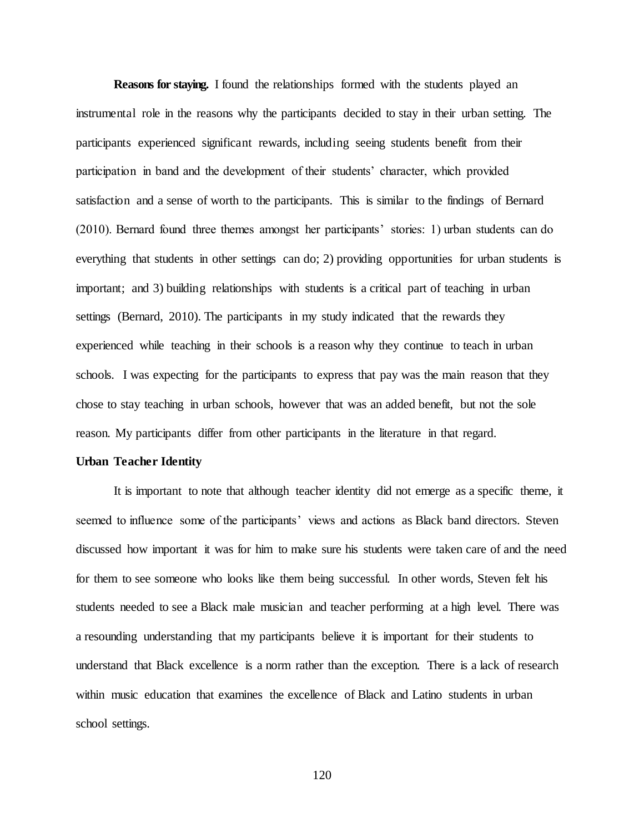**Reasons for staying.** I found the relationships formed with the students played an instrumental role in the reasons why the participants decided to stay in their urban setting. The participants experienced significant rewards, including seeing students benefit from their participation in band and the development of their students' character, which provided satisfaction and a sense of worth to the participants. This is similar to the findings of Bernard (2010). Bernard found three themes amongst her participants' stories: 1) urban students can do everything that students in other settings can do; 2) providing opportunities for urban students is important; and 3) building relationships with students is a critical part of teaching in urban settings (Bernard, 2010). The participants in my study indicated that the rewards they experienced while teaching in their schools is a reason why they continue to teach in urban schools. I was expecting for the participants to express that pay was the main reason that they chose to stay teaching in urban schools, however that was an added benefit, but not the sole reason. My participants differ from other participants in the literature in that regard.

#### **Urban Teacher Identity**

It is important to note that although teacher identity did not emerge as a specific theme, it seemed to influence some of the participants' views and actions as Black band directors. Steven discussed how important it was for him to make sure his students were taken care of and the need for them to see someone who looks like them being successful. In other words, Steven felt his students needed to see a Black male musician and teacher performing at a high level. There was a resounding understanding that my participants believe it is important for their students to understand that Black excellence is a norm rather than the exception. There is a lack of research within music education that examines the excellence of Black and Latino students in urban school settings.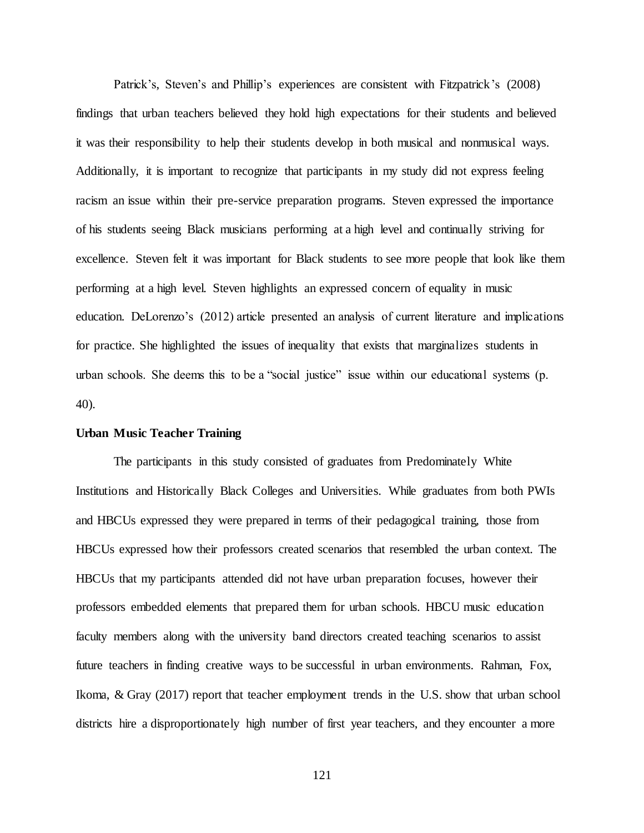Patrick's, Steven's and Phillip's experiences are consistent with Fitzpatrick's (2008) findings that urban teachers believed they hold high expectations for their students and believed it was their responsibility to help their students develop in both musical and nonmusical ways. Additionally, it is important to recognize that participants in my study did not express feeling racism an issue within their pre-service preparation programs. Steven expressed the importance of his students seeing Black musicians performing at a high level and continually striving for excellence. Steven felt it was important for Black students to see more people that look like them performing at a high level. Steven highlights an expressed concern of equality in music education. DeLorenzo's (2012) article presented an analysis of current literature and implications for practice. She highlighted the issues of inequality that exists that marginalizes students in urban schools. She deems this to be a "social justice" issue within our educational systems (p. 40).

# **Urban Music Teacher Training**

The participants in this study consisted of graduates from Predominately White Institutions and Historically Black Colleges and Universities. While graduates from both PWIs and HBCUs expressed they were prepared in terms of their pedagogical training, those from HBCUs expressed how their professors created scenarios that resembled the urban context. The HBCUs that my participants attended did not have urban preparation focuses, however their professors embedded elements that prepared them for urban schools. HBCU music education faculty members along with the university band directors created teaching scenarios to assist future teachers in finding creative ways to be successful in urban environments. Rahman, Fox, Ikoma, & Gray (2017) report that teacher employment trends in the U.S. show that urban school districts hire a disproportionately high number of first year teachers, and they encounter a more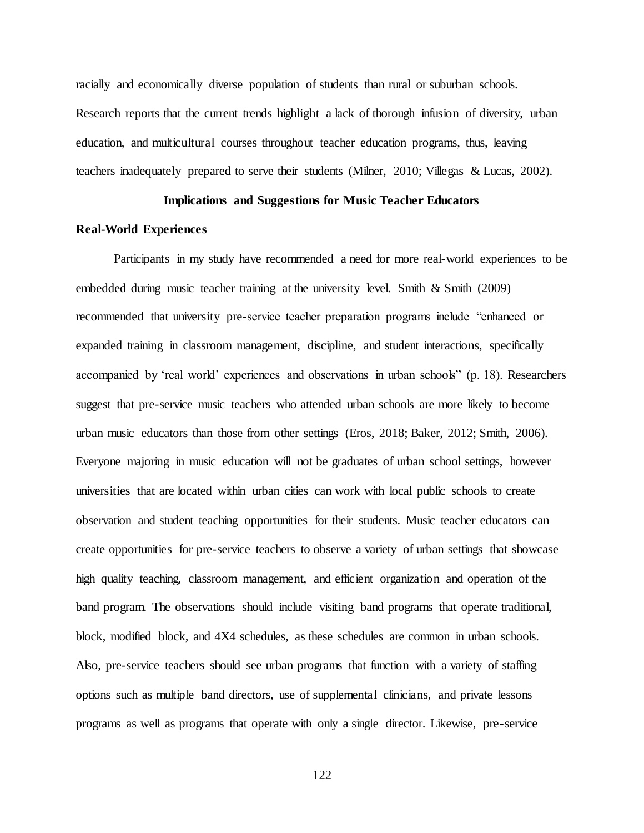racially and economically diverse population of students than rural or suburban schools. Research reports that the current trends highlight a lack of thorough infusion of diversity, urban education, and multicultural courses throughout teacher education programs, thus, leaving teachers inadequately prepared to serve their students (Milner, 2010; Villegas & Lucas, 2002).

# **Implications and Suggestions for Music Teacher Educators**

# **Real-World Experiences**

Participants in my study have recommended a need for more real-world experiences to be embedded during music teacher training at the university level. Smith & Smith (2009) recommended that university pre-service teacher preparation programs include "enhanced or expanded training in classroom management, discipline, and student interactions, specifically accompanied by 'real world' experiences and observations in urban schools" (p. 18). Researchers suggest that pre-service music teachers who attended urban schools are more likely to become urban music educators than those from other settings (Eros, 2018; Baker, 2012; Smith, 2006). Everyone majoring in music education will not be graduates of urban school settings, however universities that are located within urban cities can work with local public schools to create observation and student teaching opportunities for their students. Music teacher educators can create opportunities for pre-service teachers to observe a variety of urban settings that showcase high quality teaching, classroom management, and efficient organization and operation of the band program. The observations should include visiting band programs that operate traditional, block, modified block, and 4X4 schedules, as these schedules are common in urban schools. Also, pre-service teachers should see urban programs that function with a variety of staffing options such as multiple band directors, use of supplemental clinicians, and private lessons programs as well as programs that operate with only a single director. Likewise, pre-service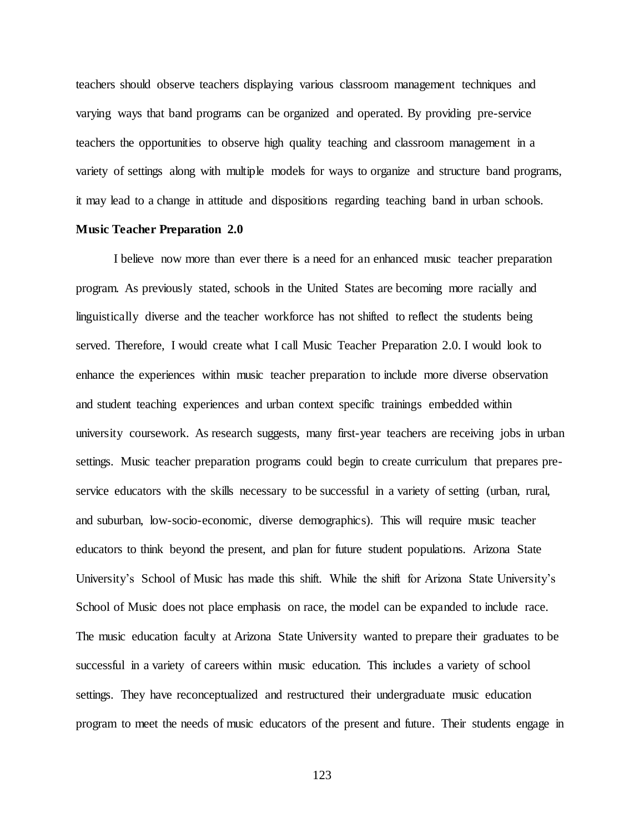teachers should observe teachers displaying various classroom management techniques and varying ways that band programs can be organized and operated. By providing pre-service teachers the opportunities to observe high quality teaching and classroom management in a variety of settings along with multiple models for ways to organize and structure band programs, it may lead to a change in attitude and dispositions regarding teaching band in urban schools.

#### **Music Teacher Preparation 2.0**

I believe now more than ever there is a need for an enhanced music teacher preparation program. As previously stated, schools in the United States are becoming more racially and linguistically diverse and the teacher workforce has not shifted to reflect the students being served. Therefore, I would create what I call Music Teacher Preparation 2.0. I would look to enhance the experiences within music teacher preparation to include more diverse observation and student teaching experiences and urban context specific trainings embedded within university coursework. As research suggests, many first-year teachers are receiving jobs in urban settings. Music teacher preparation programs could begin to create curriculum that prepares preservice educators with the skills necessary to be successful in a variety of setting (urban, rural, and suburban, low-socio-economic, diverse demographics). This will require music teacher educators to think beyond the present, and plan for future student populations. Arizona State University's School of Music has made this shift. While the shift for Arizona State University's School of Music does not place emphasis on race, the model can be expanded to include race. The music education faculty at Arizona State University wanted to prepare their graduates to be successful in a variety of careers within music education. This includes a variety of school settings. They have reconceptualized and restructured their undergraduate music education program to meet the needs of music educators of the present and future. Their students engage in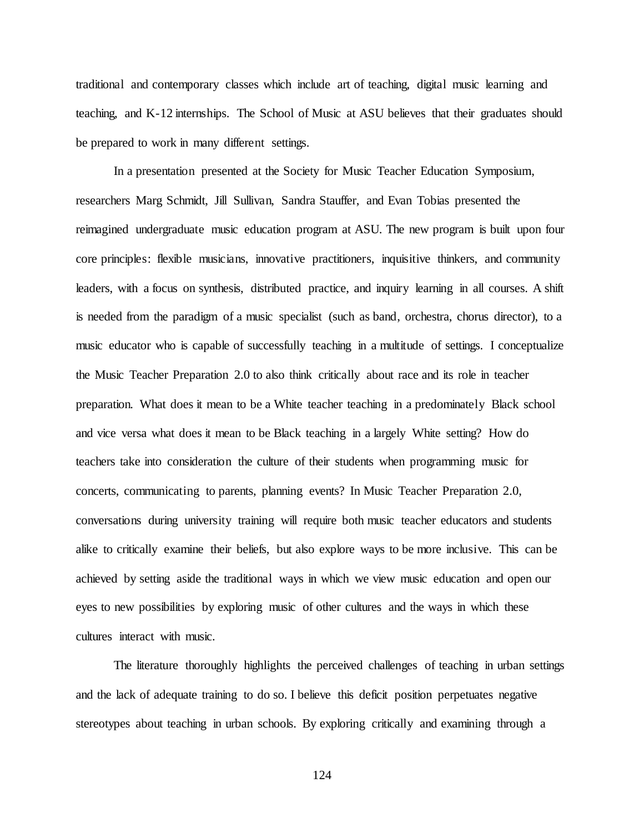traditional and contemporary classes which include art of teaching, digital music learning and teaching, and K-12 internships. The School of Music at ASU believes that their graduates should be prepared to work in many different settings.

In a presentation presented at the Society for Music Teacher Education Symposium, researchers Marg Schmidt, Jill Sullivan, Sandra Stauffer, and Evan Tobias presented the reimagined undergraduate music education program at ASU. The new program is built upon four core principles: flexible musicians, innovative practitioners, inquisitive thinkers, and community leaders, with a focus on synthesis, distributed practice, and inquiry learning in all courses. A shift is needed from the paradigm of a music specialist (such as band, orchestra, chorus director), to a music educator who is capable of successfully teaching in a multitude of settings. I conceptualize the Music Teacher Preparation 2.0 to also think critically about race and its role in teacher preparation. What does it mean to be a White teacher teaching in a predominately Black school and vice versa what does it mean to be Black teaching in a largely White setting? How do teachers take into consideration the culture of their students when programming music for concerts, communicating to parents, planning events? In Music Teacher Preparation 2.0, conversations during university training will require both music teacher educators and students alike to critically examine their beliefs, but also explore ways to be more inclusive. This can be achieved by setting aside the traditional ways in which we view music education and open our eyes to new possibilities by exploring music of other cultures and the ways in which these cultures interact with music.

The literature thoroughly highlights the perceived challenges of teaching in urban settings and the lack of adequate training to do so. I believe this deficit position perpetuates negative stereotypes about teaching in urban schools. By exploring critically and examining through a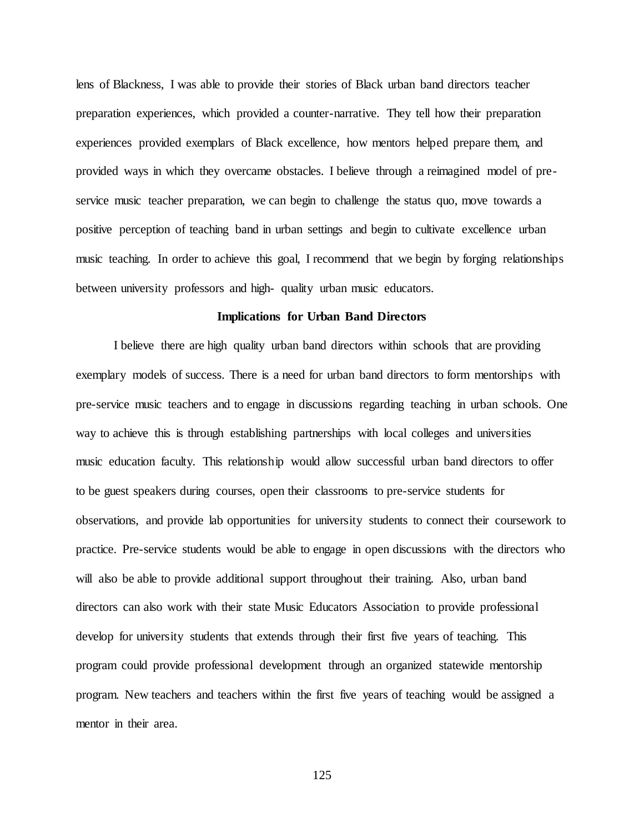lens of Blackness, I was able to provide their stories of Black urban band directors teacher preparation experiences, which provided a counter-narrative. They tell how their preparation experiences provided exemplars of Black excellence, how mentors helped prepare them, and provided ways in which they overcame obstacles. I believe through a reimagined model of preservice music teacher preparation, we can begin to challenge the status quo, move towards a positive perception of teaching band in urban settings and begin to cultivate excellence urban music teaching. In order to achieve this goal, I recommend that we begin by forging relationships between university professors and high- quality urban music educators.

#### **Implications for Urban Band Directors**

I believe there are high quality urban band directors within schools that are providing exemplary models of success. There is a need for urban band directors to form mentorships with pre-service music teachers and to engage in discussions regarding teaching in urban schools. One way to achieve this is through establishing partnerships with local colleges and universities music education faculty. This relationship would allow successful urban band directors to offer to be guest speakers during courses, open their classrooms to pre-service students for observations, and provide lab opportunities for university students to connect their coursework to practice. Pre-service students would be able to engage in open discussions with the directors who will also be able to provide additional support throughout their training. Also, urban band directors can also work with their state Music Educators Association to provide professional develop for university students that extends through their first five years of teaching. This program could provide professional development through an organized statewide mentorship program. New teachers and teachers within the first five years of teaching would be assigned a mentor in their area.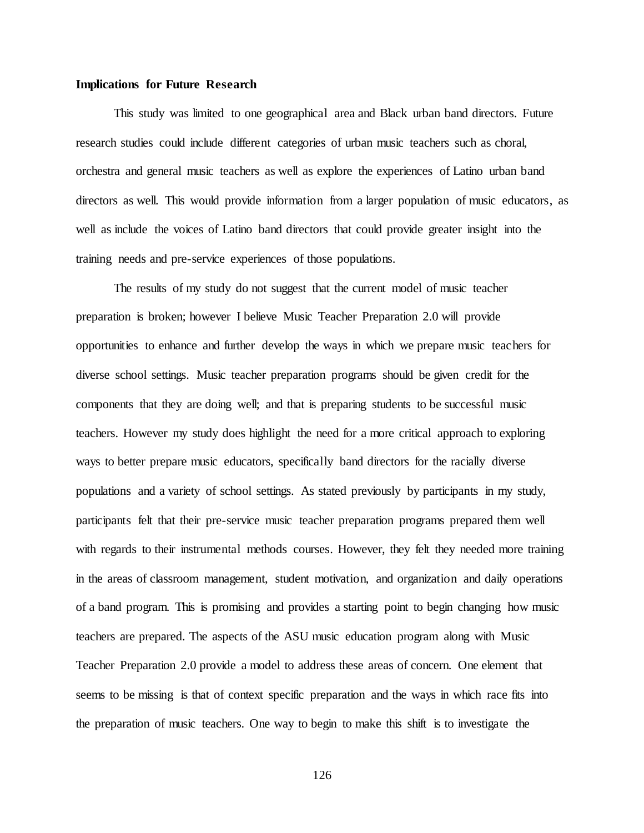#### **Implications for Future Research**

This study was limited to one geographical area and Black urban band directors. Future research studies could include different categories of urban music teachers such as choral, orchestra and general music teachers as well as explore the experiences of Latino urban band directors as well. This would provide information from a larger population of music educators, as well as include the voices of Latino band directors that could provide greater insight into the training needs and pre-service experiences of those populations.

The results of my study do not suggest that the current model of music teacher preparation is broken; however I believe Music Teacher Preparation 2.0 will provide opportunities to enhance and further develop the ways in which we prepare music teachers for diverse school settings. Music teacher preparation programs should be given credit for the components that they are doing well; and that is preparing students to be successful music teachers. However my study does highlight the need for a more critical approach to exploring ways to better prepare music educators, specifically band directors for the racially diverse populations and a variety of school settings. As stated previously by participants in my study, participants felt that their pre-service music teacher preparation programs prepared them well with regards to their instrumental methods courses. However, they felt they needed more training in the areas of classroom management, student motivation, and organization and daily operations of a band program. This is promising and provides a starting point to begin changing how music teachers are prepared. The aspects of the ASU music education program along with Music Teacher Preparation 2.0 provide a model to address these areas of concern. One element that seems to be missing is that of context specific preparation and the ways in which race fits into the preparation of music teachers. One way to begin to make this shift is to investigate the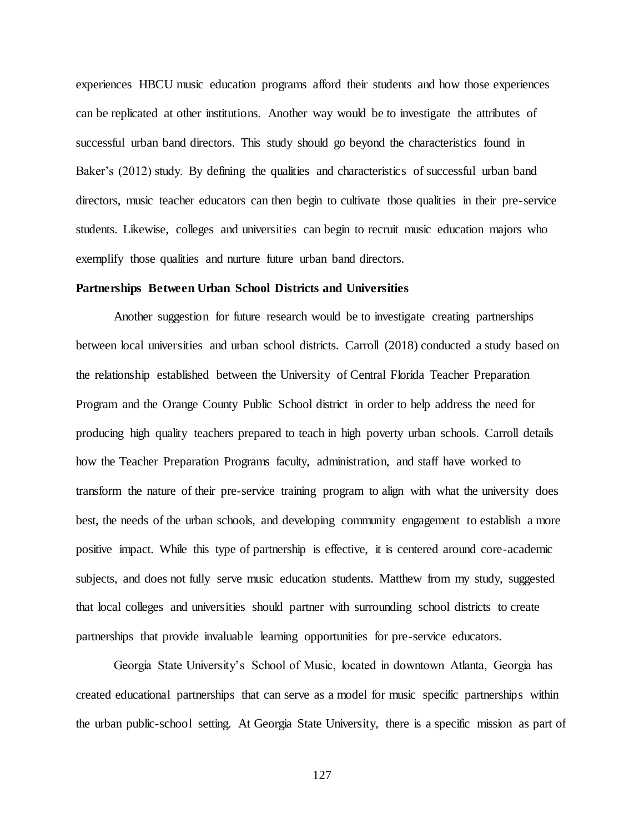experiences HBCU music education programs afford their students and how those experiences can be replicated at other institutions. Another way would be to investigate the attributes of successful urban band directors. This study should go beyond the characteristics found in Baker's (2012) study. By defining the qualities and characteristics of successful urban band directors, music teacher educators can then begin to cultivate those qualities in their pre-service students. Likewise, colleges and universities can begin to recruit music education majors who exemplify those qualities and nurture future urban band directors.

#### **Partnerships Between Urban School Districts and Universities**

Another suggestion for future research would be to investigate creating partnerships between local universities and urban school districts. Carroll (2018) conducted a study based on the relationship established between the University of Central Florida Teacher Preparation Program and the Orange County Public School district in order to help address the need for producing high quality teachers prepared to teach in high poverty urban schools. Carroll details how the Teacher Preparation Programs faculty, administration, and staff have worked to transform the nature of their pre-service training program to align with what the university does best, the needs of the urban schools, and developing community engagement to establish a more positive impact. While this type of partnership is effective, it is centered around core-academic subjects, and does not fully serve music education students. Matthew from my study, suggested that local colleges and universities should partner with surrounding school districts to create partnerships that provide invaluable learning opportunities for pre-service educators.

Georgia State University's School of Music, located in downtown Atlanta, Georgia has created educational partnerships that can serve as a model for music specific partnerships within the urban public-school setting. At Georgia State University, there is a specific mission as part of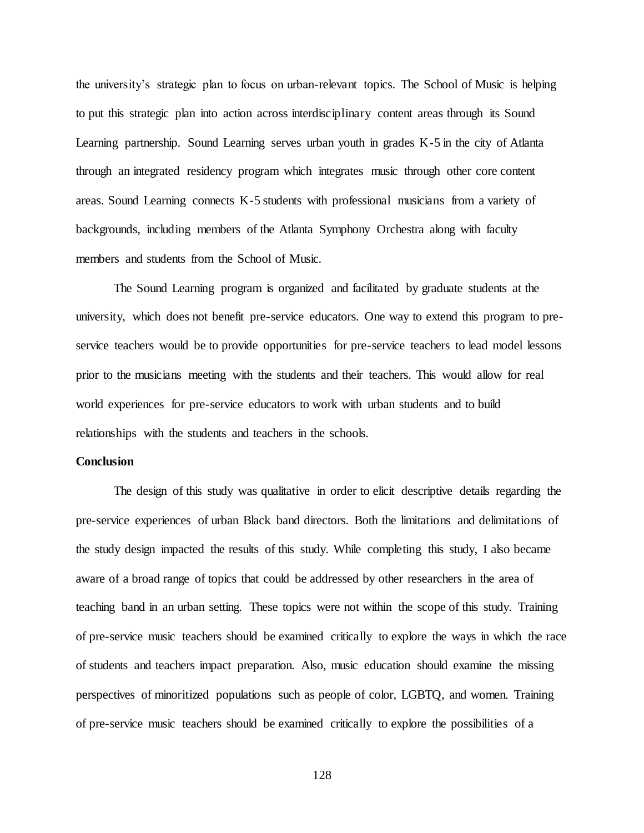the university's strategic plan to focus on urban-relevant topics. The School of Music is helping to put this strategic plan into action across interdisciplinary content areas through its Sound Learning partnership. Sound Learning serves urban youth in grades K-5 in the city of Atlanta through an integrated residency program which integrates music through other core content areas. Sound Learning connects K-5 students with professional musicians from a variety of backgrounds, including members of the Atlanta Symphony Orchestra along with faculty members and students from the School of Music.

The Sound Learning program is organized and facilitated by graduate students at the university, which does not benefit pre-service educators. One way to extend this program to preservice teachers would be to provide opportunities for pre-service teachers to lead model lessons prior to the musicians meeting with the students and their teachers. This would allow for real world experiences for pre-service educators to work with urban students and to build relationships with the students and teachers in the schools.

#### **Conclusion**

The design of this study was qualitative in order to elicit descriptive details regarding the pre-service experiences of urban Black band directors. Both the limitations and delimitations of the study design impacted the results of this study. While completing this study, I also became aware of a broad range of topics that could be addressed by other researchers in the area of teaching band in an urban setting. These topics were not within the scope of this study. Training of pre-service music teachers should be examined critically to explore the ways in which the race of students and teachers impact preparation. Also, music education should examine the missing perspectives of minoritized populations such as people of color, LGBTQ, and women. Training of pre-service music teachers should be examined critically to explore the possibilities of a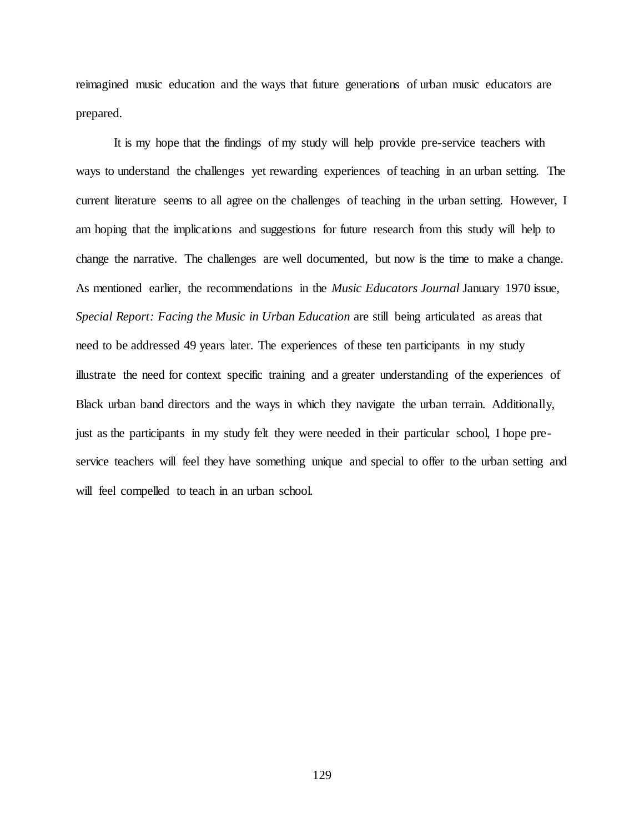reimagined music education and the ways that future generations of urban music educators are prepared.

It is my hope that the findings of my study will help provide pre-service teachers with ways to understand the challenges yet rewarding experiences of teaching in an urban setting. The current literature seems to all agree on the challenges of teaching in the urban setting. However, I am hoping that the implications and suggestions for future research from this study will help to change the narrative. The challenges are well documented, but now is the time to make a change. As mentioned earlier, the recommendations in the *Music Educators Journal* January 1970 issue, *Special Report: Facing the Music in Urban Education* are still being articulated as areas that need to be addressed 49 years later. The experiences of these ten participants in my study illustrate the need for context specific training and a greater understanding of the experiences of Black urban band directors and the ways in which they navigate the urban terrain. Additionally, just as the participants in my study felt they were needed in their particular school, I hope preservice teachers will feel they have something unique and special to offer to the urban setting and will feel compelled to teach in an urban school.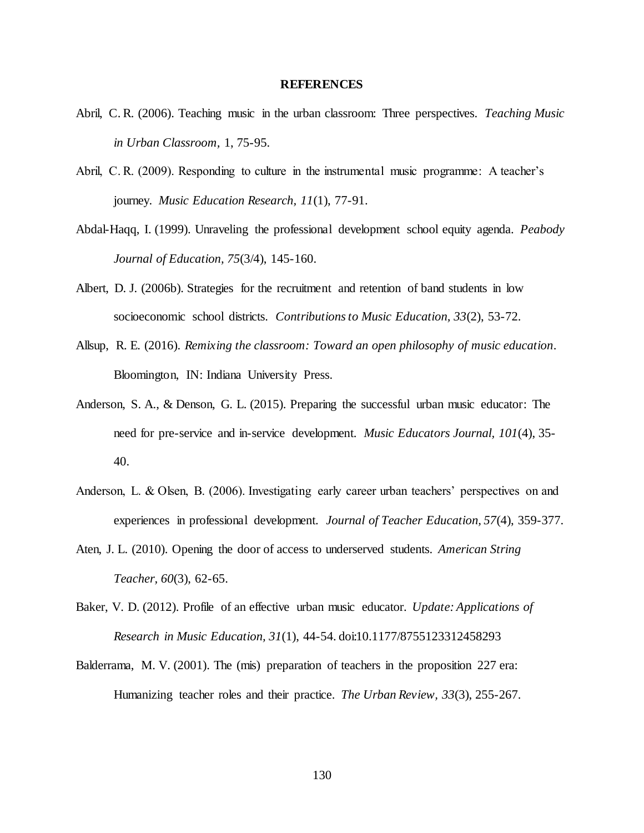#### **REFERENCES**

- Abril, C. R. (2006). Teaching music in the urban classroom: Three perspectives. *Teaching Music in Urban Classroom,* 1, 75-95.
- Abril, C. R. (2009). Responding to culture in the instrumental music programme: A teacher's journey. *Music Education Research, 11*(1), 77-91.
- Abdal-Haqq, I. (1999). Unraveling the professional development school equity agenda. *Peabody Journal of Education, 75*(3/4), 145-160.
- Albert, D. J. (2006b). Strategies for the recruitment and retention of band students in low socioeconomic school districts. *Contributions to Music Education, 33*(2), 53-72.
- Allsup, R. E. (2016). *Remixing the classroom: Toward an open philosophy of music education*. Bloomington, IN: Indiana University Press.
- Anderson, S. A., & Denson, G. L. (2015). Preparing the successful urban music educator: The need for pre-service and in-service development. *Music Educators Journal, 101*(4), 35- 40.
- Anderson, L. & Olsen, B. (2006). Investigating early career urban teachers' perspectives on and experiences in professional development. *Journal of Teacher Education, 57*(4), 359-377.
- Aten, J. L. (2010). Opening the door of access to underserved students. *American String Teacher, 60*(3), 62-65.
- Baker, V. D. (2012). Profile of an effective urban music educator. *Update: Applications of Research in Music Education, 31*(1), 44-54. doi:10.1177/8755123312458293
- Balderrama, M. V. (2001). The (mis) preparation of teachers in the proposition 227 era: Humanizing teacher roles and their practice. *The Urban Review, 33*(3), 255-267.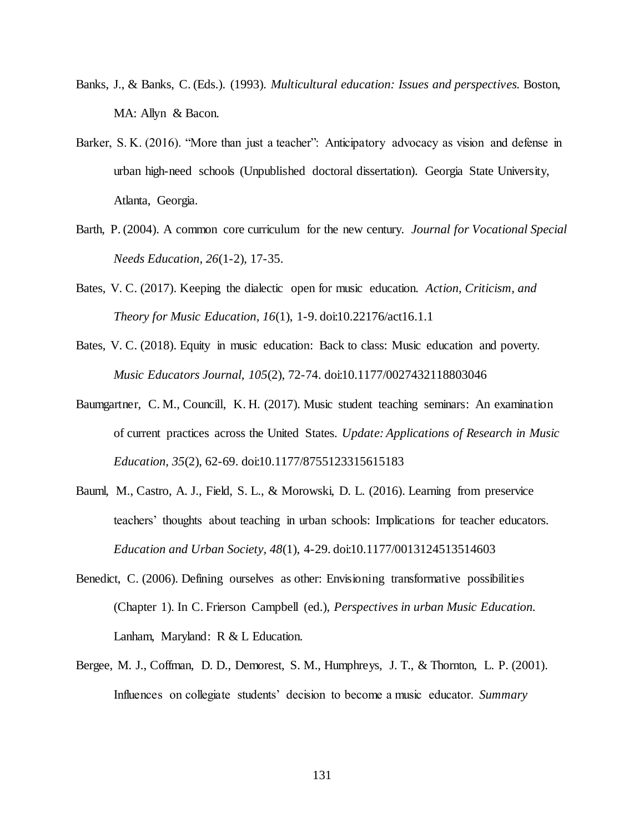- Banks, J., & Banks, C. (Eds.). (1993). *Multicultural education: Issues and perspectives.* Boston, MA: Allyn & Bacon.
- Barker, S. K. (2016). "More than just a teacher": Anticipatory advocacy as vision and defense in urban high-need schools (Unpublished doctoral dissertation). Georgia State University, Atlanta, Georgia.
- Barth, P. (2004). A common core curriculum for the new century. *Journal for Vocational Special Needs Education, 26*(1-2), 17-35.
- Bates, V. C. (2017). Keeping the dialectic open for music education. *Action, Criticism, and Theory for Music Education, 16*(1), 1-9. doi:10.22176/act16.1.1
- Bates, V. C. (2018). Equity in music education: Back to class: Music education and poverty. *Music Educators Journal, 105*(2), 72-74. doi:10.1177/0027432118803046
- Baumgartner, C. M., Councill, K. H. (2017). Music student teaching seminars: An examination of current practices across the United States. *Update: Applications of Research in Music Education, 35*(2), 62-69. doi:10.1177/8755123315615183
- Bauml, M., Castro, A. J., Field, S. L., & Morowski, D. L. (2016). Learning from preservice teachers' thoughts about teaching in urban schools: Implications for teacher educators. *Education and Urban Society, 48*(1), 4-29. doi:10.1177/0013124513514603
- Benedict, C. (2006). Defining ourselves as other: Envisioning transformative possibilities (Chapter 1). In C. Frierson Campbell (ed.), *Perspectives in urban Music Education.* Lanham, Maryland: R & L Education.
- Bergee, M. J., Coffman, D. D., Demorest, S. M., Humphreys, J. T., & Thornton, L. P. (2001). Influences on collegiate students' decision to become a music educator. *Summary*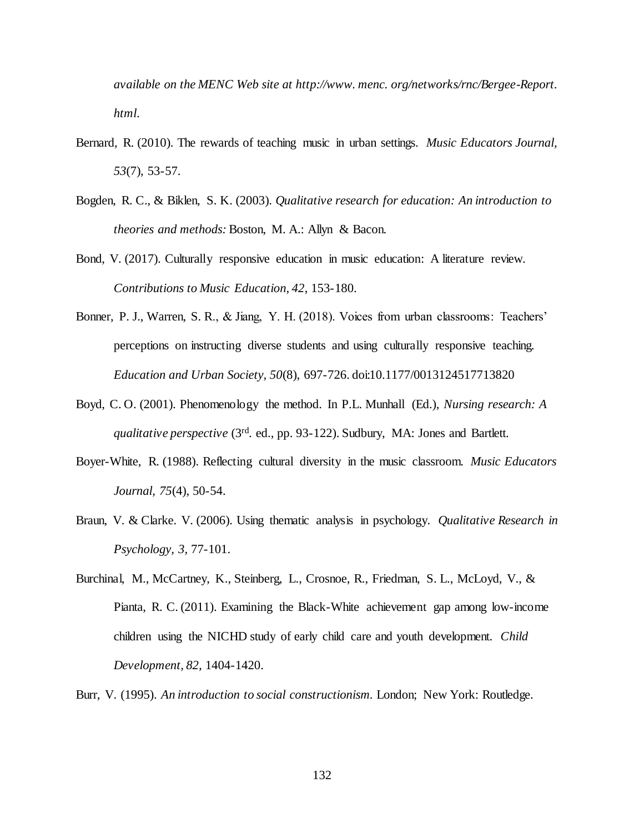*available on the MENC Web site at http://www. menc. org/networks/rnc/Bergee-Report. html*.

- Bernard, R. (2010). The rewards of teaching music in urban settings. *Music Educators Journal, 53*(7), 53-57.
- Bogden, R. C., & Biklen, S. K. (2003). *Qualitative research for education: An introduction to theories and methods:* Boston, M. A.: Allyn & Bacon.
- Bond, V. (2017). Culturally responsive education in music education: A literature review. *Contributions to Music Education, 42*, 153-180.
- Bonner, P. J., Warren, S. R., & Jiang, Y. H. (2018). Voices from urban classrooms: Teachers' perceptions on instructing diverse students and using culturally responsive teaching. *Education and Urban Society, 50*(8), 697-726. doi:10.1177/0013124517713820
- Boyd, C. O. (2001). Phenomenology the method. In P.L. Munhall (Ed.), *Nursing research: A qualitative perspective* (3rd. ed., pp. 93-122). Sudbury, MA: Jones and Bartlett.
- Boyer-White, R. (1988). Reflecting cultural diversity in the music classroom. *Music Educators Journal, 75*(4), 50-54.
- Braun, V. & Clarke. V. (2006). Using thematic analysis in psychology. *Qualitative Research in Psychology, 3,* 77-101.
- Burchinal, M., McCartney, K., Steinberg, L., Crosnoe, R., Friedman, S. L., McLoyd, V., & Pianta, R. C. (2011). Examining the Black-White achievement gap among low-income children using the NICHD study of early child care and youth development. *Child Development, 82,* 1404-1420.

Burr, V. (1995). *An introduction to social constructionism.* London; New York: Routledge.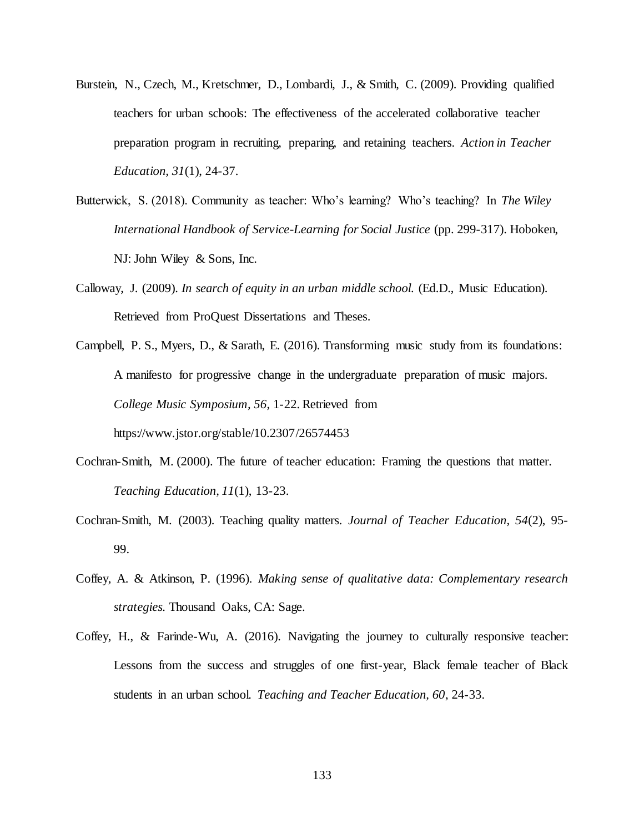- Burstein, N., Czech, M., Kretschmer, D., Lombardi, J., & Smith, C. (2009). Providing qualified teachers for urban schools: The effectiveness of the accelerated collaborative teacher preparation program in recruiting, preparing, and retaining teachers. *Action in Teacher Education, 31*(1), 24-37.
- Butterwick, S. (2018). Community as teacher: Who's learning? Who's teaching? In *The Wiley International Handbook of Service-Learning for Social Justice* (pp. 299-317). Hoboken, NJ: John Wiley & Sons, Inc.
- Calloway, J. (2009). *In search of equity in an urban middle school.* (Ed.D., Music Education). Retrieved from ProQuest Dissertations and Theses.
- Campbell, P. S., Myers, D., & Sarath, E. (2016). Transforming music study from its foundations: A manifesto for progressive change in the undergraduate preparation of music majors. *College Music Symposium, 56*, 1-22. Retrieved from https://www.jstor.org/stable/10.2307/26574453
- Cochran-Smith, M. (2000). The future of teacher education: Framing the questions that matter. *Teaching Education, 11*(1), 13-23.
- Cochran-Smith, M. (2003). Teaching quality matters. *Journal of Teacher Education, 54*(2), 95- 99.
- Coffey, A. & Atkinson, P. (1996). *Making sense of qualitative data: Complementary research strategies.* Thousand Oaks, CA: Sage.
- Coffey, H., & Farinde-Wu, A. (2016). Navigating the journey to culturally responsive teacher: Lessons from the success and struggles of one first-year, Black female teacher of Black students in an urban school. *Teaching and Teacher Education, 60*, 24-33.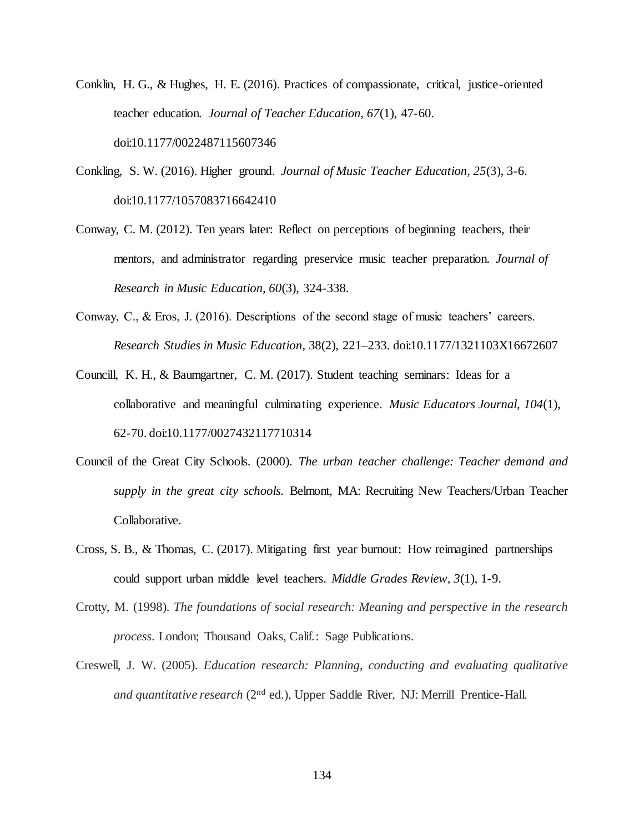- Conklin, H. G., & Hughes, H. E. (2016). Practices of compassionate, critical, justice-oriented teacher education. *Journal of Teacher Education, 67*(1), 47-60. doi:10.1177/0022487115607346
- Conkling, S. W. (2016). Higher ground. *Journal of Music Teacher Education, 25*(3), 3-6. doi:10.1177/1057083716642410
- Conway, C. M. (2012). Ten years later: Reflect on perceptions of beginning teachers, their mentors, and administrator regarding preservice music teacher preparation. *Journal of Research in Music Education, 60*(3), 324-338.
- Conway, C., & Eros, J. (2016). Descriptions of the second stage of music teachers' careers. *Research Studies in Music Education*, 38(2), 221–233. doi:10.1177/1321103X16672607
- Councill, K. H., & Baumgartner, C. M. (2017). Student teaching seminars: Ideas for a collaborative and meaningful culminating experience. *Music Educators Journal, 104*(1), 62-70. doi:10.1177/0027432117710314
- Council of the Great City Schools. (2000). *The urban teacher challenge: Teacher demand and supply in the great city schools.* Belmont, MA: Recruiting New Teachers/Urban Teacher Collaborative.
- Cross, S. B., & Thomas, C. (2017). Mitigating first year burnout: How reimagined partnerships could support urban middle level teachers. *Middle Grades Review, 3*(1), 1-9.
- Crotty, M. (1998). *The foundations of social research: Meaning and perspective in the research process*. London; Thousand Oaks, Calif.: Sage Publications.
- Creswell, J. W. (2005). *Education research: Planning, conducting and evaluating qualitative and quantitative research* (2nd ed.), Upper Saddle River, NJ: Merrill Prentice-Hall.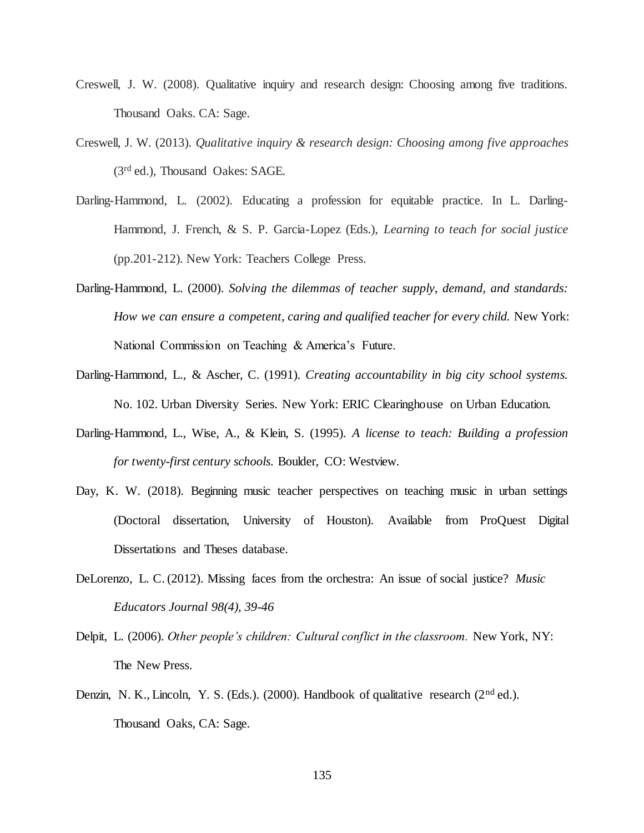- Creswell, J. W. (2008). Qualitative inquiry and research design: Choosing among five traditions. Thousand Oaks. CA: Sage.
- Creswell, J. W. (2013). *Qualitative inquiry & research design: Choosing among five approaches*  (3rd ed.), Thousand Oakes: SAGE.
- Darling-Hammond, L. (2002). Educating a profession for equitable practice. In L. Darling-Hammond, J. French, & S. P. Garcia-Lopez (Eds.), *Learning to teach for social justice*  (pp.201-212). New York: Teachers College Press.
- Darling-Hammond, L. (2000). *Solving the dilemmas of teacher supply, demand, and standards: How we can ensure a competent, caring and qualified teacher for every child.* New York: National Commission on Teaching & America's Future.
- Darling-Hammond, L., & Ascher, C. (1991). *Creating accountability in big city school systems.* No. 102. Urban Diversity Series. New York: ERIC Clearinghouse on Urban Education.
- Darling-Hammond, L., Wise, A., & Klein, S. (1995). *A license to teach: Building a profession for twenty-first century schools.* Boulder, CO: Westview.
- Day, K. W. (2018). Beginning music teacher perspectives on teaching music in urban settings (Doctoral dissertation, University of Houston). Available from ProQuest Digital Dissertations and Theses database.
- DeLorenzo, L. C. (2012). Missing faces from the orchestra: An issue of social justice? *Music Educators Journal 98(4), 39-46*
- Delpit, L. (2006). *Other people's children: Cultural conflict in the classroom.* New York, NY: The New Press.
- Denzin, N. K., Lincoln, Y. S. (Eds.). (2000). Handbook of qualitative research ( $2<sup>nd</sup>$  ed.). Thousand Oaks, CA: Sage.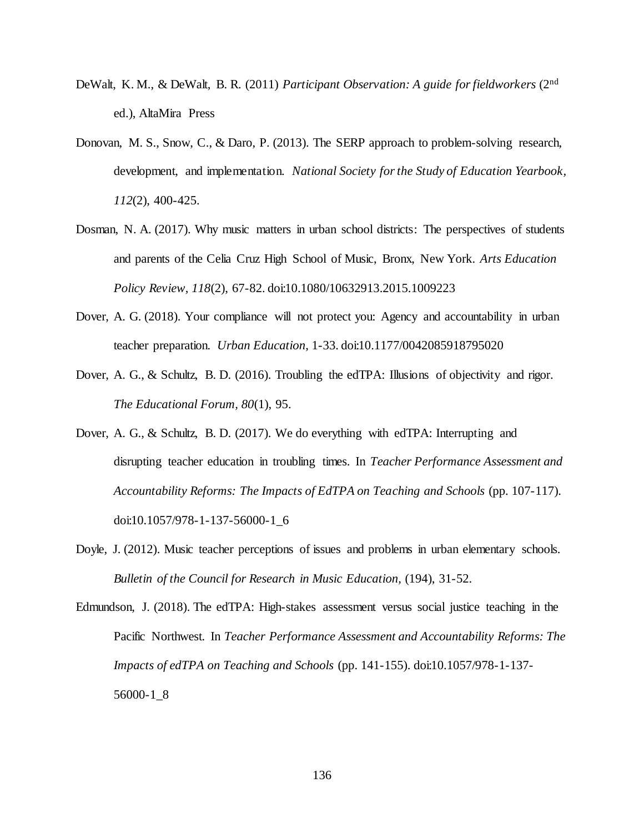- DeWalt, K. M., & DeWalt, B. R. (2011) *Participant Observation: A guide for fieldworkers* (2nd ed.), AltaMira Press
- Donovan, M. S., Snow, C., & Daro, P. (2013). The SERP approach to problem-solving research, development, and implementation. *National Society for the Study of Education Yearbook, 112*(2), 400-425.
- Dosman, N. A. (2017). Why music matters in urban school districts: The perspectives of students and parents of the Celia Cruz High School of Music, Bronx, New York. *Arts Education Policy Review, 118*(2), 67-82. doi:10.1080/10632913.2015.1009223
- Dover, A. G. (2018). Your compliance will not protect you: Agency and accountability in urban teacher preparation. *Urban Education*, 1-33. doi:10.1177/0042085918795020
- Dover, A. G., & Schultz, B. D. (2016). Troubling the edTPA: Illusions of objectivity and rigor. *The Educational Forum, 80*(1), 95.
- Dover, A. G., & Schultz, B. D. (2017). We do everything with edTPA: Interrupting and disrupting teacher education in troubling times. In *Teacher Performance Assessment and Accountability Reforms: The Impacts of EdTPA on Teaching and Schools* (pp. 107-117). doi:10.1057/978-1-137-56000-1\_6
- Doyle, J. (2012). Music teacher perceptions of issues and problems in urban elementary schools. *Bulletin of the Council for Research in Music Education,* (194), 31-52.
- Edmundson, J. (2018). The edTPA: High-stakes assessment versus social justice teaching in the Pacific Northwest. In *Teacher Performance Assessment and Accountability Reforms: The Impacts of edTPA on Teaching and Schools* (pp. 141-155). doi:10.1057/978-1-137- 56000-1\_8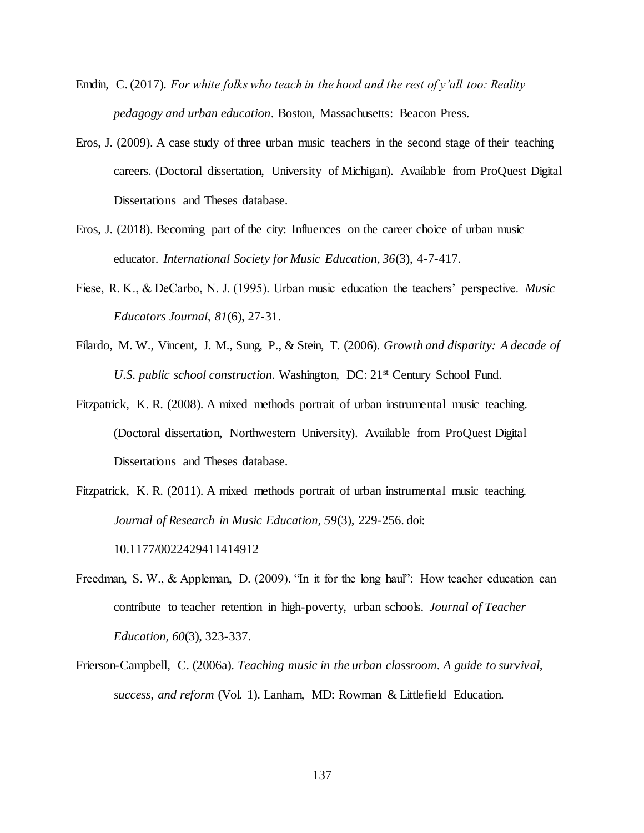- Emdin, C. (2017). *For white folks who teach in the hood and the rest of y'all too: Reality pedagogy and urban education*. Boston, Massachusetts: Beacon Press.
- Eros, J. (2009). A case study of three urban music teachers in the second stage of their teaching careers. (Doctoral dissertation, University of Michigan). Available from ProQuest Digital Dissertations and Theses database.
- Eros, J. (2018). Becoming part of the city: Influences on the career choice of urban music educator. *International Society for Music Education, 36*(3), 4-7-417.
- Fiese, R. K., & DeCarbo, N. J. (1995). Urban music education the teachers' perspective. *Music Educators Journal, 81*(6), 27-31.
- Filardo, M. W., Vincent, J. M., Sung, P., & Stein, T. (2006). *Growth and disparity: A decade of U.S. public school construction.* Washington, DC: 21st Century School Fund.
- Fitzpatrick, K. R. (2008). A mixed methods portrait of urban instrumental music teaching. (Doctoral dissertation, Northwestern University). Available from ProQuest Digital Dissertations and Theses database.
- Fitzpatrick, K. R. (2011). A mixed methods portrait of urban instrumental music teaching. *Journal of Research in Music Education, 59*(3), 229-256. doi: 10.1177/0022429411414912
- Freedman, S. W., & Appleman, D. (2009). "In it for the long haul": How teacher education can contribute to teacher retention in high-poverty, urban schools. *Journal of Teacher Education, 60*(3), 323-337.
- Frierson-Campbell, C. (2006a). *Teaching music in the urban classroom. A guide to survival, success, and reform* (Vol. 1). Lanham, MD: Rowman & Littlefield Education.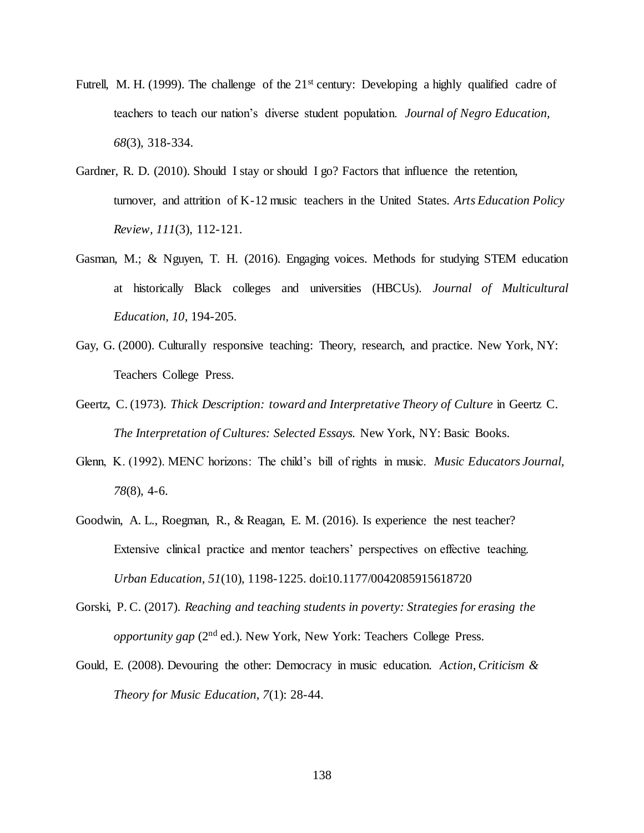- Futrell, M. H. (1999). The challenge of the 21<sup>st</sup> century: Developing a highly qualified cadre of teachers to teach our nation's diverse student population. *Journal of Negro Education, 68*(3), 318-334.
- Gardner, R. D. (2010). Should I stay or should I go? Factors that influence the retention, turnover, and attrition of K-12 music teachers in the United States. *Arts Education Policy Review, 111*(3), 112-121.
- Gasman, M.; & Nguyen, T. H. (2016). Engaging voices. Methods for studying STEM education at historically Black colleges and universities (HBCUs). *Journal of Multicultural Education, 10*, 194-205.
- Gay, G. (2000). Culturally responsive teaching: Theory, research, and practice. New York, NY: Teachers College Press.
- Geertz, C. (1973). *Thick Description: toward and Interpretative Theory of Culture* in Geertz C. *The Interpretation of Cultures: Selected Essays.* New York, NY: Basic Books.
- Glenn, K. (1992). MENC horizons: The child's bill of rights in music. *Music Educators Journal, 78*(8), 4-6.
- Goodwin, A. L., Roegman, R., & Reagan, E. M. (2016). Is experience the nest teacher? Extensive clinical practice and mentor teachers' perspectives on effective teaching. *Urban Education, 51*(10), 1198-1225. doi:10.1177/0042085915618720
- Gorski, P. C. (2017). *Reaching and teaching students in poverty: Strategies for erasing the opportunity gap* (2<sup>nd</sup> ed.). New York, New York: Teachers College Press.
- Gould, E. (2008). Devouring the other: Democracy in music education. *Action, Criticism & Theory for Music Education, 7*(1): 28-44.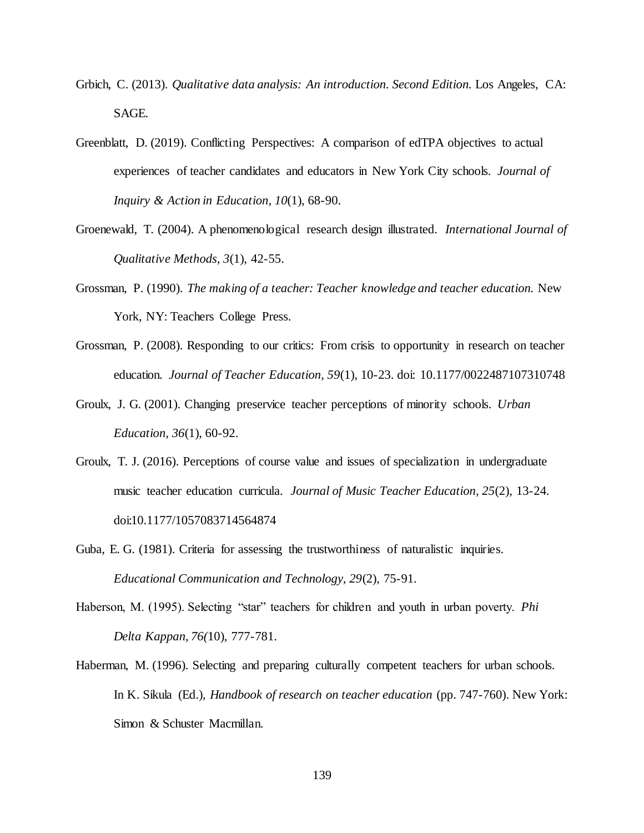- Grbich, C. (2013). *Qualitative data analysis: An introduction. Second Edition.* Los Angeles, CA: SAGE.
- Greenblatt, D. (2019). Conflicting Perspectives: A comparison of edTPA objectives to actual experiences of teacher candidates and educators in New York City schools. *Journal of Inquiry & Action in Education, 10*(1), 68-90.
- Groenewald, T. (2004). A phenomenological research design illustrated. *International Journal of Qualitative Methods, 3*(1), 42-55.
- Grossman, P. (1990). *The making of a teacher: Teacher knowledge and teacher education.* New York, NY: Teachers College Press.
- Grossman, P. (2008). Responding to our critics: From crisis to opportunity in research on teacher education. *Journal of Teacher Education, 59*(1), 10-23. doi: 10.1177/0022487107310748
- Groulx, J. G. (2001). Changing preservice teacher perceptions of minority schools. *Urban Education, 36*(1), 60-92.
- Groulx, T. J. (2016). Perceptions of course value and issues of specialization in undergraduate music teacher education curricula. *Journal of Music Teacher Education, 25*(2), 13-24. doi:10.1177/1057083714564874
- Guba, E. G. (1981). Criteria for assessing the trustworthiness of naturalistic inquiries. *Educational Communication and Technology, 29*(2), 75-91.
- Haberson, M. (1995). Selecting "star" teachers for children and youth in urban poverty. *Phi Delta Kappan, 76(*10), 777-781.
- Haberman, M. (1996). Selecting and preparing culturally competent teachers for urban schools. In K. Sikula (Ed.), *Handbook of research on teacher education* (pp. 747-760). New York: Simon & Schuster Macmillan.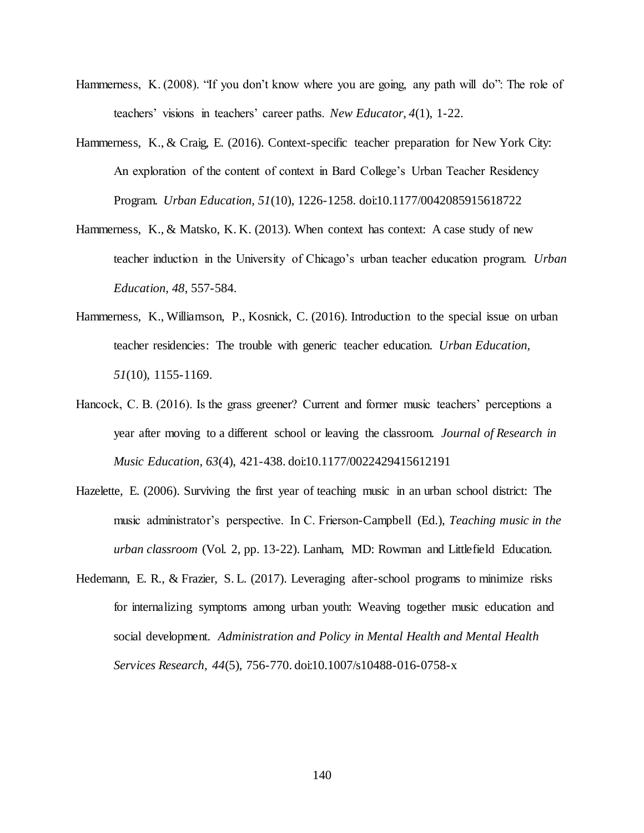- Hammerness, K. (2008). "If you don't know where you are going, any path will do": The role of teachers' visions in teachers' career paths. *New Educator, 4*(1), 1-22.
- Hammerness, K., & Craig, E. (2016). Context-specific teacher preparation for New York City: An exploration of the content of context in Bard College's Urban Teacher Residency Program. *Urban Education, 51*(10), 1226-1258. doi:10.1177/0042085915618722
- Hammerness, K., & Matsko, K. K. (2013). When context has context: A case study of new teacher induction in the University of Chicago's urban teacher education program. *Urban Education, 48*, 557-584.
- Hammerness, K., Williamson, P., Kosnick, C. (2016). Introduction to the special issue on urban teacher residencies: The trouble with generic teacher education. *Urban Education, 51*(10), 1155-1169.
- Hancock, C. B. (2016). Is the grass greener? Current and former music teachers' perceptions a year after moving to a different school or leaving the classroom. *Journal of Research in Music Education, 63*(4), 421-438. doi:10.1177/0022429415612191
- Hazelette, E. (2006). Surviving the first year of teaching music in an urban school district: The music administrator's perspective. In C. Frierson-Campbell (Ed.), *Teaching music in the urban classroom* (Vol. 2, pp. 13-22). Lanham, MD: Rowman and Littlefield Education.
- Hedemann, E. R., & Frazier, S. L. (2017). Leveraging after-school programs to minimize risks for internalizing symptoms among urban youth: Weaving together music education and social development. *Administration and Policy in Mental Health and Mental Health Services Research, 44*(5), 756-770. doi:10.1007/s10488-016-0758-x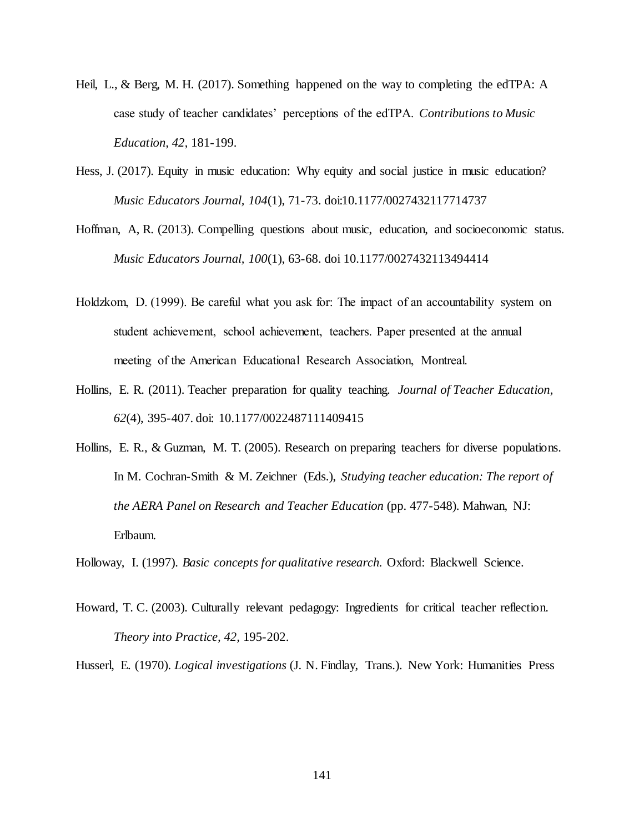- Heil, L., & Berg, M. H. (2017). Something happened on the way to completing the edTPA: A case study of teacher candidates' perceptions of the edTPA. *Contributions to Music Education, 42*, 181-199.
- Hess, J. (2017). Equity in music education: Why equity and social justice in music education? *Music Educators Journal, 104*(1), 71-73. doi:10.1177/0027432117714737
- Hoffman, A, R. (2013). Compelling questions about music, education, and socioeconomic status. *Music Educators Journal, 100*(1), 63-68. doi 10.1177/0027432113494414
- Holdzkom, D. (1999). Be careful what you ask for: The impact of an accountability system on student achievement, school achievement, teachers. Paper presented at the annual meeting of the American Educational Research Association, Montreal.
- Hollins, E. R. (2011). Teacher preparation for quality teaching. *Journal of Teacher Education, 62*(4), 395-407. doi: 10.1177/0022487111409415
- Hollins, E. R., & Guzman, M. T. (2005). Research on preparing teachers for diverse populations. In M. Cochran-Smith & M. Zeichner (Eds.), *Studying teacher education: The report of the AERA Panel on Research and Teacher Education* (pp. 477-548). Mahwan, NJ: Erlbaum.

Holloway, I. (1997). *Basic concepts for qualitative research.* Oxford: Blackwell Science.

Howard, T. C. (2003). Culturally relevant pedagogy: Ingredients for critical teacher reflection. *Theory into Practice, 42,* 195-202.

Husserl, E. (1970). *Logical investigations* (J. N. Findlay, Trans.). New York: Humanities Press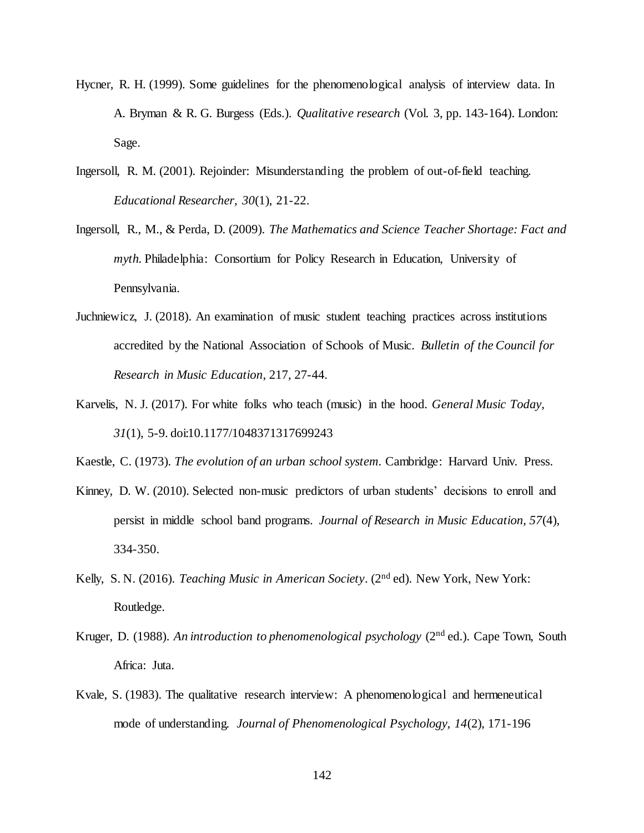- Hycner, R. H. (1999). Some guidelines for the phenomenological analysis of interview data. In A. Bryman & R. G. Burgess (Eds.). *Qualitative research* (Vol. 3, pp. 143-164). London: Sage.
- Ingersoll, R. M. (2001). Rejoinder: Misunderstanding the problem of out-of-field teaching. *Educational Researcher, 30*(1), 21-22.
- Ingersoll, R., M., & Perda, D. (2009). *The Mathematics and Science Teacher Shortage: Fact and myth.* Philadelphia: Consortium for Policy Research in Education, University of Pennsylvania.
- Juchniewicz, J. (2018). An examination of music student teaching practices across institutions accredited by the National Association of Schools of Music. *Bulletin of the Council for Research in Music Education*, 217, 27-44.
- Karvelis, N. J. (2017). For white folks who teach (music) in the hood. *General Music Today, 31*(1), 5-9. doi:10.1177/1048371317699243
- Kaestle, C. (1973). *The evolution of an urban school system.* Cambridge: Harvard Univ. Press.
- Kinney, D. W. (2010). Selected non-music predictors of urban students' decisions to enroll and persist in middle school band programs. *Journal of Research in Music Education, 57*(4), 334-350.
- Kelly, S. N. (2016). *Teaching Music in American Society*. (2nd ed). New York, New York: Routledge.
- Kruger, D. (1988). An introduction to phenomenological psychology (2<sup>nd</sup> ed.). Cape Town, South Africa: Juta.
- Kvale, S. (1983). The qualitative research interview: A phenomenological and hermeneutical mode of understanding. *Journal of Phenomenological Psychology, 14*(2), 171-196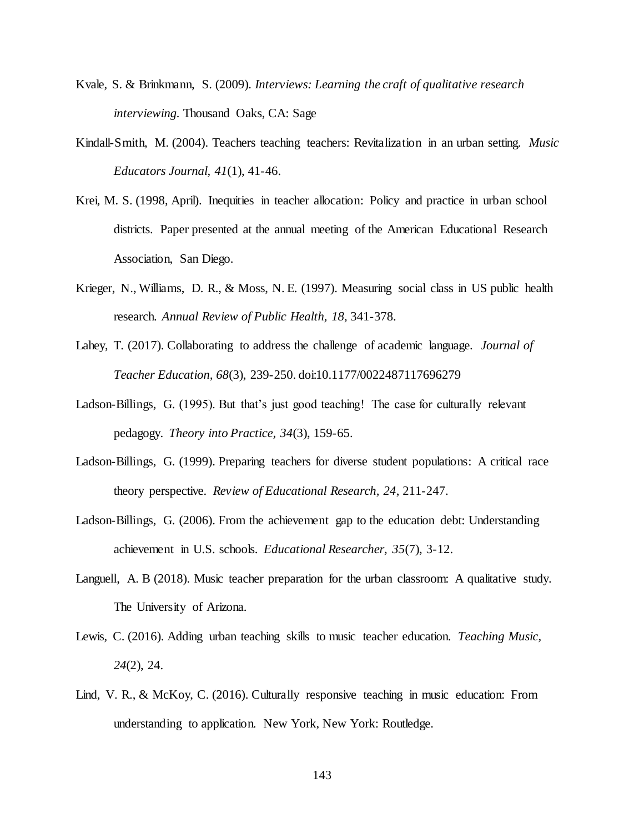- Kvale, S. & Brinkmann, S. (2009). *Interviews: Learning the craft of qualitative research interviewing.* Thousand Oaks, CA: Sage
- Kindall-Smith, M. (2004). Teachers teaching teachers: Revitalization in an urban setting. *Music Educators Journal, 41*(1), 41-46.
- Krei, M. S. (1998, April). Inequities in teacher allocation: Policy and practice in urban school districts. Paper presented at the annual meeting of the American Educational Research Association, San Diego.
- Krieger, N., Williams, D. R., & Moss, N. E. (1997). Measuring social class in US public health research. *Annual Review of Public Health, 18*, 341-378.
- Lahey, T. (2017). Collaborating to address the challenge of academic language. *Journal of Teacher Education, 68*(3), 239-250. doi:10.1177/0022487117696279
- Ladson-Billings, G. (1995). But that's just good teaching! The case for culturally relevant pedagogy. *Theory into Practice, 34*(3), 159-65.
- Ladson-Billings, G. (1999). Preparing teachers for diverse student populations: A critical race theory perspective. *Review of Educational Research, 24*, 211-247.
- Ladson-Billings, G. (2006). From the achievement gap to the education debt: Understanding achievement in U.S. schools. *Educational Researcher, 35*(7), 3-12.
- Languell, A. B (2018). Music teacher preparation for the urban classroom: A qualitative study. The University of Arizona.
- Lewis, C. (2016). Adding urban teaching skills to music teacher education. *Teaching Music, 24*(2), 24.
- Lind, V. R., & McKoy, C. (2016). Culturally responsive teaching in music education: From understanding to application. New York, New York: Routledge.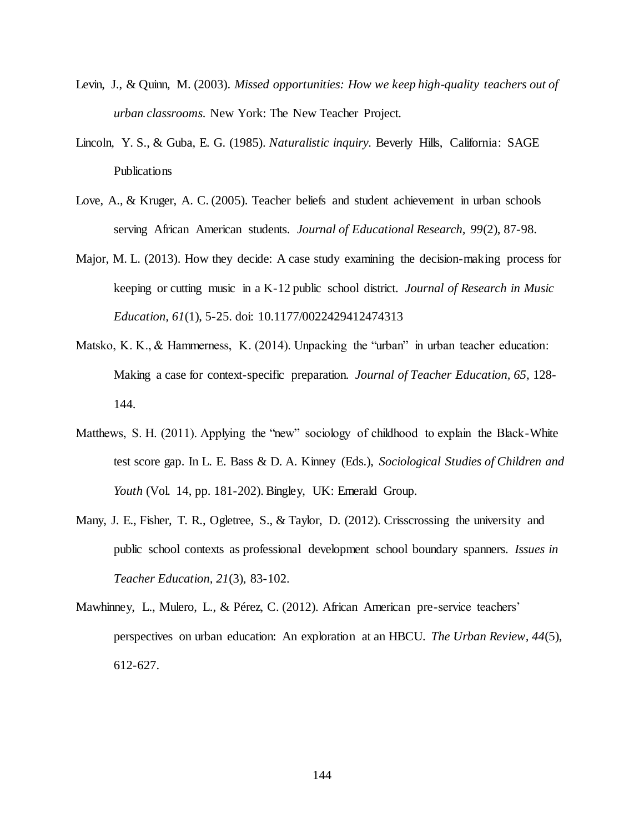- Levin, J., & Quinn, M. (2003). *Missed opportunities: How we keep high-quality teachers out of urban classrooms.* New York: The New Teacher Project.
- Lincoln, Y. S., & Guba, E. G. (1985). *Naturalistic inquiry.* Beverly Hills, California: SAGE Publications
- Love, A., & Kruger, A. C. (2005). Teacher beliefs and student achievement in urban schools serving African American students. *Journal of Educational Research, 99*(2), 87-98.
- Major, M. L. (2013). How they decide: A case study examining the decision-making process for keeping or cutting music in a K-12 public school district. *Journal of Research in Music Education, 61*(1), 5-25. doi: 10.1177/0022429412474313
- Matsko, K. K., & Hammerness, K. (2014). Unpacking the "urban" in urban teacher education: Making a case for context-specific preparation. *Journal of Teacher Education, 65,* 128- 144.
- Matthews, S. H. (2011). Applying the "new" sociology of childhood to explain the Black-White test score gap. In L. E. Bass & D. A. Kinney (Eds.), *Sociological Studies of Children and Youth* (Vol. 14, pp. 181-202). Bingley, UK: Emerald Group.
- Many, J. E., Fisher, T. R., Ogletree, S., & Taylor, D. (2012). Crisscrossing the university and public school contexts as professional development school boundary spanners. *Issues in Teacher Education, 21*(3), 83-102.
- Mawhinney, L., Mulero, L., & Pérez, C. (2012). African American pre-service teachers' perspectives on urban education: An exploration at an HBCU. *The Urban Review, 44*(5), 612-627.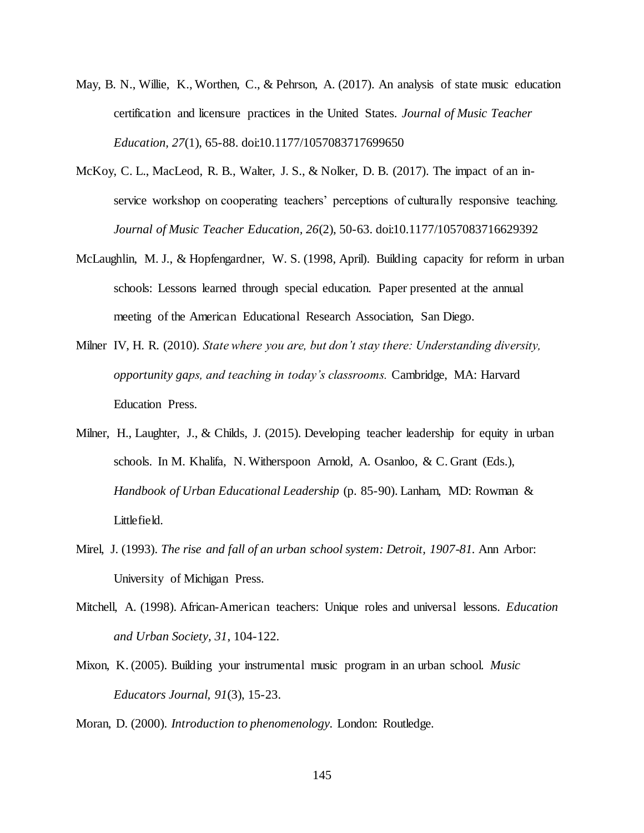- May, B. N., Willie, K., Worthen, C., & Pehrson, A. (2017). An analysis of state music education certification and licensure practices in the United States. *Journal of Music Teacher Education, 27*(1), 65-88. doi:10.1177/1057083717699650
- McKoy, C. L., MacLeod, R. B., Walter, J. S., & Nolker, D. B. (2017). The impact of an inservice workshop on cooperating teachers' perceptions of culturally responsive teaching. *Journal of Music Teacher Education, 26*(2), 50-63. doi:10.1177/1057083716629392
- McLaughlin, M. J., & Hopfengardner, W. S. (1998, April). Building capacity for reform in urban schools: Lessons learned through special education. Paper presented at the annual meeting of the American Educational Research Association, San Diego.
- Milner IV, H. R. (2010). *State where you are, but don't stay there: Understanding diversity, opportunity gaps, and teaching in today's classrooms.* Cambridge, MA: Harvard Education Press.
- Milner, H., Laughter, J., & Childs, J. (2015). Developing teacher leadership for equity in urban schools. In M. Khalifa, N. Witherspoon Arnold, A. Osanloo, & C. Grant (Eds.), *Handbook of Urban Educational Leadership* (p. 85-90). Lanham, MD: Rowman & Littlefield.
- Mirel, J. (1993). *The rise and fall of an urban school system: Detroit, 1907-81.* Ann Arbor: University of Michigan Press.
- Mitchell, A. (1998). African-American teachers: Unique roles and universal lessons. *Education and Urban Society, 31*, 104-122.
- Mixon, K. (2005). Building your instrumental music program in an urban school. *Music Educators Journal, 91*(3), 15-23.

Moran, D. (2000). *Introduction to phenomenology.* London: Routledge.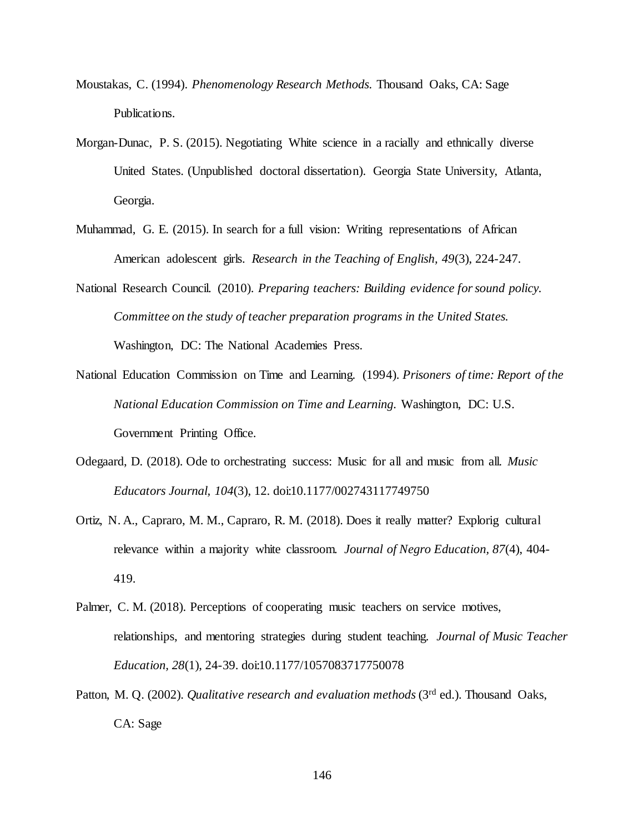- Moustakas, C. (1994). *Phenomenology Research Methods.* Thousand Oaks, CA: Sage Publications.
- Morgan-Dunac, P. S. (2015). Negotiating White science in a racially and ethnically diverse United States. (Unpublished doctoral dissertation). Georgia State University, Atlanta, Georgia.
- Muhammad, G. E. (2015). In search for a full vision: Writing representations of African American adolescent girls. *Research in the Teaching of English, 49*(3), 224-247.
- National Research Council. (2010). *Preparing teachers: Building evidence for sound policy. Committee on the study of teacher preparation programs in the United States.* Washington, DC: The National Academies Press.
- National Education Commission on Time and Learning. (1994). *Prisoners of time: Report of the National Education Commission on Time and Learning.* Washington, DC: U.S. Government Printing Office.
- Odegaard, D. (2018). Ode to orchestrating success: Music for all and music from all. *Music Educators Journal, 104*(3), 12. doi:10.1177/002743117749750
- Ortiz, N. A., Capraro, M. M., Capraro, R. M. (2018). Does it really matter? Explorig cultural relevance within a majority white classroom. *Journal of Negro Education, 87*(4), 404- 419.
- Palmer, C. M. (2018). Perceptions of cooperating music teachers on service motives, relationships, and mentoring strategies during student teaching. *Journal of Music Teacher Education, 28*(1), 24-39. doi:10.1177/1057083717750078
- Patton, M. Q. (2002). *Qualitative research and evaluation methods* (3<sup>rd</sup> ed.). Thousand Oaks, CA: Sage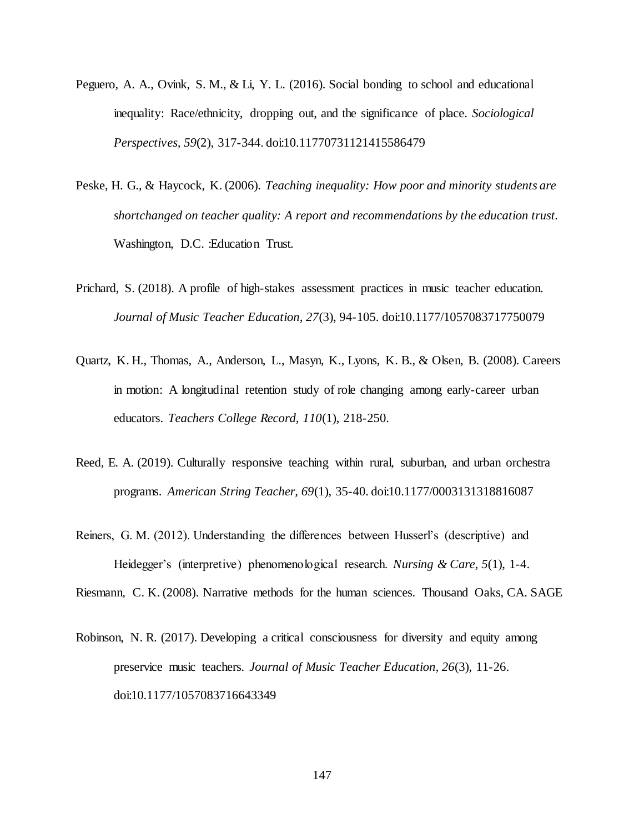- Peguero, A. A., Ovink, S. M., & Li, Y. L. (2016). Social bonding to school and educational inequality: Race/ethnicity, dropping out, and the significance of place. *Sociological Perspectives, 59*(2), 317-344. doi:10.11770731121415586479
- Peske, H. G., & Haycock, K. (2006). *Teaching inequality: How poor and minority students are shortchanged on teacher quality: A report and recommendations by the education trust.*  Washington, D.C. :Education Trust.
- Prichard, S. (2018). A profile of high-stakes assessment practices in music teacher education. *Journal of Music Teacher Education, 27*(3), 94-105. doi:10.1177/1057083717750079
- Quartz, K. H., Thomas, A., Anderson, L., Masyn, K., Lyons, K. B., & Olsen, B. (2008). Careers in motion: A longitudinal retention study of role changing among early-career urban educators. *Teachers College Record, 110*(1), 218-250.
- Reed, E. A. (2019). Culturally responsive teaching within rural, suburban, and urban orchestra programs. *American String Teacher, 69*(1), 35-40. doi:10.1177/0003131318816087
- Reiners, G. M. (2012). Understanding the differences between Husserl's (descriptive) and Heidegger's (interpretive) phenomenological research. *Nursing & Care, 5*(1), 1-4.

Riesmann, C. K. (2008). Narrative methods for the human sciences. Thousand Oaks, CA. SAGE

Robinson, N. R. (2017). Developing a critical consciousness for diversity and equity among preservice music teachers. *Journal of Music Teacher Education, 26*(3), 11-26. doi:10.1177/1057083716643349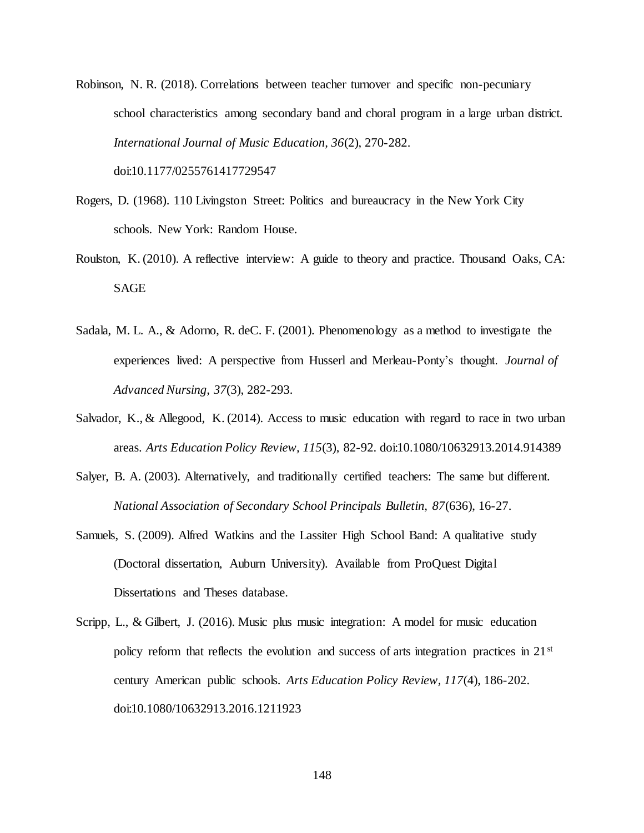Robinson, N. R. (2018). Correlations between teacher turnover and specific non-pecuniary school characteristics among secondary band and choral program in a large urban district. *International Journal of Music Education, 36*(2), 270-282.

doi:10.1177/0255761417729547

- Rogers, D. (1968). 110 Livingston Street: Politics and bureaucracy in the New York City schools. New York: Random House.
- Roulston, K. (2010). A reflective interview: A guide to theory and practice. Thousand Oaks, CA: SAGE
- Sadala, M. L. A., & Adorno, R. deC. F. (2001). Phenomenology as a method to investigate the experiences lived: A perspective from Husserl and Merleau-Ponty's thought. *Journal of Advanced Nursing, 37*(3), 282-293.
- Salvador, K., & Allegood, K. (2014). Access to music education with regard to race in two urban areas. *Arts Education Policy Review, 115*(3), 82-92. doi:10.1080/10632913.2014.914389
- Salyer, B. A. (2003). Alternatively, and traditionally certified teachers: The same but different. *National Association of Secondary School Principals Bulletin, 87*(636), 16-27.
- Samuels, S. (2009). Alfred Watkins and the Lassiter High School Band: A qualitative study (Doctoral dissertation, Auburn University). Available from ProQuest Digital Dissertations and Theses database.
- Scripp, L., & Gilbert, J. (2016). Music plus music integration: A model for music education policy reform that reflects the evolution and success of arts integration practices in  $21<sup>st</sup>$ century American public schools. *Arts Education Policy Review, 117*(4), 186-202. doi:10.1080/10632913.2016.1211923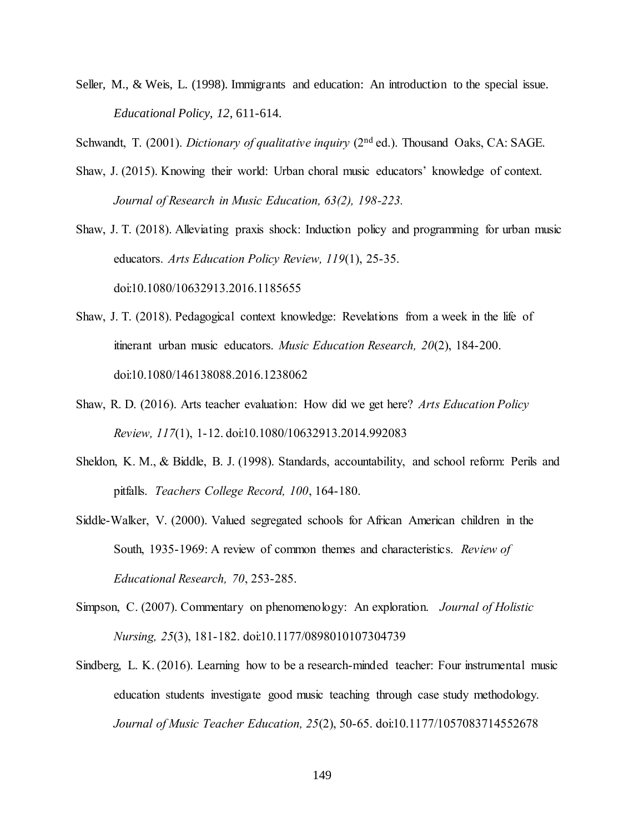Seller, M., & Weis, L. (1998). Immigrants and education: An introduction to the special issue. *Educational Policy, 12*, 611-614.

Schwandt, T. (2001). *Dictionary of qualitative inquiry* (2<sup>nd</sup> ed.). Thousand Oaks, CA: SAGE.

Shaw, J. (2015). Knowing their world: Urban choral music educators' knowledge of context. *Journal of Research in Music Education, 63(2), 198-223.*

Shaw, J. T. (2018). Alleviating praxis shock: Induction policy and programming for urban music educators. *Arts Education Policy Review, 119*(1), 25-35. doi:10.1080/10632913.2016.1185655

- Shaw, J. T. (2018). Pedagogical context knowledge: Revelations from a week in the life of itinerant urban music educators. *Music Education Research, 20*(2), 184-200. doi:10.1080/146138088.2016.1238062
- Shaw, R. D. (2016). Arts teacher evaluation: How did we get here? *Arts Education Policy Review, 117*(1), 1-12. doi:10.1080/10632913.2014.992083
- Sheldon, K. M., & Biddle, B. J. (1998). Standards, accountability, and school reform: Perils and pitfalls. *Teachers College Record, 100*, 164-180.
- Siddle-Walker, V. (2000). Valued segregated schools for African American children in the South, 1935-1969: A review of common themes and characteristics. *Review of Educational Research, 70*, 253-285.
- Simpson, C. (2007). Commentary on phenomenology: An exploration. *Journal of Holistic Nursing, 25*(3), 181-182. doi:10.1177/0898010107304739
- Sindberg, L. K. (2016). Learning how to be a research-minded teacher: Four instrumental music education students investigate good music teaching through case study methodology. *Journal of Music Teacher Education, 25*(2), 50-65. doi:10.1177/1057083714552678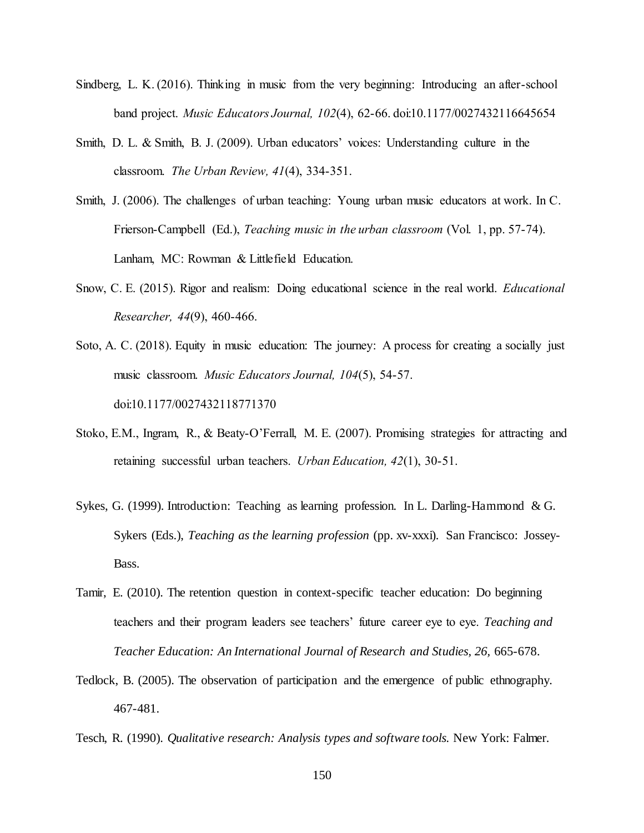- Sindberg, L. K. (2016). Thinking in music from the very beginning: Introducing an after-school band project. *Music Educators Journal, 102*(4), 62-66. doi:10.1177/0027432116645654
- Smith, D. L. & Smith, B. J. (2009). Urban educators' voices: Understanding culture in the classroom. *The Urban Review, 41*(4), 334-351.
- Smith, J. (2006). The challenges of urban teaching: Young urban music educators at work. In C. Frierson-Campbell (Ed.), *Teaching music in the urban classroom* (Vol. 1, pp. 57-74). Lanham, MC: Rowman & Littlefield Education.
- Snow, C. E. (2015). Rigor and realism: Doing educational science in the real world. *Educational Researcher, 44*(9), 460-466.
- Soto, A. C. (2018). Equity in music education: The journey: A process for creating a socially just music classroom. *Music Educators Journal, 104*(5), 54-57. doi:10.1177/0027432118771370
- Stoko, E.M., Ingram, R., & Beaty-O'Ferrall, M. E. (2007). Promising strategies for attracting and retaining successful urban teachers. *Urban Education, 42*(1), 30-51.
- Sykes, G. (1999). Introduction: Teaching as learning profession. In L. Darling-Hammond & G. Sykers (Eds.), *Teaching as the learning profession* (pp. xv-xxxi). San Francisco: Jossey-Bass.
- Tamir, E. (2010). The retention question in context-specific teacher education: Do beginning teachers and their program leaders see teachers' future career eye to eye. *Teaching and Teacher Education: An International Journal of Research and Studies, 26,* 665-678.
- Tedlock, B. (2005). The observation of participation and the emergence of public ethnography. 467-481.
- Tesch, R. (1990). *Qualitative research: Analysis types and software tools.* New York: Falmer.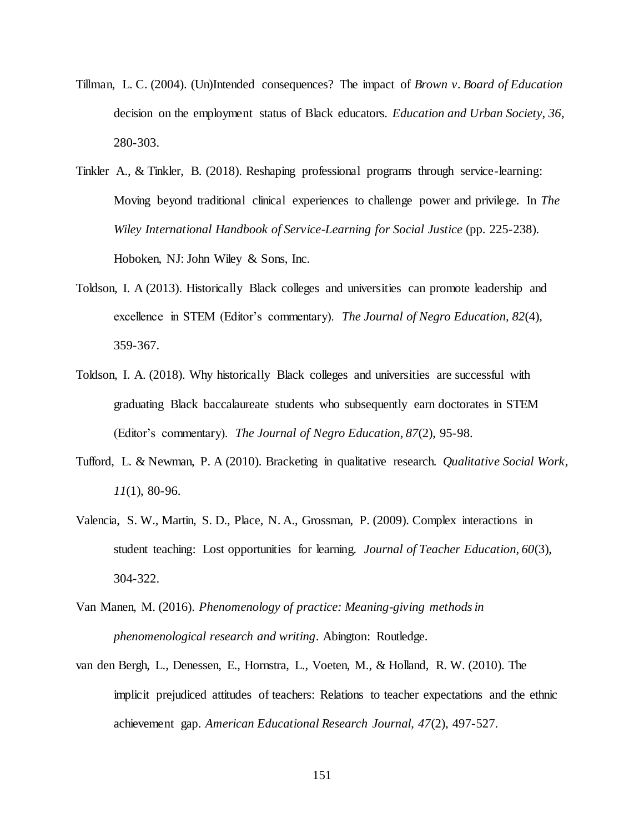- Tillman, L. C. (2004). (Un)Intended consequences? The impact of *Brown v. Board of Education* decision on the employment status of Black educators. *Education and Urban Society, 36*, 280-303.
- Tinkler A., & Tinkler, B. (2018). Reshaping professional programs through service-learning: Moving beyond traditional clinical experiences to challenge power and privilege. In *The Wiley International Handbook of Service-Learning for Social Justice* (pp. 225-238). Hoboken, NJ: John Wiley & Sons, Inc.
- Toldson, I. A (2013). Historically Black colleges and universities can promote leadership and excellence in STEM (Editor's commentary). *The Journal of Negro Education, 82*(4), 359-367.
- Toldson, I. A. (2018). Why historically Black colleges and universities are successful with graduating Black baccalaureate students who subsequently earn doctorates in STEM (Editor's commentary). *The Journal of Negro Education, 87*(2), 95-98.
- Tufford, L. & Newman, P. A (2010). Bracketing in qualitative research. *Qualitative Social Work, 11*(1), 80-96.
- Valencia, S. W., Martin, S. D., Place, N. A., Grossman, P. (2009). Complex interactions in student teaching: Lost opportunities for learning. *Journal of Teacher Education, 60*(3), 304-322.
- Van Manen, M. (2016). *Phenomenology of practice: Meaning-giving methods in phenomenological research and writing*. Abington: Routledge.
- van den Bergh, L., Denessen, E., Hornstra, L., Voeten, M., & Holland, R. W. (2010). The implicit prejudiced attitudes of teachers: Relations to teacher expectations and the ethnic achievement gap. *American Educational Research Journal, 47*(2), 497-527.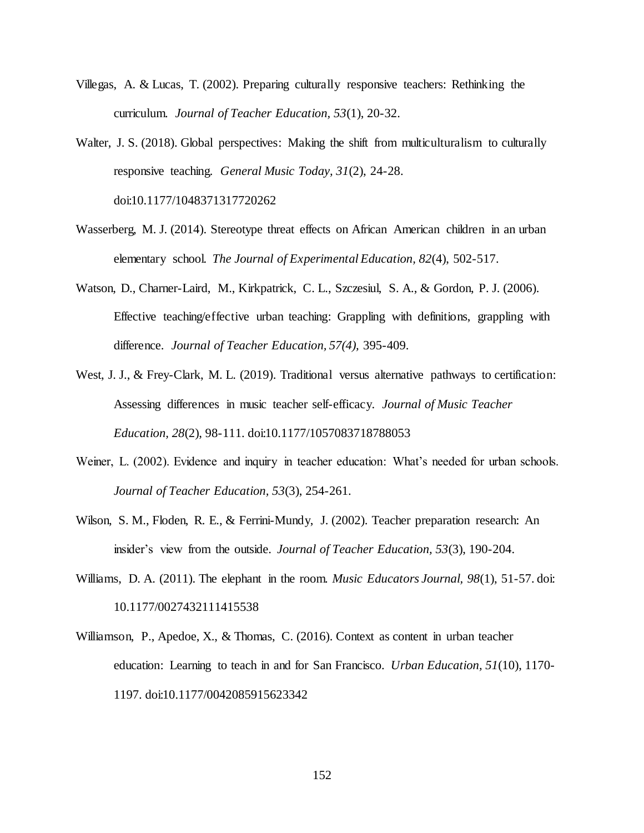- Villegas, A. & Lucas, T. (2002). Preparing culturally responsive teachers: Rethinking the curriculum. *Journal of Teacher Education, 53*(1), 20-32.
- Walter, J. S. (2018). Global perspectives: Making the shift from multiculturalism to culturally responsive teaching*. General Music Today, 31*(2), 24-28. doi:10.1177/1048371317720262
- Wasserberg, M. J. (2014). Stereotype threat effects on African American children in an urban elementary school. *The Journal of Experimental Education, 82*(4), 502-517.
- Watson, D., Charner-Laird, M., Kirkpatrick, C. L., Szczesiul, S. A., & Gordon, P. J. (2006). Effective teaching/effective urban teaching: Grappling with definitions, grappling with difference. *Journal of Teacher Education, 57(4),* 395-409.
- West, J. J., & Frey-Clark, M. L. (2019). Traditional versus alternative pathways to certification: Assessing differences in music teacher self-efficacy. *Journal of Music Teacher Education, 28*(2), 98-111. doi:10.1177/1057083718788053
- Weiner, L. (2002). Evidence and inquiry in teacher education: What's needed for urban schools. *Journal of Teacher Education, 53*(3), 254-261.
- Wilson, S. M., Floden, R. E., & Ferrini-Mundy, J. (2002). Teacher preparation research: An insider's view from the outside. *Journal of Teacher Education, 53*(3), 190-204.
- Williams, D. A. (2011). The elephant in the room. *Music Educators Journal, 98*(1), 51-57. doi: 10.1177/0027432111415538
- Williamson, P., Apedoe, X., & Thomas, C. (2016). Context as content in urban teacher education: Learning to teach in and for San Francisco. *Urban Education, 51*(10), 1170- 1197. doi:10.1177/0042085915623342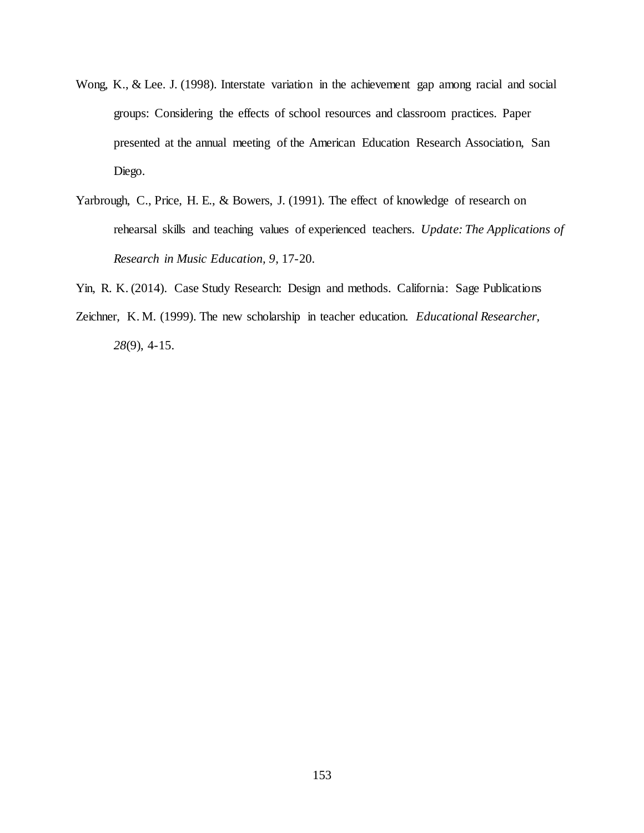- Wong, K., & Lee. J. (1998). Interstate variation in the achievement gap among racial and social groups: Considering the effects of school resources and classroom practices. Paper presented at the annual meeting of the American Education Research Association, San Diego.
- Yarbrough, C., Price, H. E., & Bowers, J. (1991). The effect of knowledge of research on rehearsal skills and teaching values of experienced teachers. *Update: The Applications of Research in Music Education, 9*, 17-20.
- Yin, R. K. (2014). Case Study Research: Design and methods*.* California: Sage Publications
- Zeichner, K. M. (1999). The new scholarship in teacher education. *Educational Researcher, 28*(9), 4-15.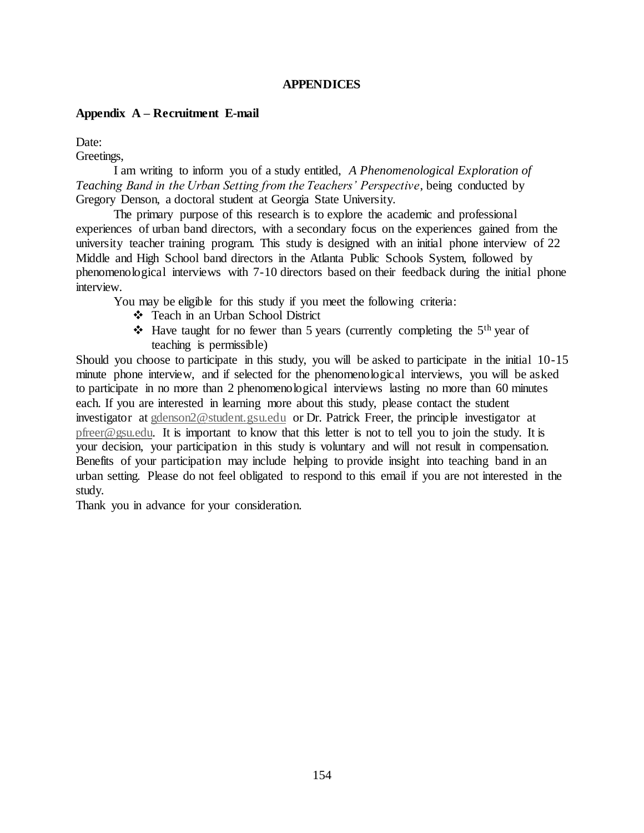# **APPENDICES**

### **Appendix A – Recruitment E-mail**

Date:

Greetings,

I am writing to inform you of a study entitled, *A Phenomenological Exploration of Teaching Band in the Urban Setting from the Teachers' Perspective*, being conducted by Gregory Denson, a doctoral student at Georgia State University.

The primary purpose of this research is to explore the academic and professional experiences of urban band directors, with a secondary focus on the experiences gained from the university teacher training program. This study is designed with an initial phone interview of 22 Middle and High School band directors in the Atlanta Public Schools System, followed by phenomenological interviews with 7-10 directors based on their feedback during the initial phone interview.

You may be eligible for this study if you meet the following criteria:

- ❖ Teach in an Urban School District
- ◆ Have taught for no fewer than 5 years (currently completing the  $5<sup>th</sup>$  year of teaching is permissible)

Should you choose to participate in this study, you will be asked to participate in the initial 10-15 minute phone interview, and if selected for the phenomenological interviews, you will be asked to participate in no more than 2 phenomenological interviews lasting no more than 60 minutes each. If you are interested in learning more about this study, please contact the student investigator at [gdenson2@student.gsu.edu](mailto:gdenson2@student.gsu.edu) or Dr. Patrick Freer, the principle investigator at [pfreer@gsu.edu.](mailto:pfreer@gsu.edu) It is important to know that this letter is not to tell you to join the study. It is your decision, your participation in this study is voluntary and will not result in compensation. Benefits of your participation may include helping to provide insight into teaching band in an urban setting. Please do not feel obligated to respond to this email if you are not interested in the study.

Thank you in advance for your consideration.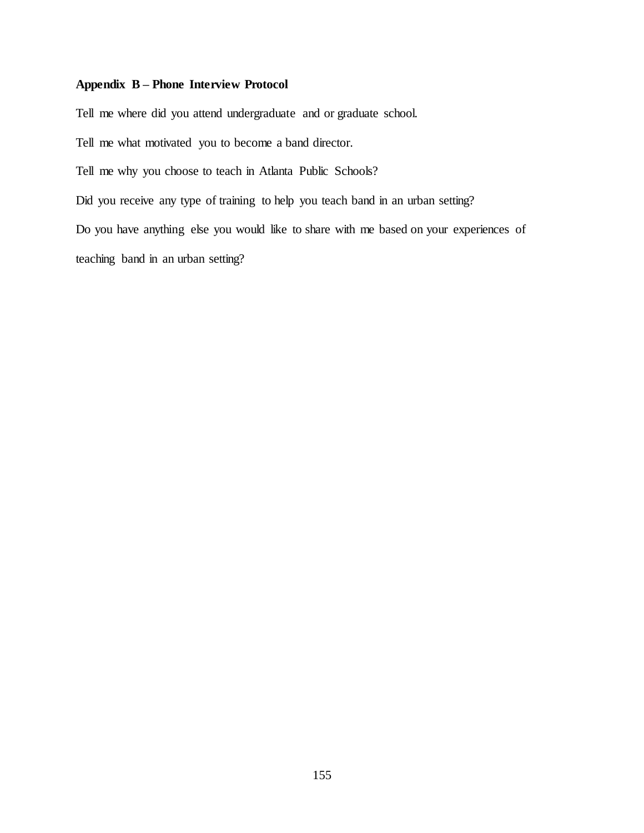# **Appendix B – Phone Interview Protocol**

Tell me where did you attend undergraduate and or graduate school.

Tell me what motivated you to become a band director.

Tell me why you choose to teach in Atlanta Public Schools?

Did you receive any type of training to help you teach band in an urban setting?

Do you have anything else you would like to share with me based on your experiences of teaching band in an urban setting?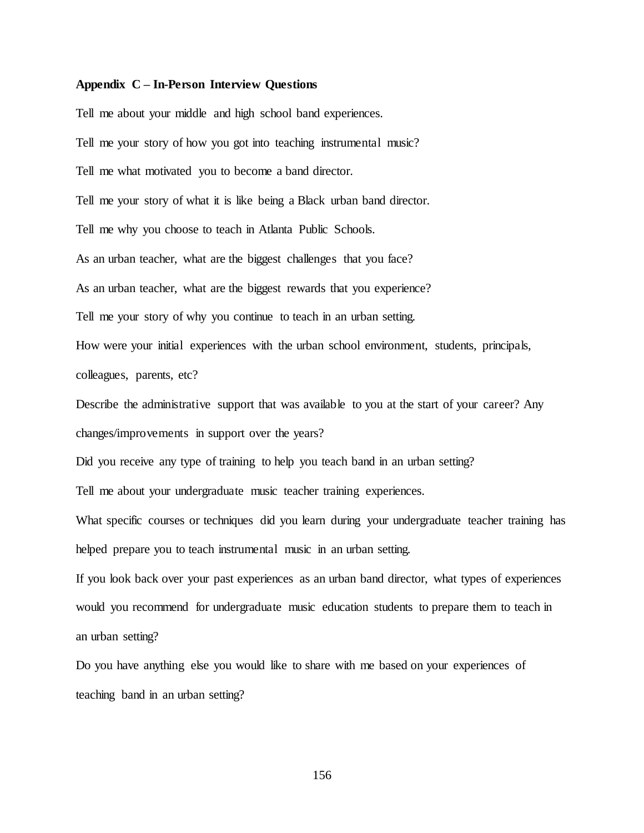#### **Appendix C – In-Person Interview Questions**

Tell me about your middle and high school band experiences. Tell me your story of how you got into teaching instrumental music? Tell me what motivated you to become a band director. Tell me your story of what it is like being a Black urban band director. Tell me why you choose to teach in Atlanta Public Schools. As an urban teacher, what are the biggest challenges that you face? As an urban teacher, what are the biggest rewards that you experience? Tell me your story of why you continue to teach in an urban setting. How were your initial experiences with the urban school environment, students, principals, colleagues, parents, etc?

Describe the administrative support that was available to you at the start of your career? Any

changes/improvements in support over the years?

Did you receive any type of training to help you teach band in an urban setting?

Tell me about your undergraduate music teacher training experiences.

What specific courses or techniques did you learn during your undergraduate teacher training has helped prepare you to teach instrumental music in an urban setting.

If you look back over your past experiences as an urban band director, what types of experiences would you recommend for undergraduate music education students to prepare them to teach in an urban setting?

Do you have anything else you would like to share with me based on your experiences of teaching band in an urban setting?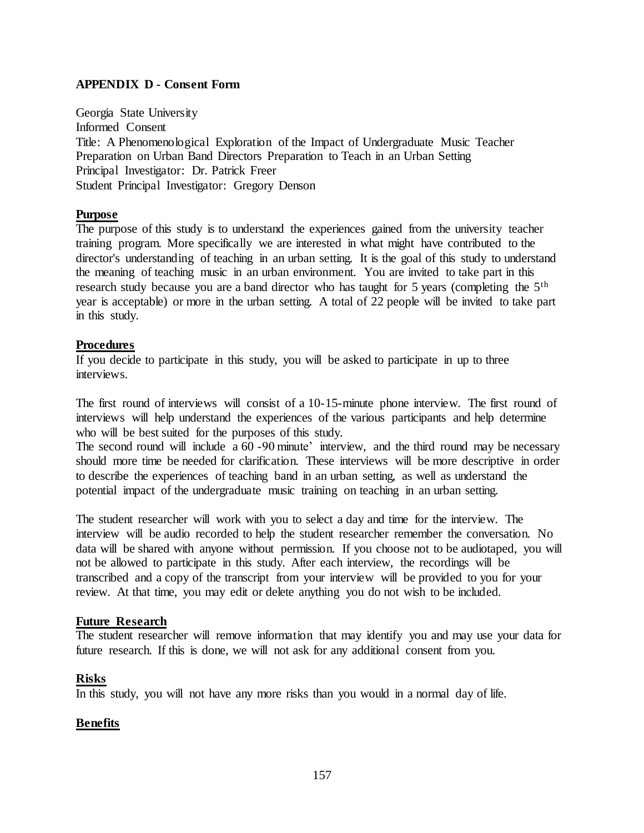# **APPENDIX D - Consent Form**

Georgia State University Informed Consent Title: A Phenomenological Exploration of the Impact of Undergraduate Music Teacher Preparation on Urban Band Directors Preparation to Teach in an Urban Setting Principal Investigator: Dr. Patrick Freer Student Principal Investigator: Gregory Denson

# **Purpose**

The purpose of this study is to understand the experiences gained from the university teacher training program. More specifically we are interested in what might have contributed to the director's understanding of teaching in an urban setting. It is the goal of this study to understand the meaning of teaching music in an urban environment. You are invited to take part in this research study because you are a band director who has taught for 5 years (completing the 5<sup>th</sup>) year is acceptable) or more in the urban setting. A total of 22 people will be invited to take part in this study.

### **Procedures**

If you decide to participate in this study, you will be asked to participate in up to three interviews.

The first round of interviews will consist of a 10-15-minute phone interview. The first round of interviews will help understand the experiences of the various participants and help determine who will be best suited for the purposes of this study.

The second round will include a 60 -90 minute' interview, and the third round may be necessary should more time be needed for clarification. These interviews will be more descriptive in order to describe the experiences of teaching band in an urban setting, as well as understand the potential impact of the undergraduate music training on teaching in an urban setting.

The student researcher will work with you to select a day and time for the interview. The interview will be audio recorded to help the student researcher remember the conversation. No data will be shared with anyone without permission. If you choose not to be audiotaped, you will not be allowed to participate in this study. After each interview, the recordings will be transcribed and a copy of the transcript from your interview will be provided to you for your review. At that time, you may edit or delete anything you do not wish to be included.

# **Future Research**

The student researcher will remove information that may identify you and may use your data for future research. If this is done, we will not ask for any additional consent from you.

# **Risks**

In this study, you will not have any more risks than you would in a normal day of life.

# **Benefits**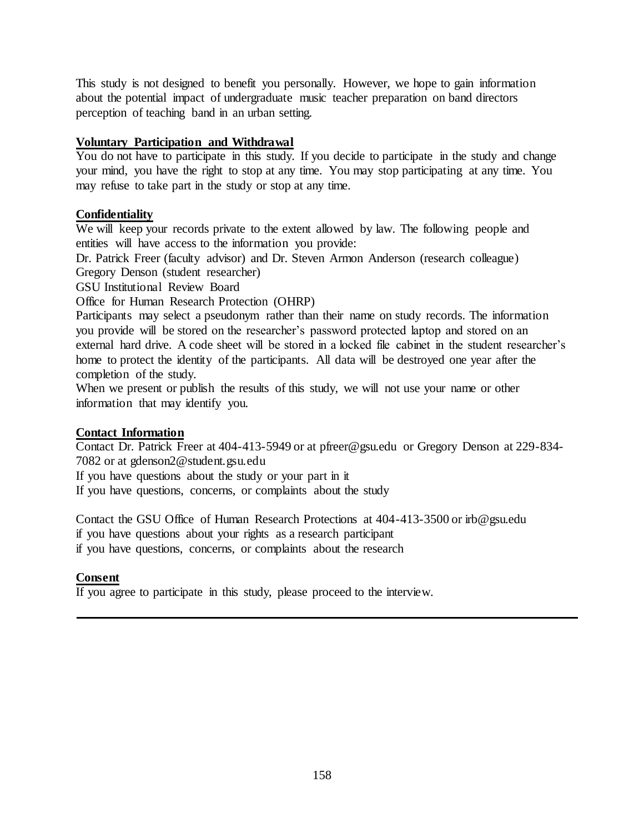This study is not designed to benefit you personally. However, we hope to gain information about the potential impact of undergraduate music teacher preparation on band directors perception of teaching band in an urban setting.

# **Voluntary Participation and Withdrawal**

You do not have to participate in this study. If you decide to participate in the study and change your mind, you have the right to stop at any time. You may stop participating at any time. You may refuse to take part in the study or stop at any time.

# **Confidentiality**

We will keep your records private to the extent allowed by law. The following people and entities will have access to the information you provide:

Dr. Patrick Freer (faculty advisor) and Dr. Steven Armon Anderson (research colleague)

Gregory Denson (student researcher)

GSU Institutional Review Board

Office for Human Research Protection (OHRP)

Participants may select a pseudonym rather than their name on study records. The information you provide will be stored on the researcher's password protected laptop and stored on an external hard drive. A code sheet will be stored in a locked file cabinet in the student researcher's home to protect the identity of the participants. All data will be destroyed one year after the completion of the study.

When we present or publish the results of this study, we will not use your name or other information that may identify you.

# **Contact Information**

Contact Dr. Patrick Freer at 404-413-5949 or at pfreer@gsu.edu or Gregory Denson at 229-834- 7082 or at gdenson2@student.gsu.edu

If you have questions about the study or your part in it

If you have questions, concerns, or complaints about the study

Contact the GSU Office of Human Research Protections at 404-413-3500 or irb@gsu.edu if you have questions about your rights as a research participant if you have questions, concerns, or complaints about the research

# **Consent**

If you agree to participate in this study, please proceed to the interview.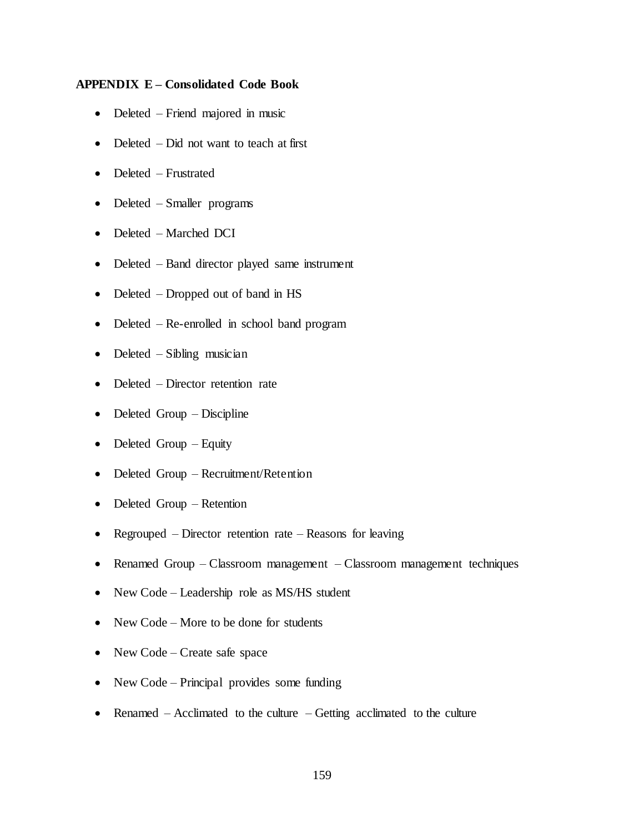### **APPENDIX E – Consolidated Code Book**

- Deleted Friend majored in music
- Deleted Did not want to teach at first
- Deleted Frustrated
- Deleted Smaller programs
- Deleted Marched DCI
- Deleted Band director played same instrument
- Deleted Dropped out of band in HS
- Deleted Re-enrolled in school band program
- Deleted Sibling musician
- Deleted Director retention rate
- Deleted Group Discipline
- Deleted Group Equity
- Deleted Group Recruitment/Retention
- Deleted Group Retention
- Regrouped Director retention rate Reasons for leaving
- Renamed Group Classroom management Classroom management techniques
- New Code Leadership role as MS/HS student
- New Code More to be done for students
- New Code Create safe space
- New Code Principal provides some funding
- Renamed Acclimated to the culture Getting acclimated to the culture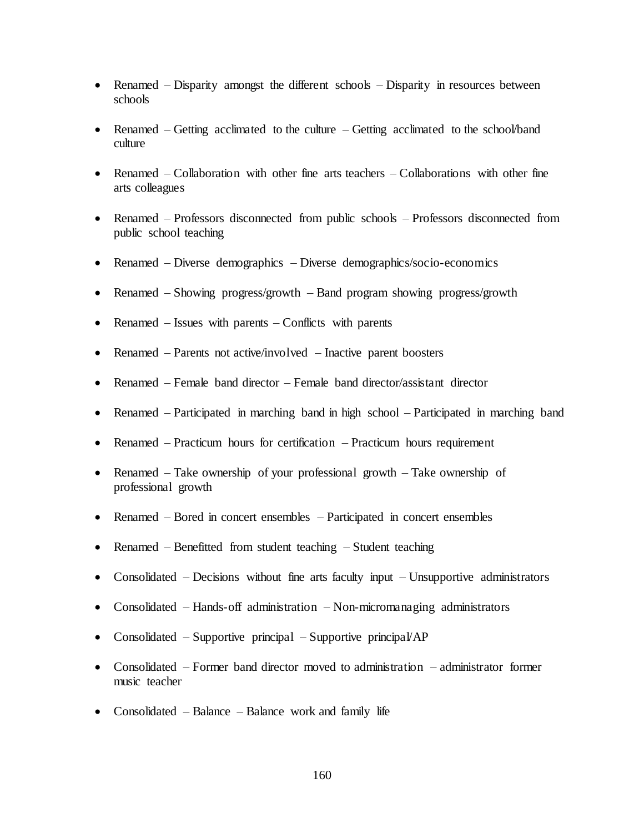- Renamed Disparity amongst the different schools Disparity in resources between schools
- Renamed Getting acclimated to the culture Getting acclimated to the school/band culture
- Renamed Collaboration with other fine arts teachers Collaborations with other fine arts colleagues
- Renamed Professors disconnected from public schools Professors disconnected from public school teaching
- Renamed Diverse demographics Diverse demographics/socio-economics
- Renamed Showing progress/growth Band program showing progress/growth
- Renamed Issues with parents Conflicts with parents
- Renamed Parents not active/involved Inactive parent boosters
- Renamed Female band director Female band director/assistant director
- Renamed Participated in marching band in high school Participated in marching band
- Renamed Practicum hours for certification Practicum hours requirement
- Renamed Take ownership of your professional growth Take ownership of professional growth
- Renamed Bored in concert ensembles Participated in concert ensembles
- Renamed Benefitted from student teaching Student teaching
- Consolidated Decisions without fine arts faculty input Unsupportive administrators
- Consolidated Hands-off administration Non-micromanaging administrators
- Consolidated Supportive principal Supportive principal/AP
- Consolidated Former band director moved to administration administrator former music teacher
- Consolidated Balance Balance work and family life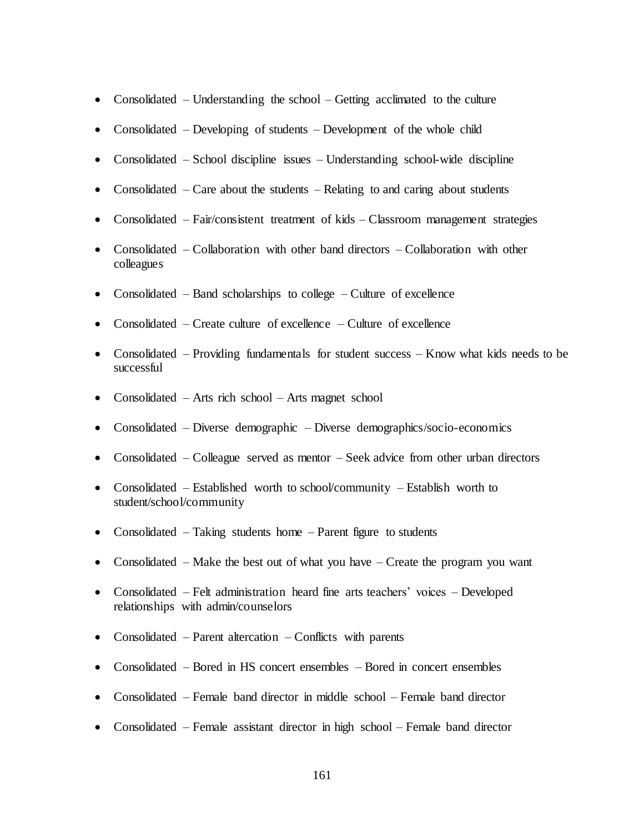- Consolidated Understanding the school Getting acclimated to the culture
- Consolidated Developing of students Development of the whole child
- Consolidated School discipline issues Understanding school-wide discipline
- Consolidated Care about the students Relating to and caring about students
- Consolidated Fair/consistent treatment of kids Classroom management strategies
- Consolidated Collaboration with other band directors Collaboration with other colleagues
- Consolidated Band scholarships to college Culture of excellence
- Consolidated Create culture of excellence Culture of excellence
- Consolidated Providing fundamentals for student success Know what kids needs to be successful
- Consolidated Arts rich school Arts magnet school
- Consolidated Diverse demographic Diverse demographics/socio-economics
- Consolidated Colleague served as mentor Seek advice from other urban directors
- Consolidated Established worth to school/community Establish worth to student/school/community
- Consolidated Taking students home Parent figure to students
- Consolidated Make the best out of what you have Create the program you want
- Consolidated Felt administration heard fine arts teachers' voices Developed relationships with admin/counselors
- Consolidated Parent altercation Conflicts with parents
- Consolidated Bored in HS concert ensembles Bored in concert ensembles
- Consolidated Female band director in middle school Female band director
- Consolidated Female assistant director in high school Female band director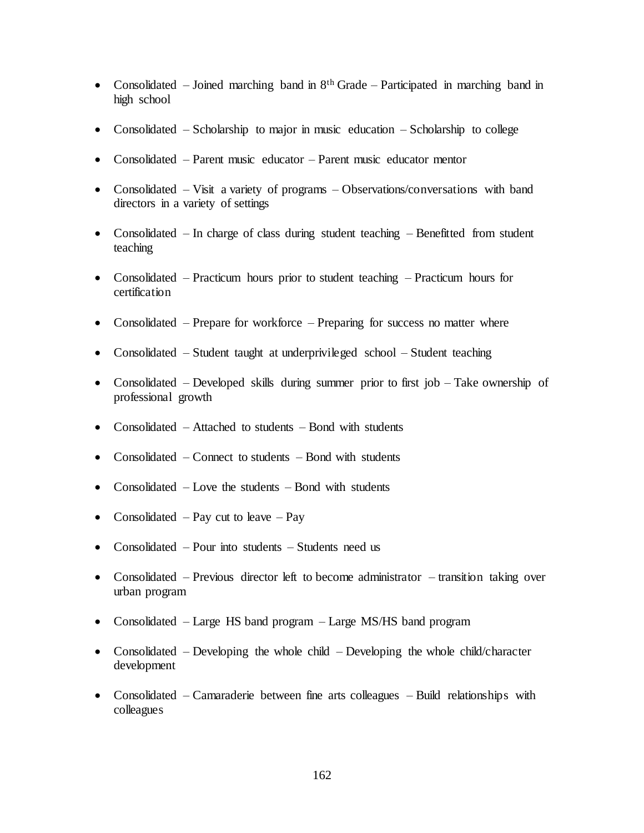- Consolidated Joined marching band in  $8<sup>th</sup>$  Grade Participated in marching band in high school
- Consolidated Scholarship to major in music education Scholarship to college
- Consolidated Parent music educator Parent music educator mentor
- Consolidated Visit a variety of programs Observations/conversations with band directors in a variety of settings
- Consolidated  $-$  In charge of class during student teaching  $-$  Benefitted from student teaching
- Consolidated Practicum hours prior to student teaching Practicum hours for certification
- Consolidated Prepare for workforce Preparing for success no matter where
- Consolidated Student taught at underprivileged school Student teaching
- Consolidated Developed skills during summer prior to first job Take ownership of professional growth
- Consolidated Attached to students Bond with students
- Consolidated Connect to students Bond with students
- Consolidated Love the students Bond with students
- Consolidated Pay cut to leave Pay
- Consolidated Pour into students Students need us
- Consolidated Previous director left to become administrator transition taking over urban program
- Consolidated Large HS band program Large MS/HS band program
- Consolidated Developing the whole child Developing the whole child/character development
- Consolidated Camaraderie between fine arts colleagues Build relationships with colleagues